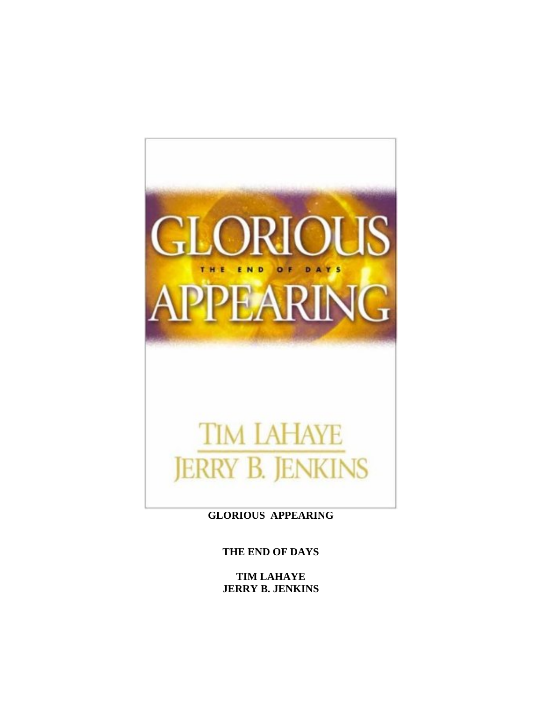

**GLORIOUS APPEARING** 

**THE END OF DAYS** 

**TIM LAHAYE JERRY B. JENKINS**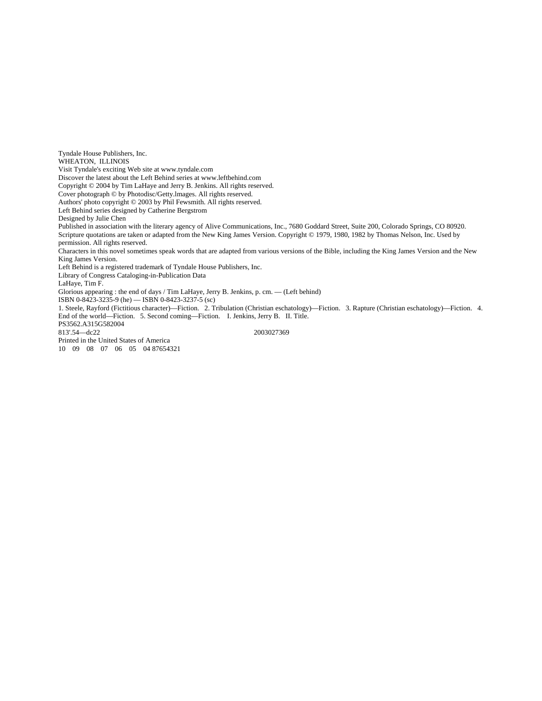Tyndale House Publishers, Inc. WHEATON, ILLINOIS Visit Tyndale's exciting Web site at www.tyndale.com Discover the latest about the Left Behind series at www.leftbehind.com Copyright © 2004 by Tim LaHaye and Jerry B. Jenkins. All rights reserved. Cover photograph © by Photodisc/Getty.lmages. All rights reserved. Authors' photo copyright © 2003 by Phil Fewsmith. All rights reserved. Left Behind series designed by Catherine Bergstrom Designed by Julie Chen Published in association with the literary agency of Alive Communications, Inc., 7680 Goddard Street, Suite 200, Colorado Springs, CO 80920. Scripture quotations are taken or adapted from the New King James Version. Copyright © 1979, 1980, 1982 by Thomas Nelson, Inc. Used by permission. All rights reserved. Characters in this novel sometimes speak words that are adapted from various versions of the Bible, including the King James Version and the New King James Version. Left Behind is a registered trademark of Tyndale House Publishers, Inc. Library of Congress Cataloging-in-Publication Data LaHaye, Tim F. Glorious appearing : the end of days / Tim LaHaye, Jerry B. Jenkins, p. cm. — (Left behind) ISBN 0-8423-3235-9 (he) — ISBN 0-8423-3237-5 (sc) 1. Steele, Rayford (Fictitious character)—Fiction. 2. Tribulation (Christian eschatology)—Fiction. 3. Rapture (Christian eschatology)—Fiction. 4. End of the world—Fiction. 5. Second coming—Fiction. I. Jenkins, Jerry B. II. Title. PS3562.A315G582004 813'.54—dc22 2003027369 Printed in the United States of America 10 09 08 07 06 05 04 87654321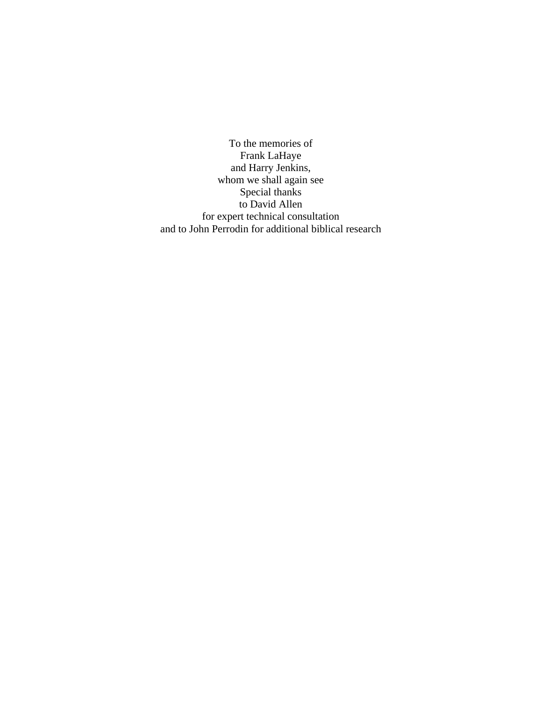To the memories of Frank LaHaye and Harry Jenkins, whom we shall again see Special thanks to David Allen for expert technical consultation and to John Perrodin for additional biblical research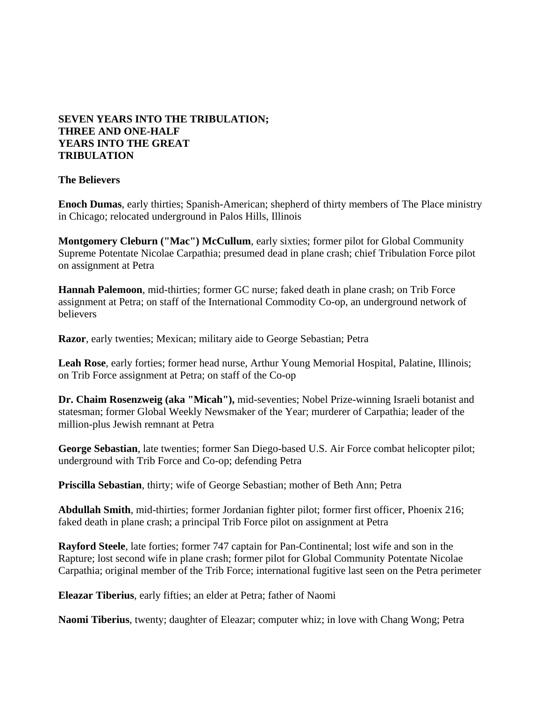# **SEVEN YEARS INTO THE TRIBULATION; THREE AND ONE-HALF YEARS INTO THE GREAT TRIBULATION**

### **The Believers**

**Enoch Dumas**, early thirties; Spanish-American; shepherd of thirty members of The Place ministry in Chicago; relocated underground in Palos Hills, Illinois

**Montgomery Cleburn ("Mac") McCullum**, early sixties; former pilot for Global Community Supreme Potentate Nicolae Carpathia; presumed dead in plane crash; chief Tribulation Force pilot on assignment at Petra

**Hannah Palemoon**, mid-thirties; former GC nurse; faked death in plane crash; on Trib Force assignment at Petra; on staff of the International Commodity Co-op, an underground network of believers

**Razor**, early twenties; Mexican; military aide to George Sebastian; Petra

**Leah Rose**, early forties; former head nurse, Arthur Young Memorial Hospital, Palatine, Illinois; on Trib Force assignment at Petra; on staff of the Co-op

**Dr. Chaim Rosenzweig (aka "Micah"),** mid-seventies; Nobel Prize-winning Israeli botanist and statesman; former Global Weekly Newsmaker of the Year; murderer of Carpathia; leader of the million-plus Jewish remnant at Petra

**George Sebastian**, late twenties; former San Diego-based U.S. Air Force combat helicopter pilot; underground with Trib Force and Co-op; defending Petra

**Priscilla Sebastian**, thirty; wife of George Sebastian; mother of Beth Ann; Petra

**Abdullah Smith**, mid-thirties; former Jordanian fighter pilot; former first officer, Phoenix 216; faked death in plane crash; a principal Trib Force pilot on assignment at Petra

**Rayford Steele**, late forties; former 747 captain for Pan-Continental; lost wife and son in the Rapture; lost second wife in plane crash; former pilot for Global Community Potentate Nicolae Carpathia; original member of the Trib Force; international fugitive last seen on the Petra perimeter

**Eleazar Tiberius**, early fifties; an elder at Petra; father of Naomi

**Naomi Tiberius**, twenty; daughter of Eleazar; computer whiz; in love with Chang Wong; Petra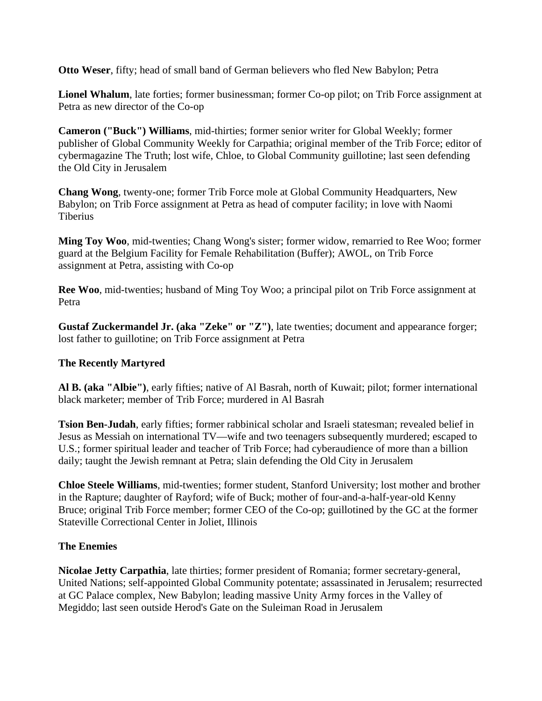**Otto Weser**, fifty; head of small band of German believers who fled New Babylon; Petra

**Lionel Whalum**, late forties; former businessman; former Co-op pilot; on Trib Force assignment at Petra as new director of the Co-op

**Cameron ("Buck") Williams**, mid-thirties; former senior writer for Global Weekly; former publisher of Global Community Weekly for Carpathia; original member of the Trib Force; editor of cybermagazine The Truth; lost wife, Chloe, to Global Community guillotine; last seen defending the Old City in Jerusalem

**Chang Wong**, twenty-one; former Trib Force mole at Global Community Headquarters, New Babylon; on Trib Force assignment at Petra as head of computer facility; in love with Naomi **Tiberius** 

**Ming Toy Woo**, mid-twenties; Chang Wong's sister; former widow, remarried to Ree Woo; former guard at the Belgium Facility for Female Rehabilitation (Buffer); AWOL, on Trib Force assignment at Petra, assisting with Co-op

**Ree Woo**, mid-twenties; husband of Ming Toy Woo; a principal pilot on Trib Force assignment at Petra

**Gustaf Zuckermandel Jr. (aka "Zeke" or "Z")**, late twenties; document and appearance forger; lost father to guillotine; on Trib Force assignment at Petra

# **The Recently Martyred**

**Al B. (aka "Albie")**, early fifties; native of Al Basrah, north of Kuwait; pilot; former international black marketer; member of Trib Force; murdered in Al Basrah

**Tsion Ben-Judah**, early fifties; former rabbinical scholar and Israeli statesman; revealed belief in Jesus as Messiah on international TV—wife and two teenagers subsequently murdered; escaped to U.S.; former spiritual leader and teacher of Trib Force; had cyberaudience of more than a billion daily; taught the Jewish remnant at Petra; slain defending the Old City in Jerusalem

**Chloe Steele Williams**, mid-twenties; former student, Stanford University; lost mother and brother in the Rapture; daughter of Rayford; wife of Buck; mother of four-and-a-half-year-old Kenny Bruce; original Trib Force member; former CEO of the Co-op; guillotined by the GC at the former Stateville Correctional Center in Joliet, Illinois

# **The Enemies**

**Nicolae Jetty Carpathia**, late thirties; former president of Romania; former secretary-general, United Nations; self-appointed Global Community potentate; assassinated in Jerusalem; resurrected at GC Palace complex, New Babylon; leading massive Unity Army forces in the Valley of Megiddo; last seen outside Herod's Gate on the Suleiman Road in Jerusalem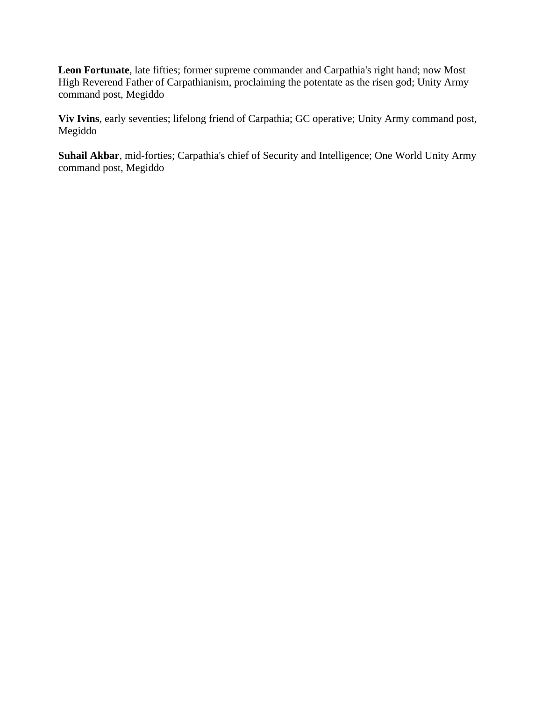**Leon Fortunate**, late fifties; former supreme commander and Carpathia's right hand; now Most High Reverend Father of Carpathianism, proclaiming the potentate as the risen god; Unity Army command post, Megiddo

**Viv Ivins**, early seventies; lifelong friend of Carpathia; GC operative; Unity Army command post, Megiddo

**Suhail Akbar**, mid-forties; Carpathia's chief of Security and Intelligence; One World Unity Army command post, Megiddo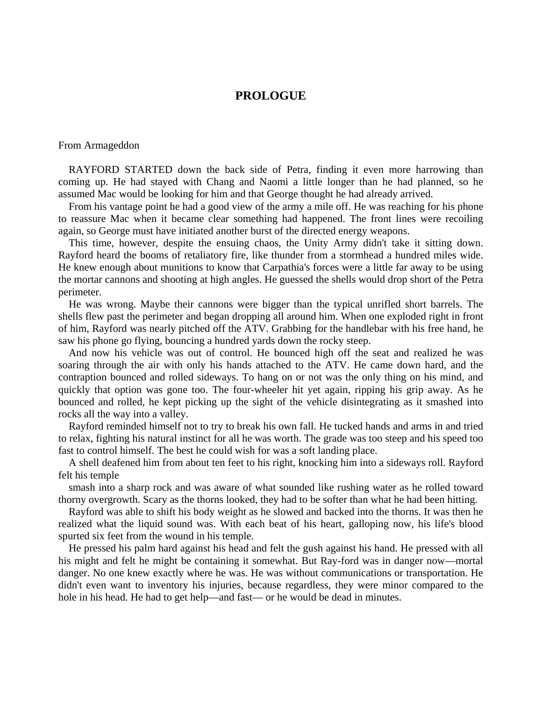### **PROLOGUE**

From Armageddon

RAYFORD STARTED down the back side of Petra, finding it even more harrowing than coming up. He had stayed with Chang and Naomi a little longer than he had planned, so he assumed Mac would be looking for him and that George thought he had already arrived.

From his vantage point he had a good view of the army a mile off. He was reaching for his phone to reassure Mac when it became clear something had happened. The front lines were recoiling again, so George must have initiated another burst of the directed energy weapons.

This time, however, despite the ensuing chaos, the Unity Army didn't take it sitting down. Rayford heard the booms of retaliatory fire, like thunder from a stormhead a hundred miles wide. He knew enough about munitions to know that Carpathia's forces were a little far away to be using the mortar cannons and shooting at high angles. He guessed the shells would drop short of the Petra perimeter.

He was wrong. Maybe their cannons were bigger than the typical unrifled short barrels. The shells flew past the perimeter and began dropping all around him. When one exploded right in front of him, Rayford was nearly pitched off the ATV. Grabbing for the handlebar with his free hand, he saw his phone go flying, bouncing a hundred yards down the rocky steep.

And now his vehicle was out of control. He bounced high off the seat and realized he was soaring through the air with only his hands attached to the ATV. He came down hard, and the contraption bounced and rolled sideways. To hang on or not was the only thing on his mind, and quickly that option was gone too. The four-wheeler hit yet again, ripping his grip away. As he bounced and rolled, he kept picking up the sight of the vehicle disintegrating as it smashed into rocks all the way into a valley.

Rayford reminded himself not to try to break his own fall. He tucked hands and arms in and tried to relax, fighting his natural instinct for all he was worth. The grade was too steep and his speed too fast to control himself. The best he could wish for was a soft landing place.

A shell deafened him from about ten feet to his right, knocking him into a sideways roll. Rayford felt his temple

smash into a sharp rock and was aware of what sounded like rushing water as he rolled toward thorny overgrowth. Scary as the thorns looked, they had to be softer than what he had been hitting.

Rayford was able to shift his body weight as he slowed and backed into the thorns. It was then he realized what the liquid sound was. With each beat of his heart, galloping now, his life's blood spurted six feet from the wound in his temple.

He pressed his palm hard against his head and felt the gush against his hand. He pressed with all his might and felt he might be containing it somewhat. But Ray-ford was in danger now—mortal danger. No one knew exactly where he was. He was without communications or transportation. He didn't even want to inventory his injuries, because regardless, they were minor compared to the hole in his head. He had to get help—and fast— or he would be dead in minutes.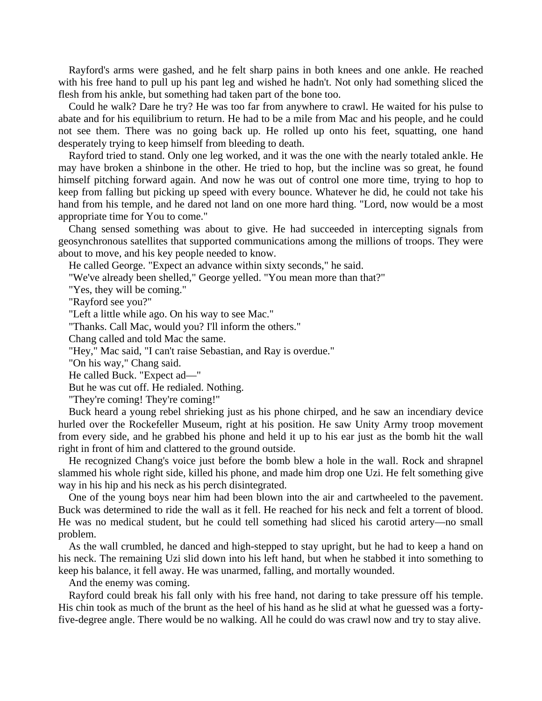Rayford's arms were gashed, and he felt sharp pains in both knees and one ankle. He reached with his free hand to pull up his pant leg and wished he hadn't. Not only had something sliced the flesh from his ankle, but something had taken part of the bone too.

Could he walk? Dare he try? He was too far from anywhere to crawl. He waited for his pulse to abate and for his equilibrium to return. He had to be a mile from Mac and his people, and he could not see them. There was no going back up. He rolled up onto his feet, squatting, one hand desperately trying to keep himself from bleeding to death.

Rayford tried to stand. Only one leg worked, and it was the one with the nearly totaled ankle. He may have broken a shinbone in the other. He tried to hop, but the incline was so great, he found himself pitching forward again. And now he was out of control one more time, trying to hop to keep from falling but picking up speed with every bounce. Whatever he did, he could not take his hand from his temple, and he dared not land on one more hard thing. "Lord, now would be a most appropriate time for You to come."

Chang sensed something was about to give. He had succeeded in intercepting signals from geosynchronous satellites that supported communications among the millions of troops. They were about to move, and his key people needed to know.

He called George. "Expect an advance within sixty seconds," he said.

"We've already been shelled," George yelled. "You mean more than that?"

"Yes, they will be coming."

"Rayford see you?"

"Left a little while ago. On his way to see Mac."

"Thanks. Call Mac, would you? I'll inform the others."

Chang called and told Mac the same.

"Hey," Mac said, "I can't raise Sebastian, and Ray is overdue."

"On his way," Chang said.

He called Buck. "Expect ad—"

But he was cut off. He redialed. Nothing.

"They're coming! They're coming!"

Buck heard a young rebel shrieking just as his phone chirped, and he saw an incendiary device hurled over the Rockefeller Museum, right at his position. He saw Unity Army troop movement from every side, and he grabbed his phone and held it up to his ear just as the bomb hit the wall right in front of him and clattered to the ground outside.

He recognized Chang's voice just before the bomb blew a hole in the wall. Rock and shrapnel slammed his whole right side, killed his phone, and made him drop one Uzi. He felt something give way in his hip and his neck as his perch disintegrated.

One of the young boys near him had been blown into the air and cartwheeled to the pavement. Buck was determined to ride the wall as it fell. He reached for his neck and felt a torrent of blood. He was no medical student, but he could tell something had sliced his carotid artery—no small problem.

As the wall crumbled, he danced and high-stepped to stay upright, but he had to keep a hand on his neck. The remaining Uzi slid down into his left hand, but when he stabbed it into something to keep his balance, it fell away. He was unarmed, falling, and mortally wounded.

And the enemy was coming.

Rayford could break his fall only with his free hand, not daring to take pressure off his temple. His chin took as much of the brunt as the heel of his hand as he slid at what he guessed was a fortyfive-degree angle. There would be no walking. All he could do was crawl now and try to stay alive.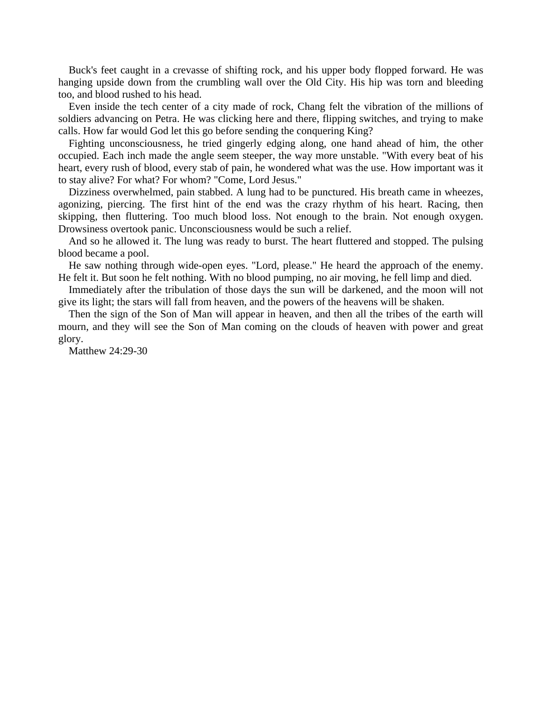Buck's feet caught in a crevasse of shifting rock, and his upper body flopped forward. He was hanging upside down from the crumbling wall over the Old City. His hip was torn and bleeding too, and blood rushed to his head.

Even inside the tech center of a city made of rock, Chang felt the vibration of the millions of soldiers advancing on Petra. He was clicking here and there, flipping switches, and trying to make calls. How far would God let this go before sending the conquering King?

Fighting unconsciousness, he tried gingerly edging along, one hand ahead of him, the other occupied. Each inch made the angle seem steeper, the way more unstable. "With every beat of his heart, every rush of blood, every stab of pain, he wondered what was the use. How important was it to stay alive? For what? For whom? "Come, Lord Jesus."

Dizziness overwhelmed, pain stabbed. A lung had to be punctured. His breath came in wheezes, agonizing, piercing. The first hint of the end was the crazy rhythm of his heart. Racing, then skipping, then fluttering. Too much blood loss. Not enough to the brain. Not enough oxygen. Drowsiness overtook panic. Unconsciousness would be such a relief.

And so he allowed it. The lung was ready to burst. The heart fluttered and stopped. The pulsing blood became a pool.

He saw nothing through wide-open eyes. "Lord, please." He heard the approach of the enemy. He felt it. But soon he felt nothing. With no blood pumping, no air moving, he fell limp and died.

Immediately after the tribulation of those days the sun will be darkened, and the moon will not give its light; the stars will fall from heaven, and the powers of the heavens will be shaken.

Then the sign of the Son of Man will appear in heaven, and then all the tribes of the earth will mourn, and they will see the Son of Man coming on the clouds of heaven with power and great glory.

Matthew 24:29-30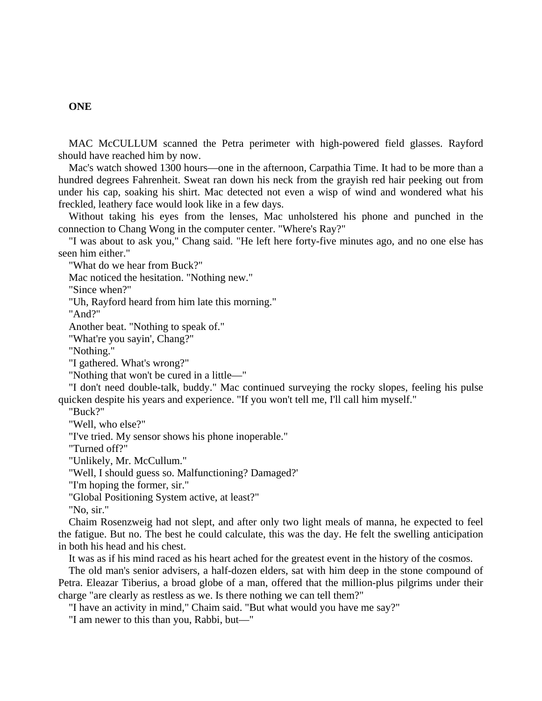#### **ONE**

MAC McCULLUM scanned the Petra perimeter with high-powered field glasses. Rayford should have reached him by now.

Mac's watch showed 1300 hours—one in the afternoon, Carpathia Time. It had to be more than a hundred degrees Fahrenheit. Sweat ran down his neck from the grayish red hair peeking out from under his cap, soaking his shirt. Mac detected not even a wisp of wind and wondered what his freckled, leathery face would look like in a few days.

Without taking his eyes from the lenses, Mac unholstered his phone and punched in the connection to Chang Wong in the computer center. "Where's Ray?"

"I was about to ask you," Chang said. "He left here forty-five minutes ago, and no one else has seen him either."

"What do we hear from Buck?"

Mac noticed the hesitation. "Nothing new."

"Since when?"

"Uh, Rayford heard from him late this morning."

"And?"

Another beat. "Nothing to speak of."

"What're you sayin', Chang?"

"Nothing."

"I gathered. What's wrong?"

"Nothing that won't be cured in a little—"

"I don't need double-talk, buddy." Mac continued surveying the rocky slopes, feeling his pulse quicken despite his years and experience. "If you won't tell me, I'll call him myself."

"Buck?"

"Well, who else?"

"I've tried. My sensor shows his phone inoperable."

"Turned off?"

"Unlikely, Mr. McCullum."

"Well, I should guess so. Malfunctioning? Damaged?'

"I'm hoping the former, sir."

"Global Positioning System active, at least?"

"No, sir."

Chaim Rosenzweig had not slept, and after only two light meals of manna, he expected to feel the fatigue. But no. The best he could calculate, this was the day. He felt the swelling anticipation in both his head and his chest.

It was as if his mind raced as his heart ached for the greatest event in the history of the cosmos.

The old man's senior advisers, a half-dozen elders, sat with him deep in the stone compound of Petra. Eleazar Tiberius, a broad globe of a man, offered that the million-plus pilgrims under their charge "are clearly as restless as we. Is there nothing we can tell them?"

"I have an activity in mind," Chaim said. "But what would you have me say?"

"I am newer to this than you, Rabbi, but—"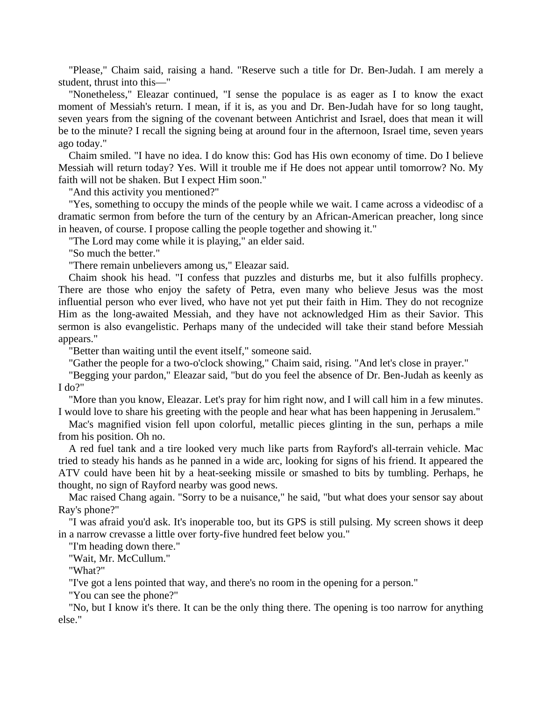"Please," Chaim said, raising a hand. "Reserve such a title for Dr. Ben-Judah. I am merely a student, thrust into this—"

"Nonetheless," Eleazar continued, "I sense the populace is as eager as I to know the exact moment of Messiah's return. I mean, if it is, as you and Dr. Ben-Judah have for so long taught, seven years from the signing of the covenant between Antichrist and Israel, does that mean it will be to the minute? I recall the signing being at around four in the afternoon, Israel time, seven years ago today."

Chaim smiled. "I have no idea. I do know this: God has His own economy of time. Do I believe Messiah will return today? Yes. Will it trouble me if He does not appear until tomorrow? No. My faith will not be shaken. But I expect Him soon."

"And this activity you mentioned?"

"Yes, something to occupy the minds of the people while we wait. I came across a videodisc of a dramatic sermon from before the turn of the century by an African-American preacher, long since in heaven, of course. I propose calling the people together and showing it."

"The Lord may come while it is playing," an elder said.

"So much the better."

"There remain unbelievers among us," Eleazar said.

Chaim shook his head. "I confess that puzzles and disturbs me, but it also fulfills prophecy. There are those who enjoy the safety of Petra, even many who believe Jesus was the most influential person who ever lived, who have not yet put their faith in Him. They do not recognize Him as the long-awaited Messiah, and they have not acknowledged Him as their Savior. This sermon is also evangelistic. Perhaps many of the undecided will take their stand before Messiah appears."

"Better than waiting until the event itself," someone said.

"Gather the people for a two-o'clock showing," Chaim said, rising. "And let's close in prayer."

"Begging your pardon," Eleazar said, "but do you feel the absence of Dr. Ben-Judah as keenly as I do?"

"More than you know, Eleazar. Let's pray for him right now, and I will call him in a few minutes. I would love to share his greeting with the people and hear what has been happening in Jerusalem."

Mac's magnified vision fell upon colorful, metallic pieces glinting in the sun, perhaps a mile from his position. Oh no.

A red fuel tank and a tire looked very much like parts from Rayford's all-terrain vehicle. Mac tried to steady his hands as he panned in a wide arc, looking for signs of his friend. It appeared the ATV could have been hit by a heat-seeking missile or smashed to bits by tumbling. Perhaps, he thought, no sign of Rayford nearby was good news.

Mac raised Chang again. "Sorry to be a nuisance," he said, "but what does your sensor say about Ray's phone?"

"I was afraid you'd ask. It's inoperable too, but its GPS is still pulsing. My screen shows it deep in a narrow crevasse a little over forty-five hundred feet below you."

"I'm heading down there."

"Wait, Mr. McCullum."

"What?"

"I've got a lens pointed that way, and there's no room in the opening for a person."

"You can see the phone?"

"No, but I know it's there. It can be the only thing there. The opening is too narrow for anything else."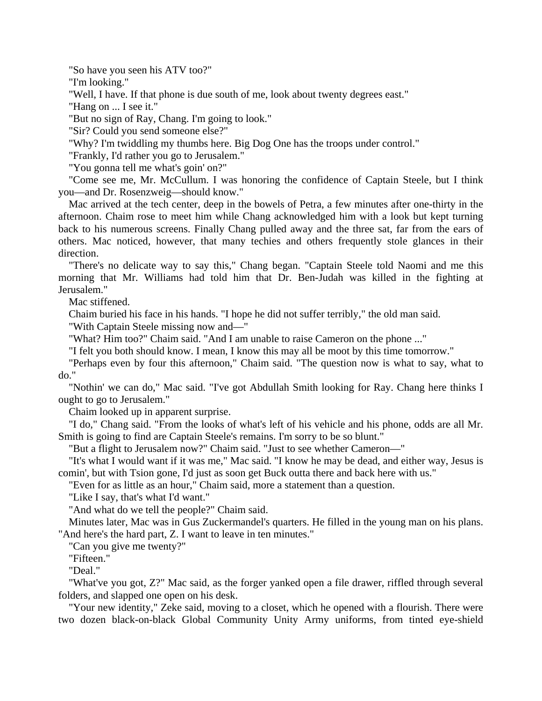"So have you seen his ATV too?"

"I'm looking."

"Well, I have. If that phone is due south of me, look about twenty degrees east."

"Hang on ... I see it."

"But no sign of Ray, Chang. I'm going to look."

"Sir? Could you send someone else?"

"Why? I'm twiddling my thumbs here. Big Dog One has the troops under control."

"Frankly, I'd rather you go to Jerusalem."

"You gonna tell me what's goin' on?"

"Come see me, Mr. McCullum. I was honoring the confidence of Captain Steele, but I think you—and Dr. Rosenzweig—should know."

Mac arrived at the tech center, deep in the bowels of Petra, a few minutes after one-thirty in the afternoon. Chaim rose to meet him while Chang acknowledged him with a look but kept turning back to his numerous screens. Finally Chang pulled away and the three sat, far from the ears of others. Mac noticed, however, that many techies and others frequently stole glances in their direction.

"There's no delicate way to say this," Chang began. "Captain Steele told Naomi and me this morning that Mr. Williams had told him that Dr. Ben-Judah was killed in the fighting at Jerusalem."

Mac stiffened.

Chaim buried his face in his hands. "I hope he did not suffer terribly," the old man said.

"With Captain Steele missing now and—"

"What? Him too?" Chaim said. "And I am unable to raise Cameron on the phone ..."

"I felt you both should know. I mean, I know this may all be moot by this time tomorrow."

"Perhaps even by four this afternoon," Chaim said. "The question now is what to say, what to do."

"Nothin' we can do," Mac said. "I've got Abdullah Smith looking for Ray. Chang here thinks I ought to go to Jerusalem."

Chaim looked up in apparent surprise.

"I do," Chang said. "From the looks of what's left of his vehicle and his phone, odds are all Mr. Smith is going to find are Captain Steele's remains. I'm sorry to be so blunt."

"But a flight to Jerusalem now?" Chaim said. "Just to see whether Cameron—"

"It's what I would want if it was me," Mac said. "I know he may be dead, and either way, Jesus is comin', but with Tsion gone, I'd just as soon get Buck outta there and back here with us."

"Even for as little as an hour," Chaim said, more a statement than a question.

"Like I say, that's what I'd want."

"And what do we tell the people?" Chaim said.

Minutes later, Mac was in Gus Zuckermandel's quarters. He filled in the young man on his plans. "And here's the hard part, Z. I want to leave in ten minutes."

"Can you give me twenty?"

"Fifteen."

"Deal."

"What've you got, Z?" Mac said, as the forger yanked open a file drawer, riffled through several folders, and slapped one open on his desk.

"Your new identity," Zeke said, moving to a closet, which he opened with a flourish. There were two dozen black-on-black Global Community Unity Army uniforms, from tinted eye-shield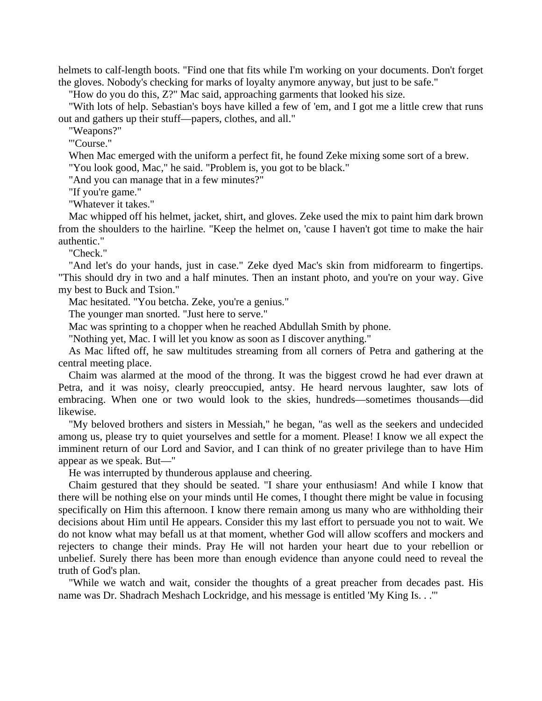helmets to calf-length boots. "Find one that fits while I'm working on your documents. Don't forget the gloves. Nobody's checking for marks of loyalty anymore anyway, but just to be safe."

"How do you do this, Z?" Mac said, approaching garments that looked his size.

"With lots of help. Sebastian's boys have killed a few of 'em, and I got me a little crew that runs out and gathers up their stuff—papers, clothes, and all."

"Weapons?"

'"Course."

When Mac emerged with the uniform a perfect fit, he found Zeke mixing some sort of a brew.

"You look good, Mac," he said. "Problem is, you got to be black."

"And you can manage that in a few minutes?"

"If you're game."

"Whatever it takes."

Mac whipped off his helmet, jacket, shirt, and gloves. Zeke used the mix to paint him dark brown from the shoulders to the hairline. "Keep the helmet on, 'cause I haven't got time to make the hair authentic."

"Check."

"And let's do your hands, just in case." Zeke dyed Mac's skin from midforearm to fingertips. "This should dry in two and a half minutes. Then an instant photo, and you're on your way. Give my best to Buck and Tsion."

Mac hesitated. "You betcha. Zeke, you're a genius."

The younger man snorted. "Just here to serve."

Mac was sprinting to a chopper when he reached Abdullah Smith by phone.

"Nothing yet, Mac. I will let you know as soon as I discover anything."

As Mac lifted off, he saw multitudes streaming from all corners of Petra and gathering at the central meeting place.

Chaim was alarmed at the mood of the throng. It was the biggest crowd he had ever drawn at Petra, and it was noisy, clearly preoccupied, antsy. He heard nervous laughter, saw lots of embracing. When one or two would look to the skies, hundreds—sometimes thousands—did likewise.

"My beloved brothers and sisters in Messiah," he began, "as well as the seekers and undecided among us, please try to quiet yourselves and settle for a moment. Please! I know we all expect the imminent return of our Lord and Savior, and I can think of no greater privilege than to have Him appear as we speak. But—"

He was interrupted by thunderous applause and cheering.

Chaim gestured that they should be seated. "I share your enthusiasm! And while I know that there will be nothing else on your minds until He comes, I thought there might be value in focusing specifically on Him this afternoon. I know there remain among us many who are withholding their decisions about Him until He appears. Consider this my last effort to persuade you not to wait. We do not know what may befall us at that moment, whether God will allow scoffers and mockers and rejecters to change their minds. Pray He will not harden your heart due to your rebellion or unbelief. Surely there has been more than enough evidence than anyone could need to reveal the truth of God's plan.

"While we watch and wait, consider the thoughts of a great preacher from decades past. His name was Dr. Shadrach Meshach Lockridge, and his message is entitled 'My King Is. . .'"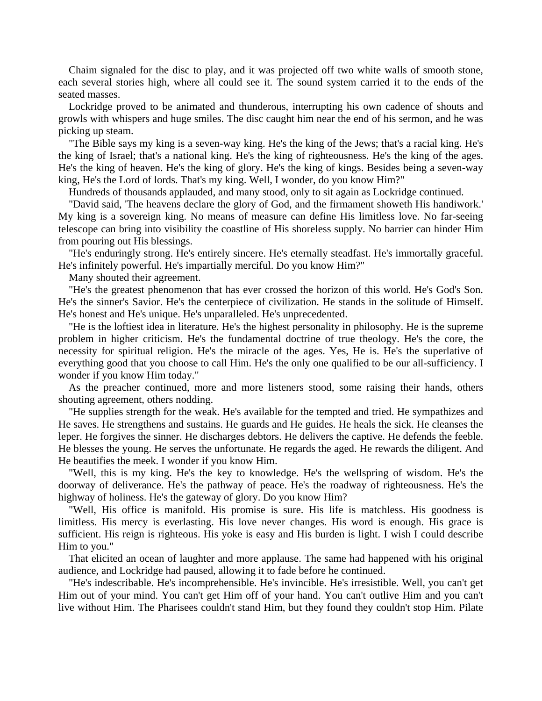Chaim signaled for the disc to play, and it was projected off two white walls of smooth stone, each several stories high, where all could see it. The sound system carried it to the ends of the seated masses.

Lockridge proved to be animated and thunderous, interrupting his own cadence of shouts and growls with whispers and huge smiles. The disc caught him near the end of his sermon, and he was picking up steam.

"The Bible says my king is a seven-way king. He's the king of the Jews; that's a racial king. He's the king of Israel; that's a national king. He's the king of righteousness. He's the king of the ages. He's the king of heaven. He's the king of glory. He's the king of kings. Besides being a seven-way king, He's the Lord of lords. That's my king. Well, I wonder, do you know Him?"

Hundreds of thousands applauded, and many stood, only to sit again as Lockridge continued.

"David said, 'The heavens declare the glory of God, and the firmament showeth His handiwork.' My king is a sovereign king. No means of measure can define His limitless love. No far-seeing telescope can bring into visibility the coastline of His shoreless supply. No barrier can hinder Him from pouring out His blessings.

"He's enduringly strong. He's entirely sincere. He's eternally steadfast. He's immortally graceful. He's infinitely powerful. He's impartially merciful. Do you know Him?"

Many shouted their agreement.

"He's the greatest phenomenon that has ever crossed the horizon of this world. He's God's Son. He's the sinner's Savior. He's the centerpiece of civilization. He stands in the solitude of Himself. He's honest and He's unique. He's unparalleled. He's unprecedented.

"He is the loftiest idea in literature. He's the highest personality in philosophy. He is the supreme problem in higher criticism. He's the fundamental doctrine of true theology. He's the core, the necessity for spiritual religion. He's the miracle of the ages. Yes, He is. He's the superlative of everything good that you choose to call Him. He's the only one qualified to be our all-sufficiency. I wonder if you know Him today."

As the preacher continued, more and more listeners stood, some raising their hands, others shouting agreement, others nodding.

"He supplies strength for the weak. He's available for the tempted and tried. He sympathizes and He saves. He strengthens and sustains. He guards and He guides. He heals the sick. He cleanses the leper. He forgives the sinner. He discharges debtors. He delivers the captive. He defends the feeble. He blesses the young. He serves the unfortunate. He regards the aged. He rewards the diligent. And He beautifies the meek. I wonder if you know Him.

"Well, this is my king. He's the key to knowledge. He's the wellspring of wisdom. He's the doorway of deliverance. He's the pathway of peace. He's the roadway of righteousness. He's the highway of holiness. He's the gateway of glory. Do you know Him?

"Well, His office is manifold. His promise is sure. His life is matchless. His goodness is limitless. His mercy is everlasting. His love never changes. His word is enough. His grace is sufficient. His reign is righteous. His yoke is easy and His burden is light. I wish I could describe Him to you."

That elicited an ocean of laughter and more applause. The same had happened with his original audience, and Lockridge had paused, allowing it to fade before he continued.

"He's indescribable. He's incomprehensible. He's invincible. He's irresistible. Well, you can't get Him out of your mind. You can't get Him off of your hand. You can't outlive Him and you can't live without Him. The Pharisees couldn't stand Him, but they found they couldn't stop Him. Pilate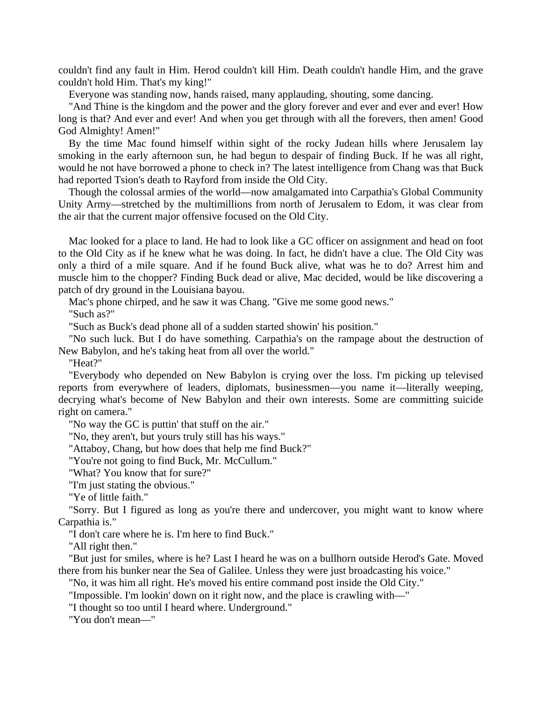couldn't find any fault in Him. Herod couldn't kill Him. Death couldn't handle Him, and the grave couldn't hold Him. That's my king!"

Everyone was standing now, hands raised, many applauding, shouting, some dancing.

"And Thine is the kingdom and the power and the glory forever and ever and ever and ever! How long is that? And ever and ever! And when you get through with all the forevers, then amen! Good God Almighty! Amen!"

By the time Mac found himself within sight of the rocky Judean hills where Jerusalem lay smoking in the early afternoon sun, he had begun to despair of finding Buck. If he was all right, would he not have borrowed a phone to check in? The latest intelligence from Chang was that Buck had reported Tsion's death to Rayford from inside the Old City.

Though the colossal armies of the world—now amalgamated into Carpathia's Global Community Unity Army—stretched by the multimillions from north of Jerusalem to Edom, it was clear from the air that the current major offensive focused on the Old City.

Mac looked for a place to land. He had to look like a GC officer on assignment and head on foot to the Old City as if he knew what he was doing. In fact, he didn't have a clue. The Old City was only a third of a mile square. And if he found Buck alive, what was he to do? Arrest him and muscle him to the chopper? Finding Buck dead or alive, Mac decided, would be like discovering a patch of dry ground in the Louisiana bayou.

Mac's phone chirped, and he saw it was Chang. "Give me some good news."

"Such as?"

"Such as Buck's dead phone all of a sudden started showin' his position."

"No such luck. But I do have something. Carpathia's on the rampage about the destruction of New Babylon, and he's taking heat from all over the world."

"Heat?"

"Everybody who depended on New Babylon is crying over the loss. I'm picking up televised reports from everywhere of leaders, diplomats, businessmen—you name it—literally weeping, decrying what's become of New Babylon and their own interests. Some are committing suicide right on camera."

"No way the GC is puttin' that stuff on the air."

"No, they aren't, but yours truly still has his ways."

"Attaboy, Chang, but how does that help me find Buck?"

"You're not going to find Buck, Mr. McCullum."

"What? You know that for sure?"

"I'm just stating the obvious."

"Ye of little faith."

"Sorry. But I figured as long as you're there and undercover, you might want to know where Carpathia is."

"I don't care where he is. I'm here to find Buck."

"All right then."

"But just for smiles, where is he? Last I heard he was on a bullhorn outside Herod's Gate. Moved there from his bunker near the Sea of Galilee. Unless they were just broadcasting his voice."

"No, it was him all right. He's moved his entire command post inside the Old City."

"Impossible. I'm lookin' down on it right now, and the place is crawling with—"

"I thought so too until I heard where. Underground."

"You don't mean—"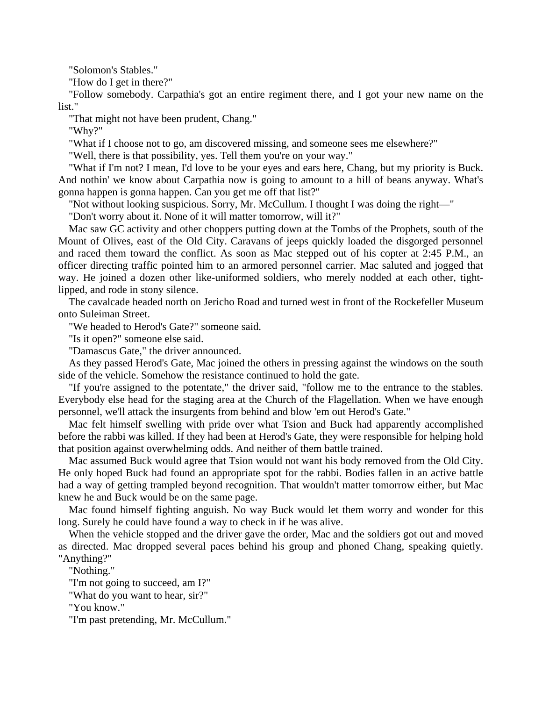"Solomon's Stables."

"How do I get in there?"

"Follow somebody. Carpathia's got an entire regiment there, and I got your new name on the list."

"That might not have been prudent, Chang."

"Why?"

"What if I choose not to go, am discovered missing, and someone sees me elsewhere?"

"Well, there is that possibility, yes. Tell them you're on your way."

"What if I'm not? I mean, I'd love to be your eyes and ears here, Chang, but my priority is Buck. And nothin' we know about Carpathia now is going to amount to a hill of beans anyway. What's gonna happen is gonna happen. Can you get me off that list?"

"Not without looking suspicious. Sorry, Mr. McCullum. I thought I was doing the right—"

"Don't worry about it. None of it will matter tomorrow, will it?"

Mac saw GC activity and other choppers putting down at the Tombs of the Prophets, south of the Mount of Olives, east of the Old City. Caravans of jeeps quickly loaded the disgorged personnel and raced them toward the conflict. As soon as Mac stepped out of his copter at 2:45 P.M., an officer directing traffic pointed him to an armored personnel carrier. Mac saluted and jogged that way. He joined a dozen other like-uniformed soldiers, who merely nodded at each other, tightlipped, and rode in stony silence.

The cavalcade headed north on Jericho Road and turned west in front of the Rockefeller Museum onto Suleiman Street.

"We headed to Herod's Gate?" someone said.

"Is it open?" someone else said.

"Damascus Gate," the driver announced.

As they passed Herod's Gate, Mac joined the others in pressing against the windows on the south side of the vehicle. Somehow the resistance continued to hold the gate.

"If you're assigned to the potentate," the driver said, "follow me to the entrance to the stables. Everybody else head for the staging area at the Church of the Flagellation. When we have enough personnel, we'll attack the insurgents from behind and blow 'em out Herod's Gate."

Mac felt himself swelling with pride over what Tsion and Buck had apparently accomplished before the rabbi was killed. If they had been at Herod's Gate, they were responsible for helping hold that position against overwhelming odds. And neither of them battle trained.

Mac assumed Buck would agree that Tsion would not want his body removed from the Old City. He only hoped Buck had found an appropriate spot for the rabbi. Bodies fallen in an active battle had a way of getting trampled beyond recognition. That wouldn't matter tomorrow either, but Mac knew he and Buck would be on the same page.

Mac found himself fighting anguish. No way Buck would let them worry and wonder for this long. Surely he could have found a way to check in if he was alive.

When the vehicle stopped and the driver gave the order, Mac and the soldiers got out and moved as directed. Mac dropped several paces behind his group and phoned Chang, speaking quietly. "Anything?"

"Nothing."

"I'm not going to succeed, am I?"

"What do you want to hear, sir?"

"You know."

"I'm past pretending, Mr. McCullum."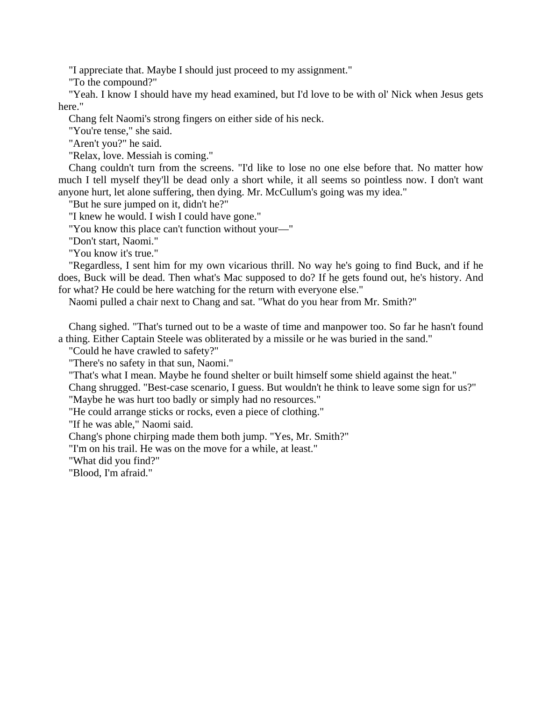"I appreciate that. Maybe I should just proceed to my assignment."

"To the compound?"

"Yeah. I know I should have my head examined, but I'd love to be with ol' Nick when Jesus gets here."

Chang felt Naomi's strong fingers on either side of his neck.

"You're tense," she said.

"Aren't you?" he said.

"Relax, love. Messiah is coming."

Chang couldn't turn from the screens. "I'd like to lose no one else before that. No matter how much I tell myself they'll be dead only a short while, it all seems so pointless now. I don't want anyone hurt, let alone suffering, then dying. Mr. McCullum's going was my idea."

"But he sure jumped on it, didn't he?"

"I knew he would. I wish I could have gone."

"You know this place can't function without your—"

"Don't start, Naomi."

"You know it's true."

"Regardless, I sent him for my own vicarious thrill. No way he's going to find Buck, and if he does, Buck will be dead. Then what's Mac supposed to do? If he gets found out, he's history. And for what? He could be here watching for the return with everyone else."

Naomi pulled a chair next to Chang and sat. "What do you hear from Mr. Smith?"

Chang sighed. "That's turned out to be a waste of time and manpower too. So far he hasn't found a thing. Either Captain Steele was obliterated by a missile or he was buried in the sand."

"Could he have crawled to safety?"

"There's no safety in that sun, Naomi."

"That's what I mean. Maybe he found shelter or built himself some shield against the heat."

Chang shrugged. "Best-case scenario, I guess. But wouldn't he think to leave some sign for us?" "Maybe he was hurt too badly or simply had no resources."

"He could arrange sticks or rocks, even a piece of clothing."

"If he was able," Naomi said.

Chang's phone chirping made them both jump. "Yes, Mr. Smith?"

"I'm on his trail. He was on the move for a while, at least."

"What did you find?"

"Blood, I'm afraid."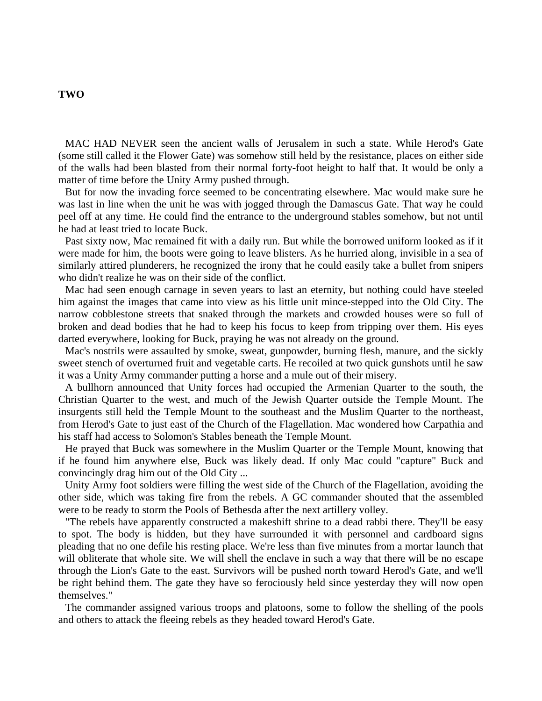#### **TWO**

MAC HAD NEVER seen the ancient walls of Jerusalem in such a state. While Herod's Gate (some still called it the Flower Gate) was somehow still held by the resistance, places on either side of the walls had been blasted from their normal forty-foot height to half that. It would be only a matter of time before the Unity Army pushed through.

But for now the invading force seemed to be concentrating elsewhere. Mac would make sure he was last in line when the unit he was with jogged through the Damascus Gate. That way he could peel off at any time. He could find the entrance to the underground stables somehow, but not until he had at least tried to locate Buck.

Past sixty now, Mac remained fit with a daily run. But while the borrowed uniform looked as if it were made for him, the boots were going to leave blisters. As he hurried along, invisible in a sea of similarly attired plunderers, he recognized the irony that he could easily take a bullet from snipers who didn't realize he was on their side of the conflict.

Mac had seen enough carnage in seven years to last an eternity, but nothing could have steeled him against the images that came into view as his little unit mince-stepped into the Old City. The narrow cobblestone streets that snaked through the markets and crowded houses were so full of broken and dead bodies that he had to keep his focus to keep from tripping over them. His eyes darted everywhere, looking for Buck, praying he was not already on the ground.

Mac's nostrils were assaulted by smoke, sweat, gunpowder, burning flesh, manure, and the sickly sweet stench of overturned fruit and vegetable carts. He recoiled at two quick gunshots until he saw it was a Unity Army commander putting a horse and a mule out of their misery.

A bullhorn announced that Unity forces had occupied the Armenian Quarter to the south, the Christian Quarter to the west, and much of the Jewish Quarter outside the Temple Mount. The insurgents still held the Temple Mount to the southeast and the Muslim Quarter to the northeast, from Herod's Gate to just east of the Church of the Flagellation. Mac wondered how Carpathia and his staff had access to Solomon's Stables beneath the Temple Mount.

He prayed that Buck was somewhere in the Muslim Quarter or the Temple Mount, knowing that if he found him anywhere else, Buck was likely dead. If only Mac could "capture" Buck and convincingly drag him out of the Old City ...

Unity Army foot soldiers were filling the west side of the Church of the Flagellation, avoiding the other side, which was taking fire from the rebels. A GC commander shouted that the assembled were to be ready to storm the Pools of Bethesda after the next artillery volley.

"The rebels have apparently constructed a makeshift shrine to a dead rabbi there. They'll be easy to spot. The body is hidden, but they have surrounded it with personnel and cardboard signs pleading that no one defile his resting place. We're less than five minutes from a mortar launch that will obliterate that whole site. We will shell the enclave in such a way that there will be no escape through the Lion's Gate to the east. Survivors will be pushed north toward Herod's Gate, and we'll be right behind them. The gate they have so ferociously held since yesterday they will now open themselves."

The commander assigned various troops and platoons, some to follow the shelling of the pools and others to attack the fleeing rebels as they headed toward Herod's Gate.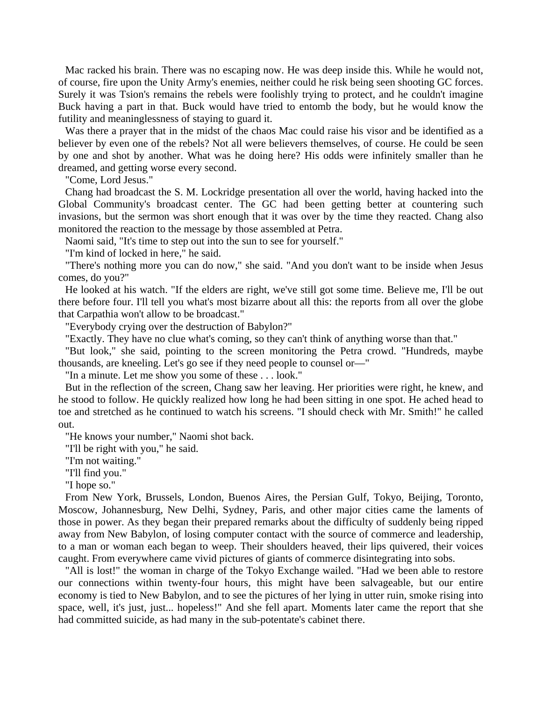Mac racked his brain. There was no escaping now. He was deep inside this. While he would not, of course, fire upon the Unity Army's enemies, neither could he risk being seen shooting GC forces. Surely it was Tsion's remains the rebels were foolishly trying to protect, and he couldn't imagine Buck having a part in that. Buck would have tried to entomb the body, but he would know the futility and meaninglessness of staying to guard it.

Was there a prayer that in the midst of the chaos Mac could raise his visor and be identified as a believer by even one of the rebels? Not all were believers themselves, of course. He could be seen by one and shot by another. What was he doing here? His odds were infinitely smaller than he dreamed, and getting worse every second.

"Come, Lord Jesus."

Chang had broadcast the S. M. Lockridge presentation all over the world, having hacked into the Global Community's broadcast center. The GC had been getting better at countering such invasions, but the sermon was short enough that it was over by the time they reacted. Chang also monitored the reaction to the message by those assembled at Petra.

Naomi said, "It's time to step out into the sun to see for yourself."

"I'm kind of locked in here," he said.

"There's nothing more you can do now," she said. "And you don't want to be inside when Jesus comes, do you?"

He looked at his watch. "If the elders are right, we've still got some time. Believe me, I'll be out there before four. I'll tell you what's most bizarre about all this: the reports from all over the globe that Carpathia won't allow to be broadcast."

"Everybody crying over the destruction of Babylon?"

"Exactly. They have no clue what's coming, so they can't think of anything worse than that."

"But look," she said, pointing to the screen monitoring the Petra crowd. "Hundreds, maybe thousands, are kneeling. Let's go see if they need people to counsel or—"

"In a minute. Let me show you some of these . . . look."

But in the reflection of the screen, Chang saw her leaving. Her priorities were right, he knew, and he stood to follow. He quickly realized how long he had been sitting in one spot. He ached head to toe and stretched as he continued to watch his screens. "I should check with Mr. Smith!" he called out.

"He knows your number," Naomi shot back.

"I'll be right with you," he said.

"I'm not waiting."

"I'll find you."

"I hope so."

From New York, Brussels, London, Buenos Aires, the Persian Gulf, Tokyo, Beijing, Toronto, Moscow, Johannesburg, New Delhi, Sydney, Paris, and other major cities came the laments of those in power. As they began their prepared remarks about the difficulty of suddenly being ripped away from New Babylon, of losing computer contact with the source of commerce and leadership, to a man or woman each began to weep. Their shoulders heaved, their lips quivered, their voices caught. From everywhere came vivid pictures of giants of commerce disintegrating into sobs.

"All is lost!" the woman in charge of the Tokyo Exchange wailed. "Had we been able to restore our connections within twenty-four hours, this might have been salvageable, but our entire economy is tied to New Babylon, and to see the pictures of her lying in utter ruin, smoke rising into space, well, it's just, just... hopeless!" And she fell apart. Moments later came the report that she had committed suicide, as had many in the sub-potentate's cabinet there.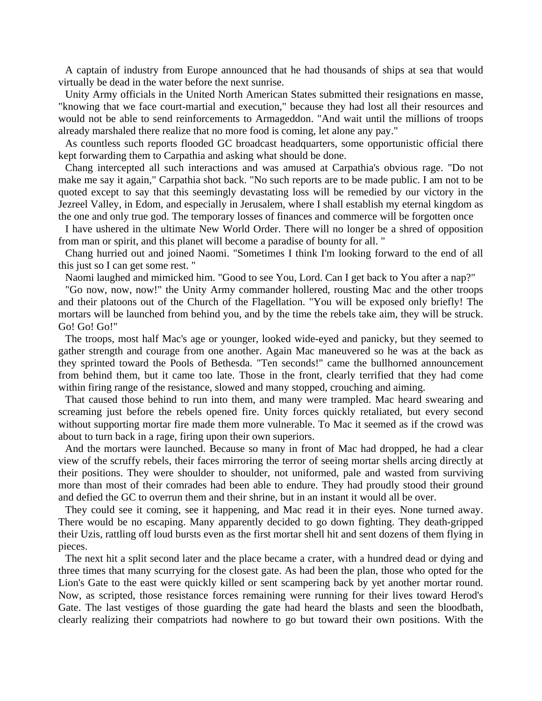A captain of industry from Europe announced that he had thousands of ships at sea that would virtually be dead in the water before the next sunrise.

Unity Army officials in the United North American States submitted their resignations en masse, "knowing that we face court-martial and execution," because they had lost all their resources and would not be able to send reinforcements to Armageddon. "And wait until the millions of troops already marshaled there realize that no more food is coming, let alone any pay."

As countless such reports flooded GC broadcast headquarters, some opportunistic official there kept forwarding them to Carpathia and asking what should be done.

Chang intercepted all such interactions and was amused at Carpathia's obvious rage. "Do not make me say it again," Carpathia shot back. "No such reports are to be made public. I am not to be quoted except to say that this seemingly devastating loss will be remedied by our victory in the Jezreel Valley, in Edom, and especially in Jerusalem, where I shall establish my eternal kingdom as the one and only true god. The temporary losses of finances and commerce will be forgotten once

I have ushered in the ultimate New World Order. There will no longer be a shred of opposition from man or spirit, and this planet will become a paradise of bounty for all. "

Chang hurried out and joined Naomi. "Sometimes I think I'm looking forward to the end of all this just so I can get some rest. "

Naomi laughed and mimicked him. "Good to see You, Lord. Can I get back to You after a nap?"

"Go now, now, now!" the Unity Army commander hollered, rousting Mac and the other troops and their platoons out of the Church of the Flagellation. "You will be exposed only briefly! The mortars will be launched from behind you, and by the time the rebels take aim, they will be struck. Go! Go! Go!"

The troops, most half Mac's age or younger, looked wide-eyed and panicky, but they seemed to gather strength and courage from one another. Again Mac maneuvered so he was at the back as they sprinted toward the Pools of Bethesda. "Ten seconds!" came the bullhorned announcement from behind them, but it came too late. Those in the front, clearly terrified that they had come within firing range of the resistance, slowed and many stopped, crouching and aiming.

That caused those behind to run into them, and many were trampled. Mac heard swearing and screaming just before the rebels opened fire. Unity forces quickly retaliated, but every second without supporting mortar fire made them more vulnerable. To Mac it seemed as if the crowd was about to turn back in a rage, firing upon their own superiors.

And the mortars were launched. Because so many in front of Mac had dropped, he had a clear view of the scruffy rebels, their faces mirroring the terror of seeing mortar shells arcing directly at their positions. They were shoulder to shoulder, not uniformed, pale and wasted from surviving more than most of their comrades had been able to endure. They had proudly stood their ground and defied the GC to overrun them and their shrine, but in an instant it would all be over.

They could see it coming, see it happening, and Mac read it in their eyes. None turned away. There would be no escaping. Many apparently decided to go down fighting. They death-gripped their Uzis, rattling off loud bursts even as the first mortar shell hit and sent dozens of them flying in pieces.

The next hit a split second later and the place became a crater, with a hundred dead or dying and three times that many scurrying for the closest gate. As had been the plan, those who opted for the Lion's Gate to the east were quickly killed or sent scampering back by yet another mortar round. Now, as scripted, those resistance forces remaining were running for their lives toward Herod's Gate. The last vestiges of those guarding the gate had heard the blasts and seen the bloodbath, clearly realizing their compatriots had nowhere to go but toward their own positions. With the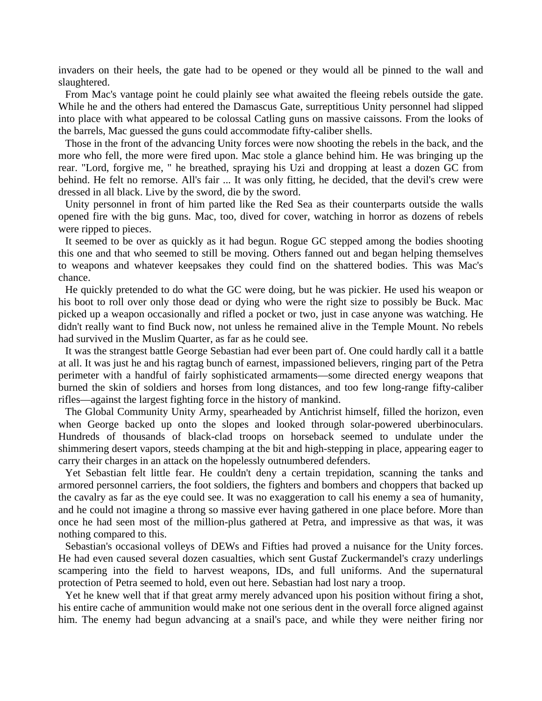invaders on their heels, the gate had to be opened or they would all be pinned to the wall and slaughtered.

From Mac's vantage point he could plainly see what awaited the fleeing rebels outside the gate. While he and the others had entered the Damascus Gate, surreptitious Unity personnel had slipped into place with what appeared to be colossal Catling guns on massive caissons. From the looks of the barrels, Mac guessed the guns could accommodate fifty-caliber shells.

Those in the front of the advancing Unity forces were now shooting the rebels in the back, and the more who fell, the more were fired upon. Mac stole a glance behind him. He was bringing up the rear. "Lord, forgive me, " he breathed, spraying his Uzi and dropping at least a dozen GC from behind. He felt no remorse. All's fair ... It was only fitting, he decided, that the devil's crew were dressed in all black. Live by the sword, die by the sword.

Unity personnel in front of him parted like the Red Sea as their counterparts outside the walls opened fire with the big guns. Mac, too, dived for cover, watching in horror as dozens of rebels were ripped to pieces.

It seemed to be over as quickly as it had begun. Rogue GC stepped among the bodies shooting this one and that who seemed to still be moving. Others fanned out and began helping themselves to weapons and whatever keepsakes they could find on the shattered bodies. This was Mac's chance.

He quickly pretended to do what the GC were doing, but he was pickier. He used his weapon or his boot to roll over only those dead or dying who were the right size to possibly be Buck. Mac picked up a weapon occasionally and rifled a pocket or two, just in case anyone was watching. He didn't really want to find Buck now, not unless he remained alive in the Temple Mount. No rebels had survived in the Muslim Quarter, as far as he could see.

It was the strangest battle George Sebastian had ever been part of. One could hardly call it a battle at all. It was just he and his ragtag bunch of earnest, impassioned believers, ringing part of the Petra perimeter with a handful of fairly sophisticated armaments—some directed energy weapons that burned the skin of soldiers and horses from long distances, and too few long-range fifty-caliber rifles—against the largest fighting force in the history of mankind.

The Global Community Unity Army, spearheaded by Antichrist himself, filled the horizon, even when George backed up onto the slopes and looked through solar-powered uberbinoculars. Hundreds of thousands of black-clad troops on horseback seemed to undulate under the shimmering desert vapors, steeds champing at the bit and high-stepping in place, appearing eager to carry their charges in an attack on the hopelessly outnumbered defenders.

Yet Sebastian felt little fear. He couldn't deny a certain trepidation, scanning the tanks and armored personnel carriers, the foot soldiers, the fighters and bombers and choppers that backed up the cavalry as far as the eye could see. It was no exaggeration to call his enemy a sea of humanity, and he could not imagine a throng so massive ever having gathered in one place before. More than once he had seen most of the million-plus gathered at Petra, and impressive as that was, it was nothing compared to this.

Sebastian's occasional volleys of DEWs and Fifties had proved a nuisance for the Unity forces. He had even caused several dozen casualties, which sent Gustaf Zuckermandel's crazy underlings scampering into the field to harvest weapons, IDs, and full uniforms. And the supernatural protection of Petra seemed to hold, even out here. Sebastian had lost nary a troop.

Yet he knew well that if that great army merely advanced upon his position without firing a shot, his entire cache of ammunition would make not one serious dent in the overall force aligned against him. The enemy had begun advancing at a snail's pace, and while they were neither firing nor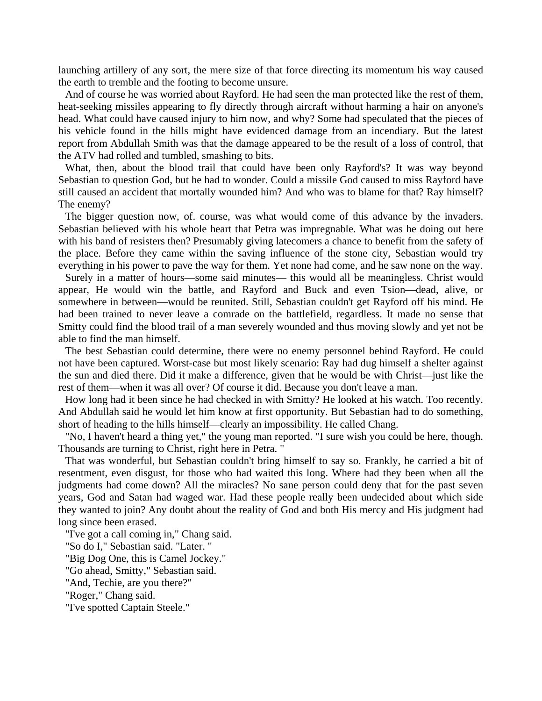launching artillery of any sort, the mere size of that force directing its momentum his way caused the earth to tremble and the footing to become unsure.

And of course he was worried about Rayford. He had seen the man protected like the rest of them, heat-seeking missiles appearing to fly directly through aircraft without harming a hair on anyone's head. What could have caused injury to him now, and why? Some had speculated that the pieces of his vehicle found in the hills might have evidenced damage from an incendiary. But the latest report from Abdullah Smith was that the damage appeared to be the result of a loss of control, that the ATV had rolled and tumbled, smashing to bits.

What, then, about the blood trail that could have been only Rayford's? It was way beyond Sebastian to question God, but he had to wonder. Could a missile God caused to miss Rayford have still caused an accident that mortally wounded him? And who was to blame for that? Ray himself? The enemy?

The bigger question now, of. course, was what would come of this advance by the invaders. Sebastian believed with his whole heart that Petra was impregnable. What was he doing out here with his band of resisters then? Presumably giving latecomers a chance to benefit from the safety of the place. Before they came within the saving influence of the stone city, Sebastian would try everything in his power to pave the way for them. Yet none had come, and he saw none on the way.

Surely in a matter of hours—some said minutes— this would all be meaningless. Christ would appear, He would win the battle, and Rayford and Buck and even Tsion—dead, alive, or somewhere in between—would be reunited. Still, Sebastian couldn't get Rayford off his mind. He had been trained to never leave a comrade on the battlefield, regardless. It made no sense that Smitty could find the blood trail of a man severely wounded and thus moving slowly and yet not be able to find the man himself.

The best Sebastian could determine, there were no enemy personnel behind Rayford. He could not have been captured. Worst-case but most likely scenario: Ray had dug himself a shelter against the sun and died there. Did it make a difference, given that he would be with Christ—just like the rest of them—when it was all over? Of course it did. Because you don't leave a man.

How long had it been since he had checked in with Smitty? He looked at his watch. Too recently. And Abdullah said he would let him know at first opportunity. But Sebastian had to do something, short of heading to the hills himself—clearly an impossibility. He called Chang.

"No, I haven't heard a thing yet," the young man reported. "I sure wish you could be here, though. Thousands are turning to Christ, right here in Petra. "

That was wonderful, but Sebastian couldn't bring himself to say so. Frankly, he carried a bit of resentment, even disgust, for those who had waited this long. Where had they been when all the judgments had come down? All the miracles? No sane person could deny that for the past seven years, God and Satan had waged war. Had these people really been undecided about which side they wanted to join? Any doubt about the reality of God and both His mercy and His judgment had long since been erased.

"I've got a call coming in," Chang said.

"So do I," Sebastian said. "Later. "

"Big Dog One, this is Camel Jockey."

"Go ahead, Smitty," Sebastian said.

"And, Techie, are you there?"

"Roger," Chang said.

"I've spotted Captain Steele."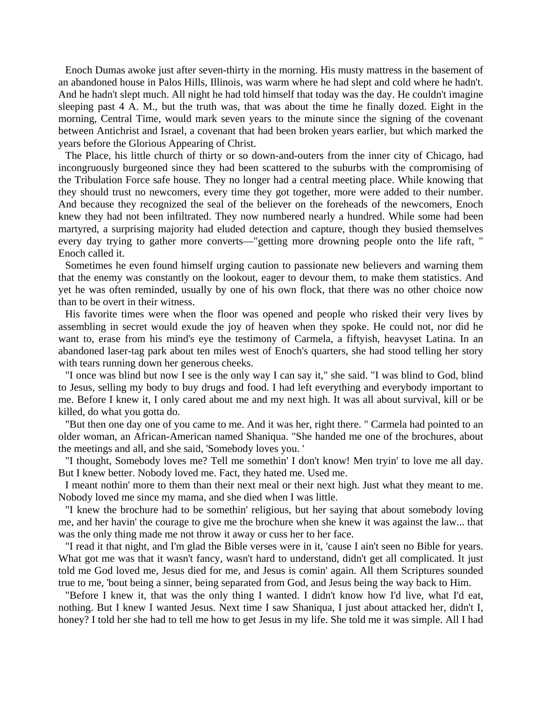Enoch Dumas awoke just after seven-thirty in the morning. His musty mattress in the basement of an abandoned house in Palos Hills, Illinois, was warm where he had slept and cold where he hadn't. And he hadn't slept much. All night he had told himself that today was the day. He couldn't imagine sleeping past 4 A. M., but the truth was, that was about the time he finally dozed. Eight in the morning, Central Time, would mark seven years to the minute since the signing of the covenant between Antichrist and Israel, a covenant that had been broken years earlier, but which marked the years before the Glorious Appearing of Christ.

The Place, his little church of thirty or so down-and-outers from the inner city of Chicago, had incongruously burgeoned since they had been scattered to the suburbs with the compromising of the Tribulation Force safe house. They no longer had a central meeting place. While knowing that they should trust no newcomers, every time they got together, more were added to their number. And because they recognized the seal of the believer on the foreheads of the newcomers, Enoch knew they had not been infiltrated. They now numbered nearly a hundred. While some had been martyred, a surprising majority had eluded detection and capture, though they busied themselves every day trying to gather more converts—"getting more drowning people onto the life raft, " Enoch called it.

Sometimes he even found himself urging caution to passionate new believers and warning them that the enemy was constantly on the lookout, eager to devour them, to make them statistics. And yet he was often reminded, usually by one of his own flock, that there was no other choice now than to be overt in their witness.

His favorite times were when the floor was opened and people who risked their very lives by assembling in secret would exude the joy of heaven when they spoke. He could not, nor did he want to, erase from his mind's eye the testimony of Carmela, a fiftyish, heavyset Latina. In an abandoned laser-tag park about ten miles west of Enoch's quarters, she had stood telling her story with tears running down her generous cheeks.

"I once was blind but now I see is the only way I can say it," she said. "I was blind to God, blind to Jesus, selling my body to buy drugs and food. I had left everything and everybody important to me. Before I knew it, I only cared about me and my next high. It was all about survival, kill or be killed, do what you gotta do.

"But then one day one of you came to me. And it was her, right there. " Carmela had pointed to an older woman, an African-American named Shaniqua. "She handed me one of the brochures, about the meetings and all, and she said, 'Somebody loves you. '

"I thought, Somebody loves me? Tell me somethin' I don't know! Men tryin' to love me all day. But I knew better. Nobody loved me. Fact, they hated me. Used me.

I meant nothin' more to them than their next meal or their next high. Just what they meant to me. Nobody loved me since my mama, and she died when I was little.

"I knew the brochure had to be somethin' religious, but her saying that about somebody loving me, and her havin' the courage to give me the brochure when she knew it was against the law... that was the only thing made me not throw it away or cuss her to her face.

"I read it that night, and I'm glad the Bible verses were in it, 'cause I ain't seen no Bible for years. What got me was that it wasn't fancy, wasn't hard to understand, didn't get all complicated. It just told me God loved me, Jesus died for me, and Jesus is comin' again. All them Scriptures sounded true to me, 'bout being a sinner, being separated from God, and Jesus being the way back to Him.

"Before I knew it, that was the only thing I wanted. I didn't know how I'd live, what I'd eat, nothing. But I knew I wanted Jesus. Next time I saw Shaniqua, I just about attacked her, didn't I, honey? I told her she had to tell me how to get Jesus in my life. She told me it was simple. All I had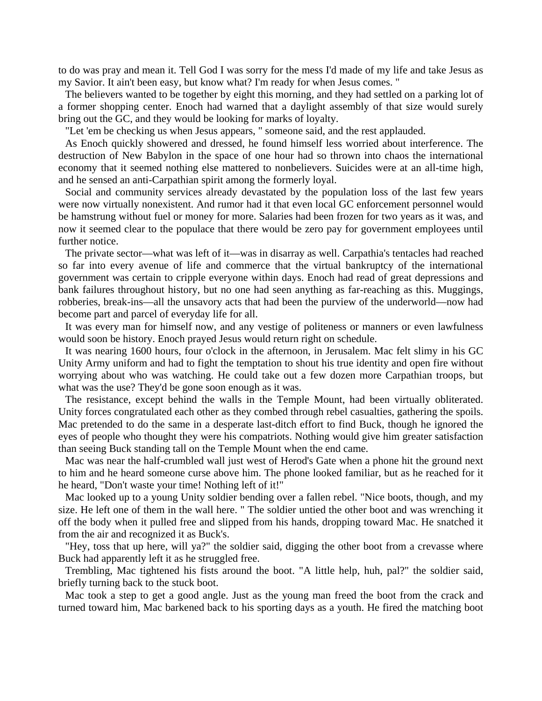to do was pray and mean it. Tell God I was sorry for the mess I'd made of my life and take Jesus as my Savior. It ain't been easy, but know what? I'm ready for when Jesus comes. "

The believers wanted to be together by eight this morning, and they had settled on a parking lot of a former shopping center. Enoch had warned that a daylight assembly of that size would surely bring out the GC, and they would be looking for marks of loyalty.

"Let 'em be checking us when Jesus appears, " someone said, and the rest applauded.

As Enoch quickly showered and dressed, he found himself less worried about interference. The destruction of New Babylon in the space of one hour had so thrown into chaos the international economy that it seemed nothing else mattered to nonbelievers. Suicides were at an all-time high, and he sensed an anti-Carpathian spirit among the formerly loyal.

Social and community services already devastated by the population loss of the last few years were now virtually nonexistent. And rumor had it that even local GC enforcement personnel would be hamstrung without fuel or money for more. Salaries had been frozen for two years as it was, and now it seemed clear to the populace that there would be zero pay for government employees until further notice.

The private sector—what was left of it—was in disarray as well. Carpathia's tentacles had reached so far into every avenue of life and commerce that the virtual bankruptcy of the international government was certain to cripple everyone within days. Enoch had read of great depressions and bank failures throughout history, but no one had seen anything as far-reaching as this. Muggings, robberies, break-ins—all the unsavory acts that had been the purview of the underworld—now had become part and parcel of everyday life for all.

It was every man for himself now, and any vestige of politeness or manners or even lawfulness would soon be history. Enoch prayed Jesus would return right on schedule.

It was nearing 1600 hours, four o'clock in the afternoon, in Jerusalem. Mac felt slimy in his GC Unity Army uniform and had to fight the temptation to shout his true identity and open fire without worrying about who was watching. He could take out a few dozen more Carpathian troops, but what was the use? They'd be gone soon enough as it was.

The resistance, except behind the walls in the Temple Mount, had been virtually obliterated. Unity forces congratulated each other as they combed through rebel casualties, gathering the spoils. Mac pretended to do the same in a desperate last-ditch effort to find Buck, though he ignored the eyes of people who thought they were his compatriots. Nothing would give him greater satisfaction than seeing Buck standing tall on the Temple Mount when the end came.

Mac was near the half-crumbled wall just west of Herod's Gate when a phone hit the ground next to him and he heard someone curse above him. The phone looked familiar, but as he reached for it he heard, "Don't waste your time! Nothing left of it!"

Mac looked up to a young Unity soldier bending over a fallen rebel. "Nice boots, though, and my size. He left one of them in the wall here. " The soldier untied the other boot and was wrenching it off the body when it pulled free and slipped from his hands, dropping toward Mac. He snatched it from the air and recognized it as Buck's.

"Hey, toss that up here, will ya?" the soldier said, digging the other boot from a crevasse where Buck had apparently left it as he struggled free.

Trembling, Mac tightened his fists around the boot. "A little help, huh, pal?" the soldier said, briefly turning back to the stuck boot.

Mac took a step to get a good angle. Just as the young man freed the boot from the crack and turned toward him, Mac barkened back to his sporting days as a youth. He fired the matching boot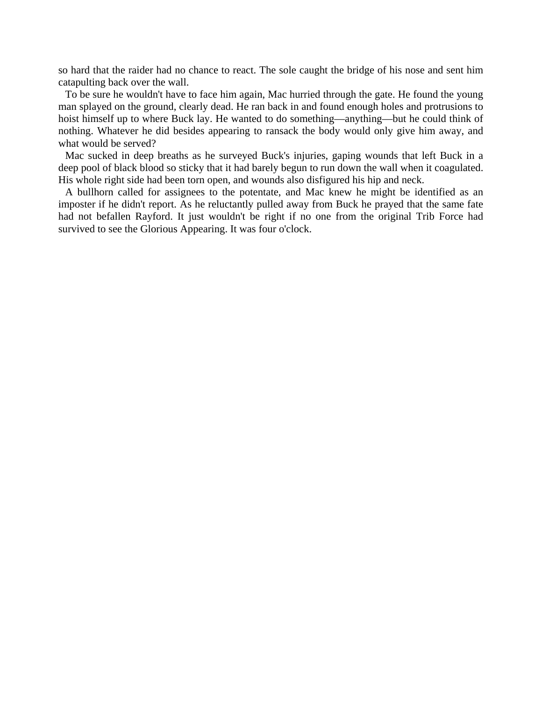so hard that the raider had no chance to react. The sole caught the bridge of his nose and sent him catapulting back over the wall.

To be sure he wouldn't have to face him again, Mac hurried through the gate. He found the young man splayed on the ground, clearly dead. He ran back in and found enough holes and protrusions to hoist himself up to where Buck lay. He wanted to do something—anything—but he could think of nothing. Whatever he did besides appearing to ransack the body would only give him away, and what would be served?

Mac sucked in deep breaths as he surveyed Buck's injuries, gaping wounds that left Buck in a deep pool of black blood so sticky that it had barely begun to run down the wall when it coagulated. His whole right side had been torn open, and wounds also disfigured his hip and neck.

A bullhorn called for assignees to the potentate, and Mac knew he might be identified as an imposter if he didn't report. As he reluctantly pulled away from Buck he prayed that the same fate had not befallen Rayford. It just wouldn't be right if no one from the original Trib Force had survived to see the Glorious Appearing. It was four o'clock.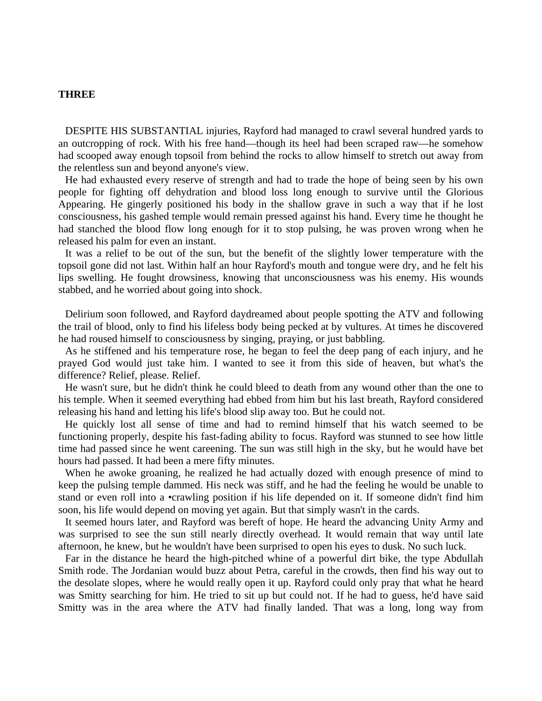### **THREE**

DESPITE HIS SUBSTANTIAL injuries, Rayford had managed to crawl several hundred yards to an outcropping of rock. With his free hand—though its heel had been scraped raw—he somehow had scooped away enough topsoil from behind the rocks to allow himself to stretch out away from the relentless sun and beyond anyone's view.

He had exhausted every reserve of strength and had to trade the hope of being seen by his own people for fighting off dehydration and blood loss long enough to survive until the Glorious Appearing. He gingerly positioned his body in the shallow grave in such a way that if he lost consciousness, his gashed temple would remain pressed against his hand. Every time he thought he had stanched the blood flow long enough for it to stop pulsing, he was proven wrong when he released his palm for even an instant.

It was a relief to be out of the sun, but the benefit of the slightly lower temperature with the topsoil gone did not last. Within half an hour Rayford's mouth and tongue were dry, and he felt his lips swelling. He fought drowsiness, knowing that unconsciousness was his enemy. His wounds stabbed, and he worried about going into shock.

Delirium soon followed, and Rayford daydreamed about people spotting the ATV and following the trail of blood, only to find his lifeless body being pecked at by vultures. At times he discovered he had roused himself to consciousness by singing, praying, or just babbling.

As he stiffened and his temperature rose, he began to feel the deep pang of each injury, and he prayed God would just take him. I wanted to see it from this side of heaven, but what's the difference? Relief, please. Relief.

He wasn't sure, but he didn't think he could bleed to death from any wound other than the one to his temple. When it seemed everything had ebbed from him but his last breath, Rayford considered releasing his hand and letting his life's blood slip away too. But he could not.

He quickly lost all sense of time and had to remind himself that his watch seemed to be functioning properly, despite his fast-fading ability to focus. Rayford was stunned to see how little time had passed since he went careening. The sun was still high in the sky, but he would have bet hours had passed. It had been a mere fifty minutes.

When he awoke groaning, he realized he had actually dozed with enough presence of mind to keep the pulsing temple dammed. His neck was stiff, and he had the feeling he would be unable to stand or even roll into a •crawling position if his life depended on it. If someone didn't find him soon, his life would depend on moving yet again. But that simply wasn't in the cards.

It seemed hours later, and Rayford was bereft of hope. He heard the advancing Unity Army and was surprised to see the sun still nearly directly overhead. It would remain that way until late afternoon, he knew, but he wouldn't have been surprised to open his eyes to dusk. No such luck.

Far in the distance he heard the high-pitched whine of a powerful dirt bike, the type Abdullah Smith rode. The Jordanian would buzz about Petra, careful in the crowds, then find his way out to the desolate slopes, where he would really open it up. Rayford could only pray that what he heard was Smitty searching for him. He tried to sit up but could not. If he had to guess, he'd have said Smitty was in the area where the ATV had finally landed. That was a long, long way from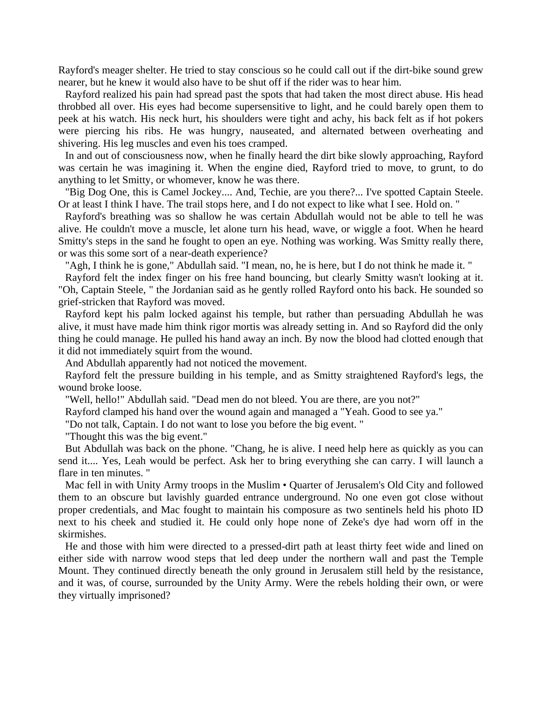Rayford's meager shelter. He tried to stay conscious so he could call out if the dirt-bike sound grew nearer, but he knew it would also have to be shut off if the rider was to hear him.

Rayford realized his pain had spread past the spots that had taken the most direct abuse. His head throbbed all over. His eyes had become supersensitive to light, and he could barely open them to peek at his watch. His neck hurt, his shoulders were tight and achy, his back felt as if hot pokers were piercing his ribs. He was hungry, nauseated, and alternated between overheating and shivering. His leg muscles and even his toes cramped.

In and out of consciousness now, when he finally heard the dirt bike slowly approaching, Rayford was certain he was imagining it. When the engine died, Rayford tried to move, to grunt, to do anything to let Smitty, or whomever, know he was there.

"Big Dog One, this is Camel Jockey.... And, Techie, are you there?... I've spotted Captain Steele. Or at least I think I have. The trail stops here, and I do not expect to like what I see. Hold on. "

Rayford's breathing was so shallow he was certain Abdullah would not be able to tell he was alive. He couldn't move a muscle, let alone turn his head, wave, or wiggle a foot. When he heard Smitty's steps in the sand he fought to open an eye. Nothing was working. Was Smitty really there, or was this some sort of a near-death experience?

"Agh, I think he is gone," Abdullah said. "I mean, no, he is here, but I do not think he made it. "

Rayford felt the index finger on his free hand bouncing, but clearly Smitty wasn't looking at it. "Oh, Captain Steele, " the Jordanian said as he gently rolled Rayford onto his back. He sounded so grief-stricken that Rayford was moved.

Rayford kept his palm locked against his temple, but rather than persuading Abdullah he was alive, it must have made him think rigor mortis was already setting in. And so Rayford did the only thing he could manage. He pulled his hand away an inch. By now the blood had clotted enough that it did not immediately squirt from the wound.

And Abdullah apparently had not noticed the movement.

Rayford felt the pressure building in his temple, and as Smitty straightened Rayford's legs, the wound broke loose.

"Well, hello!" Abdullah said. "Dead men do not bleed. You are there, are you not?"

Rayford clamped his hand over the wound again and managed a "Yeah. Good to see ya."

"Do not talk, Captain. I do not want to lose you before the big event. "

"Thought this was the big event."

But Abdullah was back on the phone. "Chang, he is alive. I need help here as quickly as you can send it.... Yes, Leah would be perfect. Ask her to bring everything she can carry. I will launch a flare in ten minutes. "

Mac fell in with Unity Army troops in the Muslim • Quarter of Jerusalem's Old City and followed them to an obscure but lavishly guarded entrance underground. No one even got close without proper credentials, and Mac fought to maintain his composure as two sentinels held his photo ID next to his cheek and studied it. He could only hope none of Zeke's dye had worn off in the skirmishes.

He and those with him were directed to a pressed-dirt path at least thirty feet wide and lined on either side with narrow wood steps that led deep under the northern wall and past the Temple Mount. They continued directly beneath the only ground in Jerusalem still held by the resistance, and it was, of course, surrounded by the Unity Army. Were the rebels holding their own, or were they virtually imprisoned?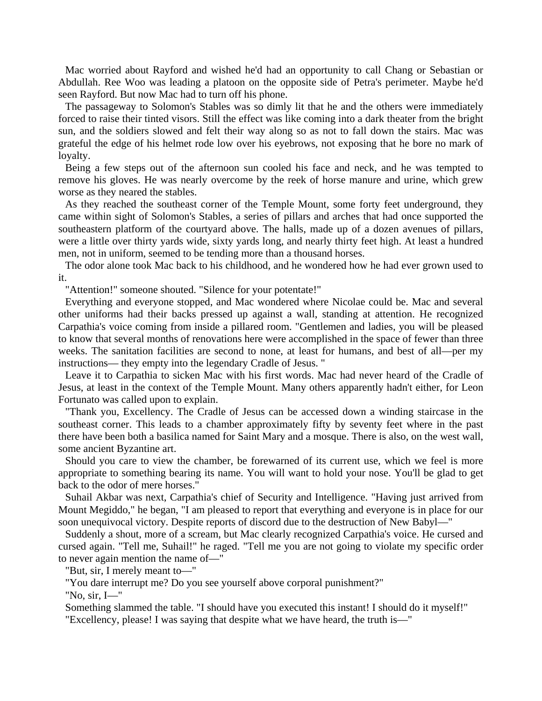Mac worried about Rayford and wished he'd had an opportunity to call Chang or Sebastian or Abdullah. Ree Woo was leading a platoon on the opposite side of Petra's perimeter. Maybe he'd seen Rayford. But now Mac had to turn off his phone.

The passageway to Solomon's Stables was so dimly lit that he and the others were immediately forced to raise their tinted visors. Still the effect was like coming into a dark theater from the bright sun, and the soldiers slowed and felt their way along so as not to fall down the stairs. Mac was grateful the edge of his helmet rode low over his eyebrows, not exposing that he bore no mark of loyalty.

Being a few steps out of the afternoon sun cooled his face and neck, and he was tempted to remove his gloves. He was nearly overcome by the reek of horse manure and urine, which grew worse as they neared the stables.

As they reached the southeast corner of the Temple Mount, some forty feet underground, they came within sight of Solomon's Stables, a series of pillars and arches that had once supported the southeastern platform of the courtyard above. The halls, made up of a dozen avenues of pillars, were a little over thirty yards wide, sixty yards long, and nearly thirty feet high. At least a hundred men, not in uniform, seemed to be tending more than a thousand horses.

The odor alone took Mac back to his childhood, and he wondered how he had ever grown used to it.

"Attention!" someone shouted. "Silence for your potentate!"

Everything and everyone stopped, and Mac wondered where Nicolae could be. Mac and several other uniforms had their backs pressed up against a wall, standing at attention. He recognized Carpathia's voice coming from inside a pillared room. "Gentlemen and ladies, you will be pleased to know that several months of renovations here were accomplished in the space of fewer than three weeks. The sanitation facilities are second to none, at least for humans, and best of all—per my instructions— they empty into the legendary Cradle of Jesus. "

Leave it to Carpathia to sicken Mac with his first words. Mac had never heard of the Cradle of Jesus, at least in the context of the Temple Mount. Many others apparently hadn't either, for Leon Fortunato was called upon to explain.

"Thank you, Excellency. The Cradle of Jesus can be accessed down a winding staircase in the southeast corner. This leads to a chamber approximately fifty by seventy feet where in the past there have been both a basilica named for Saint Mary and a mosque. There is also, on the west wall, some ancient Byzantine art.

Should you care to view the chamber, be forewarned of its current use, which we feel is more appropriate to something bearing its name. You will want to hold your nose. You'll be glad to get back to the odor of mere horses."

Suhail Akbar was next, Carpathia's chief of Security and Intelligence. "Having just arrived from Mount Megiddo," he began, "I am pleased to report that everything and everyone is in place for our soon unequivocal victory. Despite reports of discord due to the destruction of New Babyl—"

Suddenly a shout, more of a scream, but Mac clearly recognized Carpathia's voice. He cursed and cursed again. "Tell me, Suhail!" he raged. "Tell me you are not going to violate my specific order to never again mention the name of—"

"But, sir, I merely meant to—"

"You dare interrupt me? Do you see yourself above corporal punishment?"

"No, sir, I—"

Something slammed the table. "I should have you executed this instant! I should do it myself!"

"Excellency, please! I was saying that despite what we have heard, the truth is—"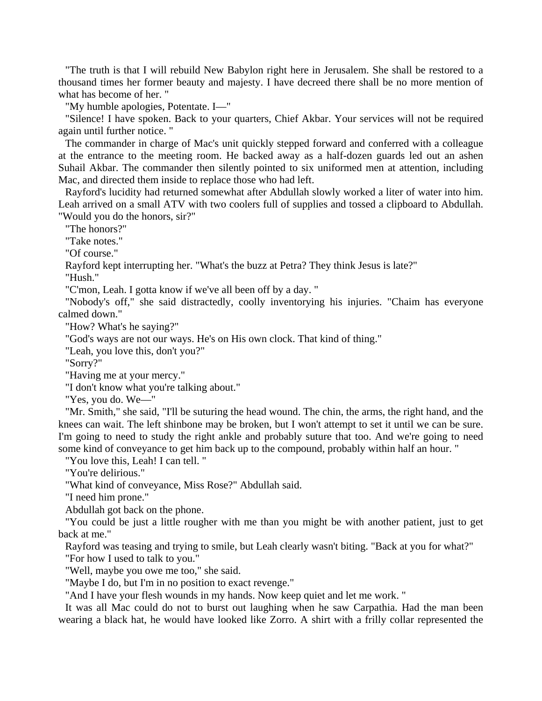"The truth is that I will rebuild New Babylon right here in Jerusalem. She shall be restored to a thousand times her former beauty and majesty. I have decreed there shall be no more mention of what has become of her. "

"My humble apologies, Potentate. I—"

"Silence! I have spoken. Back to your quarters, Chief Akbar. Your services will not be required again until further notice. "

The commander in charge of Mac's unit quickly stepped forward and conferred with a colleague at the entrance to the meeting room. He backed away as a half-dozen guards led out an ashen Suhail Akbar. The commander then silently pointed to six uniformed men at attention, including Mac, and directed them inside to replace those who had left.

Rayford's lucidity had returned somewhat after Abdullah slowly worked a liter of water into him. Leah arrived on a small ATV with two coolers full of supplies and tossed a clipboard to Abdullah. "Would you do the honors, sir?"

"The honors?"

"Take notes."

"Of course."

Rayford kept interrupting her. "What's the buzz at Petra? They think Jesus is late?"

"Hush."

"C'mon, Leah. I gotta know if we've all been off by a day. "

"Nobody's off," she said distractedly, coolly inventorying his injuries. "Chaim has everyone calmed down."

"How? What's he saying?"

"God's ways are not our ways. He's on His own clock. That kind of thing."

"Leah, you love this, don't you?"

"Sorry?"

"Having me at your mercy."

"I don't know what you're talking about."

"Yes, you do. We—"

"Mr. Smith," she said, "I'll be suturing the head wound. The chin, the arms, the right hand, and the knees can wait. The left shinbone may be broken, but I won't attempt to set it until we can be sure. I'm going to need to study the right ankle and probably suture that too. And we're going to need some kind of conveyance to get him back up to the compound, probably within half an hour. "

"You love this, Leah! I can tell. "

"You're delirious."

"What kind of conveyance, Miss Rose?" Abdullah said.

"I need him prone."

Abdullah got back on the phone.

"You could be just a little rougher with me than you might be with another patient, just to get back at me."

Rayford was teasing and trying to smile, but Leah clearly wasn't biting. "Back at you for what?"

"For how I used to talk to you."

"Well, maybe you owe me too," she said.

"Maybe I do, but I'm in no position to exact revenge."

"And I have your flesh wounds in my hands. Now keep quiet and let me work. "

It was all Mac could do not to burst out laughing when he saw Carpathia. Had the man been wearing a black hat, he would have looked like Zorro. A shirt with a frilly collar represented the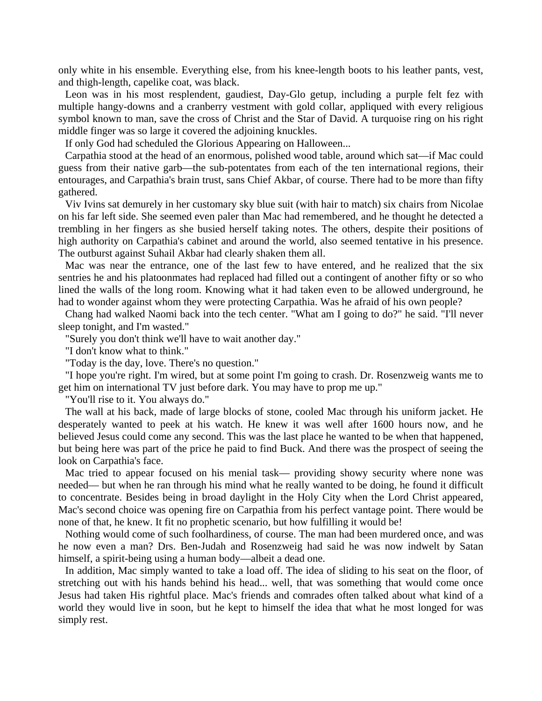only white in his ensemble. Everything else, from his knee-length boots to his leather pants, vest, and thigh-length, capelike coat, was black.

Leon was in his most resplendent, gaudiest, Day-Glo getup, including a purple felt fez with multiple hangy-downs and a cranberry vestment with gold collar, appliqued with every religious symbol known to man, save the cross of Christ and the Star of David. A turquoise ring on his right middle finger was so large it covered the adjoining knuckles.

If only God had scheduled the Glorious Appearing on Halloween...

Carpathia stood at the head of an enormous, polished wood table, around which sat—if Mac could guess from their native garb—the sub-potentates from each of the ten international regions, their entourages, and Carpathia's brain trust, sans Chief Akbar, of course. There had to be more than fifty gathered.

Viv Ivins sat demurely in her customary sky blue suit (with hair to match) six chairs from Nicolae on his far left side. She seemed even paler than Mac had remembered, and he thought he detected a trembling in her fingers as she busied herself taking notes. The others, despite their positions of high authority on Carpathia's cabinet and around the world, also seemed tentative in his presence. The outburst against Suhail Akbar had clearly shaken them all.

Mac was near the entrance, one of the last few to have entered, and he realized that the six sentries he and his platoonmates had replaced had filled out a contingent of another fifty or so who lined the walls of the long room. Knowing what it had taken even to be allowed underground, he had to wonder against whom they were protecting Carpathia. Was he afraid of his own people?

Chang had walked Naomi back into the tech center. "What am I going to do?" he said. "I'll never sleep tonight, and I'm wasted."

"Surely you don't think we'll have to wait another day."

"I don't know what to think."

"Today is the day, love. There's no question."

"I hope you're right. I'm wired, but at some point I'm going to crash. Dr. Rosenzweig wants me to get him on international TV just before dark. You may have to prop me up."

"You'll rise to it. You always do."

The wall at his back, made of large blocks of stone, cooled Mac through his uniform jacket. He desperately wanted to peek at his watch. He knew it was well after 1600 hours now, and he believed Jesus could come any second. This was the last place he wanted to be when that happened, but being here was part of the price he paid to find Buck. And there was the prospect of seeing the look on Carpathia's face.

Mac tried to appear focused on his menial task— providing showy security where none was needed— but when he ran through his mind what he really wanted to be doing, he found it difficult to concentrate. Besides being in broad daylight in the Holy City when the Lord Christ appeared, Mac's second choice was opening fire on Carpathia from his perfect vantage point. There would be none of that, he knew. It fit no prophetic scenario, but how fulfilling it would be!

Nothing would come of such foolhardiness, of course. The man had been murdered once, and was he now even a man? Drs. Ben-Judah and Rosenzweig had said he was now indwelt by Satan himself, a spirit-being using a human body—albeit a dead one.

In addition, Mac simply wanted to take a load off. The idea of sliding to his seat on the floor, of stretching out with his hands behind his head... well, that was something that would come once Jesus had taken His rightful place. Mac's friends and comrades often talked about what kind of a world they would live in soon, but he kept to himself the idea that what he most longed for was simply rest.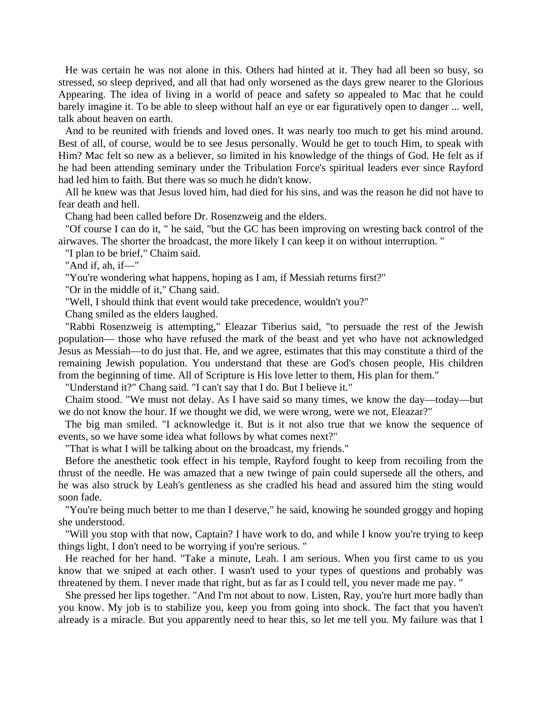He was certain he was not alone in this. Others had hinted at it. They had all been so busy, so stressed, so sleep deprived, and all that had only worsened as the days grew nearer to the Glorious Appearing. The idea of living in a world of peace and safety so appealed to Mac that he could barely imagine it. To be able to sleep without half an eye or ear figuratively open to danger ... well, talk about heaven on earth.

And to be reunited with friends and loved ones. It was nearly too much to get his mind around. Best of all, of course, would be to see Jesus personally. Would he get to touch Him, to speak with Him? Mac felt so new as a believer, so limited in his knowledge of the things of God. He felt as if he had been attending seminary under the Tribulation Force's spiritual leaders ever since Rayford had led him to faith. But there was so much he didn't know.

All he knew was that Jesus loved him, had died for his sins, and was the reason he did not have to fear death and hell.

Chang had been called before Dr. Rosenzweig and the elders.

"Of course I can do it, " he said, "but the GC has been improving on wresting back control of the airwaves. The shorter the broadcast, the more likely I can keep it on without interruption. "

"I plan to be brief," Chaim said.

"And if, ah, if—"

"You're wondering what happens, hoping as I am, if Messiah returns first?"

"Or in the middle of it," Chang said.

"Well, I should think that event would take precedence, wouldn't you?"

Chang smiled as the elders laughed.

"Rabbi Rosenzweig is attempting," Eleazar Tiberius said, "to persuade the rest of the Jewish population— those who have refused the mark of the beast and yet who have not acknowledged Jesus as Messiah—to do just that. He, and we agree, estimates that this may constitute a third of the remaining Jewish population. You understand that these are God's chosen people, His children from the beginning of time. All of Scripture is His love letter to them, His plan for them."

"Understand it?" Chang said. "I can't say that I do. But I believe it."

Chaim stood. "We must not delay. As I have said so many times, we know the day—today—but we do not know the hour. If we thought we did, we were wrong, were we not, Eleazar?"

The big man smiled. "I acknowledge it. But is it not also true that we know the sequence of events, so we have some idea what follows by what comes next?"

"That is what I will be talking about on the broadcast, my friends."

Before the anesthetic took effect in his temple, Rayford fought to keep from recoiling from the thrust of the needle. He was amazed that a new twinge of pain could supersede all the others, and he was also struck by Leah's gentleness as she cradled his head and assured him the sting would soon fade.

"You're being much better to me than I deserve," he said, knowing he sounded groggy and hoping she understood.

"Will you stop with that now, Captain? I have work to do, and while I know you're trying to keep things light, I don't need to be worrying if you're serious. "

He reached for her hand. "Take a minute, Leah. I am serious. When you first came to us you know that we sniped at each other. I wasn't used to your types of questions and probably was threatened by them. I never made that right, but as far as I could tell, you never made me pay. "

She pressed her lips together. "And I'm not about to now. Listen, Ray, you're hurt more badly than you know. My job is to stabilize you, keep you from going into shock. The fact that you haven't already is a miracle. But you apparently need to hear this, so let me tell you. My failure was that I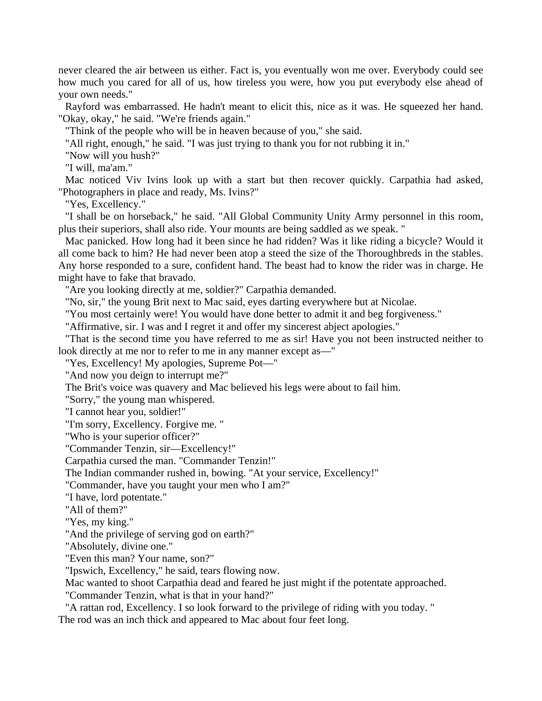never cleared the air between us either. Fact is, you eventually won me over. Everybody could see how much you cared for all of us, how tireless you were, how you put everybody else ahead of your own needs."

Rayford was embarrassed. He hadn't meant to elicit this, nice as it was. He squeezed her hand. "Okay, okay," he said. "We're friends again."

"Think of the people who will be in heaven because of you," she said.

"All right, enough," he said. "I was just trying to thank you for not rubbing it in."

"Now will you hush?"

"I will, ma'am."

Mac noticed Viv Ivins look up with a start but then recover quickly. Carpathia had asked, "Photographers in place and ready, Ms. Ivins?"

"Yes, Excellency."

"I shall be on horseback," he said. "All Global Community Unity Army personnel in this room, plus their superiors, shall also ride. Your mounts are being saddled as we speak. "

Mac panicked. How long had it been since he had ridden? Was it like riding a bicycle? Would it all come back to him? He had never been atop a steed the size of the Thoroughbreds in the stables. Any horse responded to a sure, confident hand. The beast had to know the rider was in charge. He might have to fake that bravado.

"Are you looking directly at me, soldier?" Carpathia demanded.

"No, sir," the young Brit next to Mac said, eyes darting everywhere but at Nicolae.

"You most certainly were! You would have done better to admit it and beg forgiveness."

"Affirmative, sir. I was and I regret it and offer my sincerest abject apologies."

"That is the second time you have referred to me as sir! Have you not been instructed neither to look directly at me nor to refer to me in any manner except as—"

"Yes, Excellency! My apologies, Supreme Pot—"

"And now you deign to interrupt me?"

The Brit's voice was quavery and Mac believed his legs were about to fail him.

"Sorry," the young man whispered.

"I cannot hear you, soldier!"

"I'm sorry, Excellency. Forgive me. "

"Who is your superior officer?"

"Commander Tenzin, sir—Excellency!"

Carpathia cursed the man. "Commander Tenzin!"

The Indian commander rushed in, bowing. "At your service, Excellency!"

"Commander, have you taught your men who I am?"

"I have, lord potentate."

"All of them?"

"Yes, my king."

"And the privilege of serving god on earth?"

"Absolutely, divine one."

"Even this man? Your name, son?"

"Ipswich, Excellency," he said, tears flowing now.

Mac wanted to shoot Carpathia dead and feared he just might if the potentate approached.

"Commander Tenzin, what is that in your hand?"

"A rattan rod, Excellency. I so look forward to the privilege of riding with you today. "

The rod was an inch thick and appeared to Mac about four feet long.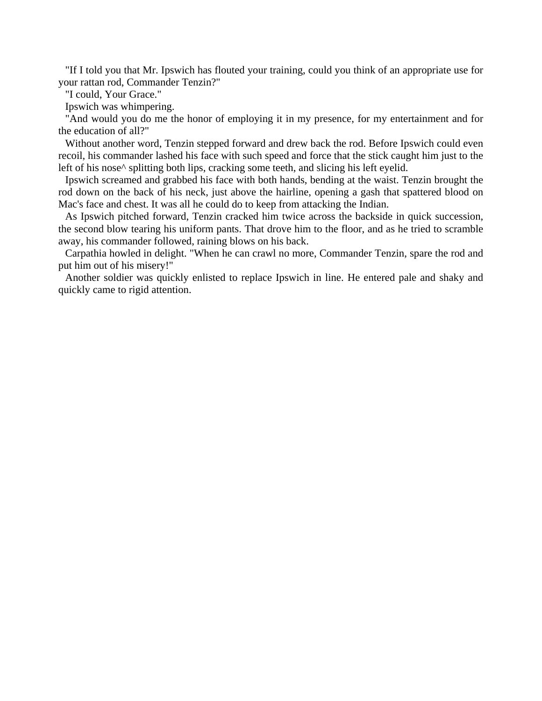"If I told you that Mr. Ipswich has flouted your training, could you think of an appropriate use for your rattan rod, Commander Tenzin?"

"I could, Your Grace."

Ipswich was whimpering.

"And would you do me the honor of employing it in my presence, for my entertainment and for the education of all?"

Without another word, Tenzin stepped forward and drew back the rod. Before Ipswich could even recoil, his commander lashed his face with such speed and force that the stick caught him just to the left of his nose<sup> $\land$ </sup> splitting both lips, cracking some teeth, and slicing his left eyelid.

Ipswich screamed and grabbed his face with both hands, bending at the waist. Tenzin brought the rod down on the back of his neck, just above the hairline, opening a gash that spattered blood on Mac's face and chest. It was all he could do to keep from attacking the Indian.

As Ipswich pitched forward, Tenzin cracked him twice across the backside in quick succession, the second blow tearing his uniform pants. That drove him to the floor, and as he tried to scramble away, his commander followed, raining blows on his back.

Carpathia howled in delight. "When he can crawl no more, Commander Tenzin, spare the rod and put him out of his misery!"

Another soldier was quickly enlisted to replace Ipswich in line. He entered pale and shaky and quickly came to rigid attention.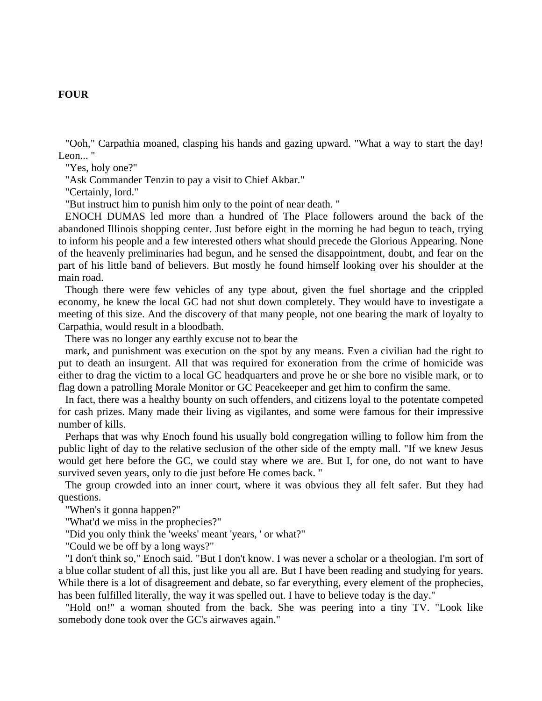#### **FOUR**

"Ooh," Carpathia moaned, clasping his hands and gazing upward. "What a way to start the day! Leon... "

"Yes, holy one?"

"Ask Commander Tenzin to pay a visit to Chief Akbar."

"Certainly, lord."

"But instruct him to punish him only to the point of near death. "

ENOCH DUMAS led more than a hundred of The Place followers around the back of the abandoned Illinois shopping center. Just before eight in the morning he had begun to teach, trying to inform his people and a few interested others what should precede the Glorious Appearing. None of the heavenly preliminaries had begun, and he sensed the disappointment, doubt, and fear on the part of his little band of believers. But mostly he found himself looking over his shoulder at the main road.

Though there were few vehicles of any type about, given the fuel shortage and the crippled economy, he knew the local GC had not shut down completely. They would have to investigate a meeting of this size. And the discovery of that many people, not one bearing the mark of loyalty to Carpathia, would result in a bloodbath.

There was no longer any earthly excuse not to bear the

mark, and punishment was execution on the spot by any means. Even a civilian had the right to put to death an insurgent. All that was required for exoneration from the crime of homicide was either to drag the victim to a local GC headquarters and prove he or she bore no visible mark, or to flag down a patrolling Morale Monitor or GC Peacekeeper and get him to confirm the same.

In fact, there was a healthy bounty on such offenders, and citizens loyal to the potentate competed for cash prizes. Many made their living as vigilantes, and some were famous for their impressive number of kills.

Perhaps that was why Enoch found his usually bold congregation willing to follow him from the public light of day to the relative seclusion of the other side of the empty mall. "If we knew Jesus would get here before the GC, we could stay where we are. But I, for one, do not want to have survived seven years, only to die just before He comes back. "

The group crowded into an inner court, where it was obvious they all felt safer. But they had questions.

"When's it gonna happen?"

"What'd we miss in the prophecies?"

"Did you only think the 'weeks' meant 'years, ' or what?"

"Could we be off by a long ways?"

"I don't think so," Enoch said. "But I don't know. I was never a scholar or a theologian. I'm sort of a blue collar student of all this, just like you all are. But I have been reading and studying for years. While there is a lot of disagreement and debate, so far everything, every element of the prophecies, has been fulfilled literally, the way it was spelled out. I have to believe today is the day."

"Hold on!" a woman shouted from the back. She was peering into a tiny TV. "Look like somebody done took over the GC's airwaves again."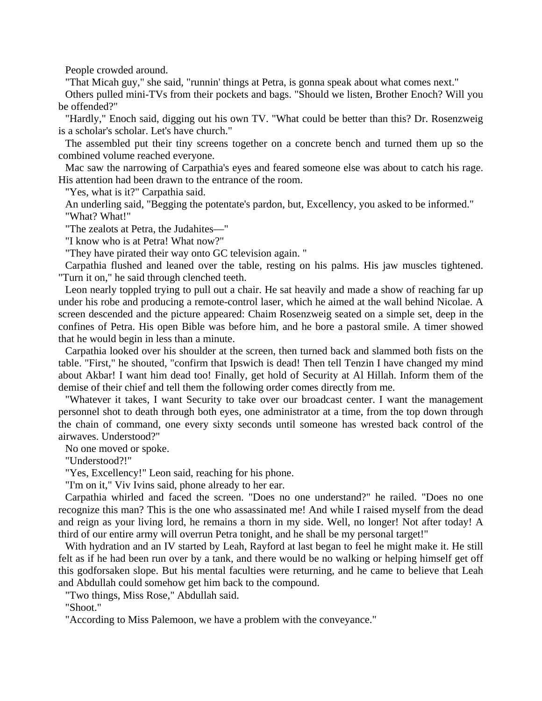People crowded around.

"That Micah guy," she said, "runnin' things at Petra, is gonna speak about what comes next."

Others pulled mini-TVs from their pockets and bags. "Should we listen, Brother Enoch? Will you be offended?"

"Hardly," Enoch said, digging out his own TV. "What could be better than this? Dr. Rosenzweig is a scholar's scholar. Let's have church."

The assembled put their tiny screens together on a concrete bench and turned them up so the combined volume reached everyone.

Mac saw the narrowing of Carpathia's eyes and feared someone else was about to catch his rage. His attention had been drawn to the entrance of the room.

"Yes, what is it?" Carpathia said.

An underling said, "Begging the potentate's pardon, but, Excellency, you asked to be informed." "What? What!"

"The zealots at Petra, the Judahites—"

"I know who is at Petra! What now?"

"They have pirated their way onto GC television again. "

Carpathia flushed and leaned over the table, resting on his palms. His jaw muscles tightened. "Turn it on," he said through clenched teeth.

Leon nearly toppled trying to pull out a chair. He sat heavily and made a show of reaching far up under his robe and producing a remote-control laser, which he aimed at the wall behind Nicolae. A screen descended and the picture appeared: Chaim Rosenzweig seated on a simple set, deep in the confines of Petra. His open Bible was before him, and he bore a pastoral smile. A timer showed that he would begin in less than a minute.

Carpathia looked over his shoulder at the screen, then turned back and slammed both fists on the table. "First," he shouted, "confirm that Ipswich is dead! Then tell Tenzin I have changed my mind about Akbar! I want him dead too! Finally, get hold of Security at Al Hillah. Inform them of the demise of their chief and tell them the following order comes directly from me.

"Whatever it takes, I want Security to take over our broadcast center. I want the management personnel shot to death through both eyes, one administrator at a time, from the top down through the chain of command, one every sixty seconds until someone has wrested back control of the airwaves. Understood?"

No one moved or spoke.

"Understood?!"

"Yes, Excellency!" Leon said, reaching for his phone.

"I'm on it," Viv Ivins said, phone already to her ear.

Carpathia whirled and faced the screen. "Does no one understand?" he railed. "Does no one recognize this man? This is the one who assassinated me! And while I raised myself from the dead and reign as your living lord, he remains a thorn in my side. Well, no longer! Not after today! A third of our entire army will overrun Petra tonight, and he shall be my personal target!"

With hydration and an IV started by Leah, Rayford at last began to feel he might make it. He still felt as if he had been run over by a tank, and there would be no walking or helping himself get off this godforsaken slope. But his mental faculties were returning, and he came to believe that Leah and Abdullah could somehow get him back to the compound.

"Two things, Miss Rose," Abdullah said.

"Shoot."

"According to Miss Palemoon, we have a problem with the conveyance."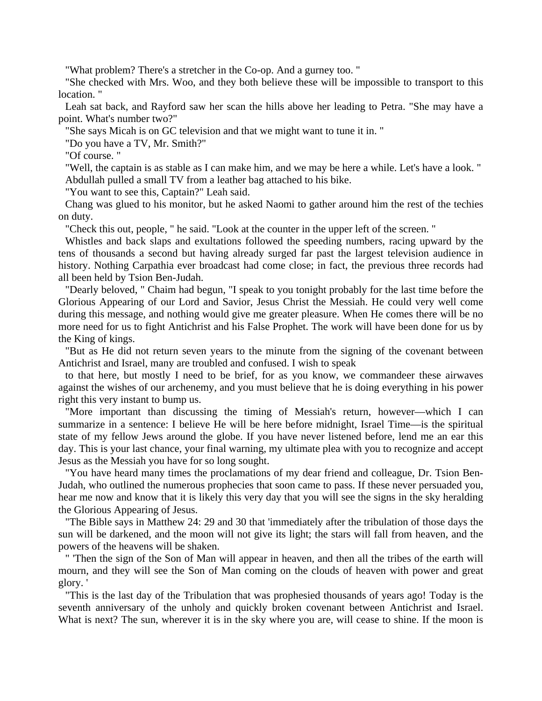"What problem? There's a stretcher in the Co-op. And a gurney too. "

"She checked with Mrs. Woo, and they both believe these will be impossible to transport to this location. "

Leah sat back, and Rayford saw her scan the hills above her leading to Petra. "She may have a point. What's number two?"

"She says Micah is on GC television and that we might want to tune it in. "

"Do you have a TV, Mr. Smith?"

"Of course. "

"Well, the captain is as stable as I can make him, and we may be here a while. Let's have a look. " Abdullah pulled a small TV from a leather bag attached to his bike.

"You want to see this, Captain?" Leah said.

Chang was glued to his monitor, but he asked Naomi to gather around him the rest of the techies on duty.

"Check this out, people, " he said. "Look at the counter in the upper left of the screen. "

Whistles and back slaps and exultations followed the speeding numbers, racing upward by the tens of thousands a second but having already surged far past the largest television audience in history. Nothing Carpathia ever broadcast had come close; in fact, the previous three records had all been held by Tsion Ben-Judah.

"Dearly beloved, " Chaim had begun, "I speak to you tonight probably for the last time before the Glorious Appearing of our Lord and Savior, Jesus Christ the Messiah. He could very well come during this message, and nothing would give me greater pleasure. When He comes there will be no more need for us to fight Antichrist and his False Prophet. The work will have been done for us by the King of kings.

"But as He did not return seven years to the minute from the signing of the covenant between Antichrist and Israel, many are troubled and confused. I wish to speak

to that here, but mostly I need to be brief, for as you know, we commandeer these airwaves against the wishes of our archenemy, and you must believe that he is doing everything in his power right this very instant to bump us.

"More important than discussing the timing of Messiah's return, however—which I can summarize in a sentence: I believe He will be here before midnight, Israel Time—is the spiritual state of my fellow Jews around the globe. If you have never listened before, lend me an ear this day. This is your last chance, your final warning, my ultimate plea with you to recognize and accept Jesus as the Messiah you have for so long sought.

"You have heard many times the proclamations of my dear friend and colleague, Dr. Tsion Ben-Judah, who outlined the numerous prophecies that soon came to pass. If these never persuaded you, hear me now and know that it is likely this very day that you will see the signs in the sky heralding the Glorious Appearing of Jesus.

"The Bible says in Matthew 24: 29 and 30 that 'immediately after the tribulation of those days the sun will be darkened, and the moon will not give its light; the stars will fall from heaven, and the powers of the heavens will be shaken.

" 'Then the sign of the Son of Man will appear in heaven, and then all the tribes of the earth will mourn, and they will see the Son of Man coming on the clouds of heaven with power and great glory. '

"This is the last day of the Tribulation that was prophesied thousands of years ago! Today is the seventh anniversary of the unholy and quickly broken covenant between Antichrist and Israel. What is next? The sun, wherever it is in the sky where you are, will cease to shine. If the moon is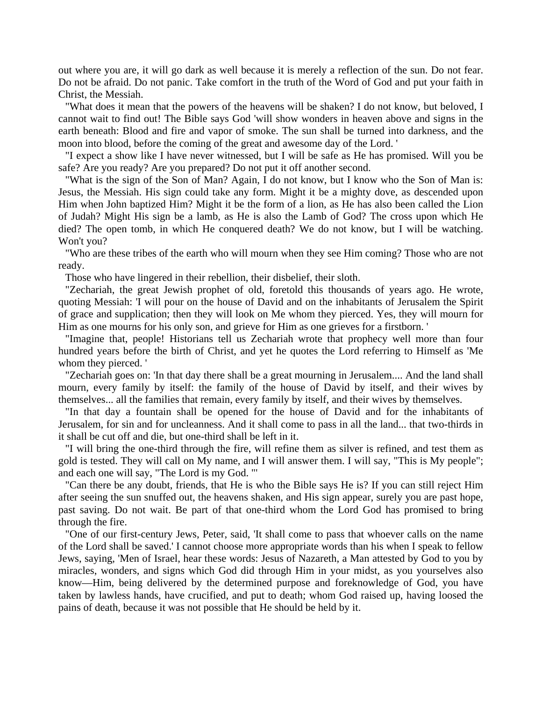out where you are, it will go dark as well because it is merely a reflection of the sun. Do not fear. Do not be afraid. Do not panic. Take comfort in the truth of the Word of God and put your faith in Christ, the Messiah.

"What does it mean that the powers of the heavens will be shaken? I do not know, but beloved, I cannot wait to find out! The Bible says God 'will show wonders in heaven above and signs in the earth beneath: Blood and fire and vapor of smoke. The sun shall be turned into darkness, and the moon into blood, before the coming of the great and awesome day of the Lord. '

"I expect a show like I have never witnessed, but I will be safe as He has promised. Will you be safe? Are you ready? Are you prepared? Do not put it off another second.

"What is the sign of the Son of Man? Again, I do not know, but I know who the Son of Man is: Jesus, the Messiah. His sign could take any form. Might it be a mighty dove, as descended upon Him when John baptized Him? Might it be the form of a lion, as He has also been called the Lion of Judah? Might His sign be a lamb, as He is also the Lamb of God? The cross upon which He died? The open tomb, in which He conquered death? We do not know, but I will be watching. Won't you?

"Who are these tribes of the earth who will mourn when they see Him coming? Those who are not ready.

Those who have lingered in their rebellion, their disbelief, their sloth.

"Zechariah, the great Jewish prophet of old, foretold this thousands of years ago. He wrote, quoting Messiah: 'I will pour on the house of David and on the inhabitants of Jerusalem the Spirit of grace and supplication; then they will look on Me whom they pierced. Yes, they will mourn for Him as one mourns for his only son, and grieve for Him as one grieves for a firstborn. '

"Imagine that, people! Historians tell us Zechariah wrote that prophecy well more than four hundred years before the birth of Christ, and yet he quotes the Lord referring to Himself as 'Me whom they pierced. '

"Zechariah goes on: 'In that day there shall be a great mourning in Jerusalem.... And the land shall mourn, every family by itself: the family of the house of David by itself, and their wives by themselves... all the families that remain, every family by itself, and their wives by themselves.

"In that day a fountain shall be opened for the house of David and for the inhabitants of Jerusalem, for sin and for uncleanness. And it shall come to pass in all the land... that two-thirds in it shall be cut off and die, but one-third shall be left in it.

"I will bring the one-third through the fire, will refine them as silver is refined, and test them as gold is tested. They will call on My name, and I will answer them. I will say, "This is My people"; and each one will say, "The Lord is my God. "'

"Can there be any doubt, friends, that He is who the Bible says He is? If you can still reject Him after seeing the sun snuffed out, the heavens shaken, and His sign appear, surely you are past hope, past saving. Do not wait. Be part of that one-third whom the Lord God has promised to bring through the fire.

"One of our first-century Jews, Peter, said, 'It shall come to pass that whoever calls on the name of the Lord shall be saved.' I cannot choose more appropriate words than his when I speak to fellow Jews, saying, 'Men of Israel, hear these words: Jesus of Nazareth, a Man attested by God to you by miracles, wonders, and signs which God did through Him in your midst, as you yourselves also know—Him, being delivered by the determined purpose and foreknowledge of God, you have taken by lawless hands, have crucified, and put to death; whom God raised up, having loosed the pains of death, because it was not possible that He should be held by it.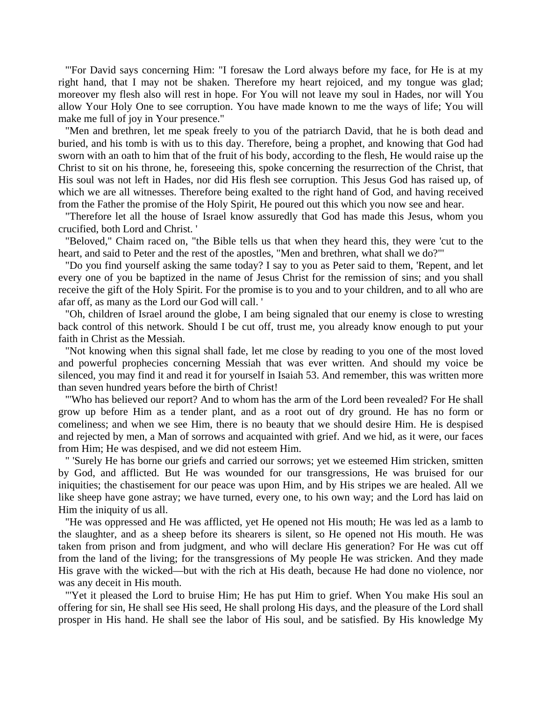"'For David says concerning Him: "I foresaw the Lord always before my face, for He is at my right hand, that I may not be shaken. Therefore my heart rejoiced, and my tongue was glad; moreover my flesh also will rest in hope. For You will not leave my soul in Hades, nor will You allow Your Holy One to see corruption. You have made known to me the ways of life; You will make me full of joy in Your presence."

"Men and brethren, let me speak freely to you of the patriarch David, that he is both dead and buried, and his tomb is with us to this day. Therefore, being a prophet, and knowing that God had sworn with an oath to him that of the fruit of his body, according to the flesh, He would raise up the Christ to sit on his throne, he, foreseeing this, spoke concerning the resurrection of the Christ, that His soul was not left in Hades, nor did His flesh see corruption. This Jesus God has raised up, of which we are all witnesses. Therefore being exalted to the right hand of God, and having received from the Father the promise of the Holy Spirit, He poured out this which you now see and hear.

"Therefore let all the house of Israel know assuredly that God has made this Jesus, whom you crucified, both Lord and Christ. '

"Beloved," Chaim raced on, "the Bible tells us that when they heard this, they were 'cut to the heart, and said to Peter and the rest of the apostles, "Men and brethren, what shall we do?"'

"Do you find yourself asking the same today? I say to you as Peter said to them, 'Repent, and let every one of you be baptized in the name of Jesus Christ for the remission of sins; and you shall receive the gift of the Holy Spirit. For the promise is to you and to your children, and to all who are afar off, as many as the Lord our God will call. '

"Oh, children of Israel around the globe, I am being signaled that our enemy is close to wresting back control of this network. Should I be cut off, trust me, you already know enough to put your faith in Christ as the Messiah.

"Not knowing when this signal shall fade, let me close by reading to you one of the most loved and powerful prophecies concerning Messiah that was ever written. And should my voice be silenced, you may find it and read it for yourself in Isaiah 53. And remember, this was written more than seven hundred years before the birth of Christ!

"'Who has believed our report? And to whom has the arm of the Lord been revealed? For He shall grow up before Him as a tender plant, and as a root out of dry ground. He has no form or comeliness; and when we see Him, there is no beauty that we should desire Him. He is despised and rejected by men, a Man of sorrows and acquainted with grief. And we hid, as it were, our faces from Him; He was despised, and we did not esteem Him.

" 'Surely He has borne our griefs and carried our sorrows; yet we esteemed Him stricken, smitten by God, and afflicted. But He was wounded for our transgressions, He was bruised for our iniquities; the chastisement for our peace was upon Him, and by His stripes we are healed. All we like sheep have gone astray; we have turned, every one, to his own way; and the Lord has laid on Him the iniquity of us all.

"He was oppressed and He was afflicted, yet He opened not His mouth; He was led as a lamb to the slaughter, and as a sheep before its shearers is silent, so He opened not His mouth. He was taken from prison and from judgment, and who will declare His generation? For He was cut off from the land of the living; for the transgressions of My people He was stricken. And they made His grave with the wicked—but with the rich at His death, because He had done no violence, nor was any deceit in His mouth.

"'Yet it pleased the Lord to bruise Him; He has put Him to grief. When You make His soul an offering for sin, He shall see His seed, He shall prolong His days, and the pleasure of the Lord shall prosper in His hand. He shall see the labor of His soul, and be satisfied. By His knowledge My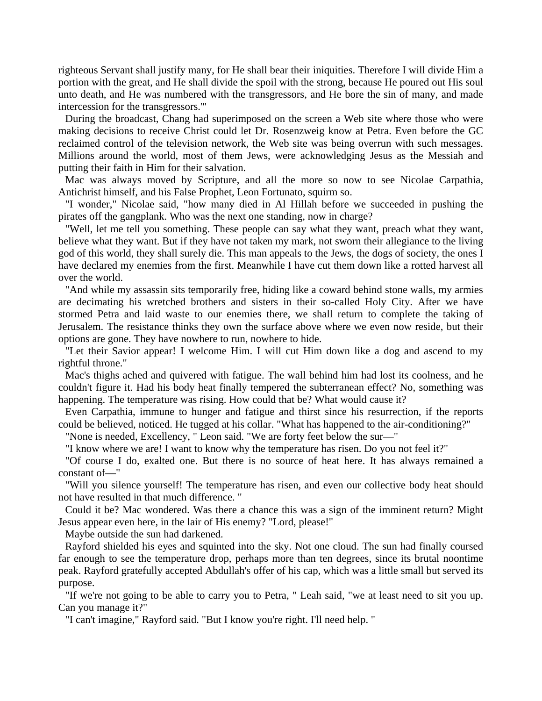righteous Servant shall justify many, for He shall bear their iniquities. Therefore I will divide Him a portion with the great, and He shall divide the spoil with the strong, because He poured out His soul unto death, and He was numbered with the transgressors, and He bore the sin of many, and made intercession for the transgressors.'"

During the broadcast, Chang had superimposed on the screen a Web site where those who were making decisions to receive Christ could let Dr. Rosenzweig know at Petra. Even before the GC reclaimed control of the television network, the Web site was being overrun with such messages. Millions around the world, most of them Jews, were acknowledging Jesus as the Messiah and putting their faith in Him for their salvation.

Mac was always moved by Scripture, and all the more so now to see Nicolae Carpathia, Antichrist himself, and his False Prophet, Leon Fortunato, squirm so.

"I wonder," Nicolae said, "how many died in Al Hillah before we succeeded in pushing the pirates off the gangplank. Who was the next one standing, now in charge?

"Well, let me tell you something. These people can say what they want, preach what they want, believe what they want. But if they have not taken my mark, not sworn their allegiance to the living god of this world, they shall surely die. This man appeals to the Jews, the dogs of society, the ones I have declared my enemies from the first. Meanwhile I have cut them down like a rotted harvest all over the world.

"And while my assassin sits temporarily free, hiding like a coward behind stone walls, my armies are decimating his wretched brothers and sisters in their so-called Holy City. After we have stormed Petra and laid waste to our enemies there, we shall return to complete the taking of Jerusalem. The resistance thinks they own the surface above where we even now reside, but their options are gone. They have nowhere to run, nowhere to hide.

"Let their Savior appear! I welcome Him. I will cut Him down like a dog and ascend to my rightful throne."

Mac's thighs ached and quivered with fatigue. The wall behind him had lost its coolness, and he couldn't figure it. Had his body heat finally tempered the subterranean effect? No, something was happening. The temperature was rising. How could that be? What would cause it?

Even Carpathia, immune to hunger and fatigue and thirst since his resurrection, if the reports could be believed, noticed. He tugged at his collar. "What has happened to the air-conditioning?"

"None is needed, Excellency, " Leon said. "We are forty feet below the sur—"

"I know where we are! I want to know why the temperature has risen. Do you not feel it?"

"Of course I do, exalted one. But there is no source of heat here. It has always remained a constant of—"

"Will you silence yourself! The temperature has risen, and even our collective body heat should not have resulted in that much difference. "

Could it be? Mac wondered. Was there a chance this was a sign of the imminent return? Might Jesus appear even here, in the lair of His enemy? "Lord, please!"

Maybe outside the sun had darkened.

Rayford shielded his eyes and squinted into the sky. Not one cloud. The sun had finally coursed far enough to see the temperature drop, perhaps more than ten degrees, since its brutal noontime peak. Rayford gratefully accepted Abdullah's offer of his cap, which was a little small but served its purpose.

"If we're not going to be able to carry you to Petra, " Leah said, "we at least need to sit you up. Can you manage it?"

"I can't imagine," Rayford said. "But I know you're right. I'll need help. "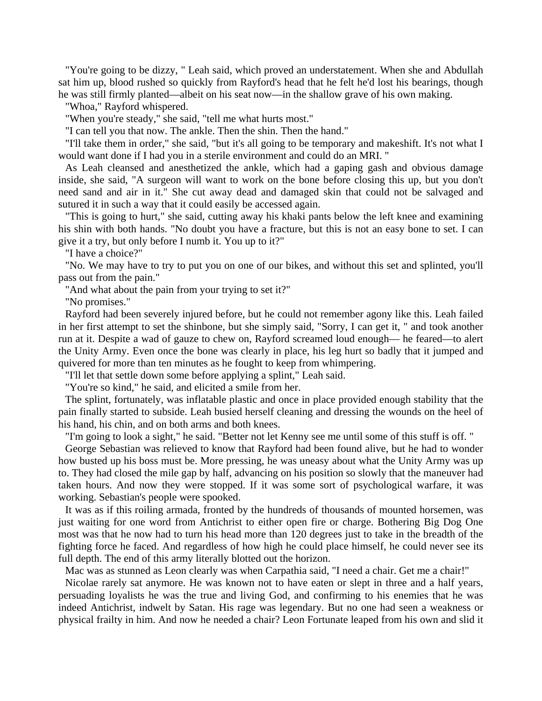"You're going to be dizzy, " Leah said, which proved an understatement. When she and Abdullah sat him up, blood rushed so quickly from Rayford's head that he felt he'd lost his bearings, though he was still firmly planted—albeit on his seat now—in the shallow grave of his own making.

"Whoa," Rayford whispered.

"When you're steady," she said, "tell me what hurts most."

"I can tell you that now. The ankle. Then the shin. Then the hand."

"I'll take them in order," she said, "but it's all going to be temporary and makeshift. It's not what I would want done if I had you in a sterile environment and could do an MRI. "

As Leah cleansed and anesthetized the ankle, which had a gaping gash and obvious damage inside, she said, "A surgeon will want to work on the bone before closing this up, but you don't need sand and air in it." She cut away dead and damaged skin that could not be salvaged and sutured it in such a way that it could easily be accessed again.

"This is going to hurt," she said, cutting away his khaki pants below the left knee and examining his shin with both hands. "No doubt you have a fracture, but this is not an easy bone to set. I can give it a try, but only before I numb it. You up to it?"

"I have a choice?"

"No. We may have to try to put you on one of our bikes, and without this set and splinted, you'll pass out from the pain."

"And what about the pain from your trying to set it?"

"No promises."

Rayford had been severely injured before, but he could not remember agony like this. Leah failed in her first attempt to set the shinbone, but she simply said, "Sorry, I can get it, " and took another run at it. Despite a wad of gauze to chew on, Rayford screamed loud enough— he feared—to alert the Unity Army. Even once the bone was clearly in place, his leg hurt so badly that it jumped and quivered for more than ten minutes as he fought to keep from whimpering.

"I'll let that settle down some before applying a splint," Leah said.

"You're so kind," he said, and elicited a smile from her.

The splint, fortunately, was inflatable plastic and once in place provided enough stability that the pain finally started to subside. Leah busied herself cleaning and dressing the wounds on the heel of his hand, his chin, and on both arms and both knees.

"I'm going to look a sight," he said. "Better not let Kenny see me until some of this stuff is off. "

George Sebastian was relieved to know that Rayford had been found alive, but he had to wonder how busted up his boss must be. More pressing, he was uneasy about what the Unity Army was up to. They had closed the mile gap by half, advancing on his position so slowly that the maneuver had taken hours. And now they were stopped. If it was some sort of psychological warfare, it was working. Sebastian's people were spooked.

It was as if this roiling armada, fronted by the hundreds of thousands of mounted horsemen, was just waiting for one word from Antichrist to either open fire or charge. Bothering Big Dog One most was that he now had to turn his head more than 120 degrees just to take in the breadth of the fighting force he faced. And regardless of how high he could place himself, he could never see its full depth. The end of this army literally blotted out the horizon.

Mac was as stunned as Leon clearly was when Carpathia said, "I need a chair. Get me a chair!"

Nicolae rarely sat anymore. He was known not to have eaten or slept in three and a half years, persuading loyalists he was the true and living God, and confirming to his enemies that he was indeed Antichrist, indwelt by Satan. His rage was legendary. But no one had seen a weakness or physical frailty in him. And now he needed a chair? Leon Fortunate leaped from his own and slid it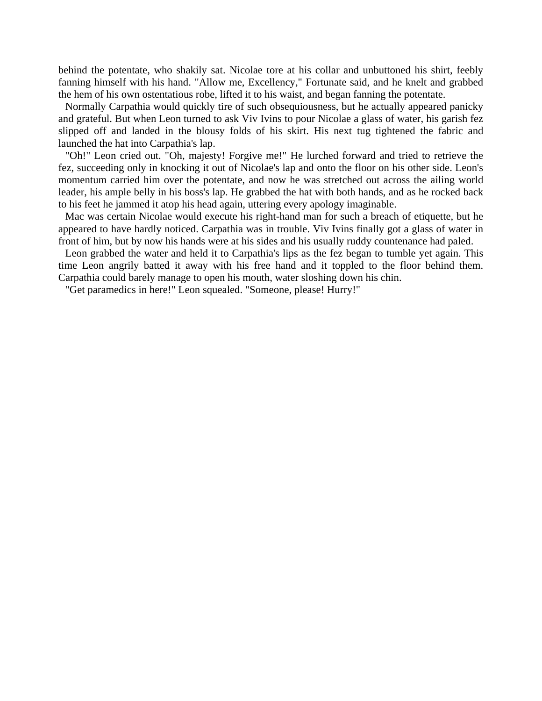behind the potentate, who shakily sat. Nicolae tore at his collar and unbuttoned his shirt, feebly fanning himself with his hand. "Allow me, Excellency," Fortunate said, and he knelt and grabbed the hem of his own ostentatious robe, lifted it to his waist, and began fanning the potentate.

Normally Carpathia would quickly tire of such obsequiousness, but he actually appeared panicky and grateful. But when Leon turned to ask Viv Ivins to pour Nicolae a glass of water, his garish fez slipped off and landed in the blousy folds of his skirt. His next tug tightened the fabric and launched the hat into Carpathia's lap.

"Oh!" Leon cried out. "Oh, majesty! Forgive me!" He lurched forward and tried to retrieve the fez, succeeding only in knocking it out of Nicolae's lap and onto the floor on his other side. Leon's momentum carried him over the potentate, and now he was stretched out across the ailing world leader, his ample belly in his boss's lap. He grabbed the hat with both hands, and as he rocked back to his feet he jammed it atop his head again, uttering every apology imaginable.

Mac was certain Nicolae would execute his right-hand man for such a breach of etiquette, but he appeared to have hardly noticed. Carpathia was in trouble. Viv Ivins finally got a glass of water in front of him, but by now his hands were at his sides and his usually ruddy countenance had paled.

Leon grabbed the water and held it to Carpathia's lips as the fez began to tumble yet again. This time Leon angrily batted it away with his free hand and it toppled to the floor behind them. Carpathia could barely manage to open his mouth, water sloshing down his chin.

"Get paramedics in here!" Leon squealed. "Someone, please! Hurry!"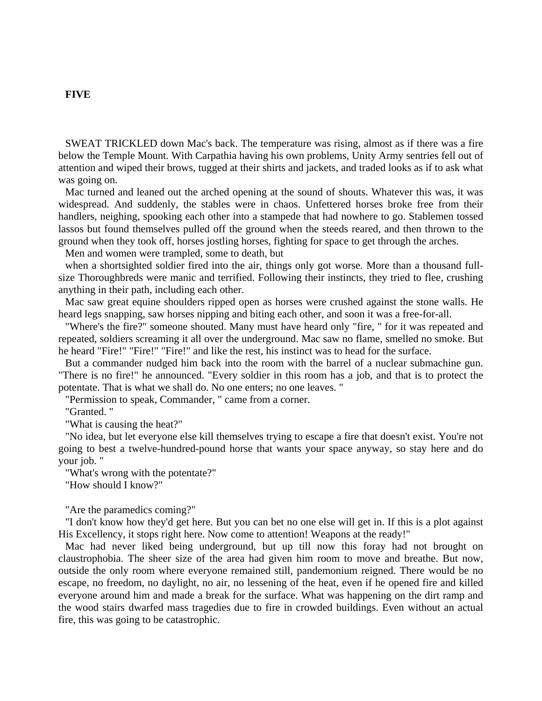## **FIVE**

SWEAT TRICKLED down Mac's back. The temperature was rising, almost as if there was a fire below the Temple Mount. With Carpathia having his own problems, Unity Army sentries fell out of attention and wiped their brows, tugged at their shirts and jackets, and traded looks as if to ask what was going on.

Mac turned and leaned out the arched opening at the sound of shouts. Whatever this was, it was widespread. And suddenly, the stables were in chaos. Unfettered horses broke free from their handlers, neighing, spooking each other into a stampede that had nowhere to go. Stablemen tossed lassos but found themselves pulled off the ground when the steeds reared, and then thrown to the ground when they took off, horses jostling horses, fighting for space to get through the arches.

Men and women were trampled, some to death, but

when a shortsighted soldier fired into the air, things only got worse. More than a thousand fullsize Thoroughbreds were manic and terrified. Following their instincts, they tried to flee, crushing anything in their path, including each other.

Mac saw great equine shoulders ripped open as horses were crushed against the stone walls. He heard legs snapping, saw horses nipping and biting each other, and soon it was a free-for-all.

"Where's the fire?" someone shouted. Many must have heard only "fire, " for it was repeated and repeated, soldiers screaming it all over the underground. Mac saw no flame, smelled no smoke. But he heard "Fire!" "Fire!" "Fire!" and like the rest, his instinct was to head for the surface.

But a commander nudged him back into the room with the barrel of a nuclear submachine gun. "There is no fire!" he announced. "Every soldier in this room has a job, and that is to protect the potentate. That is what we shall do. No one enters; no one leaves. "

"Permission to speak, Commander, " came from a corner.

"Granted. "

"What is causing the heat?"

"No idea, but let everyone else kill themselves trying to escape a fire that doesn't exist. You're not going to best a twelve-hundred-pound horse that wants your space anyway, so stay here and do your job. "

"What's wrong with the potentate?"

"How should I know?"

"Are the paramedics coming?"

"I don't know how they'd get here. But you can bet no one else will get in. If this is a plot against His Excellency, it stops right here. Now come to attention! Weapons at the ready!"

Mac had never liked being underground, but up till now this foray had not brought on claustrophobia. The sheer size of the area had given him room to move and breathe. But now, outside the only room where everyone remained still, pandemonium reigned. There would be no escape, no freedom, no daylight, no air, no lessening of the heat, even if he opened fire and killed everyone around him and made a break for the surface. What was happening on the dirt ramp and the wood stairs dwarfed mass tragedies due to fire in crowded buildings. Even without an actual fire, this was going to be catastrophic.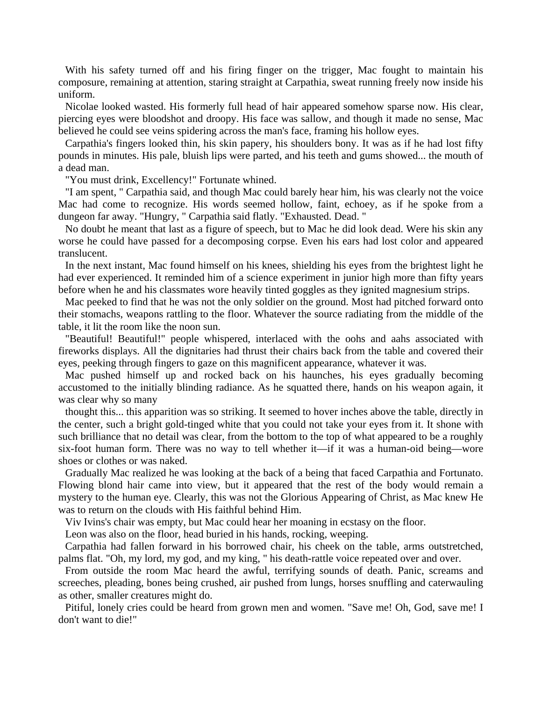With his safety turned off and his firing finger on the trigger, Mac fought to maintain his composure, remaining at attention, staring straight at Carpathia, sweat running freely now inside his uniform.

Nicolae looked wasted. His formerly full head of hair appeared somehow sparse now. His clear, piercing eyes were bloodshot and droopy. His face was sallow, and though it made no sense, Mac believed he could see veins spidering across the man's face, framing his hollow eyes.

Carpathia's fingers looked thin, his skin papery, his shoulders bony. It was as if he had lost fifty pounds in minutes. His pale, bluish lips were parted, and his teeth and gums showed... the mouth of a dead man.

"You must drink, Excellency!" Fortunate whined.

"I am spent, " Carpathia said, and though Mac could barely hear him, his was clearly not the voice Mac had come to recognize. His words seemed hollow, faint, echoey, as if he spoke from a dungeon far away. "Hungry, " Carpathia said flatly. "Exhausted. Dead. "

No doubt he meant that last as a figure of speech, but to Mac he did look dead. Were his skin any worse he could have passed for a decomposing corpse. Even his ears had lost color and appeared translucent.

In the next instant, Mac found himself on his knees, shielding his eyes from the brightest light he had ever experienced. It reminded him of a science experiment in junior high more than fifty years before when he and his classmates wore heavily tinted goggles as they ignited magnesium strips.

Mac peeked to find that he was not the only soldier on the ground. Most had pitched forward onto their stomachs, weapons rattling to the floor. Whatever the source radiating from the middle of the table, it lit the room like the noon sun.

"Beautiful! Beautiful!" people whispered, interlaced with the oohs and aahs associated with fireworks displays. All the dignitaries had thrust their chairs back from the table and covered their eyes, peeking through fingers to gaze on this magnificent appearance, whatever it was.

Mac pushed himself up and rocked back on his haunches, his eyes gradually becoming accustomed to the initially blinding radiance. As he squatted there, hands on his weapon again, it was clear why so many

thought this... this apparition was so striking. It seemed to hover inches above the table, directly in the center, such a bright gold-tinged white that you could not take your eyes from it. It shone with such brilliance that no detail was clear, from the bottom to the top of what appeared to be a roughly six-foot human form. There was no way to tell whether it—if it was a human-oid being—wore shoes or clothes or was naked.

Gradually Mac realized he was looking at the back of a being that faced Carpathia and Fortunato. Flowing blond hair came into view, but it appeared that the rest of the body would remain a mystery to the human eye. Clearly, this was not the Glorious Appearing of Christ, as Mac knew He was to return on the clouds with His faithful behind Him.

Viv Ivins's chair was empty, but Mac could hear her moaning in ecstasy on the floor.

Leon was also on the floor, head buried in his hands, rocking, weeping.

Carpathia had fallen forward in his borrowed chair, his cheek on the table, arms outstretched, palms flat. "Oh, my lord, my god, and my king, " his death-rattle voice repeated over and over.

From outside the room Mac heard the awful, terrifying sounds of death. Panic, screams and screeches, pleading, bones being crushed, air pushed from lungs, horses snuffling and caterwauling as other, smaller creatures might do.

Pitiful, lonely cries could be heard from grown men and women. "Save me! Oh, God, save me! I don't want to die!"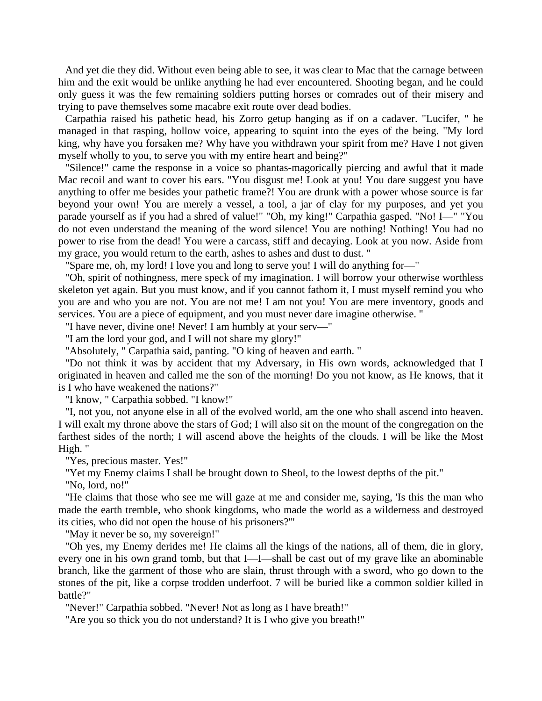And yet die they did. Without even being able to see, it was clear to Mac that the carnage between him and the exit would be unlike anything he had ever encountered. Shooting began, and he could only guess it was the few remaining soldiers putting horses or comrades out of their misery and trying to pave themselves some macabre exit route over dead bodies.

Carpathia raised his pathetic head, his Zorro getup hanging as if on a cadaver. "Lucifer, " he managed in that rasping, hollow voice, appearing to squint into the eyes of the being. "My lord king, why have you forsaken me? Why have you withdrawn your spirit from me? Have I not given myself wholly to you, to serve you with my entire heart and being?"

"Silence!" came the response in a voice so phantas-magorically piercing and awful that it made Mac recoil and want to cover his ears. "You disgust me! Look at you! You dare suggest you have anything to offer me besides your pathetic frame?! You are drunk with a power whose source is far beyond your own! You are merely a vessel, a tool, a jar of clay for my purposes, and yet you parade yourself as if you had a shred of value!" "Oh, my king!" Carpathia gasped. "No! I—" "You do not even understand the meaning of the word silence! You are nothing! Nothing! You had no power to rise from the dead! You were a carcass, stiff and decaying. Look at you now. Aside from my grace, you would return to the earth, ashes to ashes and dust to dust. "

"Spare me, oh, my lord! I love you and long to serve you! I will do anything for—"

"Oh, spirit of nothingness, mere speck of my imagination. I will borrow your otherwise worthless skeleton yet again. But you must know, and if you cannot fathom it, I must myself remind you who you are and who you are not. You are not me! I am not you! You are mere inventory, goods and services. You are a piece of equipment, and you must never dare imagine otherwise. "

"I have never, divine one! Never! I am humbly at your serv—"

"I am the lord your god, and I will not share my glory!"

"Absolutely, " Carpathia said, panting. "O king of heaven and earth. "

"Do not think it was by accident that my Adversary, in His own words, acknowledged that I originated in heaven and called me the son of the morning! Do you not know, as He knows, that it is I who have weakened the nations?"

"I know, " Carpathia sobbed. "I know!"

"I, not you, not anyone else in all of the evolved world, am the one who shall ascend into heaven. I will exalt my throne above the stars of God; I will also sit on the mount of the congregation on the farthest sides of the north; I will ascend above the heights of the clouds. I will be like the Most High. "

"Yes, precious master. Yes!"

"Yet my Enemy claims I shall be brought down to Sheol, to the lowest depths of the pit."

"No, lord, no!"

"He claims that those who see me will gaze at me and consider me, saying, 'Is this the man who made the earth tremble, who shook kingdoms, who made the world as a wilderness and destroyed its cities, who did not open the house of his prisoners?'"

"May it never be so, my sovereign!"

"Oh yes, my Enemy derides me! He claims all the kings of the nations, all of them, die in glory, every one in his own grand tomb, but that I—I—shall be cast out of my grave like an abominable branch, like the garment of those who are slain, thrust through with a sword, who go down to the stones of the pit, like a corpse trodden underfoot. 7 will be buried like a common soldier killed in battle?"

"Never!" Carpathia sobbed. "Never! Not as long as I have breath!"

"Are you so thick you do not understand? It is I who give you breath!"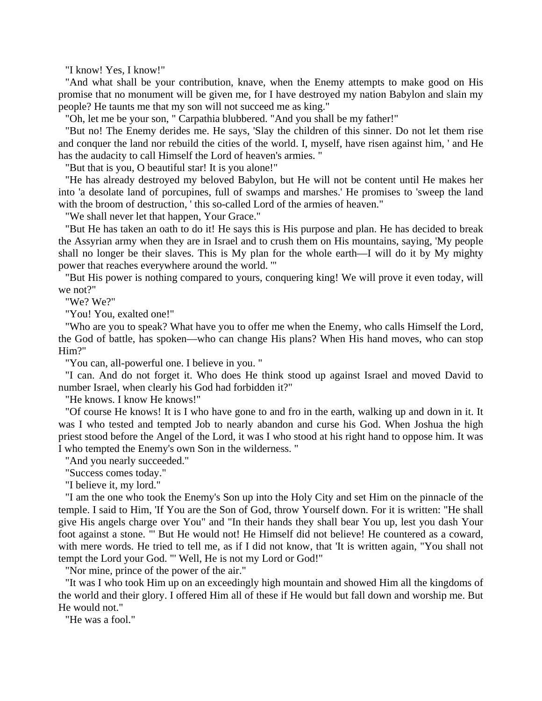"I know! Yes, I know!"

"And what shall be your contribution, knave, when the Enemy attempts to make good on His promise that no monument will be given me, for I have destroyed my nation Babylon and slain my people? He taunts me that my son will not succeed me as king."

"Oh, let me be your son, " Carpathia blubbered. "And you shall be my father!"

"But no! The Enemy derides me. He says, 'Slay the children of this sinner. Do not let them rise and conquer the land nor rebuild the cities of the world. I, myself, have risen against him, ' and He has the audacity to call Himself the Lord of heaven's armies. "

"But that is you, O beautiful star! It is you alone!"

"He has already destroyed my beloved Babylon, but He will not be content until He makes her into 'a desolate land of porcupines, full of swamps and marshes.' He promises to 'sweep the land with the broom of destruction, ' this so-called Lord of the armies of heaven."

"We shall never let that happen, Your Grace."

"But He has taken an oath to do it! He says this is His purpose and plan. He has decided to break the Assyrian army when they are in Israel and to crush them on His mountains, saying, 'My people shall no longer be their slaves. This is My plan for the whole earth—I will do it by My mighty power that reaches everywhere around the world. '"

"But His power is nothing compared to yours, conquering king! We will prove it even today, will we not?"

"We? We?"

"You! You, exalted one!"

"Who are you to speak? What have you to offer me when the Enemy, who calls Himself the Lord, the God of battle, has spoken—who can change His plans? When His hand moves, who can stop Him?"

"You can, all-powerful one. I believe in you. "

"I can. And do not forget it. Who does He think stood up against Israel and moved David to number Israel, when clearly his God had forbidden it?"

"He knows. I know He knows!"

"Of course He knows! It is I who have gone to and fro in the earth, walking up and down in it. It was I who tested and tempted Job to nearly abandon and curse his God. When Joshua the high priest stood before the Angel of the Lord, it was I who stood at his right hand to oppose him. It was I who tempted the Enemy's own Son in the wilderness. "

"And you nearly succeeded."

"Success comes today."

"I believe it, my lord."

"I am the one who took the Enemy's Son up into the Holy City and set Him on the pinnacle of the temple. I said to Him, 'If You are the Son of God, throw Yourself down. For it is written: "He shall give His angels charge over You" and "In their hands they shall bear You up, lest you dash Your foot against a stone. "' But He would not! He Himself did not believe! He countered as a coward, with mere words. He tried to tell me, as if I did not know, that 'It is written again, "You shall not tempt the Lord your God. "' Well, He is not my Lord or God!"

"Nor mine, prince of the power of the air."

"It was I who took Him up on an exceedingly high mountain and showed Him all the kingdoms of the world and their glory. I offered Him all of these if He would but fall down and worship me. But He would not."

"He was a fool."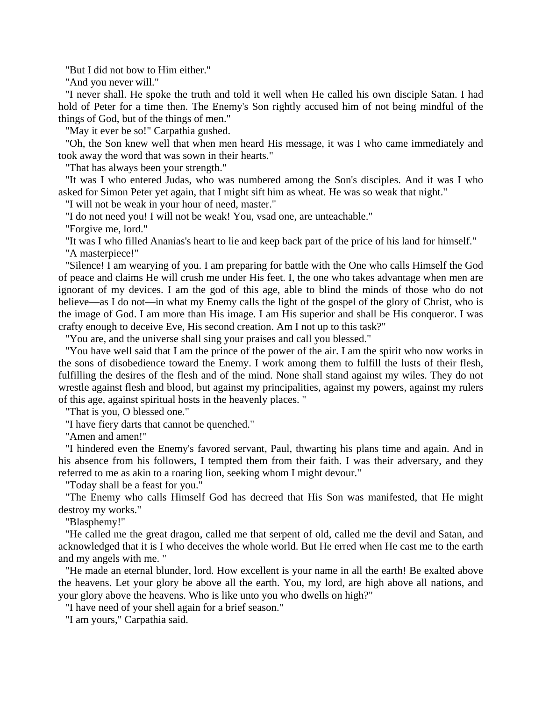"But I did not bow to Him either."

"And you never will."

"I never shall. He spoke the truth and told it well when He called his own disciple Satan. I had hold of Peter for a time then. The Enemy's Son rightly accused him of not being mindful of the things of God, but of the things of men."

"May it ever be so!" Carpathia gushed.

"Oh, the Son knew well that when men heard His message, it was I who came immediately and took away the word that was sown in their hearts."

"That has always been your strength."

"It was I who entered Judas, who was numbered among the Son's disciples. And it was I who asked for Simon Peter yet again, that I might sift him as wheat. He was so weak that night."

"I will not be weak in your hour of need, master."

"I do not need you! I will not be weak! You, vsad one, are unteachable."

"Forgive me, lord."

"It was I who filled Ananias's heart to lie and keep back part of the price of his land for himself."

"A masterpiece!"

"Silence! I am wearying of you. I am preparing for battle with the One who calls Himself the God of peace and claims He will crush me under His feet. I, the one who takes advantage when men are ignorant of my devices. I am the god of this age, able to blind the minds of those who do not believe—as I do not—in what my Enemy calls the light of the gospel of the glory of Christ, who is the image of God. I am more than His image. I am His superior and shall be His conqueror. I was crafty enough to deceive Eve, His second creation. Am I not up to this task?"

"You are, and the universe shall sing your praises and call you blessed."

"You have well said that I am the prince of the power of the air. I am the spirit who now works in the sons of disobedience toward the Enemy. I work among them to fulfill the lusts of their flesh, fulfilling the desires of the flesh and of the mind. None shall stand against my wiles. They do not wrestle against flesh and blood, but against my principalities, against my powers, against my rulers of this age, against spiritual hosts in the heavenly places. "

"That is you, O blessed one."

"I have fiery darts that cannot be quenched."

"Amen and amen!"

"I hindered even the Enemy's favored servant, Paul, thwarting his plans time and again. And in his absence from his followers, I tempted them from their faith. I was their adversary, and they referred to me as akin to a roaring lion, seeking whom I might devour."

"Today shall be a feast for you."

"The Enemy who calls Himself God has decreed that His Son was manifested, that He might destroy my works."

"Blasphemy!"

"He called me the great dragon, called me that serpent of old, called me the devil and Satan, and acknowledged that it is I who deceives the whole world. But He erred when He cast me to the earth and my angels with me. "

"He made an eternal blunder, lord. How excellent is your name in all the earth! Be exalted above the heavens. Let your glory be above all the earth. You, my lord, are high above all nations, and your glory above the heavens. Who is like unto you who dwells on high?"

"I have need of your shell again for a brief season."

"I am yours," Carpathia said.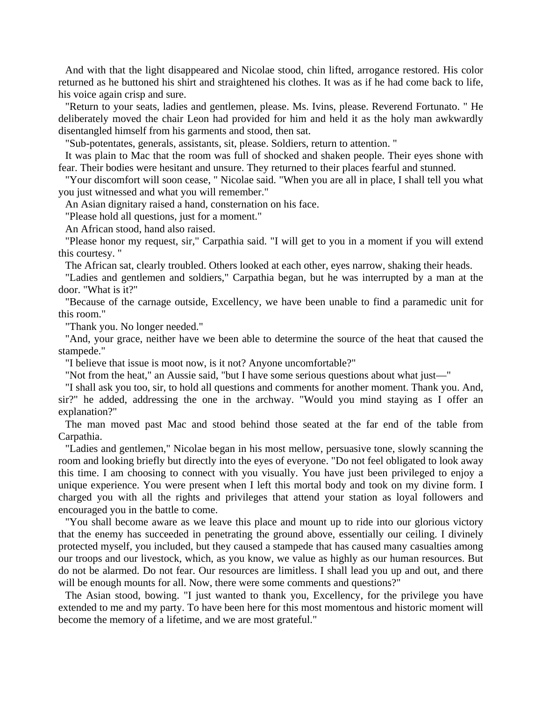And with that the light disappeared and Nicolae stood, chin lifted, arrogance restored. His color returned as he buttoned his shirt and straightened his clothes. It was as if he had come back to life, his voice again crisp and sure.

"Return to your seats, ladies and gentlemen, please. Ms. Ivins, please. Reverend Fortunato. " He deliberately moved the chair Leon had provided for him and held it as the holy man awkwardly disentangled himself from his garments and stood, then sat.

"Sub-potentates, generals, assistants, sit, please. Soldiers, return to attention. "

It was plain to Mac that the room was full of shocked and shaken people. Their eyes shone with fear. Their bodies were hesitant and unsure. They returned to their places fearful and stunned.

"Your discomfort will soon cease, " Nicolae said. "When you are all in place, I shall tell you what you just witnessed and what you will remember."

An Asian dignitary raised a hand, consternation on his face.

"Please hold all questions, just for a moment."

An African stood, hand also raised.

"Please honor my request, sir," Carpathia said. "I will get to you in a moment if you will extend this courtesy. "

The African sat, clearly troubled. Others looked at each other, eyes narrow, shaking their heads.

"Ladies and gentlemen and soldiers," Carpathia began, but he was interrupted by a man at the door. "What is it?"

"Because of the carnage outside, Excellency, we have been unable to find a paramedic unit for this room."

"Thank you. No longer needed."

"And, your grace, neither have we been able to determine the source of the heat that caused the stampede."

"I believe that issue is moot now, is it not? Anyone uncomfortable?"

"Not from the heat," an Aussie said, "but I have some serious questions about what just—"

"I shall ask you too, sir, to hold all questions and comments for another moment. Thank you. And, sir?" he added, addressing the one in the archway. "Would you mind staying as I offer an explanation?"

The man moved past Mac and stood behind those seated at the far end of the table from Carpathia.

"Ladies and gentlemen," Nicolae began in his most mellow, persuasive tone, slowly scanning the room and looking briefly but directly into the eyes of everyone. "Do not feel obligated to look away this time. I am choosing to connect with you visually. You have just been privileged to enjoy a unique experience. You were present when I left this mortal body and took on my divine form. I charged you with all the rights and privileges that attend your station as loyal followers and encouraged you in the battle to come.

"You shall become aware as we leave this place and mount up to ride into our glorious victory that the enemy has succeeded in penetrating the ground above, essentially our ceiling. I divinely protected myself, you included, but they caused a stampede that has caused many casualties among our troops and our livestock, which, as you know, we value as highly as our human resources. But do not be alarmed. Do not fear. Our resources are limitless. I shall lead you up and out, and there will be enough mounts for all. Now, there were some comments and questions?"

The Asian stood, bowing. "I just wanted to thank you, Excellency, for the privilege you have extended to me and my party. To have been here for this most momentous and historic moment will become the memory of a lifetime, and we are most grateful."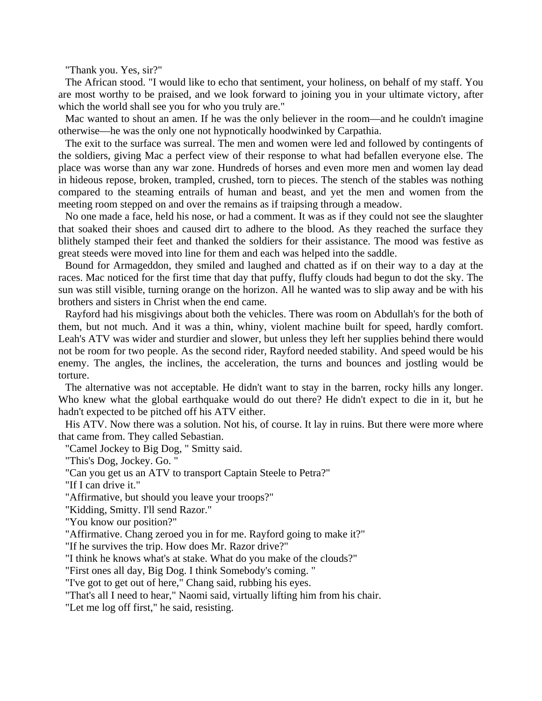"Thank you. Yes, sir?"

The African stood. "I would like to echo that sentiment, your holiness, on behalf of my staff. You are most worthy to be praised, and we look forward to joining you in your ultimate victory, after which the world shall see you for who you truly are."

Mac wanted to shout an amen. If he was the only believer in the room—and he couldn't imagine otherwise—he was the only one not hypnotically hoodwinked by Carpathia.

The exit to the surface was surreal. The men and women were led and followed by contingents of the soldiers, giving Mac a perfect view of their response to what had befallen everyone else. The place was worse than any war zone. Hundreds of horses and even more men and women lay dead in hideous repose, broken, trampled, crushed, torn to pieces. The stench of the stables was nothing compared to the steaming entrails of human and beast, and yet the men and women from the meeting room stepped on and over the remains as if traipsing through a meadow.

No one made a face, held his nose, or had a comment. It was as if they could not see the slaughter that soaked their shoes and caused dirt to adhere to the blood. As they reached the surface they blithely stamped their feet and thanked the soldiers for their assistance. The mood was festive as great steeds were moved into line for them and each was helped into the saddle.

Bound for Armageddon, they smiled and laughed and chatted as if on their way to a day at the races. Mac noticed for the first time that day that puffy, fluffy clouds had begun to dot the sky. The sun was still visible, turning orange on the horizon. All he wanted was to slip away and be with his brothers and sisters in Christ when the end came.

Rayford had his misgivings about both the vehicles. There was room on Abdullah's for the both of them, but not much. And it was a thin, whiny, violent machine built for speed, hardly comfort. Leah's ATV was wider and sturdier and slower, but unless they left her supplies behind there would not be room for two people. As the second rider, Rayford needed stability. And speed would be his enemy. The angles, the inclines, the acceleration, the turns and bounces and jostling would be torture.

The alternative was not acceptable. He didn't want to stay in the barren, rocky hills any longer. Who knew what the global earthquake would do out there? He didn't expect to die in it, but he hadn't expected to be pitched off his ATV either.

His ATV. Now there was a solution. Not his, of course. It lay in ruins. But there were more where that came from. They called Sebastian.

"Camel Jockey to Big Dog, " Smitty said.

"This's Dog, Jockey. Go. "

"Can you get us an ATV to transport Captain Steele to Petra?"

"If I can drive it."

"Affirmative, but should you leave your troops?"

"Kidding, Smitty. I'll send Razor."

"You know our position?"

"Affirmative. Chang zeroed you in for me. Rayford going to make it?"

"If he survives the trip. How does Mr. Razor drive?"

"I think he knows what's at stake. What do you make of the clouds?"

"First ones all day, Big Dog. I think Somebody's coming. "

"I've got to get out of here," Chang said, rubbing his eyes.

"That's all I need to hear," Naomi said, virtually lifting him from his chair.

"Let me log off first," he said, resisting.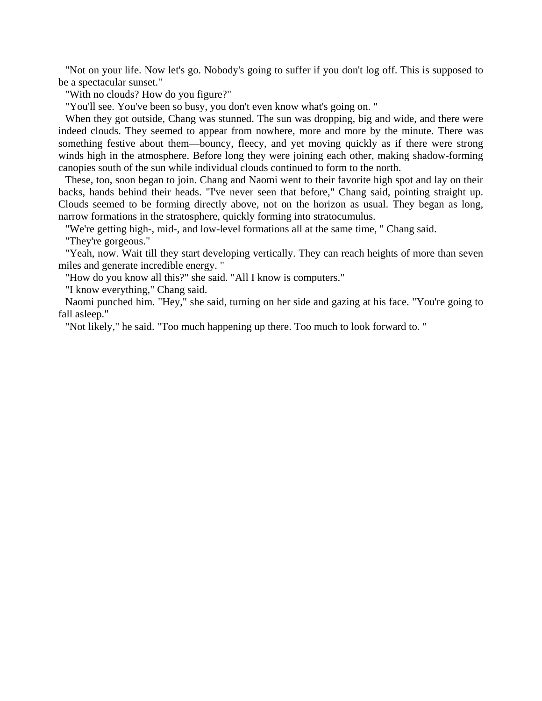"Not on your life. Now let's go. Nobody's going to suffer if you don't log off. This is supposed to be a spectacular sunset."

"With no clouds? How do you figure?"

"You'll see. You've been so busy, you don't even know what's going on. "

When they got outside, Chang was stunned. The sun was dropping, big and wide, and there were indeed clouds. They seemed to appear from nowhere, more and more by the minute. There was something festive about them—bouncy, fleecy, and yet moving quickly as if there were strong winds high in the atmosphere. Before long they were joining each other, making shadow-forming canopies south of the sun while individual clouds continued to form to the north.

These, too, soon began to join. Chang and Naomi went to their favorite high spot and lay on their backs, hands behind their heads. "I've never seen that before," Chang said, pointing straight up. Clouds seemed to be forming directly above, not on the horizon as usual. They began as long, narrow formations in the stratosphere, quickly forming into stratocumulus.

"We're getting high-, mid-, and low-level formations all at the same time, " Chang said.

"They're gorgeous."

"Yeah, now. Wait till they start developing vertically. They can reach heights of more than seven miles and generate incredible energy. "

"How do you know all this?" she said. "All I know is computers."

"I know everything," Chang said.

Naomi punched him. "Hey," she said, turning on her side and gazing at his face. "You're going to fall asleep."

"Not likely," he said. "Too much happening up there. Too much to look forward to. "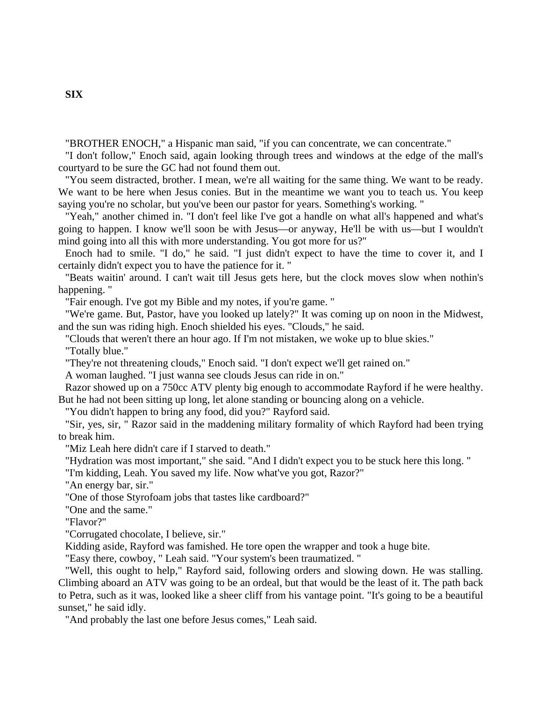"BROTHER ENOCH," a Hispanic man said, "if you can concentrate, we can concentrate."

"I don't follow," Enoch said, again looking through trees and windows at the edge of the mall's courtyard to be sure the GC had not found them out.

"You seem distracted, brother. I mean, we're all waiting for the same thing. We want to be ready. We want to be here when Jesus conies. But in the meantime we want you to teach us. You keep saying you're no scholar, but you've been our pastor for years. Something's working. "

"Yeah," another chimed in. "I don't feel like I've got a handle on what all's happened and what's going to happen. I know we'll soon be with Jesus—or anyway, He'll be with us—but I wouldn't mind going into all this with more understanding. You got more for us?"

Enoch had to smile. "I do," he said. "I just didn't expect to have the time to cover it, and I certainly didn't expect you to have the patience for it. "

"Beats waitin' around. I can't wait till Jesus gets here, but the clock moves slow when nothin's happening."

"Fair enough. I've got my Bible and my notes, if you're game. "

"We're game. But, Pastor, have you looked up lately?" It was coming up on noon in the Midwest, and the sun was riding high. Enoch shielded his eyes. "Clouds," he said.

"Clouds that weren't there an hour ago. If I'm not mistaken, we woke up to blue skies." "Totally blue."

"They're not threatening clouds," Enoch said. "I don't expect we'll get rained on."

A woman laughed. "I just wanna see clouds Jesus can ride in on."

Razor showed up on a 750cc ATV plenty big enough to accommodate Rayford if he were healthy. But he had not been sitting up long, let alone standing or bouncing along on a vehicle.

"You didn't happen to bring any food, did you?" Rayford said.

"Sir, yes, sir, " Razor said in the maddening military formality of which Rayford had been trying to break him.

"Miz Leah here didn't care if I starved to death."

"Hydration was most important," she said. "And I didn't expect you to be stuck here this long. "

"I'm kidding, Leah. You saved my life. Now what've you got, Razor?"

"An energy bar, sir."

"One of those Styrofoam jobs that tastes like cardboard?"

"One and the same."

"Flavor?"

"Corrugated chocolate, I believe, sir."

Kidding aside, Rayford was famished. He tore open the wrapper and took a huge bite.

"Easy there, cowboy, " Leah said. "Your system's been traumatized. "

"Well, this ought to help," Rayford said, following orders and slowing down. He was stalling. Climbing aboard an ATV was going to be an ordeal, but that would be the least of it. The path back to Petra, such as it was, looked like a sheer cliff from his vantage point. "It's going to be a beautiful sunset," he said idly.

"And probably the last one before Jesus comes," Leah said.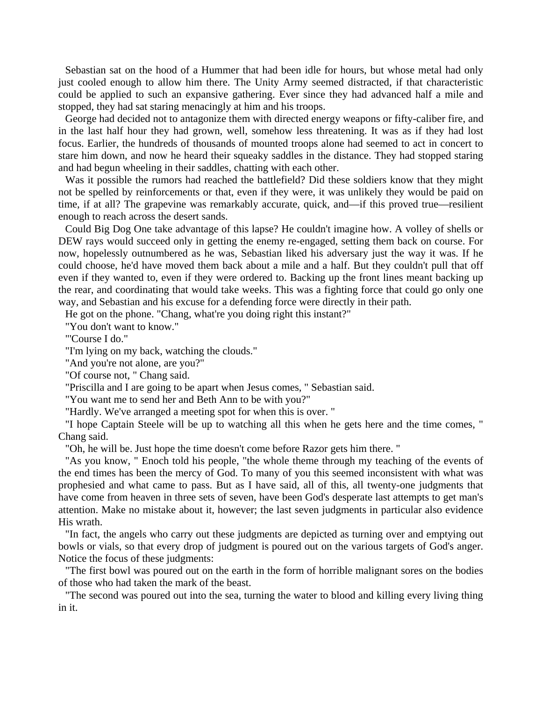Sebastian sat on the hood of a Hummer that had been idle for hours, but whose metal had only just cooled enough to allow him there. The Unity Army seemed distracted, if that characteristic could be applied to such an expansive gathering. Ever since they had advanced half a mile and stopped, they had sat staring menacingly at him and his troops.

George had decided not to antagonize them with directed energy weapons or fifty-caliber fire, and in the last half hour they had grown, well, somehow less threatening. It was as if they had lost focus. Earlier, the hundreds of thousands of mounted troops alone had seemed to act in concert to stare him down, and now he heard their squeaky saddles in the distance. They had stopped staring and had begun wheeling in their saddles, chatting with each other.

Was it possible the rumors had reached the battlefield? Did these soldiers know that they might not be spelled by reinforcements or that, even if they were, it was unlikely they would be paid on time, if at all? The grapevine was remarkably accurate, quick, and—if this proved true—resilient enough to reach across the desert sands.

Could Big Dog One take advantage of this lapse? He couldn't imagine how. A volley of shells or DEW rays would succeed only in getting the enemy re-engaged, setting them back on course. For now, hopelessly outnumbered as he was, Sebastian liked his adversary just the way it was. If he could choose, he'd have moved them back about a mile and a half. But they couldn't pull that off even if they wanted to, even if they were ordered to. Backing up the front lines meant backing up the rear, and coordinating that would take weeks. This was a fighting force that could go only one way, and Sebastian and his excuse for a defending force were directly in their path.

He got on the phone. "Chang, what're you doing right this instant?"

"You don't want to know."

"'Course I do."

"I'm lying on my back, watching the clouds."

"And you're not alone, are you?"

"Of course not, " Chang said.

"Priscilla and I are going to be apart when Jesus comes, " Sebastian said.

"You want me to send her and Beth Ann to be with you?"

"Hardly. We've arranged a meeting spot for when this is over. "

"I hope Captain Steele will be up to watching all this when he gets here and the time comes, " Chang said.

"Oh, he will be. Just hope the time doesn't come before Razor gets him there. "

"As you know, " Enoch told his people, "the whole theme through my teaching of the events of the end times has been the mercy of God. To many of you this seemed inconsistent with what was prophesied and what came to pass. But as I have said, all of this, all twenty-one judgments that have come from heaven in three sets of seven, have been God's desperate last attempts to get man's attention. Make no mistake about it, however; the last seven judgments in particular also evidence His wrath.

"In fact, the angels who carry out these judgments are depicted as turning over and emptying out bowls or vials, so that every drop of judgment is poured out on the various targets of God's anger. Notice the focus of these judgments:

"The first bowl was poured out on the earth in the form of horrible malignant sores on the bodies of those who had taken the mark of the beast.

"The second was poured out into the sea, turning the water to blood and killing every living thing in it.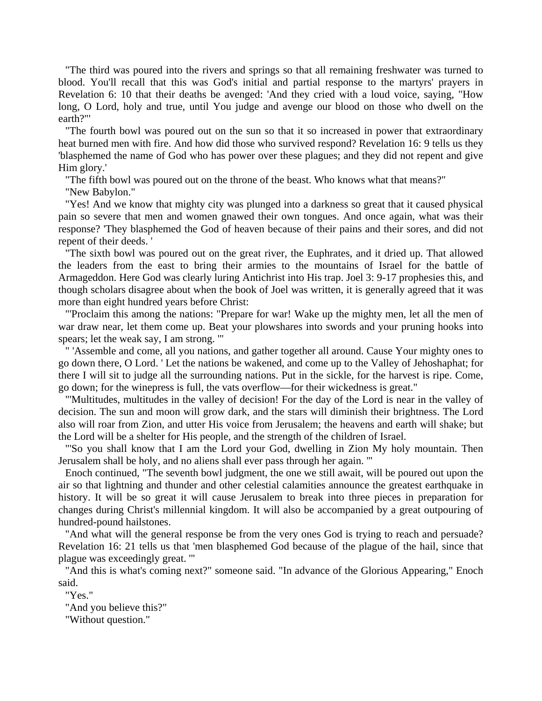"The third was poured into the rivers and springs so that all remaining freshwater was turned to blood. You'll recall that this was God's initial and partial response to the martyrs' prayers in Revelation 6: 10 that their deaths be avenged: 'And they cried with a loud voice, saying, "How long, O Lord, holy and true, until You judge and avenge our blood on those who dwell on the earth?"'

"The fourth bowl was poured out on the sun so that it so increased in power that extraordinary heat burned men with fire. And how did those who survived respond? Revelation 16: 9 tells us they 'blasphemed the name of God who has power over these plagues; and they did not repent and give Him glory.'

"The fifth bowl was poured out on the throne of the beast. Who knows what that means?"

"New Babylon."

"Yes! And we know that mighty city was plunged into a darkness so great that it caused physical pain so severe that men and women gnawed their own tongues. And once again, what was their response? 'They blasphemed the God of heaven because of their pains and their sores, and did not repent of their deeds. '

"The sixth bowl was poured out on the great river, the Euphrates, and it dried up. That allowed the leaders from the east to bring their armies to the mountains of Israel for the battle of Armageddon. Here God was clearly luring Antichrist into His trap. Joel 3: 9-17 prophesies this, and though scholars disagree about when the book of Joel was written, it is generally agreed that it was more than eight hundred years before Christ:

"'Proclaim this among the nations: "Prepare for war! Wake up the mighty men, let all the men of war draw near, let them come up. Beat your plowshares into swords and your pruning hooks into spears; let the weak say, I am strong. '"

" 'Assemble and come, all you nations, and gather together all around. Cause Your mighty ones to go down there, O Lord. ' Let the nations be wakened, and come up to the Valley of Jehoshaphat; for there I will sit to judge all the surrounding nations. Put in the sickle, for the harvest is ripe. Come, go down; for the winepress is full, the vats overflow—for their wickedness is great."

"'Multitudes, multitudes in the valley of decision! For the day of the Lord is near in the valley of decision. The sun and moon will grow dark, and the stars will diminish their brightness. The Lord also will roar from Zion, and utter His voice from Jerusalem; the heavens and earth will shake; but the Lord will be a shelter for His people, and the strength of the children of Israel.

"'So you shall know that I am the Lord your God, dwelling in Zion My holy mountain. Then Jerusalem shall be holy, and no aliens shall ever pass through her again. '"

Enoch continued, "The seventh bowl judgment, the one we still await, will be poured out upon the air so that lightning and thunder and other celestial calamities announce the greatest earthquake in history. It will be so great it will cause Jerusalem to break into three pieces in preparation for changes during Christ's millennial kingdom. It will also be accompanied by a great outpouring of hundred-pound hailstones.

"And what will the general response be from the very ones God is trying to reach and persuade? Revelation 16: 21 tells us that 'men blasphemed God because of the plague of the hail, since that plague was exceedingly great. '"

"And this is what's coming next?" someone said. "In advance of the Glorious Appearing," Enoch said.

"And you believe this?"

"Without question."

<sup>&</sup>quot;Yes."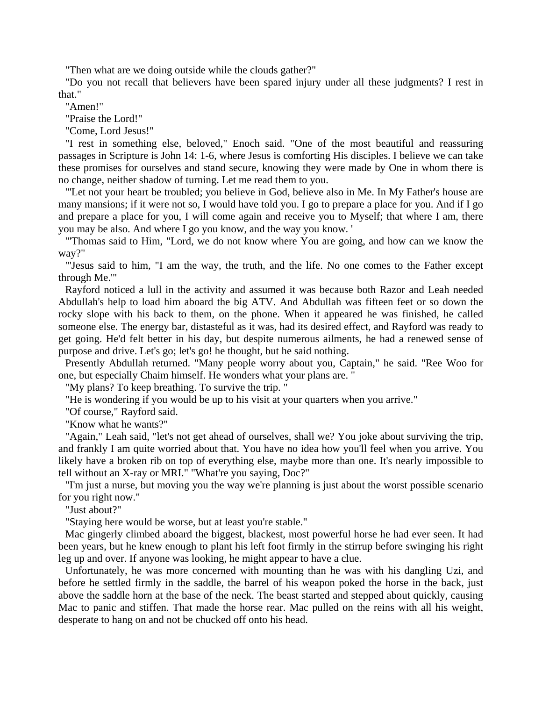"Then what are we doing outside while the clouds gather?"

"Do you not recall that believers have been spared injury under all these judgments? I rest in that."

"Amen!"

"Praise the Lord!"

"Come, Lord Jesus!"

"I rest in something else, beloved," Enoch said. "One of the most beautiful and reassuring passages in Scripture is John 14: 1-6, where Jesus is comforting His disciples. I believe we can take these promises for ourselves and stand secure, knowing they were made by One in whom there is no change, neither shadow of turning. Let me read them to you.

"'Let not your heart be troubled; you believe in God, believe also in Me. In My Father's house are many mansions; if it were not so, I would have told you. I go to prepare a place for you. And if I go and prepare a place for you, I will come again and receive you to Myself; that where I am, there you may be also. And where I go you know, and the way you know. '

"'Thomas said to Him, "Lord, we do not know where You are going, and how can we know the way?"

"'Jesus said to him, "I am the way, the truth, and the life. No one comes to the Father except through Me.'"

Rayford noticed a lull in the activity and assumed it was because both Razor and Leah needed Abdullah's help to load him aboard the big ATV. And Abdullah was fifteen feet or so down the rocky slope with his back to them, on the phone. When it appeared he was finished, he called someone else. The energy bar, distasteful as it was, had its desired effect, and Rayford was ready to get going. He'd felt better in his day, but despite numerous ailments, he had a renewed sense of purpose and drive. Let's go; let's go! he thought, but he said nothing.

Presently Abdullah returned. "Many people worry about you, Captain," he said. "Ree Woo for one, but especially Chaim himself. He wonders what your plans are. "

"My plans? To keep breathing. To survive the trip. "

"He is wondering if you would be up to his visit at your quarters when you arrive."

"Of course," Rayford said.

"Know what he wants?"

"Again," Leah said, "let's not get ahead of ourselves, shall we? You joke about surviving the trip, and frankly I am quite worried about that. You have no idea how you'll feel when you arrive. You likely have a broken rib on top of everything else, maybe more than one. It's nearly impossible to tell without an X-ray or MRI." "What're you saying, Doc?"

"I'm just a nurse, but moving you the way we're planning is just about the worst possible scenario for you right now."

"Just about?"

"Staying here would be worse, but at least you're stable."

Mac gingerly climbed aboard the biggest, blackest, most powerful horse he had ever seen. It had been years, but he knew enough to plant his left foot firmly in the stirrup before swinging his right leg up and over. If anyone was looking, he might appear to have a clue.

Unfortunately, he was more concerned with mounting than he was with his dangling Uzi, and before he settled firmly in the saddle, the barrel of his weapon poked the horse in the back, just above the saddle horn at the base of the neck. The beast started and stepped about quickly, causing Mac to panic and stiffen. That made the horse rear. Mac pulled on the reins with all his weight, desperate to hang on and not be chucked off onto his head.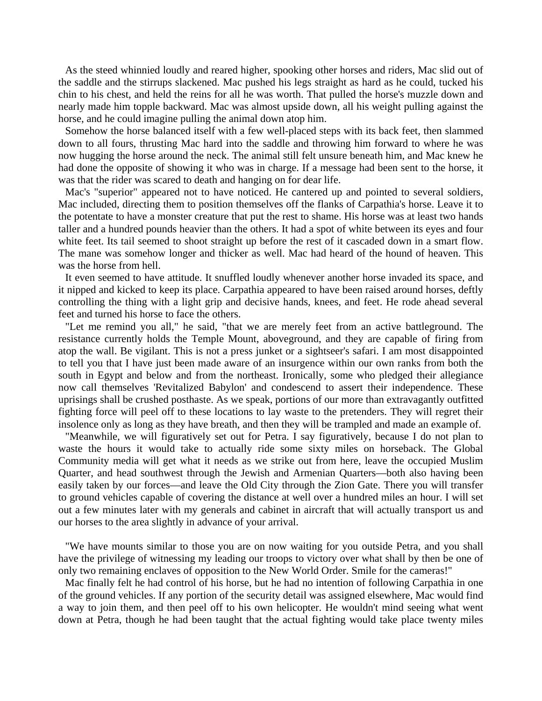As the steed whinnied loudly and reared higher, spooking other horses and riders, Mac slid out of the saddle and the stirrups slackened. Mac pushed his legs straight as hard as he could, tucked his chin to his chest, and held the reins for all he was worth. That pulled the horse's muzzle down and nearly made him topple backward. Mac was almost upside down, all his weight pulling against the horse, and he could imagine pulling the animal down atop him.

Somehow the horse balanced itself with a few well-placed steps with its back feet, then slammed down to all fours, thrusting Mac hard into the saddle and throwing him forward to where he was now hugging the horse around the neck. The animal still felt unsure beneath him, and Mac knew he had done the opposite of showing it who was in charge. If a message had been sent to the horse, it was that the rider was scared to death and hanging on for dear life.

Mac's "superior" appeared not to have noticed. He cantered up and pointed to several soldiers, Mac included, directing them to position themselves off the flanks of Carpathia's horse. Leave it to the potentate to have a monster creature that put the rest to shame. His horse was at least two hands taller and a hundred pounds heavier than the others. It had a spot of white between its eyes and four white feet. Its tail seemed to shoot straight up before the rest of it cascaded down in a smart flow. The mane was somehow longer and thicker as well. Mac had heard of the hound of heaven. This was the horse from hell.

It even seemed to have attitude. It snuffled loudly whenever another horse invaded its space, and it nipped and kicked to keep its place. Carpathia appeared to have been raised around horses, deftly controlling the thing with a light grip and decisive hands, knees, and feet. He rode ahead several feet and turned his horse to face the others.

"Let me remind you all," he said, "that we are merely feet from an active battleground. The resistance currently holds the Temple Mount, aboveground, and they are capable of firing from atop the wall. Be vigilant. This is not a press junket or a sightseer's safari. I am most disappointed to tell you that I have just been made aware of an insurgence within our own ranks from both the south in Egypt and below and from the northeast. Ironically, some who pledged their allegiance now call themselves 'Revitalized Babylon' and condescend to assert their independence. These uprisings shall be crushed posthaste. As we speak, portions of our more than extravagantly outfitted fighting force will peel off to these locations to lay waste to the pretenders. They will regret their insolence only as long as they have breath, and then they will be trampled and made an example of.

"Meanwhile, we will figuratively set out for Petra. I say figuratively, because I do not plan to waste the hours it would take to actually ride some sixty miles on horseback. The Global Community media will get what it needs as we strike out from here, leave the occupied Muslim Quarter, and head southwest through the Jewish and Armenian Quarters—both also having been easily taken by our forces—and leave the Old City through the Zion Gate. There you will transfer to ground vehicles capable of covering the distance at well over a hundred miles an hour. I will set out a few minutes later with my generals and cabinet in aircraft that will actually transport us and our horses to the area slightly in advance of your arrival.

"We have mounts similar to those you are on now waiting for you outside Petra, and you shall have the privilege of witnessing my leading our troops to victory over what shall by then be one of only two remaining enclaves of opposition to the New World Order. Smile for the cameras!"

Mac finally felt he had control of his horse, but he had no intention of following Carpathia in one of the ground vehicles. If any portion of the security detail was assigned elsewhere, Mac would find a way to join them, and then peel off to his own helicopter. He wouldn't mind seeing what went down at Petra, though he had been taught that the actual fighting would take place twenty miles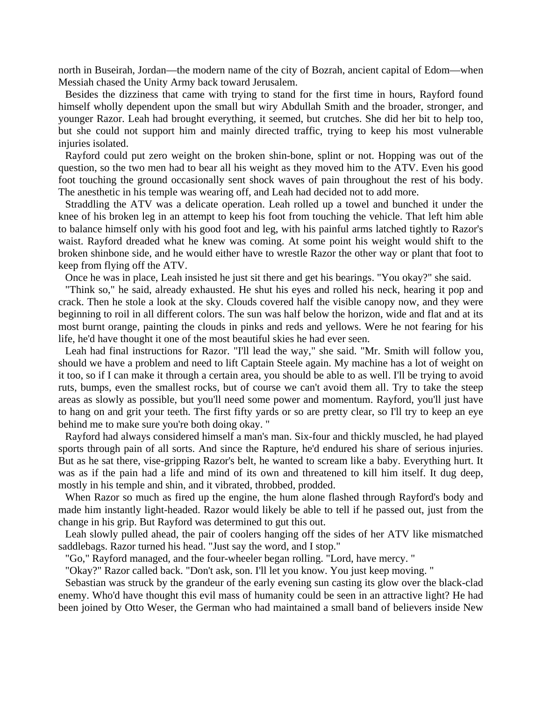north in Buseirah, Jordan—the modern name of the city of Bozrah, ancient capital of Edom—when Messiah chased the Unity Army back toward Jerusalem.

Besides the dizziness that came with trying to stand for the first time in hours, Rayford found himself wholly dependent upon the small but wiry Abdullah Smith and the broader, stronger, and younger Razor. Leah had brought everything, it seemed, but crutches. She did her bit to help too, but she could not support him and mainly directed traffic, trying to keep his most vulnerable injuries isolated.

Rayford could put zero weight on the broken shin-bone, splint or not. Hopping was out of the question, so the two men had to bear all his weight as they moved him to the ATV. Even his good foot touching the ground occasionally sent shock waves of pain throughout the rest of his body. The anesthetic in his temple was wearing off, and Leah had decided not to add more.

Straddling the ATV was a delicate operation. Leah rolled up a towel and bunched it under the knee of his broken leg in an attempt to keep his foot from touching the vehicle. That left him able to balance himself only with his good foot and leg, with his painful arms latched tightly to Razor's waist. Rayford dreaded what he knew was coming. At some point his weight would shift to the broken shinbone side, and he would either have to wrestle Razor the other way or plant that foot to keep from flying off the ATV.

Once he was in place, Leah insisted he just sit there and get his bearings. "You okay?" she said.

"Think so," he said, already exhausted. He shut his eyes and rolled his neck, hearing it pop and crack. Then he stole a look at the sky. Clouds covered half the visible canopy now, and they were beginning to roil in all different colors. The sun was half below the horizon, wide and flat and at its most burnt orange, painting the clouds in pinks and reds and yellows. Were he not fearing for his life, he'd have thought it one of the most beautiful skies he had ever seen.

Leah had final instructions for Razor. "I'll lead the way," she said. "Mr. Smith will follow you, should we have a problem and need to lift Captain Steele again. My machine has a lot of weight on it too, so if I can make it through a certain area, you should be able to as well. I'll be trying to avoid ruts, bumps, even the smallest rocks, but of course we can't avoid them all. Try to take the steep areas as slowly as possible, but you'll need some power and momentum. Rayford, you'll just have to hang on and grit your teeth. The first fifty yards or so are pretty clear, so I'll try to keep an eye behind me to make sure you're both doing okay. "

Rayford had always considered himself a man's man. Six-four and thickly muscled, he had played sports through pain of all sorts. And since the Rapture, he'd endured his share of serious injuries. But as he sat there, vise-gripping Razor's belt, he wanted to scream like a baby. Everything hurt. It was as if the pain had a life and mind of its own and threatened to kill him itself. It dug deep, mostly in his temple and shin, and it vibrated, throbbed, prodded.

When Razor so much as fired up the engine, the hum alone flashed through Rayford's body and made him instantly light-headed. Razor would likely be able to tell if he passed out, just from the change in his grip. But Rayford was determined to gut this out.

Leah slowly pulled ahead, the pair of coolers hanging off the sides of her ATV like mismatched saddlebags. Razor turned his head. "Just say the word, and I stop."

"Go," Rayford managed, and the four-wheeler began rolling. "Lord, have mercy. "

"Okay?" Razor called back. "Don't ask, son. I'll let you know. You just keep moving. "

Sebastian was struck by the grandeur of the early evening sun casting its glow over the black-clad enemy. Who'd have thought this evil mass of humanity could be seen in an attractive light? He had been joined by Otto Weser, the German who had maintained a small band of believers inside New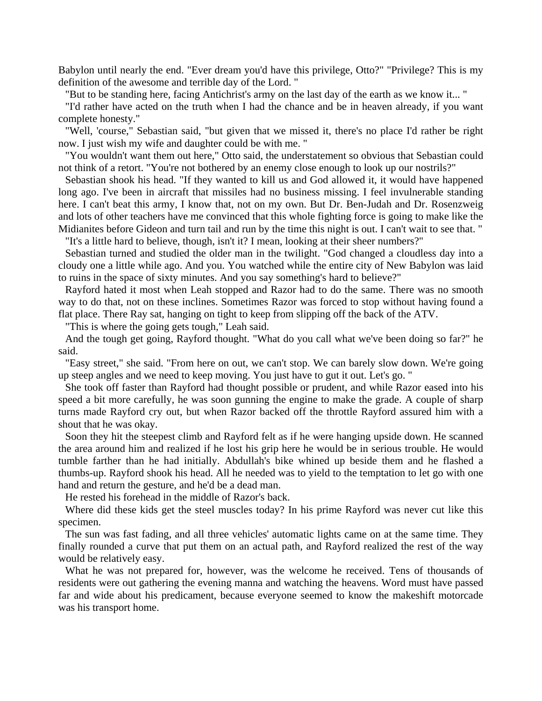Babylon until nearly the end. "Ever dream you'd have this privilege, Otto?" "Privilege? This is my definition of the awesome and terrible day of the Lord. "

"But to be standing here, facing Antichrist's army on the last day of the earth as we know it... "

"I'd rather have acted on the truth when I had the chance and be in heaven already, if you want complete honesty."

"Well, 'course," Sebastian said, "but given that we missed it, there's no place I'd rather be right now. I just wish my wife and daughter could be with me. "

"You wouldn't want them out here," Otto said, the understatement so obvious that Sebastian could not think of a retort. "You're not bothered by an enemy close enough to look up our nostrils?"

Sebastian shook his head. "If they wanted to kill us and God allowed it, it would have happened long ago. I've been in aircraft that missiles had no business missing. I feel invulnerable standing here. I can't beat this army, I know that, not on my own. But Dr. Ben-Judah and Dr. Rosenzweig and lots of other teachers have me convinced that this whole fighting force is going to make like the Midianites before Gideon and turn tail and run by the time this night is out. I can't wait to see that. "

"It's a little hard to believe, though, isn't it? I mean, looking at their sheer numbers?"

Sebastian turned and studied the older man in the twilight. "God changed a cloudless day into a cloudy one a little while ago. And you. You watched while the entire city of New Babylon was laid to ruins in the space of sixty minutes. And you say something's hard to believe?"

Rayford hated it most when Leah stopped and Razor had to do the same. There was no smooth way to do that, not on these inclines. Sometimes Razor was forced to stop without having found a flat place. There Ray sat, hanging on tight to keep from slipping off the back of the ATV.

"This is where the going gets tough," Leah said.

And the tough get going, Rayford thought. "What do you call what we've been doing so far?" he said.

"Easy street," she said. "From here on out, we can't stop. We can barely slow down. We're going up steep angles and we need to keep moving. You just have to gut it out. Let's go. "

She took off faster than Rayford had thought possible or prudent, and while Razor eased into his speed a bit more carefully, he was soon gunning the engine to make the grade. A couple of sharp turns made Rayford cry out, but when Razor backed off the throttle Rayford assured him with a shout that he was okay.

Soon they hit the steepest climb and Rayford felt as if he were hanging upside down. He scanned the area around him and realized if he lost his grip here he would be in serious trouble. He would tumble farther than he had initially. Abdullah's bike whined up beside them and he flashed a thumbs-up. Rayford shook his head. All he needed was to yield to the temptation to let go with one hand and return the gesture, and he'd be a dead man.

He rested his forehead in the middle of Razor's back.

Where did these kids get the steel muscles today? In his prime Rayford was never cut like this specimen.

The sun was fast fading, and all three vehicles' automatic lights came on at the same time. They finally rounded a curve that put them on an actual path, and Rayford realized the rest of the way would be relatively easy.

What he was not prepared for, however, was the welcome he received. Tens of thousands of residents were out gathering the evening manna and watching the heavens. Word must have passed far and wide about his predicament, because everyone seemed to know the makeshift motorcade was his transport home.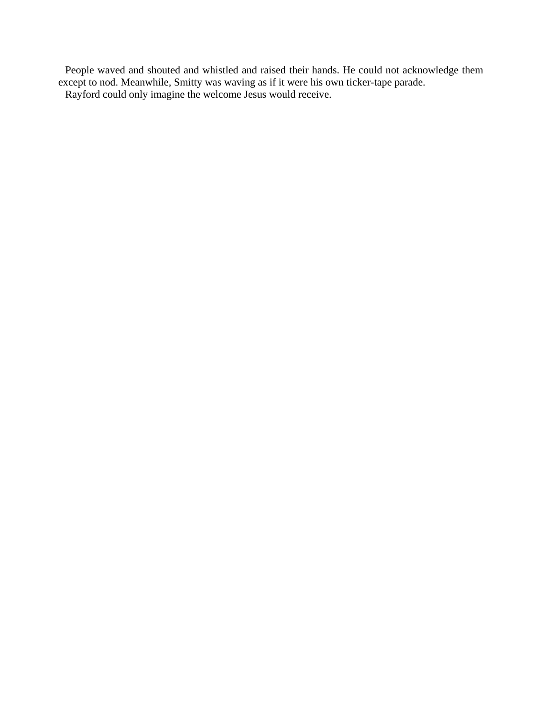People waved and shouted and whistled and raised their hands. He could not acknowledge them except to nod. Meanwhile, Smitty was waving as if it were his own ticker-tape parade. Rayford could only imagine the welcome Jesus would receive.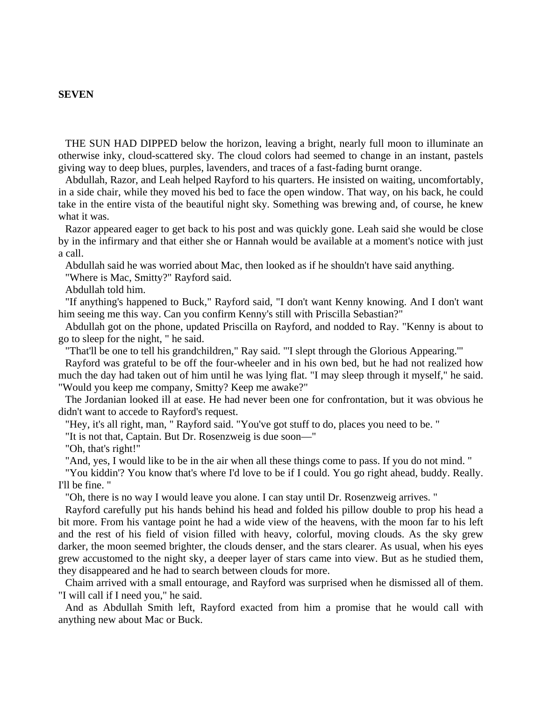## **SEVEN**

THE SUN HAD DIPPED below the horizon, leaving a bright, nearly full moon to illuminate an otherwise inky, cloud-scattered sky. The cloud colors had seemed to change in an instant, pastels giving way to deep blues, purples, lavenders, and traces of a fast-fading burnt orange.

Abdullah, Razor, and Leah helped Rayford to his quarters. He insisted on waiting, uncomfortably, in a side chair, while they moved his bed to face the open window. That way, on his back, he could take in the entire vista of the beautiful night sky. Something was brewing and, of course, he knew what it was.

Razor appeared eager to get back to his post and was quickly gone. Leah said she would be close by in the infirmary and that either she or Hannah would be available at a moment's notice with just a call.

Abdullah said he was worried about Mac, then looked as if he shouldn't have said anything.

"Where is Mac, Smitty?" Rayford said.

Abdullah told him.

"If anything's happened to Buck," Rayford said, "I don't want Kenny knowing. And I don't want him seeing me this way. Can you confirm Kenny's still with Priscilla Sebastian?"

Abdullah got on the phone, updated Priscilla on Rayford, and nodded to Ray. "Kenny is about to go to sleep for the night, " he said.

"That'll be one to tell his grandchildren," Ray said. "'I slept through the Glorious Appearing.'"

Rayford was grateful to be off the four-wheeler and in his own bed, but he had not realized how much the day had taken out of him until he was lying flat. "I may sleep through it myself," he said. "Would you keep me company, Smitty? Keep me awake?"

The Jordanian looked ill at ease. He had never been one for confrontation, but it was obvious he didn't want to accede to Rayford's request.

"Hey, it's all right, man, " Rayford said. "You've got stuff to do, places you need to be. "

"It is not that, Captain. But Dr. Rosenzweig is due soon—"

"Oh, that's right!"

"And, yes, I would like to be in the air when all these things come to pass. If you do not mind. "

"You kiddin'? You know that's where I'd love to be if I could. You go right ahead, buddy. Really. I'll be fine. "

"Oh, there is no way I would leave you alone. I can stay until Dr. Rosenzweig arrives. "

Rayford carefully put his hands behind his head and folded his pillow double to prop his head a bit more. From his vantage point he had a wide view of the heavens, with the moon far to his left and the rest of his field of vision filled with heavy, colorful, moving clouds. As the sky grew darker, the moon seemed brighter, the clouds denser, and the stars clearer. As usual, when his eyes grew accustomed to the night sky, a deeper layer of stars came into view. But as he studied them, they disappeared and he had to search between clouds for more.

Chaim arrived with a small entourage, and Rayford was surprised when he dismissed all of them. "I will call if I need you," he said.

And as Abdullah Smith left, Rayford exacted from him a promise that he would call with anything new about Mac or Buck.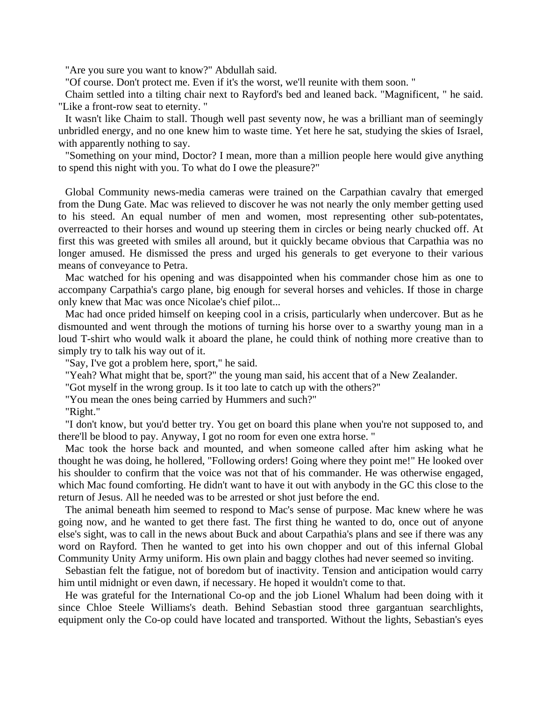"Are you sure you want to know?" Abdullah said.

"Of course. Don't protect me. Even if it's the worst, we'll reunite with them soon. "

Chaim settled into a tilting chair next to Rayford's bed and leaned back. "Magnificent, " he said. "Like a front-row seat to eternity. "

It wasn't like Chaim to stall. Though well past seventy now, he was a brilliant man of seemingly unbridled energy, and no one knew him to waste time. Yet here he sat, studying the skies of Israel, with apparently nothing to say.

"Something on your mind, Doctor? I mean, more than a million people here would give anything to spend this night with you. To what do I owe the pleasure?"

Global Community news-media cameras were trained on the Carpathian cavalry that emerged from the Dung Gate. Mac was relieved to discover he was not nearly the only member getting used to his steed. An equal number of men and women, most representing other sub-potentates, overreacted to their horses and wound up steering them in circles or being nearly chucked off. At first this was greeted with smiles all around, but it quickly became obvious that Carpathia was no longer amused. He dismissed the press and urged his generals to get everyone to their various means of conveyance to Petra.

Mac watched for his opening and was disappointed when his commander chose him as one to accompany Carpathia's cargo plane, big enough for several horses and vehicles. If those in charge only knew that Mac was once Nicolae's chief pilot...

Mac had once prided himself on keeping cool in a crisis, particularly when undercover. But as he dismounted and went through the motions of turning his horse over to a swarthy young man in a loud T-shirt who would walk it aboard the plane, he could think of nothing more creative than to simply try to talk his way out of it.

"Say, I've got a problem here, sport," he said.

"Yeah? What might that be, sport?" the young man said, his accent that of a New Zealander.

"Got myself in the wrong group. Is it too late to catch up with the others?"

"You mean the ones being carried by Hummers and such?"

"Right."

"I don't know, but you'd better try. You get on board this plane when you're not supposed to, and there'll be blood to pay. Anyway, I got no room for even one extra horse. "

Mac took the horse back and mounted, and when someone called after him asking what he thought he was doing, he hollered, "Following orders! Going where they point me!" He looked over his shoulder to confirm that the voice was not that of his commander. He was otherwise engaged, which Mac found comforting. He didn't want to have it out with anybody in the GC this close to the return of Jesus. All he needed was to be arrested or shot just before the end.

The animal beneath him seemed to respond to Mac's sense of purpose. Mac knew where he was going now, and he wanted to get there fast. The first thing he wanted to do, once out of anyone else's sight, was to call in the news about Buck and about Carpathia's plans and see if there was any word on Rayford. Then he wanted to get into his own chopper and out of this infernal Global Community Unity Army uniform. His own plain and baggy clothes had never seemed so inviting.

Sebastian felt the fatigue, not of boredom but of inactivity. Tension and anticipation would carry him until midnight or even dawn, if necessary. He hoped it wouldn't come to that.

He was grateful for the International Co-op and the job Lionel Whalum had been doing with it since Chloe Steele Williams's death. Behind Sebastian stood three gargantuan searchlights, equipment only the Co-op could have located and transported. Without the lights, Sebastian's eyes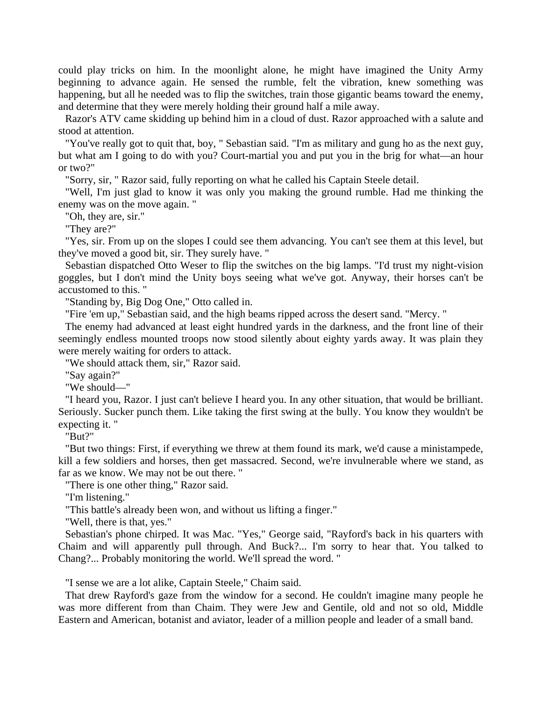could play tricks on him. In the moonlight alone, he might have imagined the Unity Army beginning to advance again. He sensed the rumble, felt the vibration, knew something was happening, but all he needed was to flip the switches, train those gigantic beams toward the enemy, and determine that they were merely holding their ground half a mile away.

Razor's ATV came skidding up behind him in a cloud of dust. Razor approached with a salute and stood at attention.

"You've really got to quit that, boy, " Sebastian said. "I'm as military and gung ho as the next guy, but what am I going to do with you? Court-martial you and put you in the brig for what—an hour or two?"

"Sorry, sir, " Razor said, fully reporting on what he called his Captain Steele detail.

"Well, I'm just glad to know it was only you making the ground rumble. Had me thinking the enemy was on the move again. "

"Oh, they are, sir."

"They are?"

"Yes, sir. From up on the slopes I could see them advancing. You can't see them at this level, but they've moved a good bit, sir. They surely have. "

Sebastian dispatched Otto Weser to flip the switches on the big lamps. "I'd trust my night-vision goggles, but I don't mind the Unity boys seeing what we've got. Anyway, their horses can't be accustomed to this. "

"Standing by, Big Dog One," Otto called in.

"Fire 'em up," Sebastian said, and the high beams ripped across the desert sand. "Mercy. "

The enemy had advanced at least eight hundred yards in the darkness, and the front line of their seemingly endless mounted troops now stood silently about eighty yards away. It was plain they were merely waiting for orders to attack.

"We should attack them, sir," Razor said.

"Say again?"

"We should—"

"I heard you, Razor. I just can't believe I heard you. In any other situation, that would be brilliant. Seriously. Sucker punch them. Like taking the first swing at the bully. You know they wouldn't be expecting it. "

"But?"

"But two things: First, if everything we threw at them found its mark, we'd cause a ministampede, kill a few soldiers and horses, then get massacred. Second, we're invulnerable where we stand, as far as we know. We may not be out there. "

"There is one other thing," Razor said.

"I'm listening."

"This battle's already been won, and without us lifting a finger."

"Well, there is that, yes."

Sebastian's phone chirped. It was Mac. "Yes," George said, "Rayford's back in his quarters with Chaim and will apparently pull through. And Buck?... I'm sorry to hear that. You talked to Chang?... Probably monitoring the world. We'll spread the word. "

"I sense we are a lot alike, Captain Steele," Chaim said.

That drew Rayford's gaze from the window for a second. He couldn't imagine many people he was more different from than Chaim. They were Jew and Gentile, old and not so old, Middle Eastern and American, botanist and aviator, leader of a million people and leader of a small band.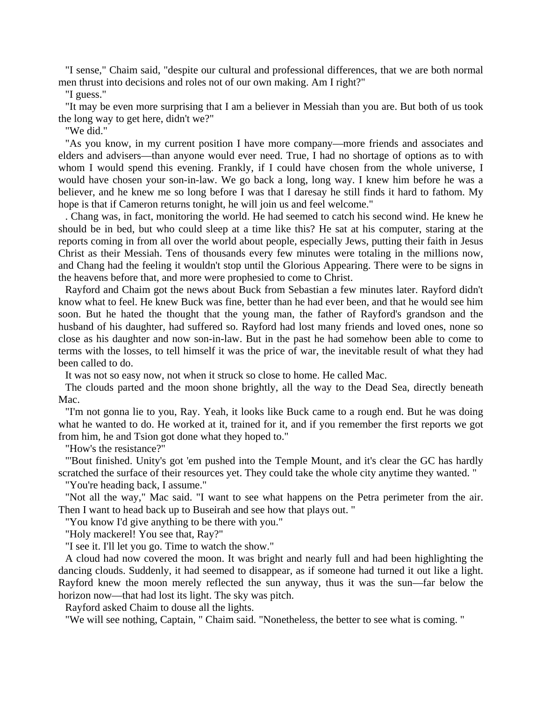"I sense," Chaim said, "despite our cultural and professional differences, that we are both normal men thrust into decisions and roles not of our own making. Am I right?"

"I guess."

"It may be even more surprising that I am a believer in Messiah than you are. But both of us took the long way to get here, didn't we?"

"We did."

"As you know, in my current position I have more company—more friends and associates and elders and advisers—than anyone would ever need. True, I had no shortage of options as to with whom I would spend this evening. Frankly, if I could have chosen from the whole universe, I would have chosen your son-in-law. We go back a long, long way. I knew him before he was a believer, and he knew me so long before I was that I daresay he still finds it hard to fathom. My hope is that if Cameron returns tonight, he will join us and feel welcome."

. Chang was, in fact, monitoring the world. He had seemed to catch his second wind. He knew he should be in bed, but who could sleep at a time like this? He sat at his computer, staring at the reports coming in from all over the world about people, especially Jews, putting their faith in Jesus Christ as their Messiah. Tens of thousands every few minutes were totaling in the millions now, and Chang had the feeling it wouldn't stop until the Glorious Appearing. There were to be signs in the heavens before that, and more were prophesied to come to Christ.

Rayford and Chaim got the news about Buck from Sebastian a few minutes later. Rayford didn't know what to feel. He knew Buck was fine, better than he had ever been, and that he would see him soon. But he hated the thought that the young man, the father of Rayford's grandson and the husband of his daughter, had suffered so. Rayford had lost many friends and loved ones, none so close as his daughter and now son-in-law. But in the past he had somehow been able to come to terms with the losses, to tell himself it was the price of war, the inevitable result of what they had been called to do.

It was not so easy now, not when it struck so close to home. He called Mac.

The clouds parted and the moon shone brightly, all the way to the Dead Sea, directly beneath Mac.

"I'm not gonna lie to you, Ray. Yeah, it looks like Buck came to a rough end. But he was doing what he wanted to do. He worked at it, trained for it, and if you remember the first reports we got from him, he and Tsion got done what they hoped to."

"How's the resistance?"

"'Bout finished. Unity's got 'em pushed into the Temple Mount, and it's clear the GC has hardly scratched the surface of their resources yet. They could take the whole city anytime they wanted. "

"You're heading back, I assume."

"Not all the way," Mac said. "I want to see what happens on the Petra perimeter from the air. Then I want to head back up to Buseirah and see how that plays out. "

"You know I'd give anything to be there with you."

"Holy mackerel! You see that, Ray?"

"I see it. I'll let you go. Time to watch the show."

A cloud had now covered the moon. It was bright and nearly full and had been highlighting the dancing clouds. Suddenly, it had seemed to disappear, as if someone had turned it out like a light. Rayford knew the moon merely reflected the sun anyway, thus it was the sun—far below the horizon now—that had lost its light. The sky was pitch.

Rayford asked Chaim to douse all the lights.

"We will see nothing, Captain, " Chaim said. "Nonetheless, the better to see what is coming. "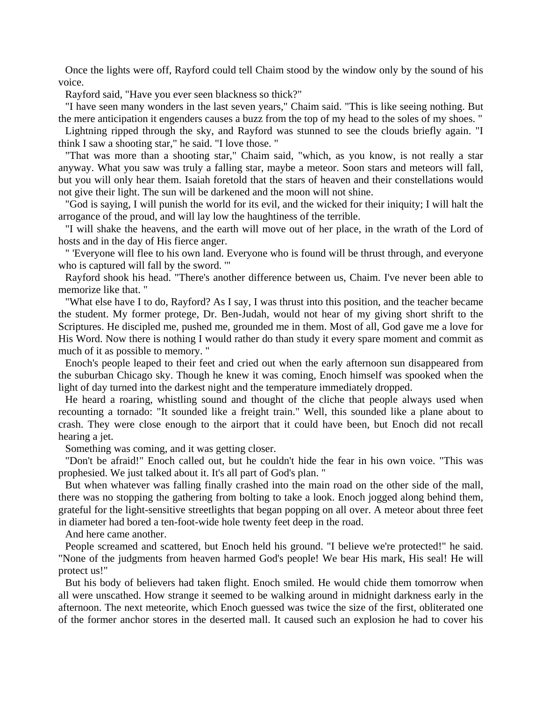Once the lights were off, Rayford could tell Chaim stood by the window only by the sound of his voice.

Rayford said, "Have you ever seen blackness so thick?"

"I have seen many wonders in the last seven years," Chaim said. "This is like seeing nothing. But the mere anticipation it engenders causes a buzz from the top of my head to the soles of my shoes. "

Lightning ripped through the sky, and Rayford was stunned to see the clouds briefly again. "I think I saw a shooting star," he said. "I love those. "

"That was more than a shooting star," Chaim said, "which, as you know, is not really a star anyway. What you saw was truly a falling star, maybe a meteor. Soon stars and meteors will fall, but you will only hear them. Isaiah foretold that the stars of heaven and their constellations would not give their light. The sun will be darkened and the moon will not shine.

"God is saying, I will punish the world for its evil, and the wicked for their iniquity; I will halt the arrogance of the proud, and will lay low the haughtiness of the terrible.

"I will shake the heavens, and the earth will move out of her place, in the wrath of the Lord of hosts and in the day of His fierce anger.

" 'Everyone will flee to his own land. Everyone who is found will be thrust through, and everyone who is captured will fall by the sword. '"

Rayford shook his head. "There's another difference between us, Chaim. I've never been able to memorize like that. "

"What else have I to do, Rayford? As I say, I was thrust into this position, and the teacher became the student. My former protege, Dr. Ben-Judah, would not hear of my giving short shrift to the Scriptures. He discipled me, pushed me, grounded me in them. Most of all, God gave me a love for His Word. Now there is nothing I would rather do than study it every spare moment and commit as much of it as possible to memory. "

Enoch's people leaped to their feet and cried out when the early afternoon sun disappeared from the suburban Chicago sky. Though he knew it was coming, Enoch himself was spooked when the light of day turned into the darkest night and the temperature immediately dropped.

He heard a roaring, whistling sound and thought of the cliche that people always used when recounting a tornado: "It sounded like a freight train." Well, this sounded like a plane about to crash. They were close enough to the airport that it could have been, but Enoch did not recall hearing a jet.

Something was coming, and it was getting closer.

"Don't be afraid!" Enoch called out, but he couldn't hide the fear in his own voice. "This was prophesied. We just talked about it. It's all part of God's plan. "

But when whatever was falling finally crashed into the main road on the other side of the mall, there was no stopping the gathering from bolting to take a look. Enoch jogged along behind them, grateful for the light-sensitive streetlights that began popping on all over. A meteor about three feet in diameter had bored a ten-foot-wide hole twenty feet deep in the road.

And here came another.

People screamed and scattered, but Enoch held his ground. "I believe we're protected!" he said. "None of the judgments from heaven harmed God's people! We bear His mark, His seal! He will protect us!"

But his body of believers had taken flight. Enoch smiled. He would chide them tomorrow when all were unscathed. How strange it seemed to be walking around in midnight darkness early in the afternoon. The next meteorite, which Enoch guessed was twice the size of the first, obliterated one of the former anchor stores in the deserted mall. It caused such an explosion he had to cover his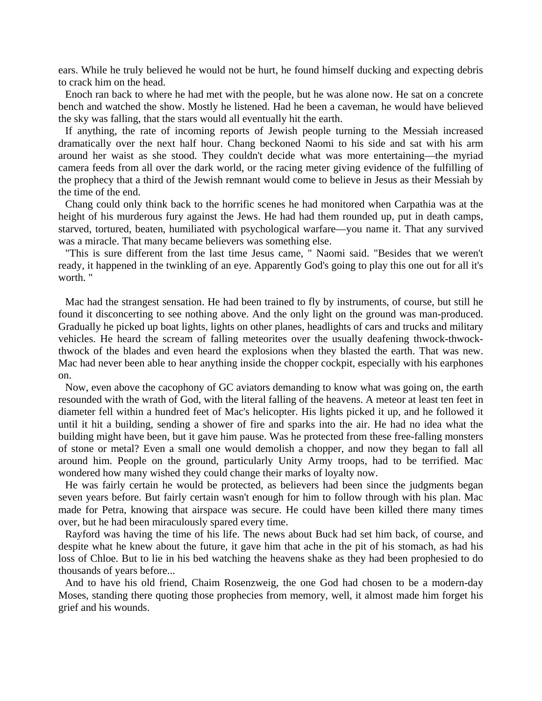ears. While he truly believed he would not be hurt, he found himself ducking and expecting debris to crack him on the head.

Enoch ran back to where he had met with the people, but he was alone now. He sat on a concrete bench and watched the show. Mostly he listened. Had he been a caveman, he would have believed the sky was falling, that the stars would all eventually hit the earth.

If anything, the rate of incoming reports of Jewish people turning to the Messiah increased dramatically over the next half hour. Chang beckoned Naomi to his side and sat with his arm around her waist as she stood. They couldn't decide what was more entertaining—the myriad camera feeds from all over the dark world, or the racing meter giving evidence of the fulfilling of the prophecy that a third of the Jewish remnant would come to believe in Jesus as their Messiah by the time of the end.

Chang could only think back to the horrific scenes he had monitored when Carpathia was at the height of his murderous fury against the Jews. He had had them rounded up, put in death camps, starved, tortured, beaten, humiliated with psychological warfare—you name it. That any survived was a miracle. That many became believers was something else.

"This is sure different from the last time Jesus came, " Naomi said. "Besides that we weren't ready, it happened in the twinkling of an eye. Apparently God's going to play this one out for all it's worth. "

Mac had the strangest sensation. He had been trained to fly by instruments, of course, but still he found it disconcerting to see nothing above. And the only light on the ground was man-produced. Gradually he picked up boat lights, lights on other planes, headlights of cars and trucks and military vehicles. He heard the scream of falling meteorites over the usually deafening thwock-thwockthwock of the blades and even heard the explosions when they blasted the earth. That was new. Mac had never been able to hear anything inside the chopper cockpit, especially with his earphones on.

Now, even above the cacophony of GC aviators demanding to know what was going on, the earth resounded with the wrath of God, with the literal falling of the heavens. A meteor at least ten feet in diameter fell within a hundred feet of Mac's helicopter. His lights picked it up, and he followed it until it hit a building, sending a shower of fire and sparks into the air. He had no idea what the building might have been, but it gave him pause. Was he protected from these free-falling monsters of stone or metal? Even a small one would demolish a chopper, and now they began to fall all around him. People on the ground, particularly Unity Army troops, had to be terrified. Mac wondered how many wished they could change their marks of loyalty now.

He was fairly certain he would be protected, as believers had been since the judgments began seven years before. But fairly certain wasn't enough for him to follow through with his plan. Mac made for Petra, knowing that airspace was secure. He could have been killed there many times over, but he had been miraculously spared every time.

Rayford was having the time of his life. The news about Buck had set him back, of course, and despite what he knew about the future, it gave him that ache in the pit of his stomach, as had his loss of Chloe. But to lie in his bed watching the heavens shake as they had been prophesied to do thousands of years before...

And to have his old friend, Chaim Rosenzweig, the one God had chosen to be a modern-day Moses, standing there quoting those prophecies from memory, well, it almost made him forget his grief and his wounds.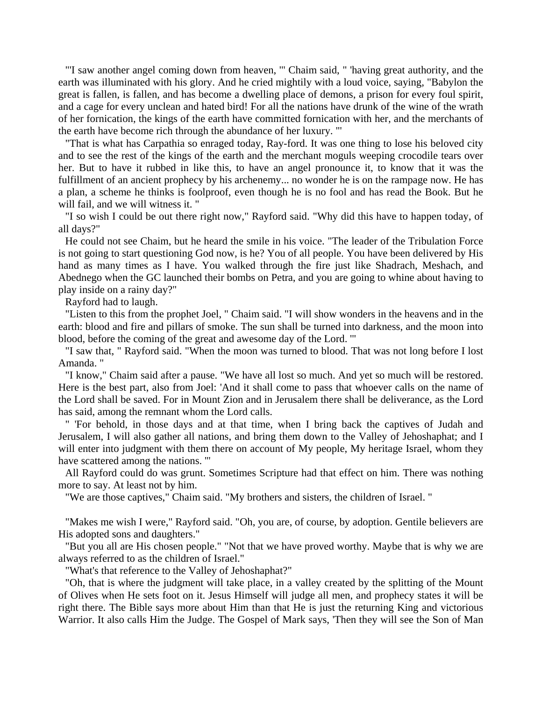"I saw another angel coming down from heaven, "' Chaim said, " 'having great authority, and the earth was illuminated with his glory. And he cried mightily with a loud voice, saying, "Babylon the great is fallen, is fallen, and has become a dwelling place of demons, a prison for every foul spirit, and a cage for every unclean and hated bird! For all the nations have drunk of the wine of the wrath of her fornication, the kings of the earth have committed fornication with her, and the merchants of the earth have become rich through the abundance of her luxury. "'

"That is what has Carpathia so enraged today, Ray-ford. It was one thing to lose his beloved city and to see the rest of the kings of the earth and the merchant moguls weeping crocodile tears over her. But to have it rubbed in like this, to have an angel pronounce it, to know that it was the fulfillment of an ancient prophecy by his archenemy... no wonder he is on the rampage now. He has a plan, a scheme he thinks is foolproof, even though he is no fool and has read the Book. But he will fail, and we will witness it. "

"I so wish I could be out there right now," Rayford said. "Why did this have to happen today, of all days?"

He could not see Chaim, but he heard the smile in his voice. "The leader of the Tribulation Force is not going to start questioning God now, is he? You of all people. You have been delivered by His hand as many times as I have. You walked through the fire just like Shadrach, Meshach, and Abednego when the GC launched their bombs on Petra, and you are going to whine about having to play inside on a rainy day?"

Rayford had to laugh.

"Listen to this from the prophet Joel, " Chaim said. "I will show wonders in the heavens and in the earth: blood and fire and pillars of smoke. The sun shall be turned into darkness, and the moon into blood, before the coming of the great and awesome day of the Lord. '"

"I saw that, " Rayford said. "When the moon was turned to blood. That was not long before I lost Amanda. "

"I know," Chaim said after a pause. "We have all lost so much. And yet so much will be restored. Here is the best part, also from Joel: 'And it shall come to pass that whoever calls on the name of the Lord shall be saved. For in Mount Zion and in Jerusalem there shall be deliverance, as the Lord has said, among the remnant whom the Lord calls.

" 'For behold, in those days and at that time, when I bring back the captives of Judah and Jerusalem, I will also gather all nations, and bring them down to the Valley of Jehoshaphat; and I will enter into judgment with them there on account of My people, My heritage Israel, whom they have scattered among the nations. '"

All Rayford could do was grunt. Sometimes Scripture had that effect on him. There was nothing more to say. At least not by him.

"We are those captives," Chaim said. "My brothers and sisters, the children of Israel. "

"Makes me wish I were," Rayford said. "Oh, you are, of course, by adoption. Gentile believers are His adopted sons and daughters."

"But you all are His chosen people." "Not that we have proved worthy. Maybe that is why we are always referred to as the children of Israel."

"What's that reference to the Valley of Jehoshaphat?"

"Oh, that is where the judgment will take place, in a valley created by the splitting of the Mount of Olives when He sets foot on it. Jesus Himself will judge all men, and prophecy states it will be right there. The Bible says more about Him than that He is just the returning King and victorious Warrior. It also calls Him the Judge. The Gospel of Mark says, 'Then they will see the Son of Man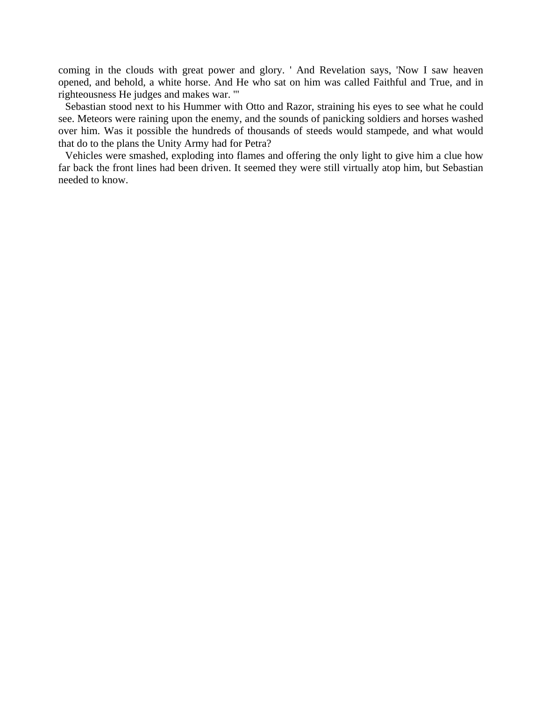coming in the clouds with great power and glory. ' And Revelation says, 'Now I saw heaven opened, and behold, a white horse. And He who sat on him was called Faithful and True, and in righteousness He judges and makes war. '"

Sebastian stood next to his Hummer with Otto and Razor, straining his eyes to see what he could see. Meteors were raining upon the enemy, and the sounds of panicking soldiers and horses washed over him. Was it possible the hundreds of thousands of steeds would stampede, and what would that do to the plans the Unity Army had for Petra?

Vehicles were smashed, exploding into flames and offering the only light to give him a clue how far back the front lines had been driven. It seemed they were still virtually atop him, but Sebastian needed to know.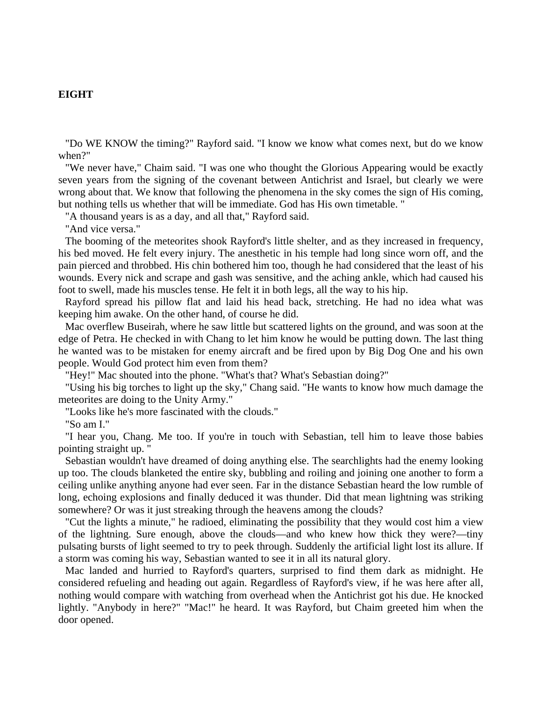## **EIGHT**

"Do WE KNOW the timing?" Rayford said. "I know we know what comes next, but do we know when?"

"We never have," Chaim said. "I was one who thought the Glorious Appearing would be exactly seven years from the signing of the covenant between Antichrist and Israel, but clearly we were wrong about that. We know that following the phenomena in the sky comes the sign of His coming, but nothing tells us whether that will be immediate. God has His own timetable. "

"A thousand years is as a day, and all that," Rayford said.

"And vice versa."

The booming of the meteorites shook Rayford's little shelter, and as they increased in frequency, his bed moved. He felt every injury. The anesthetic in his temple had long since worn off, and the pain pierced and throbbed. His chin bothered him too, though he had considered that the least of his wounds. Every nick and scrape and gash was sensitive, and the aching ankle, which had caused his foot to swell, made his muscles tense. He felt it in both legs, all the way to his hip.

Rayford spread his pillow flat and laid his head back, stretching. He had no idea what was keeping him awake. On the other hand, of course he did.

Mac overflew Buseirah, where he saw little but scattered lights on the ground, and was soon at the edge of Petra. He checked in with Chang to let him know he would be putting down. The last thing he wanted was to be mistaken for enemy aircraft and be fired upon by Big Dog One and his own people. Would God protect him even from them?

"Hey!" Mac shouted into the phone. "What's that? What's Sebastian doing?"

"Using his big torches to light up the sky," Chang said. "He wants to know how much damage the meteorites are doing to the Unity Army."

"Looks like he's more fascinated with the clouds."

"So am I."

"I hear you, Chang. Me too. If you're in touch with Sebastian, tell him to leave those babies pointing straight up. "

Sebastian wouldn't have dreamed of doing anything else. The searchlights had the enemy looking up too. The clouds blanketed the entire sky, bubbling and roiling and joining one another to form a ceiling unlike anything anyone had ever seen. Far in the distance Sebastian heard the low rumble of long, echoing explosions and finally deduced it was thunder. Did that mean lightning was striking somewhere? Or was it just streaking through the heavens among the clouds?

"Cut the lights a minute," he radioed, eliminating the possibility that they would cost him a view of the lightning. Sure enough, above the clouds—and who knew how thick they were?—tiny pulsating bursts of light seemed to try to peek through. Suddenly the artificial light lost its allure. If a storm was coming his way, Sebastian wanted to see it in all its natural glory.

Mac landed and hurried to Rayford's quarters, surprised to find them dark as midnight. He considered refueling and heading out again. Regardless of Rayford's view, if he was here after all, nothing would compare with watching from overhead when the Antichrist got his due. He knocked lightly. "Anybody in here?" "Mac!" he heard. It was Rayford, but Chaim greeted him when the door opened.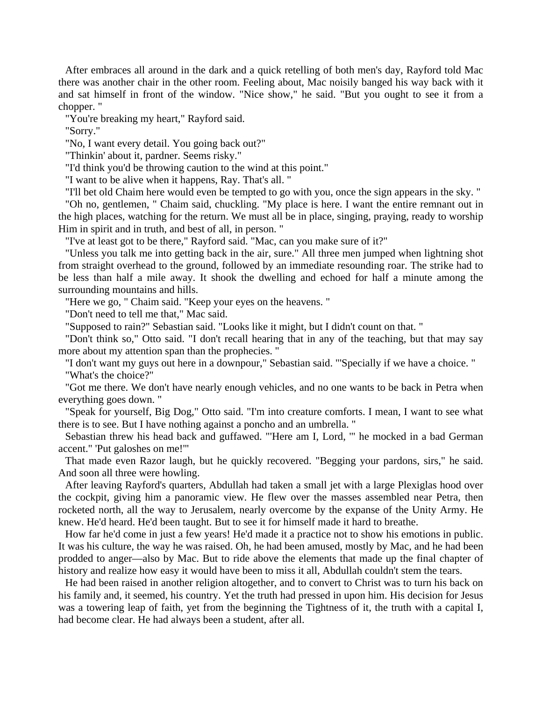After embraces all around in the dark and a quick retelling of both men's day, Rayford told Mac there was another chair in the other room. Feeling about, Mac noisily banged his way back with it and sat himself in front of the window. "Nice show," he said. "But you ought to see it from a chopper. "

"You're breaking my heart," Rayford said.

"Sorry."

"No, I want every detail. You going back out?"

"Thinkin' about it, pardner. Seems risky."

"I'd think you'd be throwing caution to the wind at this point."

"I want to be alive when it happens, Ray. That's all. "

"I'll bet old Chaim here would even be tempted to go with you, once the sign appears in the sky. "

"Oh no, gentlemen, " Chaim said, chuckling. "My place is here. I want the entire remnant out in the high places, watching for the return. We must all be in place, singing, praying, ready to worship Him in spirit and in truth, and best of all, in person. "

"I've at least got to be there," Rayford said. "Mac, can you make sure of it?"

"Unless you talk me into getting back in the air, sure." All three men jumped when lightning shot from straight overhead to the ground, followed by an immediate resounding roar. The strike had to be less than half a mile away. It shook the dwelling and echoed for half a minute among the surrounding mountains and hills.

"Here we go, " Chaim said. "Keep your eyes on the heavens. "

"Don't need to tell me that," Mac said.

"Supposed to rain?" Sebastian said. "Looks like it might, but I didn't count on that. "

"Don't think so," Otto said. "I don't recall hearing that in any of the teaching, but that may say more about my attention span than the prophecies. "

"I don't want my guys out here in a downpour," Sebastian said. "'Specially if we have a choice. "

"What's the choice?"

"Got me there. We don't have nearly enough vehicles, and no one wants to be back in Petra when everything goes down. "

"Speak for yourself, Big Dog," Otto said. "I'm into creature comforts. I mean, I want to see what there is to see. But I have nothing against a poncho and an umbrella. "

Sebastian threw his head back and guffawed. "'Here am I, Lord, '" he mocked in a bad German accent." 'Put galoshes on me!'"

That made even Razor laugh, but he quickly recovered. "Begging your pardons, sirs," he said. And soon all three were howling.

After leaving Rayford's quarters, Abdullah had taken a small jet with a large Plexiglas hood over the cockpit, giving him a panoramic view. He flew over the masses assembled near Petra, then rocketed north, all the way to Jerusalem, nearly overcome by the expanse of the Unity Army. He knew. He'd heard. He'd been taught. But to see it for himself made it hard to breathe.

How far he'd come in just a few years! He'd made it a practice not to show his emotions in public. It was his culture, the way he was raised. Oh, he had been amused, mostly by Mac, and he had been prodded to anger—also by Mac. But to ride above the elements that made up the final chapter of history and realize how easy it would have been to miss it all, Abdullah couldn't stem the tears.

He had been raised in another religion altogether, and to convert to Christ was to turn his back on his family and, it seemed, his country. Yet the truth had pressed in upon him. His decision for Jesus was a towering leap of faith, yet from the beginning the Tightness of it, the truth with a capital I, had become clear. He had always been a student, after all.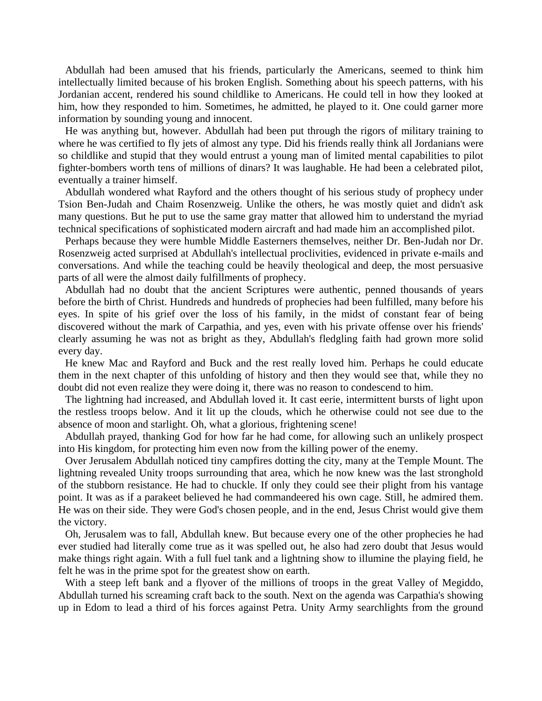Abdullah had been amused that his friends, particularly the Americans, seemed to think him intellectually limited because of his broken English. Something about his speech patterns, with his Jordanian accent, rendered his sound childlike to Americans. He could tell in how they looked at him, how they responded to him. Sometimes, he admitted, he played to it. One could garner more information by sounding young and innocent.

He was anything but, however. Abdullah had been put through the rigors of military training to where he was certified to fly jets of almost any type. Did his friends really think all Jordanians were so childlike and stupid that they would entrust a young man of limited mental capabilities to pilot fighter-bombers worth tens of millions of dinars? It was laughable. He had been a celebrated pilot, eventually a trainer himself.

Abdullah wondered what Rayford and the others thought of his serious study of prophecy under Tsion Ben-Judah and Chaim Rosenzweig. Unlike the others, he was mostly quiet and didn't ask many questions. But he put to use the same gray matter that allowed him to understand the myriad technical specifications of sophisticated modern aircraft and had made him an accomplished pilot.

Perhaps because they were humble Middle Easterners themselves, neither Dr. Ben-Judah nor Dr. Rosenzweig acted surprised at Abdullah's intellectual proclivities, evidenced in private e-mails and conversations. And while the teaching could be heavily theological and deep, the most persuasive parts of all were the almost daily fulfillments of prophecy.

Abdullah had no doubt that the ancient Scriptures were authentic, penned thousands of years before the birth of Christ. Hundreds and hundreds of prophecies had been fulfilled, many before his eyes. In spite of his grief over the loss of his family, in the midst of constant fear of being discovered without the mark of Carpathia, and yes, even with his private offense over his friends' clearly assuming he was not as bright as they, Abdullah's fledgling faith had grown more solid every day.

He knew Mac and Rayford and Buck and the rest really loved him. Perhaps he could educate them in the next chapter of this unfolding of history and then they would see that, while they no doubt did not even realize they were doing it, there was no reason to condescend to him.

The lightning had increased, and Abdullah loved it. It cast eerie, intermittent bursts of light upon the restless troops below. And it lit up the clouds, which he otherwise could not see due to the absence of moon and starlight. Oh, what a glorious, frightening scene!

Abdullah prayed, thanking God for how far he had come, for allowing such an unlikely prospect into His kingdom, for protecting him even now from the killing power of the enemy.

Over Jerusalem Abdullah noticed tiny campfires dotting the city, many at the Temple Mount. The lightning revealed Unity troops surrounding that area, which he now knew was the last stronghold of the stubborn resistance. He had to chuckle. If only they could see their plight from his vantage point. It was as if a parakeet believed he had commandeered his own cage. Still, he admired them. He was on their side. They were God's chosen people, and in the end, Jesus Christ would give them the victory.

Oh, Jerusalem was to fall, Abdullah knew. But because every one of the other prophecies he had ever studied had literally come true as it was spelled out, he also had zero doubt that Jesus would make things right again. With a full fuel tank and a lightning show to illumine the playing field, he felt he was in the prime spot for the greatest show on earth.

With a steep left bank and a flyover of the millions of troops in the great Valley of Megiddo, Abdullah turned his screaming craft back to the south. Next on the agenda was Carpathia's showing up in Edom to lead a third of his forces against Petra. Unity Army searchlights from the ground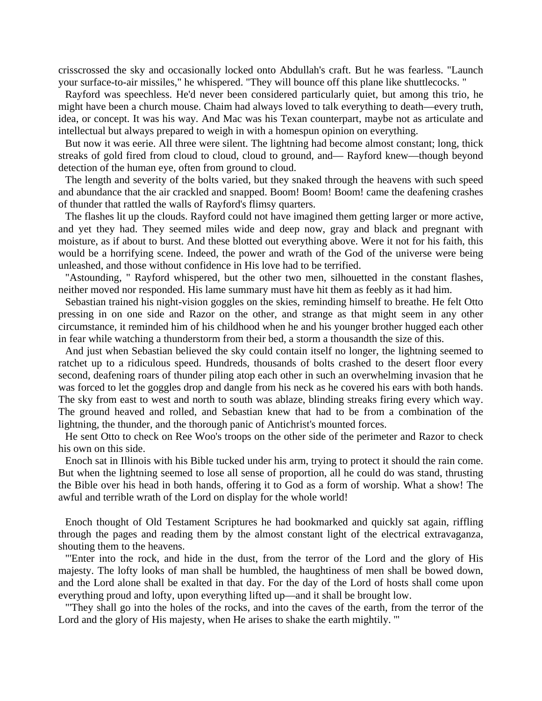crisscrossed the sky and occasionally locked onto Abdullah's craft. But he was fearless. "Launch your surface-to-air missiles," he whispered. "They will bounce off this plane like shuttlecocks. "

Rayford was speechless. He'd never been considered particularly quiet, but among this trio, he might have been a church mouse. Chaim had always loved to talk everything to death—every truth, idea, or concept. It was his way. And Mac was his Texan counterpart, maybe not as articulate and intellectual but always prepared to weigh in with a homespun opinion on everything.

But now it was eerie. All three were silent. The lightning had become almost constant; long, thick streaks of gold fired from cloud to cloud, cloud to ground, and— Rayford knew—though beyond detection of the human eye, often from ground to cloud.

The length and severity of the bolts varied, but they snaked through the heavens with such speed and abundance that the air crackled and snapped. Boom! Boom! Boom! came the deafening crashes of thunder that rattled the walls of Rayford's flimsy quarters.

The flashes lit up the clouds. Rayford could not have imagined them getting larger or more active, and yet they had. They seemed miles wide and deep now, gray and black and pregnant with moisture, as if about to burst. And these blotted out everything above. Were it not for his faith, this would be a horrifying scene. Indeed, the power and wrath of the God of the universe were being unleashed, and those without confidence in His love had to be terrified.

"Astounding, " Rayford whispered, but the other two men, silhouetted in the constant flashes, neither moved nor responded. His lame summary must have hit them as feebly as it had him.

Sebastian trained his night-vision goggles on the skies, reminding himself to breathe. He felt Otto pressing in on one side and Razor on the other, and strange as that might seem in any other circumstance, it reminded him of his childhood when he and his younger brother hugged each other in fear while watching a thunderstorm from their bed, a storm a thousandth the size of this.

And just when Sebastian believed the sky could contain itself no longer, the lightning seemed to ratchet up to a ridiculous speed. Hundreds, thousands of bolts crashed to the desert floor every second, deafening roars of thunder piling atop each other in such an overwhelming invasion that he was forced to let the goggles drop and dangle from his neck as he covered his ears with both hands. The sky from east to west and north to south was ablaze, blinding streaks firing every which way. The ground heaved and rolled, and Sebastian knew that had to be from a combination of the lightning, the thunder, and the thorough panic of Antichrist's mounted forces.

He sent Otto to check on Ree Woo's troops on the other side of the perimeter and Razor to check his own on this side.

Enoch sat in Illinois with his Bible tucked under his arm, trying to protect it should the rain come. But when the lightning seemed to lose all sense of proportion, all he could do was stand, thrusting the Bible over his head in both hands, offering it to God as a form of worship. What a show! The awful and terrible wrath of the Lord on display for the whole world!

Enoch thought of Old Testament Scriptures he had bookmarked and quickly sat again, riffling through the pages and reading them by the almost constant light of the electrical extravaganza, shouting them to the heavens.

"'Enter into the rock, and hide in the dust, from the terror of the Lord and the glory of His majesty. The lofty looks of man shall be humbled, the haughtiness of men shall be bowed down, and the Lord alone shall be exalted in that day. For the day of the Lord of hosts shall come upon everything proud and lofty, upon everything lifted up—and it shall be brought low.

"'They shall go into the holes of the rocks, and into the caves of the earth, from the terror of the Lord and the glory of His majesty, when He arises to shake the earth mightily. '"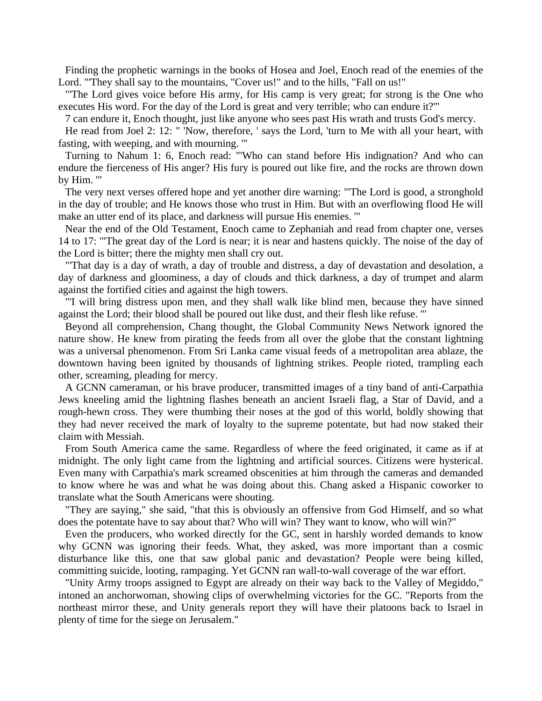Finding the prophetic warnings in the books of Hosea and Joel, Enoch read of the enemies of the Lord. "'They shall say to the mountains, "Cover us!" and to the hills, "Fall on us!"

"'The Lord gives voice before His army, for His camp is very great; for strong is the One who executes His word. For the day of the Lord is great and very terrible; who can endure it?'"

7 can endure it, Enoch thought, just like anyone who sees past His wrath and trusts God's mercy.

He read from Joel 2: 12: " 'Now, therefore, ' says the Lord, 'turn to Me with all your heart, with fasting, with weeping, and with mourning. '"

Turning to Nahum 1: 6, Enoch read: "'Who can stand before His indignation? And who can endure the fierceness of His anger? His fury is poured out like fire, and the rocks are thrown down by Him. '"

The very next verses offered hope and yet another dire warning: "'The Lord is good, a stronghold in the day of trouble; and He knows those who trust in Him. But with an overflowing flood He will make an utter end of its place, and darkness will pursue His enemies. '"

Near the end of the Old Testament, Enoch came to Zephaniah and read from chapter one, verses 14 to 17: '"The great day of the Lord is near; it is near and hastens quickly. The noise of the day of the Lord is bitter; there the mighty men shall cry out.

"'That day is a day of wrath, a day of trouble and distress, a day of devastation and desolation, a day of darkness and gloominess, a day of clouds and thick darkness, a day of trumpet and alarm against the fortified cities and against the high towers.

"'I will bring distress upon men, and they shall walk like blind men, because they have sinned against the Lord; their blood shall be poured out like dust, and their flesh like refuse. '"

Beyond all comprehension, Chang thought, the Global Community News Network ignored the nature show. He knew from pirating the feeds from all over the globe that the constant lightning was a universal phenomenon. From Sri Lanka came visual feeds of a metropolitan area ablaze, the downtown having been ignited by thousands of lightning strikes. People rioted, trampling each other, screaming, pleading for mercy.

A GCNN cameraman, or his brave producer, transmitted images of a tiny band of anti-Carpathia Jews kneeling amid the lightning flashes beneath an ancient Israeli flag, a Star of David, and a rough-hewn cross. They were thumbing their noses at the god of this world, boldly showing that they had never received the mark of loyalty to the supreme potentate, but had now staked their claim with Messiah.

From South America came the same. Regardless of where the feed originated, it came as if at midnight. The only light came from the lightning and artificial sources. Citizens were hysterical. Even many with Carpathia's mark screamed obscenities at him through the cameras and demanded to know where he was and what he was doing about this. Chang asked a Hispanic coworker to translate what the South Americans were shouting.

"They are saying," she said, "that this is obviously an offensive from God Himself, and so what does the potentate have to say about that? Who will win? They want to know, who will win?"

Even the producers, who worked directly for the GC, sent in harshly worded demands to know why GCNN was ignoring their feeds. What, they asked, was more important than a cosmic disturbance like this, one that saw global panic and devastation? People were being killed, committing suicide, looting, rampaging. Yet GCNN ran wall-to-wall coverage of the war effort.

"Unity Army troops assigned to Egypt are already on their way back to the Valley of Megiddo," intoned an anchorwoman, showing clips of overwhelming victories for the GC. "Reports from the northeast mirror these, and Unity generals report they will have their platoons back to Israel in plenty of time for the siege on Jerusalem."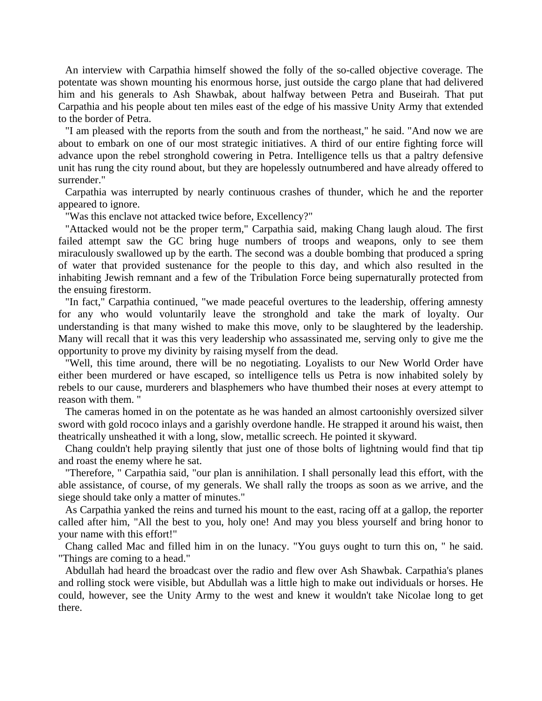An interview with Carpathia himself showed the folly of the so-called objective coverage. The potentate was shown mounting his enormous horse, just outside the cargo plane that had delivered him and his generals to Ash Shawbak, about halfway between Petra and Buseirah. That put Carpathia and his people about ten miles east of the edge of his massive Unity Army that extended to the border of Petra.

"I am pleased with the reports from the south and from the northeast," he said. "And now we are about to embark on one of our most strategic initiatives. A third of our entire fighting force will advance upon the rebel stronghold cowering in Petra. Intelligence tells us that a paltry defensive unit has rung the city round about, but they are hopelessly outnumbered and have already offered to surrender."

Carpathia was interrupted by nearly continuous crashes of thunder, which he and the reporter appeared to ignore.

"Was this enclave not attacked twice before, Excellency?"

"Attacked would not be the proper term," Carpathia said, making Chang laugh aloud. The first failed attempt saw the GC bring huge numbers of troops and weapons, only to see them miraculously swallowed up by the earth. The second was a double bombing that produced a spring of water that provided sustenance for the people to this day, and which also resulted in the inhabiting Jewish remnant and a few of the Tribulation Force being supernaturally protected from the ensuing firestorm.

"In fact," Carpathia continued, "we made peaceful overtures to the leadership, offering amnesty for any who would voluntarily leave the stronghold and take the mark of loyalty. Our understanding is that many wished to make this move, only to be slaughtered by the leadership. Many will recall that it was this very leadership who assassinated me, serving only to give me the opportunity to prove my divinity by raising myself from the dead.

"Well, this time around, there will be no negotiating. Loyalists to our New World Order have either been murdered or have escaped, so intelligence tells us Petra is now inhabited solely by rebels to our cause, murderers and blasphemers who have thumbed their noses at every attempt to reason with them. "

The cameras homed in on the potentate as he was handed an almost cartoonishly oversized silver sword with gold rococo inlays and a garishly overdone handle. He strapped it around his waist, then theatrically unsheathed it with a long, slow, metallic screech. He pointed it skyward.

Chang couldn't help praying silently that just one of those bolts of lightning would find that tip and roast the enemy where he sat.

"Therefore, " Carpathia said, "our plan is annihilation. I shall personally lead this effort, with the able assistance, of course, of my generals. We shall rally the troops as soon as we arrive, and the siege should take only a matter of minutes."

As Carpathia yanked the reins and turned his mount to the east, racing off at a gallop, the reporter called after him, "All the best to you, holy one! And may you bless yourself and bring honor to your name with this effort!"

Chang called Mac and filled him in on the lunacy. "You guys ought to turn this on, " he said. "Things are coming to a head."

Abdullah had heard the broadcast over the radio and flew over Ash Shawbak. Carpathia's planes and rolling stock were visible, but Abdullah was a little high to make out individuals or horses. He could, however, see the Unity Army to the west and knew it wouldn't take Nicolae long to get there.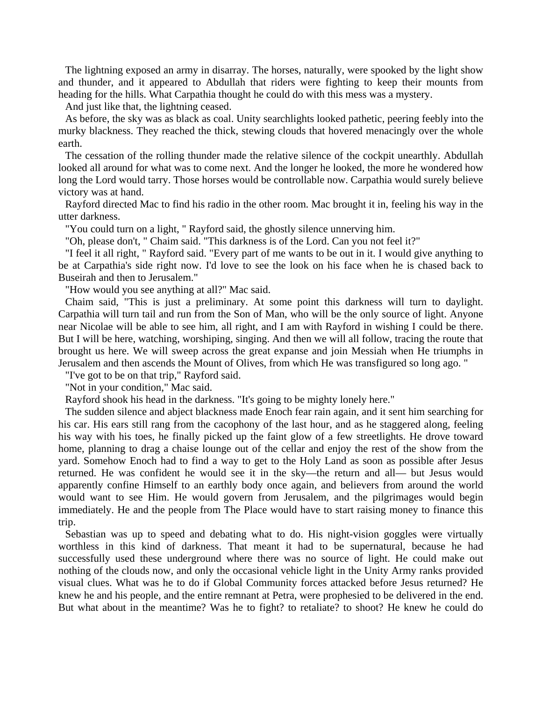The lightning exposed an army in disarray. The horses, naturally, were spooked by the light show and thunder, and it appeared to Abdullah that riders were fighting to keep their mounts from heading for the hills. What Carpathia thought he could do with this mess was a mystery.

And just like that, the lightning ceased.

As before, the sky was as black as coal. Unity searchlights looked pathetic, peering feebly into the murky blackness. They reached the thick, stewing clouds that hovered menacingly over the whole earth.

The cessation of the rolling thunder made the relative silence of the cockpit unearthly. Abdullah looked all around for what was to come next. And the longer he looked, the more he wondered how long the Lord would tarry. Those horses would be controllable now. Carpathia would surely believe victory was at hand.

Rayford directed Mac to find his radio in the other room. Mac brought it in, feeling his way in the utter darkness.

"You could turn on a light, " Rayford said, the ghostly silence unnerving him.

"Oh, please don't, " Chaim said. "This darkness is of the Lord. Can you not feel it?"

"I feel it all right, " Rayford said. "Every part of me wants to be out in it. I would give anything to be at Carpathia's side right now. I'd love to see the look on his face when he is chased back to Buseirah and then to Jerusalem."

"How would you see anything at all?" Mac said.

Chaim said, "This is just a preliminary. At some point this darkness will turn to daylight. Carpathia will turn tail and run from the Son of Man, who will be the only source of light. Anyone near Nicolae will be able to see him, all right, and I am with Rayford in wishing I could be there. But I will be here, watching, worshiping, singing. And then we will all follow, tracing the route that brought us here. We will sweep across the great expanse and join Messiah when He triumphs in Jerusalem and then ascends the Mount of Olives, from which He was transfigured so long ago. "

"I've got to be on that trip," Rayford said.

"Not in your condition," Mac said.

Rayford shook his head in the darkness. "It's going to be mighty lonely here."

The sudden silence and abject blackness made Enoch fear rain again, and it sent him searching for his car. His ears still rang from the cacophony of the last hour, and as he staggered along, feeling his way with his toes, he finally picked up the faint glow of a few streetlights. He drove toward home, planning to drag a chaise lounge out of the cellar and enjoy the rest of the show from the yard. Somehow Enoch had to find a way to get to the Holy Land as soon as possible after Jesus returned. He was confident he would see it in the sky—the return and all— but Jesus would apparently confine Himself to an earthly body once again, and believers from around the world would want to see Him. He would govern from Jerusalem, and the pilgrimages would begin immediately. He and the people from The Place would have to start raising money to finance this trip.

Sebastian was up to speed and debating what to do. His night-vision goggles were virtually worthless in this kind of darkness. That meant it had to be supernatural, because he had successfully used these underground where there was no source of light. He could make out nothing of the clouds now, and only the occasional vehicle light in the Unity Army ranks provided visual clues. What was he to do if Global Community forces attacked before Jesus returned? He knew he and his people, and the entire remnant at Petra, were prophesied to be delivered in the end. But what about in the meantime? Was he to fight? to retaliate? to shoot? He knew he could do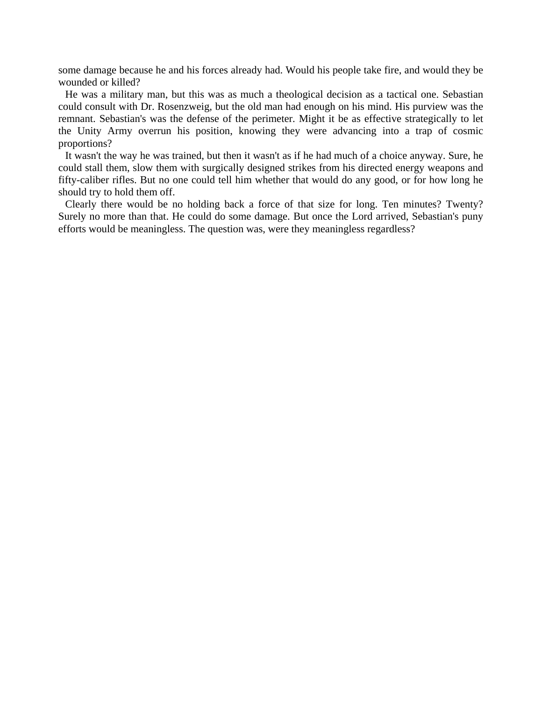some damage because he and his forces already had. Would his people take fire, and would they be wounded or killed?

He was a military man, but this was as much a theological decision as a tactical one. Sebastian could consult with Dr. Rosenzweig, but the old man had enough on his mind. His purview was the remnant. Sebastian's was the defense of the perimeter. Might it be as effective strategically to let the Unity Army overrun his position, knowing they were advancing into a trap of cosmic proportions?

It wasn't the way he was trained, but then it wasn't as if he had much of a choice anyway. Sure, he could stall them, slow them with surgically designed strikes from his directed energy weapons and fifty-caliber rifles. But no one could tell him whether that would do any good, or for how long he should try to hold them off.

Clearly there would be no holding back a force of that size for long. Ten minutes? Twenty? Surely no more than that. He could do some damage. But once the Lord arrived, Sebastian's puny efforts would be meaningless. The question was, were they meaningless regardless?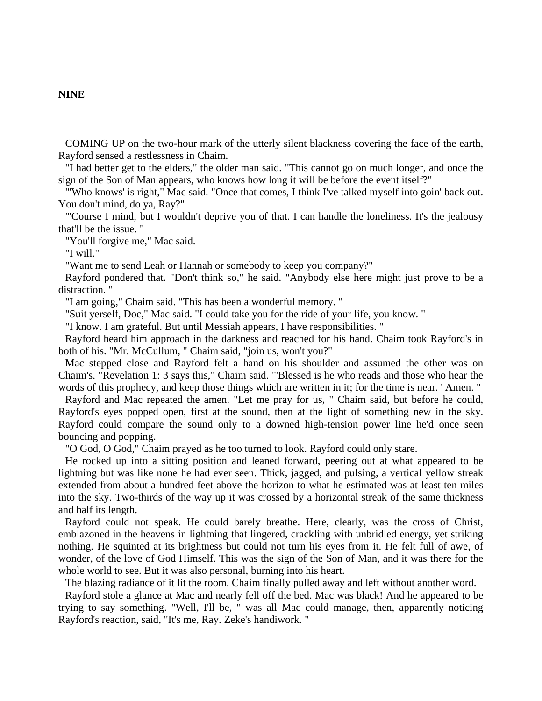## **NINE**

COMING UP on the two-hour mark of the utterly silent blackness covering the face of the earth, Rayford sensed a restlessness in Chaim.

"I had better get to the elders," the older man said. "This cannot go on much longer, and once the sign of the Son of Man appears, who knows how long it will be before the event itself?"

"'Who knows' is right," Mac said. "Once that comes, I think I've talked myself into goin' back out. You don't mind, do ya, Ray?"

"'Course I mind, but I wouldn't deprive you of that. I can handle the loneliness. It's the jealousy that'll be the issue. "

"You'll forgive me," Mac said.

"I will."

"Want me to send Leah or Hannah or somebody to keep you company?"

Rayford pondered that. "Don't think so," he said. "Anybody else here might just prove to be a distraction. "

"I am going," Chaim said. "This has been a wonderful memory. "

"Suit yerself, Doc," Mac said. "I could take you for the ride of your life, you know. "

"I know. I am grateful. But until Messiah appears, I have responsibilities. "

Rayford heard him approach in the darkness and reached for his hand. Chaim took Rayford's in both of his. "Mr. McCullum, " Chaim said, "join us, won't you?"

Mac stepped close and Rayford felt a hand on his shoulder and assumed the other was on Chaim's. "Revelation 1: 3 says this," Chaim said. "'Blessed is he who reads and those who hear the words of this prophecy, and keep those things which are written in it; for the time is near. ' Amen. "

Rayford and Mac repeated the amen. "Let me pray for us, " Chaim said, but before he could, Rayford's eyes popped open, first at the sound, then at the light of something new in the sky. Rayford could compare the sound only to a downed high-tension power line he'd once seen bouncing and popping.

"O God, O God," Chaim prayed as he too turned to look. Rayford could only stare.

He rocked up into a sitting position and leaned forward, peering out at what appeared to be lightning but was like none he had ever seen. Thick, jagged, and pulsing, a vertical yellow streak extended from about a hundred feet above the horizon to what he estimated was at least ten miles into the sky. Two-thirds of the way up it was crossed by a horizontal streak of the same thickness and half its length.

Rayford could not speak. He could barely breathe. Here, clearly, was the cross of Christ, emblazoned in the heavens in lightning that lingered, crackling with unbridled energy, yet striking nothing. He squinted at its brightness but could not turn his eyes from it. He felt full of awe, of wonder, of the love of God Himself. This was the sign of the Son of Man, and it was there for the whole world to see. But it was also personal, burning into his heart.

The blazing radiance of it lit the room. Chaim finally pulled away and left without another word.

Rayford stole a glance at Mac and nearly fell off the bed. Mac was black! And he appeared to be trying to say something. "Well, I'll be, " was all Mac could manage, then, apparently noticing Rayford's reaction, said, "It's me, Ray. Zeke's handiwork. "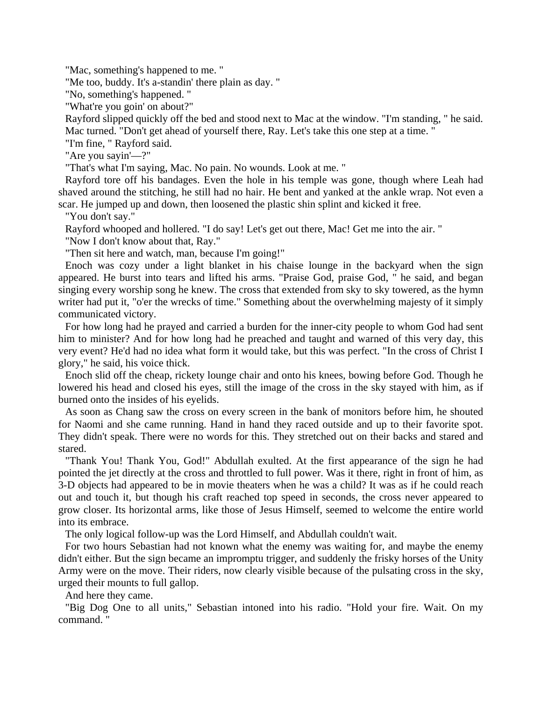"Mac, something's happened to me. "

"Me too, buddy. It's a-standin' there plain as day. "

"No, something's happened. "

"What're you goin' on about?"

Rayford slipped quickly off the bed and stood next to Mac at the window. "I'm standing, " he said. Mac turned. "Don't get ahead of yourself there, Ray. Let's take this one step at a time. "

"I'm fine, " Rayford said.

"Are you sayin'—?"

"That's what I'm saying, Mac. No pain. No wounds. Look at me. "

Rayford tore off his bandages. Even the hole in his temple was gone, though where Leah had shaved around the stitching, he still had no hair. He bent and yanked at the ankle wrap. Not even a scar. He jumped up and down, then loosened the plastic shin splint and kicked it free.

"You don't say."

Rayford whooped and hollered. "I do say! Let's get out there, Mac! Get me into the air. "

"Now I don't know about that, Ray."

"Then sit here and watch, man, because I'm going!"

Enoch was cozy under a light blanket in his chaise lounge in the backyard when the sign appeared. He burst into tears and lifted his arms. "Praise God, praise God, " he said, and began singing every worship song he knew. The cross that extended from sky to sky towered, as the hymn writer had put it, "o'er the wrecks of time." Something about the overwhelming majesty of it simply communicated victory.

For how long had he prayed and carried a burden for the inner-city people to whom God had sent him to minister? And for how long had he preached and taught and warned of this very day, this very event? He'd had no idea what form it would take, but this was perfect. "In the cross of Christ I glory," he said, his voice thick.

Enoch slid off the cheap, rickety lounge chair and onto his knees, bowing before God. Though he lowered his head and closed his eyes, still the image of the cross in the sky stayed with him, as if burned onto the insides of his eyelids.

As soon as Chang saw the cross on every screen in the bank of monitors before him, he shouted for Naomi and she came running. Hand in hand they raced outside and up to their favorite spot. They didn't speak. There were no words for this. They stretched out on their backs and stared and stared.

"Thank You! Thank You, God!" Abdullah exulted. At the first appearance of the sign he had pointed the jet directly at the cross and throttled to full power. Was it there, right in front of him, as 3-D objects had appeared to be in movie theaters when he was a child? It was as if he could reach out and touch it, but though his craft reached top speed in seconds, the cross never appeared to grow closer. Its horizontal arms, like those of Jesus Himself, seemed to welcome the entire world into its embrace.

The only logical follow-up was the Lord Himself, and Abdullah couldn't wait.

For two hours Sebastian had not known what the enemy was waiting for, and maybe the enemy didn't either. But the sign became an impromptu trigger, and suddenly the frisky horses of the Unity Army were on the move. Their riders, now clearly visible because of the pulsating cross in the sky, urged their mounts to full gallop.

And here they came.

"Big Dog One to all units," Sebastian intoned into his radio. "Hold your fire. Wait. On my command. "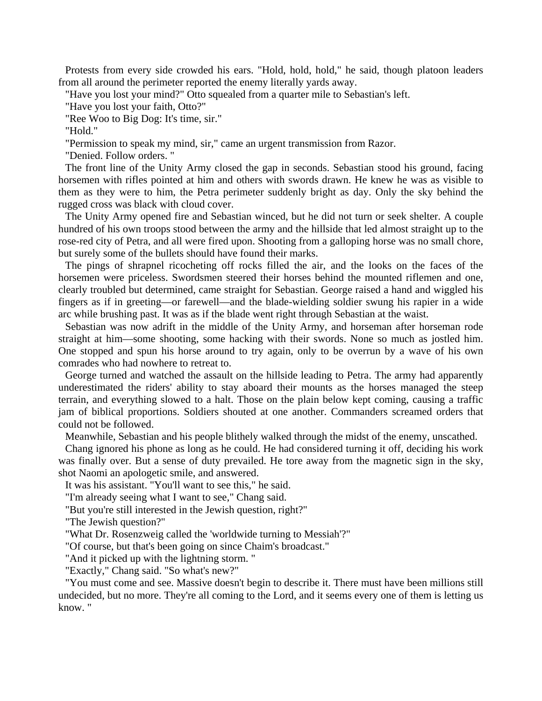Protests from every side crowded his ears. "Hold, hold, hold," he said, though platoon leaders from all around the perimeter reported the enemy literally yards away.

"Have you lost your mind?" Otto squealed from a quarter mile to Sebastian's left.

"Have you lost your faith, Otto?"

"Ree Woo to Big Dog: It's time, sir."

"Hold."

"Permission to speak my mind, sir," came an urgent transmission from Razor.

"Denied. Follow orders. "

The front line of the Unity Army closed the gap in seconds. Sebastian stood his ground, facing horsemen with rifles pointed at him and others with swords drawn. He knew he was as visible to them as they were to him, the Petra perimeter suddenly bright as day. Only the sky behind the rugged cross was black with cloud cover.

The Unity Army opened fire and Sebastian winced, but he did not turn or seek shelter. A couple hundred of his own troops stood between the army and the hillside that led almost straight up to the rose-red city of Petra, and all were fired upon. Shooting from a galloping horse was no small chore, but surely some of the bullets should have found their marks.

The pings of shrapnel ricocheting off rocks filled the air, and the looks on the faces of the horsemen were priceless. Swordsmen steered their horses behind the mounted riflemen and one, clearly troubled but determined, came straight for Sebastian. George raised a hand and wiggled his fingers as if in greeting—or farewell—and the blade-wielding soldier swung his rapier in a wide arc while brushing past. It was as if the blade went right through Sebastian at the waist.

Sebastian was now adrift in the middle of the Unity Army, and horseman after horseman rode straight at him—some shooting, some hacking with their swords. None so much as jostled him. One stopped and spun his horse around to try again, only to be overrun by a wave of his own comrades who had nowhere to retreat to.

George turned and watched the assault on the hillside leading to Petra. The army had apparently underestimated the riders' ability to stay aboard their mounts as the horses managed the steep terrain, and everything slowed to a halt. Those on the plain below kept coming, causing a traffic jam of biblical proportions. Soldiers shouted at one another. Commanders screamed orders that could not be followed.

Meanwhile, Sebastian and his people blithely walked through the midst of the enemy, unscathed.

Chang ignored his phone as long as he could. He had considered turning it off, deciding his work was finally over. But a sense of duty prevailed. He tore away from the magnetic sign in the sky, shot Naomi an apologetic smile, and answered.

It was his assistant. "You'll want to see this," he said.

"I'm already seeing what I want to see," Chang said.

"But you're still interested in the Jewish question, right?"

"The Jewish question?"

"What Dr. Rosenzweig called the 'worldwide turning to Messiah'?"

"Of course, but that's been going on since Chaim's broadcast."

"And it picked up with the lightning storm. "

"Exactly," Chang said. "So what's new?"

"You must come and see. Massive doesn't begin to describe it. There must have been millions still undecided, but no more. They're all coming to the Lord, and it seems every one of them is letting us know. "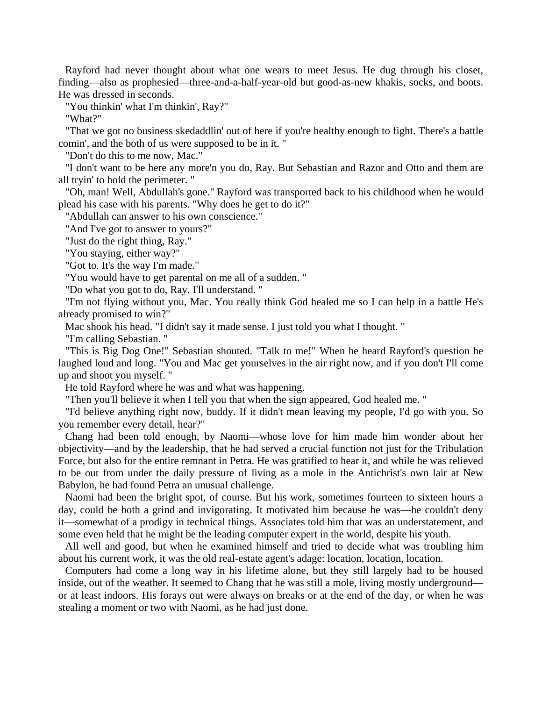Rayford had never thought about what one wears to meet Jesus. He dug through his closet, finding—also as prophesied—three-and-a-half-year-old but good-as-new khakis, socks, and boots. He was dressed in seconds.

"You thinkin' what I'm thinkin', Ray?"

"What?"

"That we got no business skedaddlin' out of here if you're healthy enough to fight. There's a battle comin', and the both of us were supposed to be in it. "

"Don't do this to me now, Mac."

"I don't want to be here any more'n you do, Ray. But Sebastian and Razor and Otto and them are all tryin' to hold the perimeter. "

"Oh, man! Well, Abdullah's gone." Rayford was transported back to his childhood when he would plead his case with his parents. "Why does he get to do it?"

"Abdullah can answer to his own conscience."

"And I've got to answer to yours?"

"Just do the right thing, Ray."

"You staying, either way?"

"Got to. It's the way I'm made."

"You would have to get parental on me all of a sudden. "

"Do what you got to do, Ray. I'll understand. "

"I'm not flying without you, Mac. You really think God healed me so I can help in a battle He's already promised to win?"

Mac shook his head. "I didn't say it made sense. I just told you what I thought. "

"I'm calling Sebastian. "

"This is Big Dog One!" Sebastian shouted. "Talk to me!" When he heard Rayford's question he laughed loud and long. "You and Mac get yourselves in the air right now, and if you don't I'll come up and shoot you myself. "

He told Rayford where he was and what was happening.

"Then you'll believe it when I tell you that when the sign appeared, God healed me. "

"I'd believe anything right now, buddy. If it didn't mean leaving my people, I'd go with you. So you remember every detail, hear?"

Chang had been told enough, by Naomi—whose love for him made him wonder about her objectivity—and by the leadership, that he had served a crucial function not just for the Tribulation Force, but also for the entire remnant in Petra. He was gratified to hear it, and while he was relieved to be out from under the daily pressure of living as a mole in the Antichrist's own lair at New Babylon, he had found Petra an unusual challenge.

Naomi had been the bright spot, of course. But his work, sometimes fourteen to sixteen hours a day, could be both a grind and invigorating. It motivated him because he was—he couldn't deny it—somewhat of a prodigy in technical things. Associates told him that was an understatement, and some even held that he might be the leading computer expert in the world, despite his youth.

All well and good, but when he examined himself and tried to decide what was troubling him about his current work, it was the old real-estate agent's adage: location, location, location.

Computers had come a long way in his lifetime alone, but they still largely had to be housed inside, out of the weather. It seemed to Chang that he was still a mole, living mostly underground or at least indoors. His forays out were always on breaks or at the end of the day, or when he was stealing a moment or two with Naomi, as he had just done.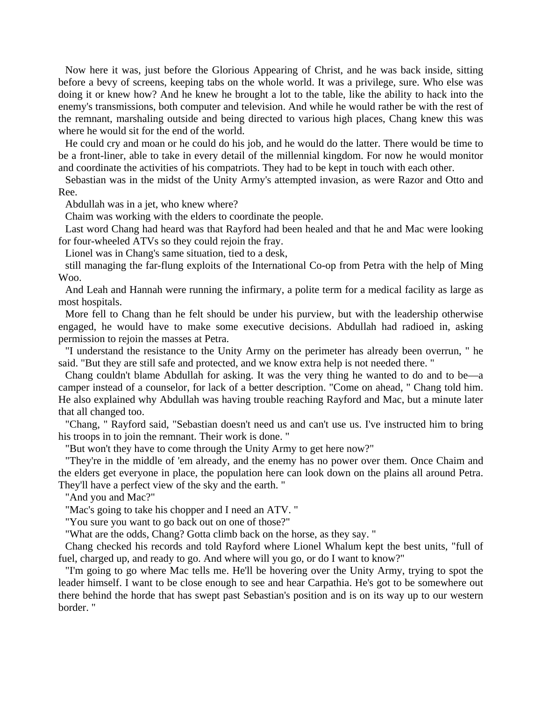Now here it was, just before the Glorious Appearing of Christ, and he was back inside, sitting before a bevy of screens, keeping tabs on the whole world. It was a privilege, sure. Who else was doing it or knew how? And he knew he brought a lot to the table, like the ability to hack into the enemy's transmissions, both computer and television. And while he would rather be with the rest of the remnant, marshaling outside and being directed to various high places, Chang knew this was where he would sit for the end of the world.

He could cry and moan or he could do his job, and he would do the latter. There would be time to be a front-liner, able to take in every detail of the millennial kingdom. For now he would monitor and coordinate the activities of his compatriots. They had to be kept in touch with each other.

Sebastian was in the midst of the Unity Army's attempted invasion, as were Razor and Otto and Ree.

Abdullah was in a jet, who knew where?

Chaim was working with the elders to coordinate the people.

Last word Chang had heard was that Rayford had been healed and that he and Mac were looking for four-wheeled ATVs so they could rejoin the fray.

Lionel was in Chang's same situation, tied to a desk,

still managing the far-flung exploits of the International Co-op from Petra with the help of Ming Woo.

And Leah and Hannah were running the infirmary, a polite term for a medical facility as large as most hospitals.

More fell to Chang than he felt should be under his purview, but with the leadership otherwise engaged, he would have to make some executive decisions. Abdullah had radioed in, asking permission to rejoin the masses at Petra.

"I understand the resistance to the Unity Army on the perimeter has already been overrun, " he said. "But they are still safe and protected, and we know extra help is not needed there. "

Chang couldn't blame Abdullah for asking. It was the very thing he wanted to do and to be—a camper instead of a counselor, for lack of a better description. "Come on ahead, " Chang told him. He also explained why Abdullah was having trouble reaching Rayford and Mac, but a minute later that all changed too.

"Chang, " Rayford said, "Sebastian doesn't need us and can't use us. I've instructed him to bring his troops in to join the remnant. Their work is done. "

"But won't they have to come through the Unity Army to get here now?"

"They're in the middle of 'em already, and the enemy has no power over them. Once Chaim and the elders get everyone in place, the population here can look down on the plains all around Petra. They'll have a perfect view of the sky and the earth. "

"And you and Mac?"

"Mac's going to take his chopper and I need an ATV. "

"You sure you want to go back out on one of those?"

"What are the odds, Chang? Gotta climb back on the horse, as they say. "

Chang checked his records and told Rayford where Lionel Whalum kept the best units, "full of fuel, charged up, and ready to go. And where will you go, or do I want to know?"

"I'm going to go where Mac tells me. He'll be hovering over the Unity Army, trying to spot the leader himself. I want to be close enough to see and hear Carpathia. He's got to be somewhere out there behind the horde that has swept past Sebastian's position and is on its way up to our western border. "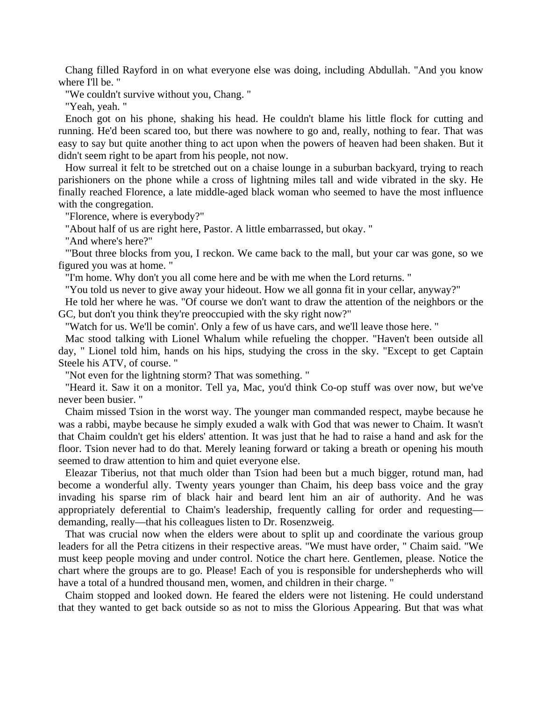Chang filled Rayford in on what everyone else was doing, including Abdullah. "And you know where I'll be. "

"We couldn't survive without you, Chang. "

"Yeah, yeah. "

Enoch got on his phone, shaking his head. He couldn't blame his little flock for cutting and running. He'd been scared too, but there was nowhere to go and, really, nothing to fear. That was easy to say but quite another thing to act upon when the powers of heaven had been shaken. But it didn't seem right to be apart from his people, not now.

How surreal it felt to be stretched out on a chaise lounge in a suburban backyard, trying to reach parishioners on the phone while a cross of lightning miles tall and wide vibrated in the sky. He finally reached Florence, a late middle-aged black woman who seemed to have the most influence with the congregation.

"Florence, where is everybody?"

"About half of us are right here, Pastor. A little embarrassed, but okay. "

"And where's here?"

"'Bout three blocks from you, I reckon. We came back to the mall, but your car was gone, so we figured you was at home. "

"I'm home. Why don't you all come here and be with me when the Lord returns. "

"You told us never to give away your hideout. How we all gonna fit in your cellar, anyway?"

He told her where he was. "Of course we don't want to draw the attention of the neighbors or the GC, but don't you think they're preoccupied with the sky right now?"

"Watch for us. We'll be comin'. Only a few of us have cars, and we'll leave those here. "

Mac stood talking with Lionel Whalum while refueling the chopper. "Haven't been outside all day, " Lionel told him, hands on his hips, studying the cross in the sky. "Except to get Captain Steele his ATV, of course. "

"Not even for the lightning storm? That was something. "

"Heard it. Saw it on a monitor. Tell ya, Mac, you'd think Co-op stuff was over now, but we've never been busier. "

Chaim missed Tsion in the worst way. The younger man commanded respect, maybe because he was a rabbi, maybe because he simply exuded a walk with God that was newer to Chaim. It wasn't that Chaim couldn't get his elders' attention. It was just that he had to raise a hand and ask for the floor. Tsion never had to do that. Merely leaning forward or taking a breath or opening his mouth seemed to draw attention to him and quiet everyone else.

Eleazar Tiberius, not that much older than Tsion had been but a much bigger, rotund man, had become a wonderful ally. Twenty years younger than Chaim, his deep bass voice and the gray invading his sparse rim of black hair and beard lent him an air of authority. And he was appropriately deferential to Chaim's leadership, frequently calling for order and requesting demanding, really—that his colleagues listen to Dr. Rosenzweig.

That was crucial now when the elders were about to split up and coordinate the various group leaders for all the Petra citizens in their respective areas. "We must have order, " Chaim said. "We must keep people moving and under control. Notice the chart here. Gentlemen, please. Notice the chart where the groups are to go. Please! Each of you is responsible for undershepherds who will have a total of a hundred thousand men, women, and children in their charge. "

Chaim stopped and looked down. He feared the elders were not listening. He could understand that they wanted to get back outside so as not to miss the Glorious Appearing. But that was what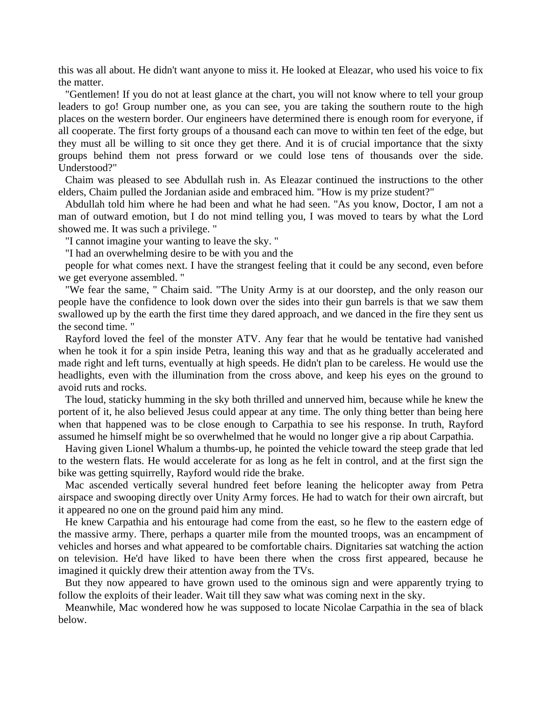this was all about. He didn't want anyone to miss it. He looked at Eleazar, who used his voice to fix the matter.

"Gentlemen! If you do not at least glance at the chart, you will not know where to tell your group leaders to go! Group number one, as you can see, you are taking the southern route to the high places on the western border. Our engineers have determined there is enough room for everyone, if all cooperate. The first forty groups of a thousand each can move to within ten feet of the edge, but they must all be willing to sit once they get there. And it is of crucial importance that the sixty groups behind them not press forward or we could lose tens of thousands over the side. Understood?"

Chaim was pleased to see Abdullah rush in. As Eleazar continued the instructions to the other elders, Chaim pulled the Jordanian aside and embraced him. "How is my prize student?"

Abdullah told him where he had been and what he had seen. "As you know, Doctor, I am not a man of outward emotion, but I do not mind telling you, I was moved to tears by what the Lord showed me. It was such a privilege. "

"I cannot imagine your wanting to leave the sky. "

"I had an overwhelming desire to be with you and the

people for what comes next. I have the strangest feeling that it could be any second, even before we get everyone assembled. "

"We fear the same, " Chaim said. "The Unity Army is at our doorstep, and the only reason our people have the confidence to look down over the sides into their gun barrels is that we saw them swallowed up by the earth the first time they dared approach, and we danced in the fire they sent us the second time. "

Rayford loved the feel of the monster ATV. Any fear that he would be tentative had vanished when he took it for a spin inside Petra, leaning this way and that as he gradually accelerated and made right and left turns, eventually at high speeds. He didn't plan to be careless. He would use the headlights, even with the illumination from the cross above, and keep his eyes on the ground to avoid ruts and rocks.

The loud, staticky humming in the sky both thrilled and unnerved him, because while he knew the portent of it, he also believed Jesus could appear at any time. The only thing better than being here when that happened was to be close enough to Carpathia to see his response. In truth, Rayford assumed he himself might be so overwhelmed that he would no longer give a rip about Carpathia.

Having given Lionel Whalum a thumbs-up, he pointed the vehicle toward the steep grade that led to the western flats. He would accelerate for as long as he felt in control, and at the first sign the bike was getting squirrelly, Rayford would ride the brake.

Mac ascended vertically several hundred feet before leaning the helicopter away from Petra airspace and swooping directly over Unity Army forces. He had to watch for their own aircraft, but it appeared no one on the ground paid him any mind.

He knew Carpathia and his entourage had come from the east, so he flew to the eastern edge of the massive army. There, perhaps a quarter mile from the mounted troops, was an encampment of vehicles and horses and what appeared to be comfortable chairs. Dignitaries sat watching the action on television. He'd have liked to have been there when the cross first appeared, because he imagined it quickly drew their attention away from the TVs.

But they now appeared to have grown used to the ominous sign and were apparently trying to follow the exploits of their leader. Wait till they saw what was coming next in the sky.

Meanwhile, Mac wondered how he was supposed to locate Nicolae Carpathia in the sea of black below.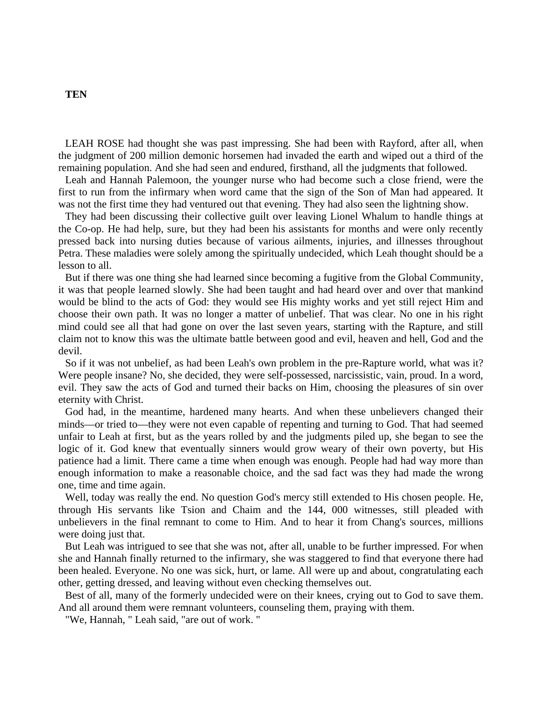**TEN** 

LEAH ROSE had thought she was past impressing. She had been with Rayford, after all, when the judgment of 200 million demonic horsemen had invaded the earth and wiped out a third of the remaining population. And she had seen and endured, firsthand, all the judgments that followed.

Leah and Hannah Palemoon, the younger nurse who had become such a close friend, were the first to run from the infirmary when word came that the sign of the Son of Man had appeared. It was not the first time they had ventured out that evening. They had also seen the lightning show.

They had been discussing their collective guilt over leaving Lionel Whalum to handle things at the Co-op. He had help, sure, but they had been his assistants for months and were only recently pressed back into nursing duties because of various ailments, injuries, and illnesses throughout Petra. These maladies were solely among the spiritually undecided, which Leah thought should be a lesson to all.

But if there was one thing she had learned since becoming a fugitive from the Global Community, it was that people learned slowly. She had been taught and had heard over and over that mankind would be blind to the acts of God: they would see His mighty works and yet still reject Him and choose their own path. It was no longer a matter of unbelief. That was clear. No one in his right mind could see all that had gone on over the last seven years, starting with the Rapture, and still claim not to know this was the ultimate battle between good and evil, heaven and hell, God and the devil.

So if it was not unbelief, as had been Leah's own problem in the pre-Rapture world, what was it? Were people insane? No, she decided, they were self-possessed, narcissistic, vain, proud. In a word, evil. They saw the acts of God and turned their backs on Him, choosing the pleasures of sin over eternity with Christ.

God had, in the meantime, hardened many hearts. And when these unbelievers changed their minds—or tried to—they were not even capable of repenting and turning to God. That had seemed unfair to Leah at first, but as the years rolled by and the judgments piled up, she began to see the logic of it. God knew that eventually sinners would grow weary of their own poverty, but His patience had a limit. There came a time when enough was enough. People had had way more than enough information to make a reasonable choice, and the sad fact was they had made the wrong one, time and time again.

Well, today was really the end. No question God's mercy still extended to His chosen people. He, through His servants like Tsion and Chaim and the 144, 000 witnesses, still pleaded with unbelievers in the final remnant to come to Him. And to hear it from Chang's sources, millions were doing just that.

But Leah was intrigued to see that she was not, after all, unable to be further impressed. For when she and Hannah finally returned to the infirmary, she was staggered to find that everyone there had been healed. Everyone. No one was sick, hurt, or lame. All were up and about, congratulating each other, getting dressed, and leaving without even checking themselves out.

Best of all, many of the formerly undecided were on their knees, crying out to God to save them. And all around them were remnant volunteers, counseling them, praying with them.

"We, Hannah, " Leah said, "are out of work. "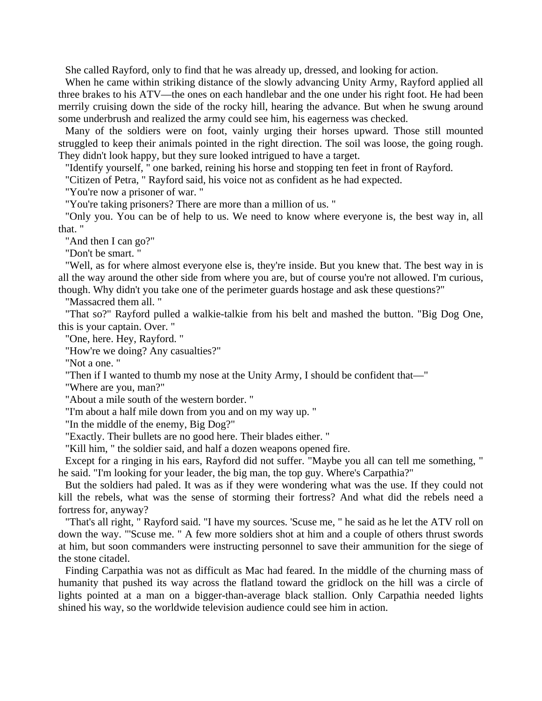She called Rayford, only to find that he was already up, dressed, and looking for action.

When he came within striking distance of the slowly advancing Unity Army, Rayford applied all three brakes to his ATV—the ones on each handlebar and the one under his right foot. He had been merrily cruising down the side of the rocky hill, hearing the advance. But when he swung around some underbrush and realized the army could see him, his eagerness was checked.

Many of the soldiers were on foot, vainly urging their horses upward. Those still mounted struggled to keep their animals pointed in the right direction. The soil was loose, the going rough. They didn't look happy, but they sure looked intrigued to have a target.

"Identify yourself, " one barked, reining his horse and stopping ten feet in front of Rayford.

"Citizen of Petra, " Rayford said, his voice not as confident as he had expected.

"You're now a prisoner of war. "

"You're taking prisoners? There are more than a million of us. "

"Only you. You can be of help to us. We need to know where everyone is, the best way in, all that. "

"And then I can go?"

"Don't be smart. "

"Well, as for where almost everyone else is, they're inside. But you knew that. The best way in is all the way around the other side from where you are, but of course you're not allowed. I'm curious, though. Why didn't you take one of the perimeter guards hostage and ask these questions?"

"Massacred them all. "

"That so?" Rayford pulled a walkie-talkie from his belt and mashed the button. "Big Dog One, this is your captain. Over. "

"One, here. Hey, Rayford. "

"How're we doing? Any casualties?"

"Not a one. "

"Then if I wanted to thumb my nose at the Unity Army, I should be confident that—"

"Where are you, man?"

"About a mile south of the western border. "

"I'm about a half mile down from you and on my way up. "

"In the middle of the enemy, Big Dog?"

"Exactly. Their bullets are no good here. Their blades either. "

"Kill him, " the soldier said, and half a dozen weapons opened fire.

Except for a ringing in his ears, Rayford did not suffer. "Maybe you all can tell me something, " he said. "I'm looking for your leader, the big man, the top guy. Where's Carpathia?"

But the soldiers had paled. It was as if they were wondering what was the use. If they could not kill the rebels, what was the sense of storming their fortress? And what did the rebels need a fortress for, anyway?

"That's all right, " Rayford said. "I have my sources. 'Scuse me, " he said as he let the ATV roll on down the way. "'Scuse me. " A few more soldiers shot at him and a couple of others thrust swords at him, but soon commanders were instructing personnel to save their ammunition for the siege of the stone citadel.

Finding Carpathia was not as difficult as Mac had feared. In the middle of the churning mass of humanity that pushed its way across the flatland toward the gridlock on the hill was a circle of lights pointed at a man on a bigger-than-average black stallion. Only Carpathia needed lights shined his way, so the worldwide television audience could see him in action.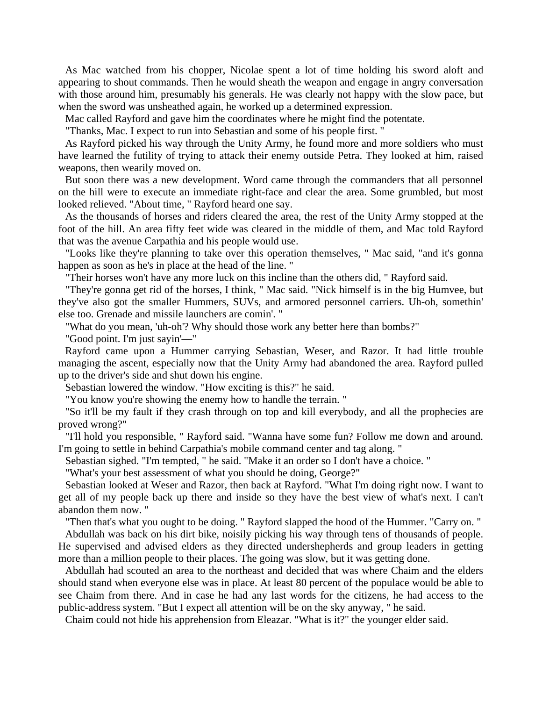As Mac watched from his chopper, Nicolae spent a lot of time holding his sword aloft and appearing to shout commands. Then he would sheath the weapon and engage in angry conversation with those around him, presumably his generals. He was clearly not happy with the slow pace, but when the sword was unsheathed again, he worked up a determined expression.

Mac called Rayford and gave him the coordinates where he might find the potentate.

"Thanks, Mac. I expect to run into Sebastian and some of his people first. "

As Rayford picked his way through the Unity Army, he found more and more soldiers who must have learned the futility of trying to attack their enemy outside Petra. They looked at him, raised weapons, then wearily moved on.

But soon there was a new development. Word came through the commanders that all personnel on the hill were to execute an immediate right-face and clear the area. Some grumbled, but most looked relieved. "About time, " Rayford heard one say.

As the thousands of horses and riders cleared the area, the rest of the Unity Army stopped at the foot of the hill. An area fifty feet wide was cleared in the middle of them, and Mac told Rayford that was the avenue Carpathia and his people would use.

"Looks like they're planning to take over this operation themselves, " Mac said, "and it's gonna happen as soon as he's in place at the head of the line. "

"Their horses won't have any more luck on this incline than the others did, " Rayford said.

"They're gonna get rid of the horses, I think, " Mac said. "Nick himself is in the big Humvee, but they've also got the smaller Hummers, SUVs, and armored personnel carriers. Uh-oh, somethin' else too. Grenade and missile launchers are comin'. "

"What do you mean, 'uh-oh'? Why should those work any better here than bombs?"

"Good point. I'm just sayin'—"

Rayford came upon a Hummer carrying Sebastian, Weser, and Razor. It had little trouble managing the ascent, especially now that the Unity Army had abandoned the area. Rayford pulled up to the driver's side and shut down his engine.

Sebastian lowered the window. "How exciting is this?" he said.

"You know you're showing the enemy how to handle the terrain. "

"So it'll be my fault if they crash through on top and kill everybody, and all the prophecies are proved wrong?"

"I'll hold you responsible, " Rayford said. "Wanna have some fun? Follow me down and around. I'm going to settle in behind Carpathia's mobile command center and tag along. "

Sebastian sighed. "I'm tempted, " he said. "Make it an order so I don't have a choice. "

"What's your best assessment of what you should be doing, George?"

Sebastian looked at Weser and Razor, then back at Rayford. "What I'm doing right now. I want to get all of my people back up there and inside so they have the best view of what's next. I can't abandon them now. "

"Then that's what you ought to be doing. " Rayford slapped the hood of the Hummer. "Carry on. "

Abdullah was back on his dirt bike, noisily picking his way through tens of thousands of people. He supervised and advised elders as they directed undershepherds and group leaders in getting more than a million people to their places. The going was slow, but it was getting done.

Abdullah had scouted an area to the northeast and decided that was where Chaim and the elders should stand when everyone else was in place. At least 80 percent of the populace would be able to see Chaim from there. And in case he had any last words for the citizens, he had access to the public-address system. "But I expect all attention will be on the sky anyway, " he said.

Chaim could not hide his apprehension from Eleazar. "What is it?" the younger elder said.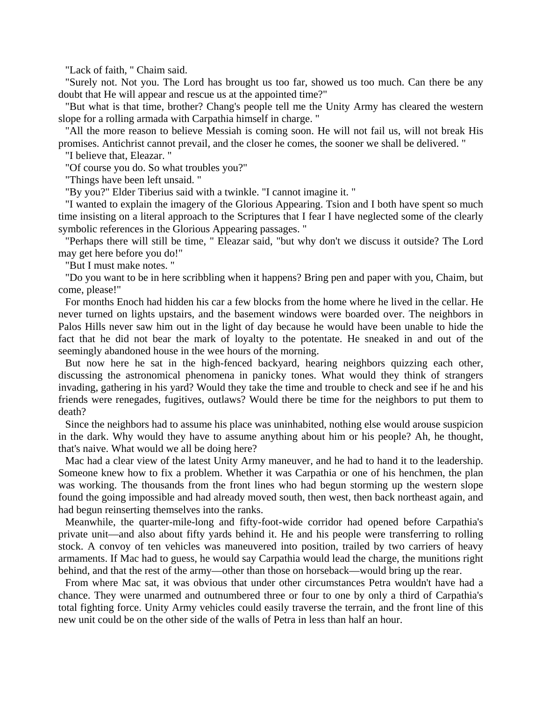"Lack of faith, " Chaim said.

"Surely not. Not you. The Lord has brought us too far, showed us too much. Can there be any doubt that He will appear and rescue us at the appointed time?"

"But what is that time, brother? Chang's people tell me the Unity Army has cleared the western slope for a rolling armada with Carpathia himself in charge. "

"All the more reason to believe Messiah is coming soon. He will not fail us, will not break His promises. Antichrist cannot prevail, and the closer he comes, the sooner we shall be delivered. "

"I believe that, Eleazar. "

"Of course you do. So what troubles you?"

"Things have been left unsaid. "

"By you?" Elder Tiberius said with a twinkle. "I cannot imagine it. "

"I wanted to explain the imagery of the Glorious Appearing. Tsion and I both have spent so much time insisting on a literal approach to the Scriptures that I fear I have neglected some of the clearly symbolic references in the Glorious Appearing passages. "

"Perhaps there will still be time, " Eleazar said, "but why don't we discuss it outside? The Lord may get here before you do!"

"But I must make notes. "

"Do you want to be in here scribbling when it happens? Bring pen and paper with you, Chaim, but come, please!"

For months Enoch had hidden his car a few blocks from the home where he lived in the cellar. He never turned on lights upstairs, and the basement windows were boarded over. The neighbors in Palos Hills never saw him out in the light of day because he would have been unable to hide the fact that he did not bear the mark of loyalty to the potentate. He sneaked in and out of the seemingly abandoned house in the wee hours of the morning.

But now here he sat in the high-fenced backyard, hearing neighbors quizzing each other, discussing the astronomical phenomena in panicky tones. What would they think of strangers invading, gathering in his yard? Would they take the time and trouble to check and see if he and his friends were renegades, fugitives, outlaws? Would there be time for the neighbors to put them to death?

Since the neighbors had to assume his place was uninhabited, nothing else would arouse suspicion in the dark. Why would they have to assume anything about him or his people? Ah, he thought, that's naive. What would we all be doing here?

Mac had a clear view of the latest Unity Army maneuver, and he had to hand it to the leadership. Someone knew how to fix a problem. Whether it was Carpathia or one of his henchmen, the plan was working. The thousands from the front lines who had begun storming up the western slope found the going impossible and had already moved south, then west, then back northeast again, and had begun reinserting themselves into the ranks.

Meanwhile, the quarter-mile-long and fifty-foot-wide corridor had opened before Carpathia's private unit—and also about fifty yards behind it. He and his people were transferring to rolling stock. A convoy of ten vehicles was maneuvered into position, trailed by two carriers of heavy armaments. If Mac had to guess, he would say Carpathia would lead the charge, the munitions right behind, and that the rest of the army—other than those on horseback—would bring up the rear.

From where Mac sat, it was obvious that under other circumstances Petra wouldn't have had a chance. They were unarmed and outnumbered three or four to one by only a third of Carpathia's total fighting force. Unity Army vehicles could easily traverse the terrain, and the front line of this new unit could be on the other side of the walls of Petra in less than half an hour.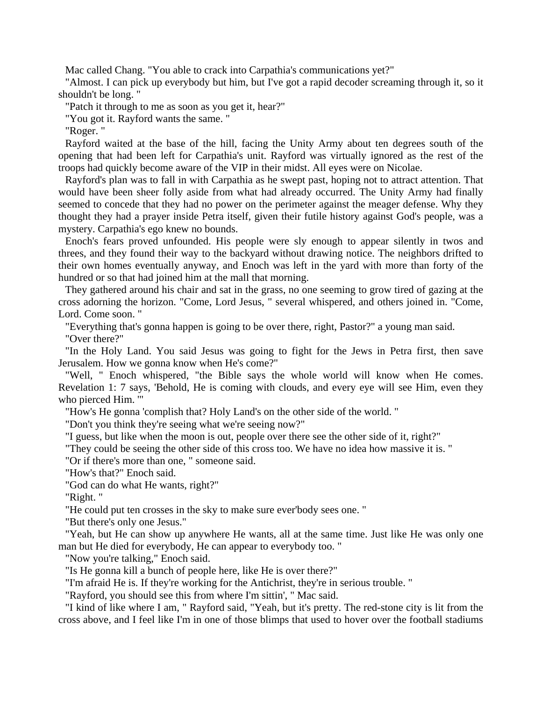Mac called Chang. "You able to crack into Carpathia's communications yet?"

"Almost. I can pick up everybody but him, but I've got a rapid decoder screaming through it, so it shouldn't be long. "

"Patch it through to me as soon as you get it, hear?"

"You got it. Rayford wants the same. "

"Roger. "

Rayford waited at the base of the hill, facing the Unity Army about ten degrees south of the opening that had been left for Carpathia's unit. Rayford was virtually ignored as the rest of the troops had quickly become aware of the VIP in their midst. All eyes were on Nicolae.

Rayford's plan was to fall in with Carpathia as he swept past, hoping not to attract attention. That would have been sheer folly aside from what had already occurred. The Unity Army had finally seemed to concede that they had no power on the perimeter against the meager defense. Why they thought they had a prayer inside Petra itself, given their futile history against God's people, was a mystery. Carpathia's ego knew no bounds.

Enoch's fears proved unfounded. His people were sly enough to appear silently in twos and threes, and they found their way to the backyard without drawing notice. The neighbors drifted to their own homes eventually anyway, and Enoch was left in the yard with more than forty of the hundred or so that had joined him at the mall that morning.

They gathered around his chair and sat in the grass, no one seeming to grow tired of gazing at the cross adorning the horizon. "Come, Lord Jesus, " several whispered, and others joined in. "Come, Lord. Come soon. "

"Everything that's gonna happen is going to be over there, right, Pastor?" a young man said.

"Over there?"

"In the Holy Land. You said Jesus was going to fight for the Jews in Petra first, then save Jerusalem. How we gonna know when He's come?"

"Well, " Enoch whispered, "the Bible says the whole world will know when He comes. Revelation 1: 7 says, 'Behold, He is coming with clouds, and every eye will see Him, even they who pierced Him. '"

"How's He gonna 'complish that? Holy Land's on the other side of the world. "

"Don't you think they're seeing what we're seeing now?"

"I guess, but like when the moon is out, people over there see the other side of it, right?"

"They could be seeing the other side of this cross too. We have no idea how massive it is. "

"Or if there's more than one, " someone said.

"How's that?" Enoch said.

"God can do what He wants, right?"

"Right. "

"He could put ten crosses in the sky to make sure ever'body sees one. "

"But there's only one Jesus."

"Yeah, but He can show up anywhere He wants, all at the same time. Just like He was only one man but He died for everybody, He can appear to everybody too. "

"Now you're talking," Enoch said.

"Is He gonna kill a bunch of people here, like He is over there?"

"I'm afraid He is. If they're working for the Antichrist, they're in serious trouble. "

"Rayford, you should see this from where I'm sittin', " Mac said.

"I kind of like where I am, " Rayford said, "Yeah, but it's pretty. The red-stone city is lit from the cross above, and I feel like I'm in one of those blimps that used to hover over the football stadiums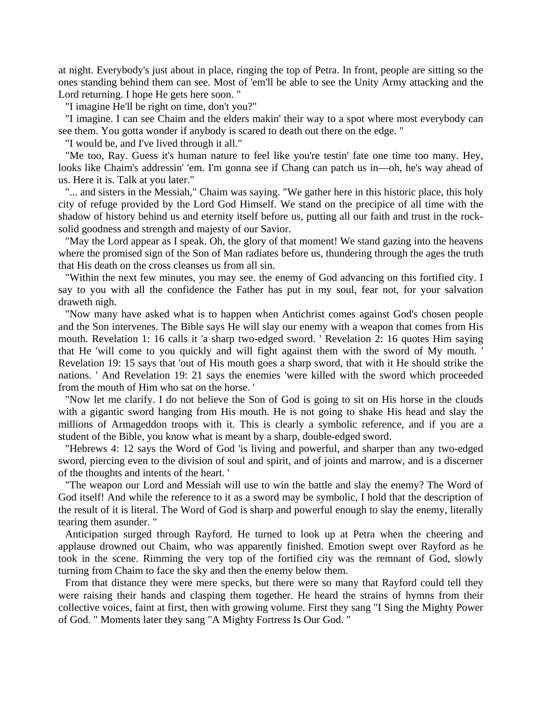at night. Everybody's just about in place, ringing the top of Petra. In front, people are sitting so the ones standing behind them can see. Most of 'em'll be able to see the Unity Army attacking and the Lord returning. I hope He gets here soon. "

"I imagine He'll be right on time, don't you?"

"I imagine. I can see Chaim and the elders makin' their way to a spot where most everybody can see them. You gotta wonder if anybody is scared to death out there on the edge. "

"I would be, and I've lived through it all."

"Me too, Ray. Guess it's human nature to feel like you're testin' fate one time too many. Hey, looks like Chaim's addressin' 'em. I'm gonna see if Chang can patch us in—oh, he's way ahead of us. Here it is. Talk at you later."

"... and sisters in the Messiah," Chaim was saying. "We gather here in this historic place, this holy city of refuge provided by the Lord God Himself. We stand on the precipice of all time with the shadow of history behind us and eternity itself before us, putting all our faith and trust in the rocksolid goodness and strength and majesty of our Savior.

"May the Lord appear as I speak. Oh, the glory of that moment! We stand gazing into the heavens where the promised sign of the Son of Man radiates before us, thundering through the ages the truth that His death on the cross cleanses us from all sin.

"Within the next few minutes, you may see. the enemy of God advancing on this fortified city. I say to you with all the confidence the Father has put in my soul, fear not, for your salvation draweth nigh.

"Now many have asked what is to happen when Antichrist comes against God's chosen people and the Son intervenes. The Bible says He will slay our enemy with a weapon that comes from His mouth. Revelation 1: 16 calls it 'a sharp two-edged sword. ' Revelation 2: 16 quotes Him saying that He 'will come to you quickly and will fight against them with the sword of My mouth. '

Revelation 19: 15 says that 'out of His mouth goes a sharp sword, that with it He should strike the nations. ' And Revelation 19: 21 says the enemies 'were killed with the sword which proceeded from the mouth of Him who sat on the horse. '

"Now let me clarify. I do not believe the Son of God is going to sit on His horse in the clouds with a gigantic sword hanging from His mouth. He is not going to shake His head and slay the millions of Armageddon troops with it. This is clearly a symbolic reference, and if you are a student of the Bible, you know what is meant by a sharp, double-edged sword.

"Hebrews 4: 12 says the Word of God 'is living and powerful, and sharper than any two-edged sword, piercing even to the division of soul and spirit, and of joints and marrow, and is a discerner of the thoughts and intents of the heart. '

"The weapon our Lord and Messiah will use to win the battle and slay the enemy? The Word of God itself! And while the reference to it as a sword may be symbolic, I hold that the description of the result of it is literal. The Word of God is sharp and powerful enough to slay the enemy, literally tearing them asunder. "

Anticipation surged through Rayford. He turned to look up at Petra when the cheering and applause drowned out Chaim, who was apparently finished. Emotion swept over Rayford as he took in the scene. Rimming the very top of the fortified city was the remnant of God, slowly turning from Chaim to face the sky and then the enemy below them.

From that distance they were mere specks, but there were so many that Rayford could tell they were raising their hands and clasping them together. He heard the strains of hymns from their collective voices, faint at first, then with growing volume. First they sang "I Sing the Mighty Power of God. " Moments later they sang "A Mighty Fortress Is Our God. "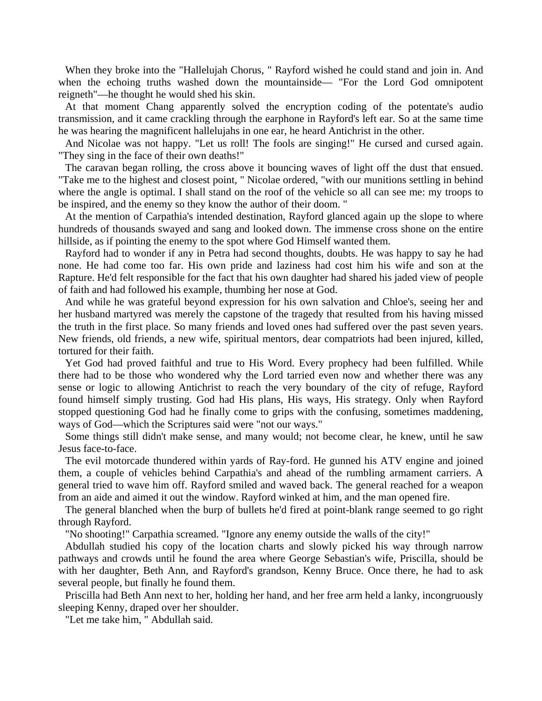When they broke into the "Hallelujah Chorus, " Rayford wished he could stand and join in. And when the echoing truths washed down the mountainside— "For the Lord God omnipotent reigneth"—he thought he would shed his skin.

At that moment Chang apparently solved the encryption coding of the potentate's audio transmission, and it came crackling through the earphone in Rayford's left ear. So at the same time he was hearing the magnificent hallelujahs in one ear, he heard Antichrist in the other.

And Nicolae was not happy. "Let us roll! The fools are singing!" He cursed and cursed again. "They sing in the face of their own deaths!"

The caravan began rolling, the cross above it bouncing waves of light off the dust that ensued. "Take me to the highest and closest point, " Nicolae ordered, "with our munitions settling in behind where the angle is optimal. I shall stand on the roof of the vehicle so all can see me: my troops to be inspired, and the enemy so they know the author of their doom. "

At the mention of Carpathia's intended destination, Rayford glanced again up the slope to where hundreds of thousands swayed and sang and looked down. The immense cross shone on the entire hillside, as if pointing the enemy to the spot where God Himself wanted them.

Rayford had to wonder if any in Petra had second thoughts, doubts. He was happy to say he had none. He had come too far. His own pride and laziness had cost him his wife and son at the Rapture. He'd felt responsible for the fact that his own daughter had shared his jaded view of people of faith and had followed his example, thumbing her nose at God.

And while he was grateful beyond expression for his own salvation and Chloe's, seeing her and her husband martyred was merely the capstone of the tragedy that resulted from his having missed the truth in the first place. So many friends and loved ones had suffered over the past seven years. New friends, old friends, a new wife, spiritual mentors, dear compatriots had been injured, killed, tortured for their faith.

Yet God had proved faithful and true to His Word. Every prophecy had been fulfilled. While there had to be those who wondered why the Lord tarried even now and whether there was any sense or logic to allowing Antichrist to reach the very boundary of the city of refuge, Rayford found himself simply trusting. God had His plans, His ways, His strategy. Only when Rayford stopped questioning God had he finally come to grips with the confusing, sometimes maddening, ways of God—which the Scriptures said were "not our ways."

Some things still didn't make sense, and many would; not become clear, he knew, until he saw Jesus face-to-face.

The evil motorcade thundered within yards of Ray-ford. He gunned his ATV engine and joined them, a couple of vehicles behind Carpathia's and ahead of the rumbling armament carriers. A general tried to wave him off. Rayford smiled and waved back. The general reached for a weapon from an aide and aimed it out the window. Rayford winked at him, and the man opened fire.

The general blanched when the burp of bullets he'd fired at point-blank range seemed to go right through Rayford.

"No shooting!" Carpathia screamed. "Ignore any enemy outside the walls of the city!"

Abdullah studied his copy of the location charts and slowly picked his way through narrow pathways and crowds until he found the area where George Sebastian's wife, Priscilla, should be with her daughter, Beth Ann, and Rayford's grandson, Kenny Bruce. Once there, he had to ask several people, but finally he found them.

Priscilla had Beth Ann next to her, holding her hand, and her free arm held a lanky, incongruously sleeping Kenny, draped over her shoulder.

"Let me take him, " Abdullah said.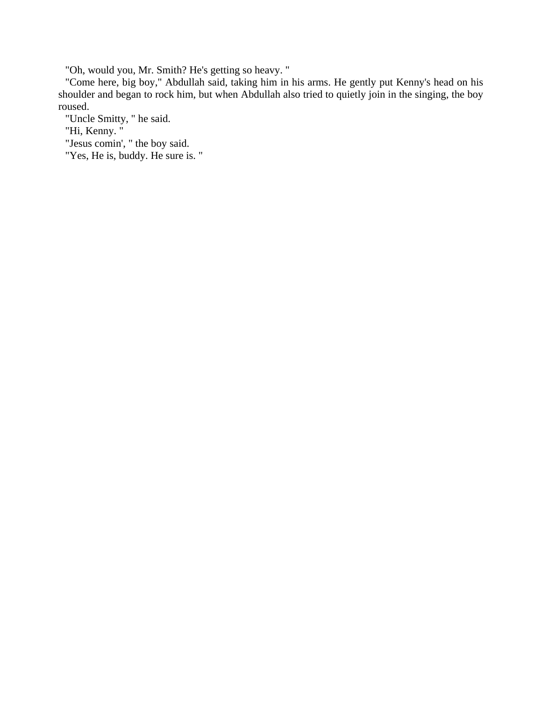"Oh, would you, Mr. Smith? He's getting so heavy. "

"Come here, big boy," Abdullah said, taking him in his arms. He gently put Kenny's head on his shoulder and began to rock him, but when Abdullah also tried to quietly join in the singing, the boy roused.

"Uncle Smitty, " he said.

"Hi, Kenny. "

"Jesus comin', " the boy said.

"Yes, He is, buddy. He sure is. "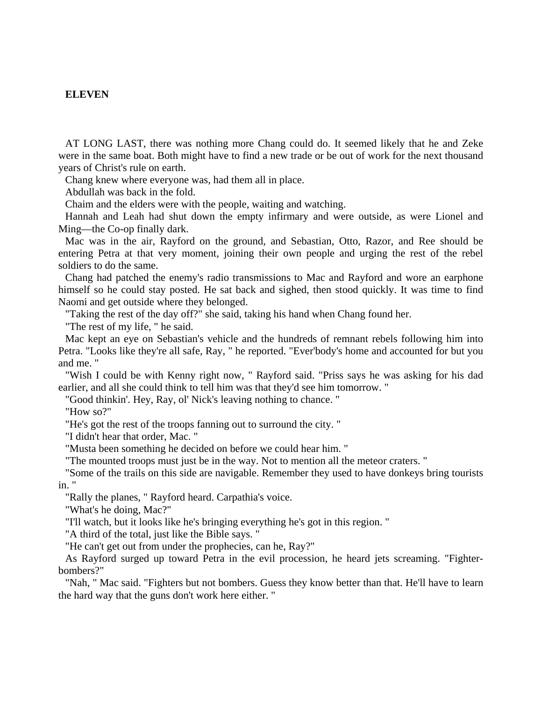# **ELEVEN**

AT LONG LAST, there was nothing more Chang could do. It seemed likely that he and Zeke were in the same boat. Both might have to find a new trade or be out of work for the next thousand years of Christ's rule on earth.

Chang knew where everyone was, had them all in place.

Abdullah was back in the fold.

Chaim and the elders were with the people, waiting and watching.

Hannah and Leah had shut down the empty infirmary and were outside, as were Lionel and Ming—the Co-op finally dark.

Mac was in the air, Rayford on the ground, and Sebastian, Otto, Razor, and Ree should be entering Petra at that very moment, joining their own people and urging the rest of the rebel soldiers to do the same.

Chang had patched the enemy's radio transmissions to Mac and Rayford and wore an earphone himself so he could stay posted. He sat back and sighed, then stood quickly. It was time to find Naomi and get outside where they belonged.

"Taking the rest of the day off?" she said, taking his hand when Chang found her.

"The rest of my life, " he said.

Mac kept an eye on Sebastian's vehicle and the hundreds of remnant rebels following him into Petra. "Looks like they're all safe, Ray, " he reported. "Ever'body's home and accounted for but you and me. "

"Wish I could be with Kenny right now, " Rayford said. "Priss says he was asking for his dad earlier, and all she could think to tell him was that they'd see him tomorrow. "

"Good thinkin'. Hey, Ray, ol' Nick's leaving nothing to chance. "

"How so?"

"He's got the rest of the troops fanning out to surround the city. "

"I didn't hear that order, Mac. "

"Musta been something he decided on before we could hear him. "

"The mounted troops must just be in the way. Not to mention all the meteor craters. "

"Some of the trails on this side are navigable. Remember they used to have donkeys bring tourists in. "

"Rally the planes, " Rayford heard. Carpathia's voice.

"What's he doing, Mac?"

"I'll watch, but it looks like he's bringing everything he's got in this region. "

"A third of the total, just like the Bible says. "

"He can't get out from under the prophecies, can he, Ray?"

As Rayford surged up toward Petra in the evil procession, he heard jets screaming. "Fighterbombers?"

"Nah, " Mac said. "Fighters but not bombers. Guess they know better than that. He'll have to learn the hard way that the guns don't work here either. "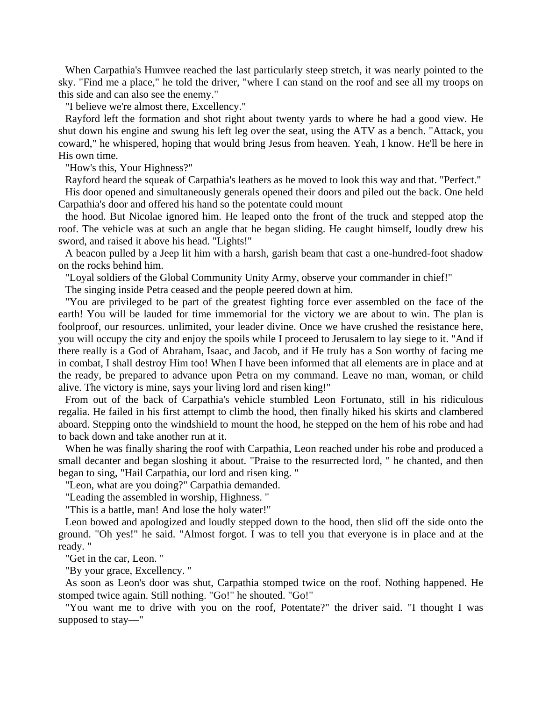When Carpathia's Humvee reached the last particularly steep stretch, it was nearly pointed to the sky. "Find me a place," he told the driver, "where I can stand on the roof and see all my troops on this side and can also see the enemy."

"I believe we're almost there, Excellency."

Rayford left the formation and shot right about twenty yards to where he had a good view. He shut down his engine and swung his left leg over the seat, using the ATV as a bench. "Attack, you coward," he whispered, hoping that would bring Jesus from heaven. Yeah, I know. He'll be here in His own time.

"How's this, Your Highness?"

Rayford heard the squeak of Carpathia's leathers as he moved to look this way and that. "Perfect." His door opened and simultaneously generals opened their doors and piled out the back. One held Carpathia's door and offered his hand so the potentate could mount

the hood. But Nicolae ignored him. He leaped onto the front of the truck and stepped atop the roof. The vehicle was at such an angle that he began sliding. He caught himself, loudly drew his sword, and raised it above his head. "Lights!"

A beacon pulled by a Jeep lit him with a harsh, garish beam that cast a one-hundred-foot shadow on the rocks behind him.

"Loyal soldiers of the Global Community Unity Army, observe your commander in chief!"

The singing inside Petra ceased and the people peered down at him.

"You are privileged to be part of the greatest fighting force ever assembled on the face of the earth! You will be lauded for time immemorial for the victory we are about to win. The plan is foolproof, our resources. unlimited, your leader divine. Once we have crushed the resistance here, you will occupy the city and enjoy the spoils while I proceed to Jerusalem to lay siege to it. "And if there really is a God of Abraham, Isaac, and Jacob, and if He truly has a Son worthy of facing me in combat, I shall destroy Him too! When I have been informed that all elements are in place and at the ready, be prepared to advance upon Petra on my command. Leave no man, woman, or child alive. The victory is mine, says your living lord and risen king!"

From out of the back of Carpathia's vehicle stumbled Leon Fortunato, still in his ridiculous regalia. He failed in his first attempt to climb the hood, then finally hiked his skirts and clambered aboard. Stepping onto the windshield to mount the hood, he stepped on the hem of his robe and had to back down and take another run at it.

When he was finally sharing the roof with Carpathia, Leon reached under his robe and produced a small decanter and began sloshing it about. "Praise to the resurrected lord, " he chanted, and then began to sing, "Hail Carpathia, our lord and risen king. "

"Leon, what are you doing?" Carpathia demanded.

"Leading the assembled in worship, Highness. "

"This is a battle, man! And lose the holy water!"

Leon bowed and apologized and loudly stepped down to the hood, then slid off the side onto the ground. "Oh yes!" he said. "Almost forgot. I was to tell you that everyone is in place and at the ready. "

"Get in the car, Leon. "

"By your grace, Excellency. "

As soon as Leon's door was shut, Carpathia stomped twice on the roof. Nothing happened. He stomped twice again. Still nothing. "Go!" he shouted. "Go!"

"You want me to drive with you on the roof, Potentate?" the driver said. "I thought I was supposed to stay—"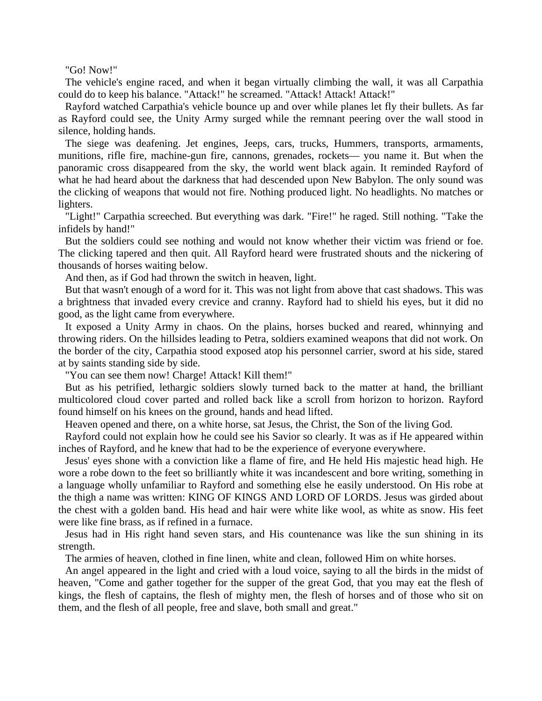"Go! Now!"

The vehicle's engine raced, and when it began virtually climbing the wall, it was all Carpathia could do to keep his balance. "Attack!" he screamed. "Attack! Attack! Attack!"

Rayford watched Carpathia's vehicle bounce up and over while planes let fly their bullets. As far as Rayford could see, the Unity Army surged while the remnant peering over the wall stood in silence, holding hands.

The siege was deafening. Jet engines, Jeeps, cars, trucks, Hummers, transports, armaments, munitions, rifle fire, machine-gun fire, cannons, grenades, rockets— you name it. But when the panoramic cross disappeared from the sky, the world went black again. It reminded Rayford of what he had heard about the darkness that had descended upon New Babylon. The only sound was the clicking of weapons that would not fire. Nothing produced light. No headlights. No matches or lighters.

"Light!" Carpathia screeched. But everything was dark. "Fire!" he raged. Still nothing. "Take the infidels by hand!"

But the soldiers could see nothing and would not know whether their victim was friend or foe. The clicking tapered and then quit. All Rayford heard were frustrated shouts and the nickering of thousands of horses waiting below.

And then, as if God had thrown the switch in heaven, light.

But that wasn't enough of a word for it. This was not light from above that cast shadows. This was a brightness that invaded every crevice and cranny. Rayford had to shield his eyes, but it did no good, as the light came from everywhere.

It exposed a Unity Army in chaos. On the plains, horses bucked and reared, whinnying and throwing riders. On the hillsides leading to Petra, soldiers examined weapons that did not work. On the border of the city, Carpathia stood exposed atop his personnel carrier, sword at his side, stared at by saints standing side by side.

"You can see them now! Charge! Attack! Kill them!"

But as his petrified, lethargic soldiers slowly turned back to the matter at hand, the brilliant multicolored cloud cover parted and rolled back like a scroll from horizon to horizon. Rayford found himself on his knees on the ground, hands and head lifted.

Heaven opened and there, on a white horse, sat Jesus, the Christ, the Son of the living God.

Rayford could not explain how he could see his Savior so clearly. It was as if He appeared within inches of Rayford, and he knew that had to be the experience of everyone everywhere.

Jesus' eyes shone with a conviction like a flame of fire, and He held His majestic head high. He wore a robe down to the feet so brilliantly white it was incandescent and bore writing, something in a language wholly unfamiliar to Rayford and something else he easily understood. On His robe at the thigh a name was written: KING OF KINGS AND LORD OF LORDS. Jesus was girded about the chest with a golden band. His head and hair were white like wool, as white as snow. His feet were like fine brass, as if refined in a furnace.

Jesus had in His right hand seven stars, and His countenance was like the sun shining in its strength.

The armies of heaven, clothed in fine linen, white and clean, followed Him on white horses.

An angel appeared in the light and cried with a loud voice, saying to all the birds in the midst of heaven, "Come and gather together for the supper of the great God, that you may eat the flesh of kings, the flesh of captains, the flesh of mighty men, the flesh of horses and of those who sit on them, and the flesh of all people, free and slave, both small and great."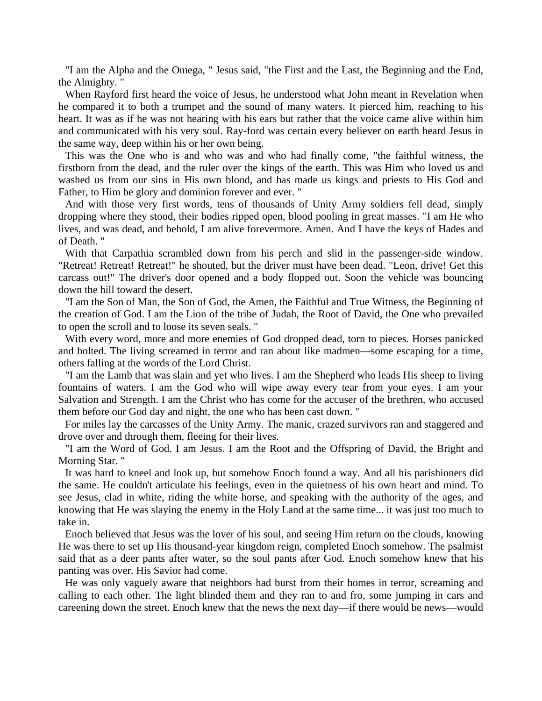"I am the Alpha and the Omega, " Jesus said, "the First and the Last, the Beginning and the End, the Almighty. "

When Rayford first heard the voice of Jesus, he understood what John meant in Revelation when he compared it to both a trumpet and the sound of many waters. It pierced him, reaching to his heart. It was as if he was not hearing with his ears but rather that the voice came alive within him and communicated with his very soul. Ray-ford was certain every believer on earth heard Jesus in the same way, deep within his or her own being.

This was the One who is and who was and who had finally come, "the faithful witness, the firstborn from the dead, and the ruler over the kings of the earth. This was Him who loved us and washed us from our sins in His own blood, and has made us kings and priests to His God and Father, to Him be glory and dominion forever and ever. "

And with those very first words, tens of thousands of Unity Army soldiers fell dead, simply dropping where they stood, their bodies ripped open, blood pooling in great masses. "I am He who lives, and was dead, and behold, I am alive forevermore. Amen. And I have the keys of Hades and of Death. "

With that Carpathia scrambled down from his perch and slid in the passenger-side window. "Retreat! Retreat! Retreat!" he shouted, but the driver must have been dead. "Leon, drive! Get this carcass out!" The driver's door opened and a body flopped out. Soon the vehicle was bouncing down the hill toward the desert.

"I am the Son of Man, the Son of God, the Amen, the Faithful and True Witness, the Beginning of the creation of God. I am the Lion of the tribe of Judah, the Root of David, the One who prevailed to open the scroll and to loose its seven seals. "

With every word, more and more enemies of God dropped dead, torn to pieces. Horses panicked and bolted. The living screamed in terror and ran about like madmen—some escaping for a time, others falling at the words of the Lord Christ.

"I am the Lamb that was slain and yet who lives. I am the Shepherd who leads His sheep to living fountains of waters. I am the God who will wipe away every tear from your eyes. I am your Salvation and Strength. I am the Christ who has come for the accuser of the brethren, who accused them before our God day and night, the one who has been cast down. "

For miles lay the carcasses of the Unity Army. The manic, crazed survivors ran and staggered and drove over and through them, fleeing for their lives.

"I am the Word of God. I am Jesus. I am the Root and the Offspring of David, the Bright and Morning Star. "

It was hard to kneel and look up, but somehow Enoch found a way. And all his parishioners did the same. He couldn't articulate his feelings, even in the quietness of his own heart and mind. To see Jesus, clad in white, riding the white horse, and speaking with the authority of the ages, and knowing that He was slaying the enemy in the Holy Land at the same time... it was just too much to take in.

Enoch believed that Jesus was the lover of his soul, and seeing Him return on the clouds, knowing He was there to set up His thousand-year kingdom reign, completed Enoch somehow. The psalmist said that as a deer pants after water, so the soul pants after God. Enoch somehow knew that his panting was over. His Savior had come.

He was only vaguely aware that neighbors had burst from their homes in terror, screaming and calling to each other. The light blinded them and they ran to and fro, some jumping in cars and careening down the street. Enoch knew that the news the next day—if there would be news—would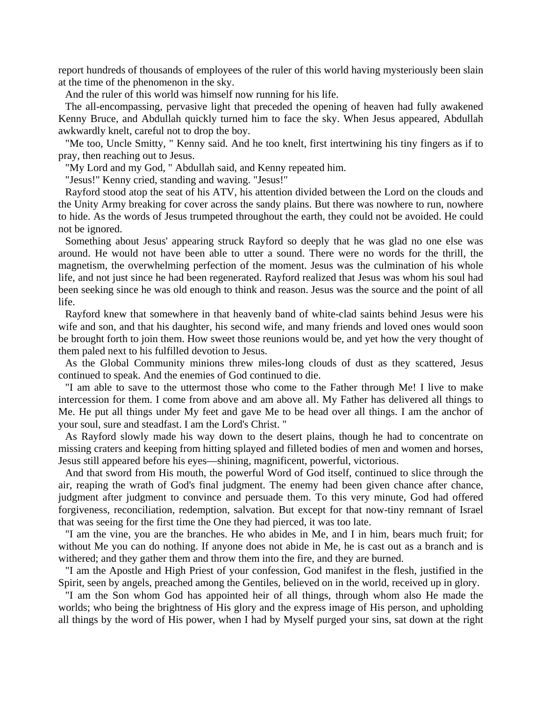report hundreds of thousands of employees of the ruler of this world having mysteriously been slain at the time of the phenomenon in the sky.

And the ruler of this world was himself now running for his life.

The all-encompassing, pervasive light that preceded the opening of heaven had fully awakened Kenny Bruce, and Abdullah quickly turned him to face the sky. When Jesus appeared, Abdullah awkwardly knelt, careful not to drop the boy.

"Me too, Uncle Smitty, " Kenny said. And he too knelt, first intertwining his tiny fingers as if to pray, then reaching out to Jesus.

"My Lord and my God, " Abdullah said, and Kenny repeated him.

"Jesus!" Kenny cried, standing and waving. "Jesus!"

Rayford stood atop the seat of his ATV, his attention divided between the Lord on the clouds and the Unity Army breaking for cover across the sandy plains. But there was nowhere to run, nowhere to hide. As the words of Jesus trumpeted throughout the earth, they could not be avoided. He could not be ignored.

Something about Jesus' appearing struck Rayford so deeply that he was glad no one else was around. He would not have been able to utter a sound. There were no words for the thrill, the magnetism, the overwhelming perfection of the moment. Jesus was the culmination of his whole life, and not just since he had been regenerated. Rayford realized that Jesus was whom his soul had been seeking since he was old enough to think and reason. Jesus was the source and the point of all life.

Rayford knew that somewhere in that heavenly band of white-clad saints behind Jesus were his wife and son, and that his daughter, his second wife, and many friends and loved ones would soon be brought forth to join them. How sweet those reunions would be, and yet how the very thought of them paled next to his fulfilled devotion to Jesus.

As the Global Community minions threw miles-long clouds of dust as they scattered, Jesus continued to speak. And the enemies of God continued to die.

"I am able to save to the uttermost those who come to the Father through Me! I live to make intercession for them. I come from above and am above all. My Father has delivered all things to Me. He put all things under My feet and gave Me to be head over all things. I am the anchor of your soul, sure and steadfast. I am the Lord's Christ. "

As Rayford slowly made his way down to the desert plains, though he had to concentrate on missing craters and keeping from hitting splayed and filleted bodies of men and women and horses, Jesus still appeared before his eyes—shining, magnificent, powerful, victorious.

And that sword from His mouth, the powerful Word of God itself, continued to slice through the air, reaping the wrath of God's final judgment. The enemy had been given chance after chance, judgment after judgment to convince and persuade them. To this very minute, God had offered forgiveness, reconciliation, redemption, salvation. But except for that now-tiny remnant of Israel that was seeing for the first time the One they had pierced, it was too late.

"I am the vine, you are the branches. He who abides in Me, and I in him, bears much fruit; for without Me you can do nothing. If anyone does not abide in Me, he is cast out as a branch and is withered; and they gather them and throw them into the fire, and they are burned.

"I am the Apostle and High Priest of your confession, God manifest in the flesh, justified in the Spirit, seen by angels, preached among the Gentiles, believed on in the world, received up in glory.

"I am the Son whom God has appointed heir of all things, through whom also He made the worlds; who being the brightness of His glory and the express image of His person, and upholding all things by the word of His power, when I had by Myself purged your sins, sat down at the right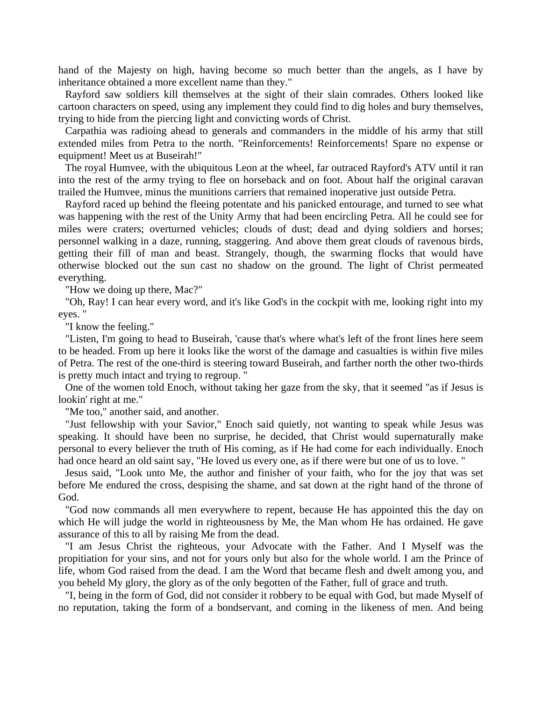hand of the Majesty on high, having become so much better than the angels, as I have by inheritance obtained a more excellent name than they."

Rayford saw soldiers kill themselves at the sight of their slain comrades. Others looked like cartoon characters on speed, using any implement they could find to dig holes and bury themselves, trying to hide from the piercing light and convicting words of Christ.

Carpathia was radioing ahead to generals and commanders in the middle of his army that still extended miles from Petra to the north. "Reinforcements! Reinforcements! Spare no expense or equipment! Meet us at Buseirah!"

The royal Humvee, with the ubiquitous Leon at the wheel, far outraced Rayford's ATV until it ran into the rest of the army trying to flee on horseback and on foot. About half the original caravan trailed the Humvee, minus the munitions carriers that remained inoperative just outside Petra.

Rayford raced up behind the fleeing potentate and his panicked entourage, and turned to see what was happening with the rest of the Unity Army that had been encircling Petra. All he could see for miles were craters; overturned vehicles; clouds of dust; dead and dying soldiers and horses; personnel walking in a daze, running, staggering. And above them great clouds of ravenous birds, getting their fill of man and beast. Strangely, though, the swarming flocks that would have otherwise blocked out the sun cast no shadow on the ground. The light of Christ permeated everything.

"How we doing up there, Mac?"

"Oh, Ray! I can hear every word, and it's like God's in the cockpit with me, looking right into my eyes. "

"I know the feeling."

"Listen, I'm going to head to Buseirah, 'cause that's where what's left of the front lines here seem to be headed. From up here it looks like the worst of the damage and casualties is within five miles of Petra. The rest of the one-third is steering toward Buseirah, and farther north the other two-thirds is pretty much intact and trying to regroup. "

One of the women told Enoch, without taking her gaze from the sky, that it seemed "as if Jesus is lookin' right at me."

"Me too," another said, and another.

"Just fellowship with your Savior," Enoch said quietly, not wanting to speak while Jesus was speaking. It should have been no surprise, he decided, that Christ would supernaturally make personal to every believer the truth of His coming, as if He had come for each individually. Enoch had once heard an old saint say, "He loved us every one, as if there were but one of us to love. "

Jesus said, "Look unto Me, the author and finisher of your faith, who for the joy that was set before Me endured the cross, despising the shame, and sat down at the right hand of the throne of God.

"God now commands all men everywhere to repent, because He has appointed this the day on which He will judge the world in righteousness by Me, the Man whom He has ordained. He gave assurance of this to all by raising Me from the dead.

"I am Jesus Christ the righteous, your Advocate with the Father. And I Myself was the propitiation for your sins, and not for yours only but also for the whole world. I am the Prince of life, whom God raised from the dead. I am the Word that became flesh and dwelt among you, and you beheld My glory, the glory as of the only begotten of the Father, full of grace and truth.

"I, being in the form of God, did not consider it robbery to be equal with God, but made Myself of no reputation, taking the form of a bondservant, and coming in the likeness of men. And being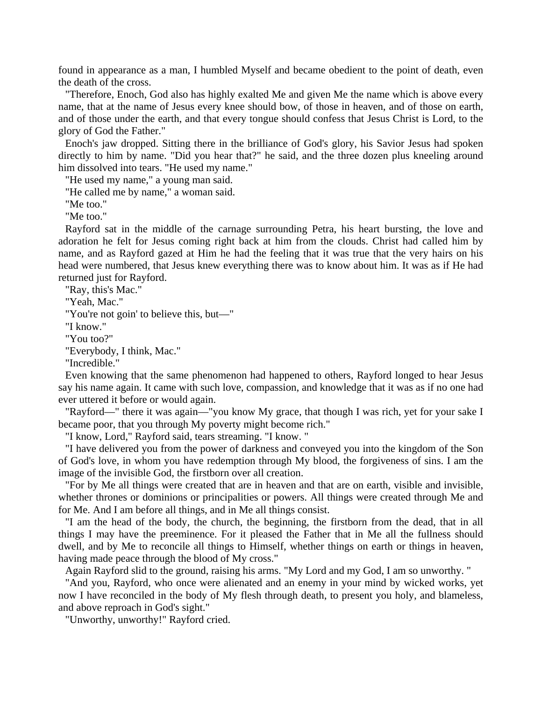found in appearance as a man, I humbled Myself and became obedient to the point of death, even the death of the cross.

"Therefore, Enoch, God also has highly exalted Me and given Me the name which is above every name, that at the name of Jesus every knee should bow, of those in heaven, and of those on earth, and of those under the earth, and that every tongue should confess that Jesus Christ is Lord, to the glory of God the Father."

Enoch's jaw dropped. Sitting there in the brilliance of God's glory, his Savior Jesus had spoken directly to him by name. "Did you hear that?" he said, and the three dozen plus kneeling around him dissolved into tears. "He used my name."

"He used my name," a young man said.

"He called me by name," a woman said.

"Me too."

"Me too."

Rayford sat in the middle of the carnage surrounding Petra, his heart bursting, the love and adoration he felt for Jesus coming right back at him from the clouds. Christ had called him by name, and as Rayford gazed at Him he had the feeling that it was true that the very hairs on his head were numbered, that Jesus knew everything there was to know about him. It was as if He had returned just for Rayford.

"Ray, this's Mac."

"Yeah, Mac."

"You're not goin' to believe this, but—"

"I know."

"You too?"

"Everybody, I think, Mac."

"Incredible."

Even knowing that the same phenomenon had happened to others, Rayford longed to hear Jesus say his name again. It came with such love, compassion, and knowledge that it was as if no one had ever uttered it before or would again.

"Rayford—" there it was again—"you know My grace, that though I was rich, yet for your sake I became poor, that you through My poverty might become rich."

"I know, Lord," Rayford said, tears streaming. "I know. "

"I have delivered you from the power of darkness and conveyed you into the kingdom of the Son of God's love, in whom you have redemption through My blood, the forgiveness of sins. I am the image of the invisible God, the firstborn over all creation.

"For by Me all things were created that are in heaven and that are on earth, visible and invisible, whether thrones or dominions or principalities or powers. All things were created through Me and for Me. And I am before all things, and in Me all things consist.

"I am the head of the body, the church, the beginning, the firstborn from the dead, that in all things I may have the preeminence. For it pleased the Father that in Me all the fullness should dwell, and by Me to reconcile all things to Himself, whether things on earth or things in heaven, having made peace through the blood of My cross."

Again Rayford slid to the ground, raising his arms. "My Lord and my God, I am so unworthy. "

"And you, Rayford, who once were alienated and an enemy in your mind by wicked works, yet now I have reconciled in the body of My flesh through death, to present you holy, and blameless, and above reproach in God's sight."

"Unworthy, unworthy!" Rayford cried.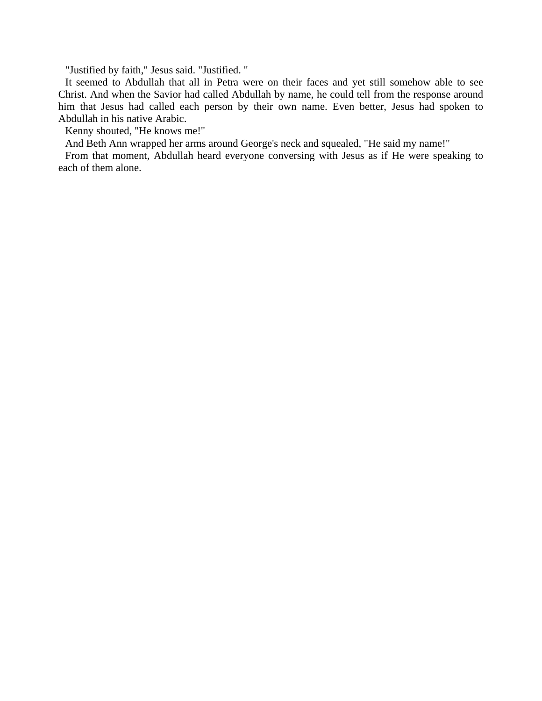"Justified by faith," Jesus said. "Justified. "

It seemed to Abdullah that all in Petra were on their faces and yet still somehow able to see Christ. And when the Savior had called Abdullah by name, he could tell from the response around him that Jesus had called each person by their own name. Even better, Jesus had spoken to Abdullah in his native Arabic.

Kenny shouted, "He knows me!"

And Beth Ann wrapped her arms around George's neck and squealed, "He said my name!"

From that moment, Abdullah heard everyone conversing with Jesus as if He were speaking to each of them alone.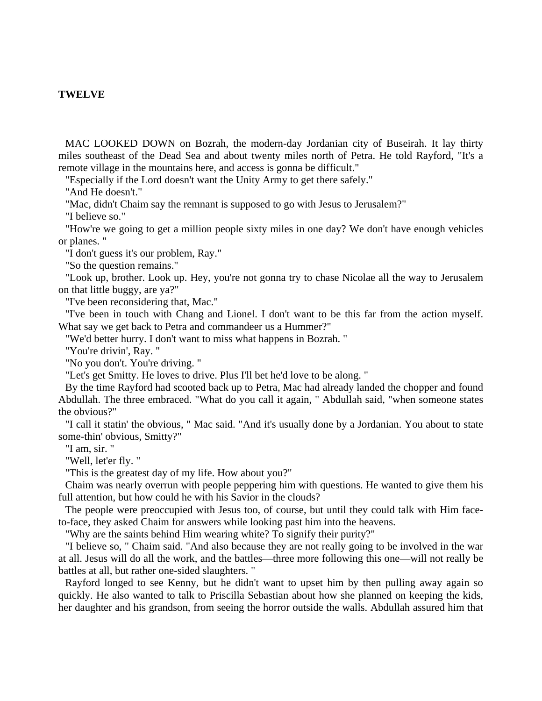## **TWELVE**

MAC LOOKED DOWN on Bozrah, the modern-day Jordanian city of Buseirah. It lay thirty miles southeast of the Dead Sea and about twenty miles north of Petra. He told Rayford, "It's a remote village in the mountains here, and access is gonna be difficult."

"Especially if the Lord doesn't want the Unity Army to get there safely."

"And He doesn't."

"Mac, didn't Chaim say the remnant is supposed to go with Jesus to Jerusalem?"

"I believe so."

"How're we going to get a million people sixty miles in one day? We don't have enough vehicles or planes. "

"I don't guess it's our problem, Ray."

"So the question remains."

"Look up, brother. Look up. Hey, you're not gonna try to chase Nicolae all the way to Jerusalem on that little buggy, are ya?"

"I've been reconsidering that, Mac."

"I've been in touch with Chang and Lionel. I don't want to be this far from the action myself. What say we get back to Petra and commandeer us a Hummer?"

"We'd better hurry. I don't want to miss what happens in Bozrah. "

"You're drivin', Ray. "

"No you don't. You're driving. "

"Let's get Smitty. He loves to drive. Plus I'll bet he'd love to be along. "

By the time Rayford had scooted back up to Petra, Mac had already landed the chopper and found Abdullah. The three embraced. "What do you call it again, " Abdullah said, "when someone states the obvious?"

"I call it statin' the obvious, " Mac said. "And it's usually done by a Jordanian. You about to state some-thin' obvious, Smitty?"

"I am, sir. "

"Well, let'er fly. "

"This is the greatest day of my life. How about you?"

Chaim was nearly overrun with people peppering him with questions. He wanted to give them his full attention, but how could he with his Savior in the clouds?

The people were preoccupied with Jesus too, of course, but until they could talk with Him faceto-face, they asked Chaim for answers while looking past him into the heavens.

"Why are the saints behind Him wearing white? To signify their purity?"

"I believe so, " Chaim said. "And also because they are not really going to be involved in the war at all. Jesus will do all the work, and the battles—three more following this one—will not really be battles at all, but rather one-sided slaughters. "

Rayford longed to see Kenny, but he didn't want to upset him by then pulling away again so quickly. He also wanted to talk to Priscilla Sebastian about how she planned on keeping the kids, her daughter and his grandson, from seeing the horror outside the walls. Abdullah assured him that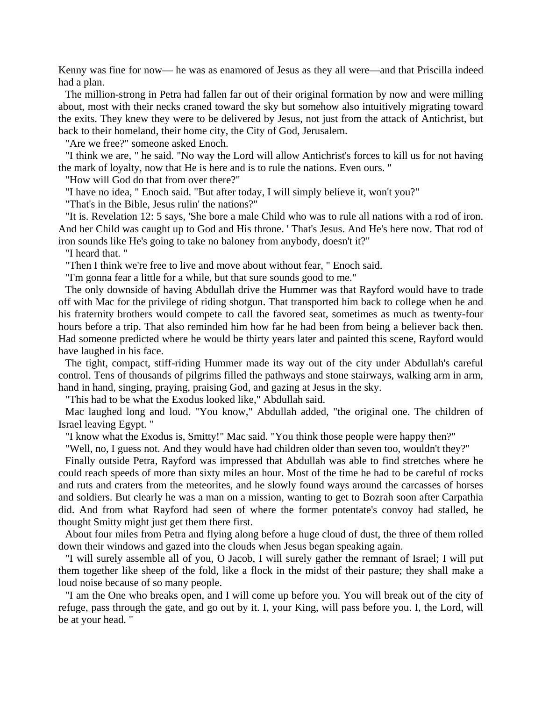Kenny was fine for now— he was as enamored of Jesus as they all were—and that Priscilla indeed had a plan.

The million-strong in Petra had fallen far out of their original formation by now and were milling about, most with their necks craned toward the sky but somehow also intuitively migrating toward the exits. They knew they were to be delivered by Jesus, not just from the attack of Antichrist, but back to their homeland, their home city, the City of God, Jerusalem.

"Are we free?" someone asked Enoch.

"I think we are, " he said. "No way the Lord will allow Antichrist's forces to kill us for not having the mark of loyalty, now that He is here and is to rule the nations. Even ours. "

"How will God do that from over there?"

"I have no idea, " Enoch said. "But after today, I will simply believe it, won't you?"

"That's in the Bible, Jesus rulin' the nations?"

"It is. Revelation 12: 5 says, 'She bore a male Child who was to rule all nations with a rod of iron. And her Child was caught up to God and His throne. ' That's Jesus. And He's here now. That rod of iron sounds like He's going to take no baloney from anybody, doesn't it?"

"I heard that. "

"Then I think we're free to live and move about without fear, " Enoch said.

"I'm gonna fear a little for a while, but that sure sounds good to me."

The only downside of having Abdullah drive the Hummer was that Rayford would have to trade off with Mac for the privilege of riding shotgun. That transported him back to college when he and his fraternity brothers would compete to call the favored seat, sometimes as much as twenty-four hours before a trip. That also reminded him how far he had been from being a believer back then. Had someone predicted where he would be thirty years later and painted this scene, Rayford would have laughed in his face.

The tight, compact, stiff-riding Hummer made its way out of the city under Abdullah's careful control. Tens of thousands of pilgrims filled the pathways and stone stairways, walking arm in arm, hand in hand, singing, praying, praising God, and gazing at Jesus in the sky.

"This had to be what the Exodus looked like," Abdullah said.

Mac laughed long and loud. "You know," Abdullah added, "the original one. The children of Israel leaving Egypt. "

"I know what the Exodus is, Smitty!" Mac said. "You think those people were happy then?"

"Well, no, I guess not. And they would have had children older than seven too, wouldn't they?"

Finally outside Petra, Rayford was impressed that Abdullah was able to find stretches where he could reach speeds of more than sixty miles an hour. Most of the time he had to be careful of rocks and ruts and craters from the meteorites, and he slowly found ways around the carcasses of horses and soldiers. But clearly he was a man on a mission, wanting to get to Bozrah soon after Carpathia did. And from what Rayford had seen of where the former potentate's convoy had stalled, he thought Smitty might just get them there first.

About four miles from Petra and flying along before a huge cloud of dust, the three of them rolled down their windows and gazed into the clouds when Jesus began speaking again.

"I will surely assemble all of you, O Jacob, I will surely gather the remnant of Israel; I will put them together like sheep of the fold, like a flock in the midst of their pasture; they shall make a loud noise because of so many people.

"I am the One who breaks open, and I will come up before you. You will break out of the city of refuge, pass through the gate, and go out by it. I, your King, will pass before you. I, the Lord, will be at your head. "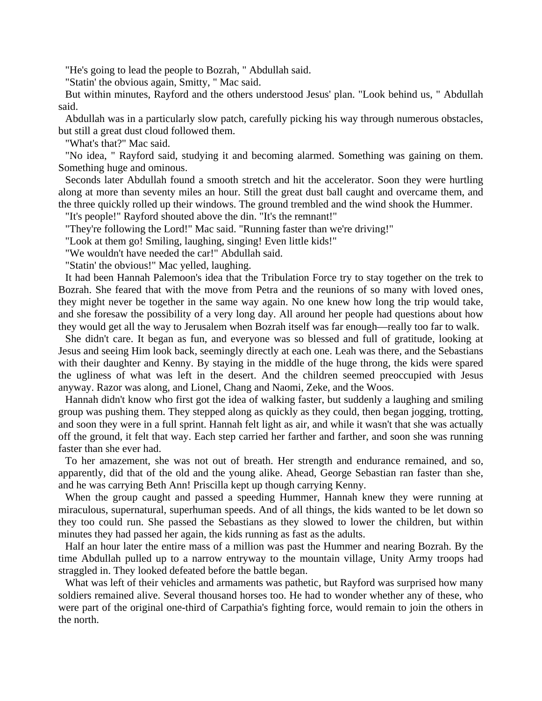"He's going to lead the people to Bozrah, " Abdullah said.

"Statin' the obvious again, Smitty, " Mac said.

But within minutes, Rayford and the others understood Jesus' plan. "Look behind us, " Abdullah said.

Abdullah was in a particularly slow patch, carefully picking his way through numerous obstacles, but still a great dust cloud followed them.

"What's that?" Mac said.

"No idea, " Rayford said, studying it and becoming alarmed. Something was gaining on them. Something huge and ominous.

Seconds later Abdullah found a smooth stretch and hit the accelerator. Soon they were hurtling along at more than seventy miles an hour. Still the great dust ball caught and overcame them, and the three quickly rolled up their windows. The ground trembled and the wind shook the Hummer.

"It's people!" Rayford shouted above the din. "It's the remnant!"

"They're following the Lord!" Mac said. "Running faster than we're driving!"

"Look at them go! Smiling, laughing, singing! Even little kids!"

"We wouldn't have needed the car!" Abdullah said.

"Statin' the obvious!" Mac yelled, laughing.

It had been Hannah Palemoon's idea that the Tribulation Force try to stay together on the trek to Bozrah. She feared that with the move from Petra and the reunions of so many with loved ones, they might never be together in the same way again. No one knew how long the trip would take, and she foresaw the possibility of a very long day. All around her people had questions about how they would get all the way to Jerusalem when Bozrah itself was far enough—really too far to walk.

She didn't care. It began as fun, and everyone was so blessed and full of gratitude, looking at Jesus and seeing Him look back, seemingly directly at each one. Leah was there, and the Sebastians with their daughter and Kenny. By staying in the middle of the huge throng, the kids were spared the ugliness of what was left in the desert. And the children seemed preoccupied with Jesus anyway. Razor was along, and Lionel, Chang and Naomi, Zeke, and the Woos.

Hannah didn't know who first got the idea of walking faster, but suddenly a laughing and smiling group was pushing them. They stepped along as quickly as they could, then began jogging, trotting, and soon they were in a full sprint. Hannah felt light as air, and while it wasn't that she was actually off the ground, it felt that way. Each step carried her farther and farther, and soon she was running faster than she ever had.

To her amazement, she was not out of breath. Her strength and endurance remained, and so, apparently, did that of the old and the young alike. Ahead, George Sebastian ran faster than she, and he was carrying Beth Ann! Priscilla kept up though carrying Kenny.

When the group caught and passed a speeding Hummer, Hannah knew they were running at miraculous, supernatural, superhuman speeds. And of all things, the kids wanted to be let down so they too could run. She passed the Sebastians as they slowed to lower the children, but within minutes they had passed her again, the kids running as fast as the adults.

Half an hour later the entire mass of a million was past the Hummer and nearing Bozrah. By the time Abdullah pulled up to a narrow entryway to the mountain village, Unity Army troops had straggled in. They looked defeated before the battle began.

What was left of their vehicles and armaments was pathetic, but Rayford was surprised how many soldiers remained alive. Several thousand horses too. He had to wonder whether any of these, who were part of the original one-third of Carpathia's fighting force, would remain to join the others in the north.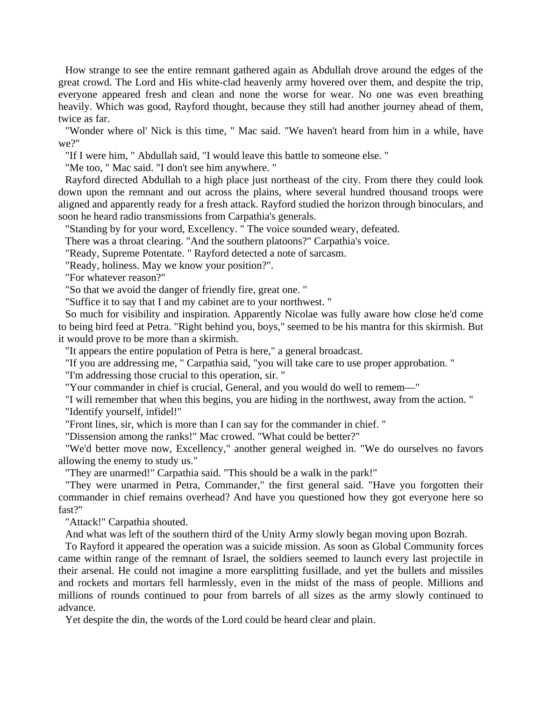How strange to see the entire remnant gathered again as Abdullah drove around the edges of the great crowd. The Lord and His white-clad heavenly army hovered over them, and despite the trip, everyone appeared fresh and clean and none the worse for wear. No one was even breathing heavily. Which was good, Rayford thought, because they still had another journey ahead of them, twice as far.

"Wonder where ol' Nick is this time, " Mac said. "We haven't heard from him in a while, have we?"

"If I were him, " Abdullah said, "I would leave this battle to someone else. "

"Me too, " Mac said. "I don't see him anywhere. "

Rayford directed Abdullah to a high place just northeast of the city. From there they could look down upon the remnant and out across the plains, where several hundred thousand troops were aligned and apparently ready for a fresh attack. Rayford studied the horizon through binoculars, and soon he heard radio transmissions from Carpathia's generals.

"Standing by for your word, Excellency. " The voice sounded weary, defeated.

There was a throat clearing. "And the southern platoons?" Carpathia's voice.

"Ready, Supreme Potentate. " Rayford detected a note of sarcasm.

"Ready, holiness. May we know your position?".

"For whatever reason?"

"So that we avoid the danger of friendly fire, great one. "

"Suffice it to say that I and my cabinet are to your northwest. "

So much for visibility and inspiration. Apparently Nicolae was fully aware how close he'd come to being bird feed at Petra. "Right behind you, boys," seemed to be his mantra for this skirmish. But it would prove to be more than a skirmish.

"It appears the entire population of Petra is here," a general broadcast.

"If you are addressing me, " Carpathia said, "you will take care to use proper approbation. "

"I'm addressing those crucial to this operation, sir. "

"Your commander in chief is crucial, General, and you would do well to remem—"

"I will remember that when this begins, you are hiding in the northwest, away from the action. "

"Identify yourself, infidel!"

"Front lines, sir, which is more than I can say for the commander in chief. "

"Dissension among the ranks!" Mac crowed. "What could be better?"

"We'd better move now, Excellency," another general weighed in. "We do ourselves no favors allowing the enemy to study us."

"They are unarmed!" Carpathia said. "This should be a walk in the park!"

"They were unarmed in Petra, Commander," the first general said. "Have you forgotten their commander in chief remains overhead? And have you questioned how they got everyone here so fast?"

"Attack!" Carpathia shouted.

And what was left of the southern third of the Unity Army slowly began moving upon Bozrah.

To Rayford it appeared the operation was a suicide mission. As soon as Global Community forces came within range of the remnant of Israel, the soldiers seemed to launch every last projectile in their arsenal. He could not imagine a more earsplitting fusillade, and yet the bullets and missiles and rockets and mortars fell harmlessly, even in the midst of the mass of people. Millions and millions of rounds continued to pour from barrels of all sizes as the army slowly continued to advance.

Yet despite the din, the words of the Lord could be heard clear and plain.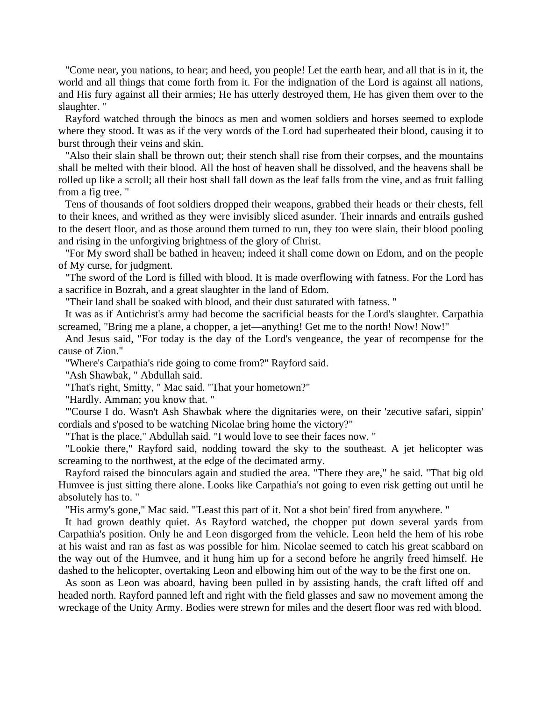"Come near, you nations, to hear; and heed, you people! Let the earth hear, and all that is in it, the world and all things that come forth from it. For the indignation of the Lord is against all nations, and His fury against all their armies; He has utterly destroyed them, He has given them over to the slaughter. "

Rayford watched through the binocs as men and women soldiers and horses seemed to explode where they stood. It was as if the very words of the Lord had superheated their blood, causing it to burst through their veins and skin.

"Also their slain shall be thrown out; their stench shall rise from their corpses, and the mountains shall be melted with their blood. All the host of heaven shall be dissolved, and the heavens shall be rolled up like a scroll; all their host shall fall down as the leaf falls from the vine, and as fruit falling from a fig tree. "

Tens of thousands of foot soldiers dropped their weapons, grabbed their heads or their chests, fell to their knees, and writhed as they were invisibly sliced asunder. Their innards and entrails gushed to the desert floor, and as those around them turned to run, they too were slain, their blood pooling and rising in the unforgiving brightness of the glory of Christ.

"For My sword shall be bathed in heaven; indeed it shall come down on Edom, and on the people of My curse, for judgment.

"The sword of the Lord is filled with blood. It is made overflowing with fatness. For the Lord has a sacrifice in Bozrah, and a great slaughter in the land of Edom.

"Their land shall be soaked with blood, and their dust saturated with fatness. "

It was as if Antichrist's army had become the sacrificial beasts for the Lord's slaughter. Carpathia screamed, "Bring me a plane, a chopper, a jet—anything! Get me to the north! Now! Now!"

And Jesus said, "For today is the day of the Lord's vengeance, the year of recompense for the cause of Zion."

"Where's Carpathia's ride going to come from?" Rayford said.

"Ash Shawbak, " Abdullah said.

"That's right, Smitty, " Mac said. "That your hometown?"

"Hardly. Amman; you know that. "

"'Course I do. Wasn't Ash Shawbak where the dignitaries were, on their 'zecutive safari, sippin' cordials and s'posed to be watching Nicolae bring home the victory?"

"That is the place," Abdullah said. "I would love to see their faces now. "

"Lookie there," Rayford said, nodding toward the sky to the southeast. A jet helicopter was screaming to the northwest, at the edge of the decimated army.

Rayford raised the binoculars again and studied the area. "There they are," he said. "That big old Humvee is just sitting there alone. Looks like Carpathia's not going to even risk getting out until he absolutely has to. "

"His army's gone," Mac said. "'Least this part of it. Not a shot bein' fired from anywhere. "

It had grown deathly quiet. As Rayford watched, the chopper put down several yards from Carpathia's position. Only he and Leon disgorged from the vehicle. Leon held the hem of his robe at his waist and ran as fast as was possible for him. Nicolae seemed to catch his great scabbard on the way out of the Humvee, and it hung him up for a second before he angrily freed himself. He dashed to the helicopter, overtaking Leon and elbowing him out of the way to be the first one on.

As soon as Leon was aboard, having been pulled in by assisting hands, the craft lifted off and headed north. Rayford panned left and right with the field glasses and saw no movement among the wreckage of the Unity Army. Bodies were strewn for miles and the desert floor was red with blood.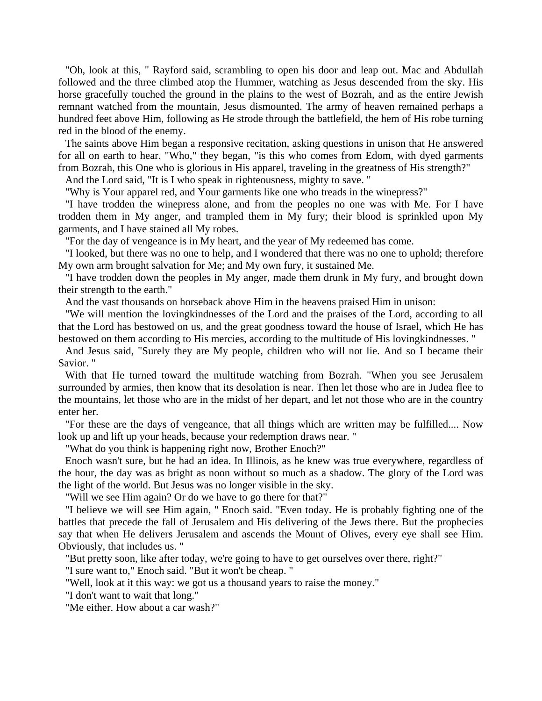"Oh, look at this, " Rayford said, scrambling to open his door and leap out. Mac and Abdullah followed and the three climbed atop the Hummer, watching as Jesus descended from the sky. His horse gracefully touched the ground in the plains to the west of Bozrah, and as the entire Jewish remnant watched from the mountain, Jesus dismounted. The army of heaven remained perhaps a hundred feet above Him, following as He strode through the battlefield, the hem of His robe turning red in the blood of the enemy.

The saints above Him began a responsive recitation, asking questions in unison that He answered for all on earth to hear. "Who," they began, "is this who comes from Edom, with dyed garments from Bozrah, this One who is glorious in His apparel, traveling in the greatness of His strength?"

And the Lord said, "It is I who speak in righteousness, mighty to save. "

"Why is Your apparel red, and Your garments like one who treads in the winepress?"

"I have trodden the winepress alone, and from the peoples no one was with Me. For I have trodden them in My anger, and trampled them in My fury; their blood is sprinkled upon My garments, and I have stained all My robes.

"For the day of vengeance is in My heart, and the year of My redeemed has come.

"I looked, but there was no one to help, and I wondered that there was no one to uphold; therefore My own arm brought salvation for Me; and My own fury, it sustained Me.

"I have trodden down the peoples in My anger, made them drunk in My fury, and brought down their strength to the earth."

And the vast thousands on horseback above Him in the heavens praised Him in unison:

"We will mention the lovingkindnesses of the Lord and the praises of the Lord, according to all that the Lord has bestowed on us, and the great goodness toward the house of Israel, which He has bestowed on them according to His mercies, according to the multitude of His lovingkindnesses. "

And Jesus said, "Surely they are My people, children who will not lie. And so I became their Savior. "

With that He turned toward the multitude watching from Bozrah. "When you see Jerusalem surrounded by armies, then know that its desolation is near. Then let those who are in Judea flee to the mountains, let those who are in the midst of her depart, and let not those who are in the country enter her.

"For these are the days of vengeance, that all things which are written may be fulfilled.... Now look up and lift up your heads, because your redemption draws near. "

"What do you think is happening right now, Brother Enoch?"

Enoch wasn't sure, but he had an idea. In Illinois, as he knew was true everywhere, regardless of the hour, the day was as bright as noon without so much as a shadow. The glory of the Lord was the light of the world. But Jesus was no longer visible in the sky.

"Will we see Him again? Or do we have to go there for that?"

"I believe we will see Him again, " Enoch said. "Even today. He is probably fighting one of the battles that precede the fall of Jerusalem and His delivering of the Jews there. But the prophecies say that when He delivers Jerusalem and ascends the Mount of Olives, every eye shall see Him. Obviously, that includes us. "

"But pretty soon, like after today, we're going to have to get ourselves over there, right?"

"I sure want to," Enoch said. "But it won't be cheap. "

"Well, look at it this way: we got us a thousand years to raise the money."

"I don't want to wait that long."

"Me either. How about a car wash?"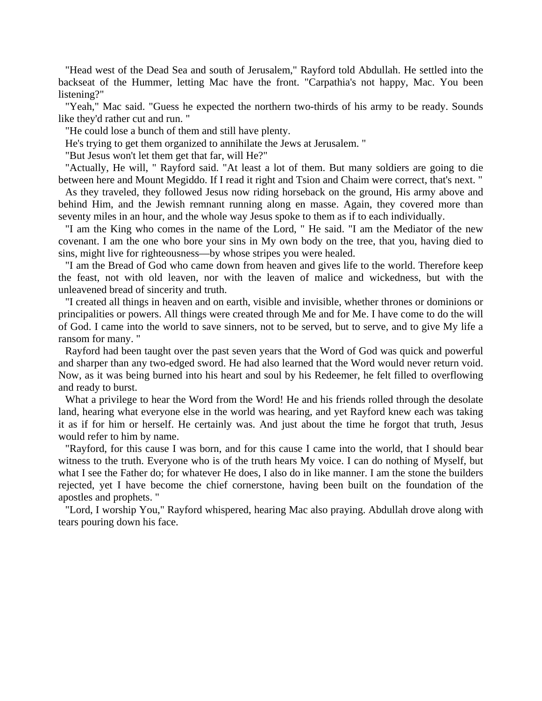"Head west of the Dead Sea and south of Jerusalem," Rayford told Abdullah. He settled into the backseat of the Hummer, letting Mac have the front. "Carpathia's not happy, Mac. You been listening?"

"Yeah," Mac said. "Guess he expected the northern two-thirds of his army to be ready. Sounds like they'd rather cut and run. "

"He could lose a bunch of them and still have plenty.

He's trying to get them organized to annihilate the Jews at Jerusalem. "

"But Jesus won't let them get that far, will He?"

"Actually, He will, " Rayford said. "At least a lot of them. But many soldiers are going to die between here and Mount Megiddo. If I read it right and Tsion and Chaim were correct, that's next. "

As they traveled, they followed Jesus now riding horseback on the ground, His army above and behind Him, and the Jewish remnant running along en masse. Again, they covered more than seventy miles in an hour, and the whole way Jesus spoke to them as if to each individually.

"I am the King who comes in the name of the Lord, " He said. "I am the Mediator of the new covenant. I am the one who bore your sins in My own body on the tree, that you, having died to sins, might live for righteousness—by whose stripes you were healed.

"I am the Bread of God who came down from heaven and gives life to the world. Therefore keep the feast, not with old leaven, nor with the leaven of malice and wickedness, but with the unleavened bread of sincerity and truth.

"I created all things in heaven and on earth, visible and invisible, whether thrones or dominions or principalities or powers. All things were created through Me and for Me. I have come to do the will of God. I came into the world to save sinners, not to be served, but to serve, and to give My life a ransom for many. "

Rayford had been taught over the past seven years that the Word of God was quick and powerful and sharper than any two-edged sword. He had also learned that the Word would never return void. Now, as it was being burned into his heart and soul by his Redeemer, he felt filled to overflowing and ready to burst.

What a privilege to hear the Word from the Word! He and his friends rolled through the desolate land, hearing what everyone else in the world was hearing, and yet Rayford knew each was taking it as if for him or herself. He certainly was. And just about the time he forgot that truth, Jesus would refer to him by name.

"Rayford, for this cause I was born, and for this cause I came into the world, that I should bear witness to the truth. Everyone who is of the truth hears My voice. I can do nothing of Myself, but what I see the Father do; for whatever He does, I also do in like manner. I am the stone the builders rejected, yet I have become the chief cornerstone, having been built on the foundation of the apostles and prophets. "

"Lord, I worship You," Rayford whispered, hearing Mac also praying. Abdullah drove along with tears pouring down his face.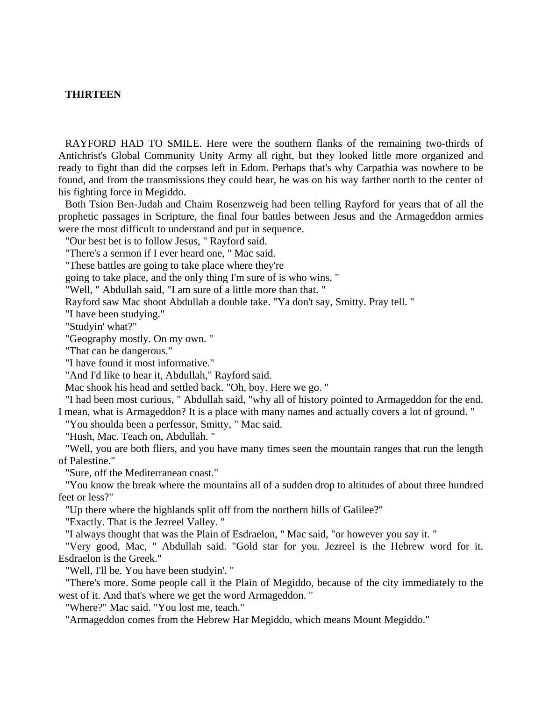## **THIRTEEN**

RAYFORD HAD TO SMILE. Here were the southern flanks of the remaining two-thirds of Antichrist's Global Community Unity Army all right, but they looked little more organized and ready to fight than did the corpses left in Edom. Perhaps that's why Carpathia was nowhere to be found, and from the transmissions they could hear, he was on his way farther north to the center of his fighting force in Megiddo.

Both Tsion Ben-Judah and Chaim Rosenzweig had been telling Rayford for years that of all the prophetic passages in Scripture, the final four battles between Jesus and the Armageddon armies were the most difficult to understand and put in sequence.

"Our best bet is to follow Jesus, " Rayford said.

"There's a sermon if I ever heard one, " Mac said.

"These battles are going to take place where they're

going to take place, and the only thing I'm sure of is who wins. "

"Well, " Abdullah said, "I am sure of a little more than that. "

Rayford saw Mac shoot Abdullah a double take. "Ya don't say, Smitty. Pray tell. "

"I have been studying."

"Studyin' what?"

"Geography mostly. On my own. "

"That can be dangerous."

"I have found it most informative."

"And I'd like to hear it, Abdullah," Rayford said.

Mac shook his head and settled back. "Oh, boy. Here we go. "

"I had been most curious, " Abdullah said, "why all of history pointed to Armageddon for the end. I mean, what is Armageddon? It is a place with many names and actually covers a lot of ground. "

"You shoulda been a perfessor, Smitty, " Mac said.

"Hush, Mac. Teach on, Abdullah. "

"Well, you are both fliers, and you have many times seen the mountain ranges that run the length of Palestine."

"Sure, off the Mediterranean coast."

"You know the break where the mountains all of a sudden drop to altitudes of about three hundred feet or less?"

"Up there where the highlands split off from the northern hills of Galilee?"

"Exactly. That is the Jezreel Valley. "

"I always thought that was the Plain of Esdraelon, " Mac said, "or however you say it. "

"Very good, Mac, " Abdullah said. "Gold star for you. Jezreel is the Hebrew word for it. Esdraelon is the Greek."

"Well, I'll be. You have been studyin'. "

"There's more. Some people call it the Plain of Megiddo, because of the city immediately to the west of it. And that's where we get the word Armageddon. "

"Where?" Mac said. "You lost me, teach."

"Armageddon comes from the Hebrew Har Megiddo, which means Mount Megiddo."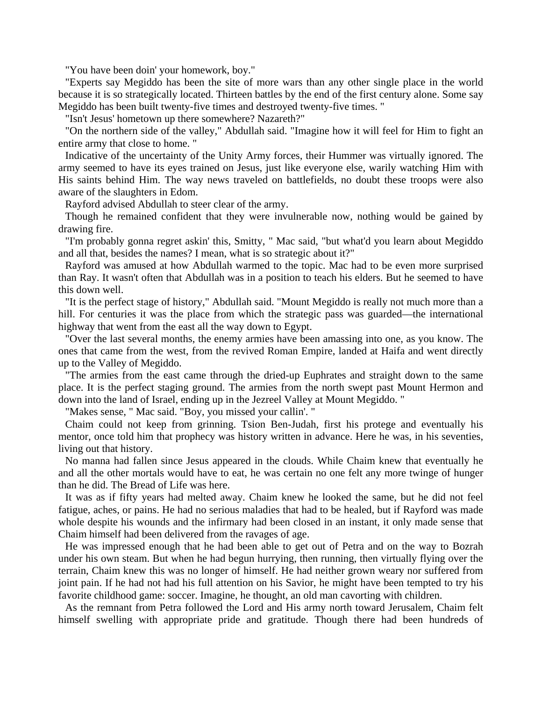"You have been doin' your homework, boy."

"Experts say Megiddo has been the site of more wars than any other single place in the world because it is so strategically located. Thirteen battles by the end of the first century alone. Some say Megiddo has been built twenty-five times and destroyed twenty-five times. "

"Isn't Jesus' hometown up there somewhere? Nazareth?"

"On the northern side of the valley," Abdullah said. "Imagine how it will feel for Him to fight an entire army that close to home. "

Indicative of the uncertainty of the Unity Army forces, their Hummer was virtually ignored. The army seemed to have its eyes trained on Jesus, just like everyone else, warily watching Him with His saints behind Him. The way news traveled on battlefields, no doubt these troops were also aware of the slaughters in Edom.

Rayford advised Abdullah to steer clear of the army.

Though he remained confident that they were invulnerable now, nothing would be gained by drawing fire.

"I'm probably gonna regret askin' this, Smitty, " Mac said, "but what'd you learn about Megiddo and all that, besides the names? I mean, what is so strategic about it?"

Rayford was amused at how Abdullah warmed to the topic. Mac had to be even more surprised than Ray. It wasn't often that Abdullah was in a position to teach his elders. But he seemed to have this down well.

"It is the perfect stage of history," Abdullah said. "Mount Megiddo is really not much more than a hill. For centuries it was the place from which the strategic pass was guarded—the international highway that went from the east all the way down to Egypt.

"Over the last several months, the enemy armies have been amassing into one, as you know. The ones that came from the west, from the revived Roman Empire, landed at Haifa and went directly up to the Valley of Megiddo.

"The armies from the east came through the dried-up Euphrates and straight down to the same place. It is the perfect staging ground. The armies from the north swept past Mount Hermon and down into the land of Israel, ending up in the Jezreel Valley at Mount Megiddo. "

"Makes sense, " Mac said. "Boy, you missed your callin'. "

Chaim could not keep from grinning. Tsion Ben-Judah, first his protege and eventually his mentor, once told him that prophecy was history written in advance. Here he was, in his seventies, living out that history.

No manna had fallen since Jesus appeared in the clouds. While Chaim knew that eventually he and all the other mortals would have to eat, he was certain no one felt any more twinge of hunger than he did. The Bread of Life was here.

It was as if fifty years had melted away. Chaim knew he looked the same, but he did not feel fatigue, aches, or pains. He had no serious maladies that had to be healed, but if Rayford was made whole despite his wounds and the infirmary had been closed in an instant, it only made sense that Chaim himself had been delivered from the ravages of age.

He was impressed enough that he had been able to get out of Petra and on the way to Bozrah under his own steam. But when he had begun hurrying, then running, then virtually flying over the terrain, Chaim knew this was no longer of himself. He had neither grown weary nor suffered from joint pain. If he had not had his full attention on his Savior, he might have been tempted to try his favorite childhood game: soccer. Imagine, he thought, an old man cavorting with children.

As the remnant from Petra followed the Lord and His army north toward Jerusalem, Chaim felt himself swelling with appropriate pride and gratitude. Though there had been hundreds of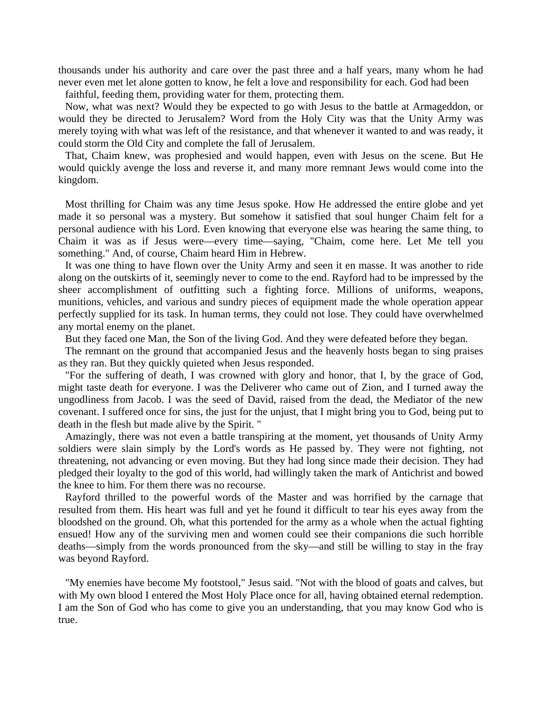thousands under his authority and care over the past three and a half years, many whom he had never even met let alone gotten to know, he felt a love and responsibility for each. God had been

faithful, feeding them, providing water for them, protecting them.

Now, what was next? Would they be expected to go with Jesus to the battle at Armageddon, or would they be directed to Jerusalem? Word from the Holy City was that the Unity Army was merely toying with what was left of the resistance, and that whenever it wanted to and was ready, it could storm the Old City and complete the fall of Jerusalem.

That, Chaim knew, was prophesied and would happen, even with Jesus on the scene. But He would quickly avenge the loss and reverse it, and many more remnant Jews would come into the kingdom.

Most thrilling for Chaim was any time Jesus spoke. How He addressed the entire globe and yet made it so personal was a mystery. But somehow it satisfied that soul hunger Chaim felt for a personal audience with his Lord. Even knowing that everyone else was hearing the same thing, to Chaim it was as if Jesus were—every time—saying, "Chaim, come here. Let Me tell you something." And, of course, Chaim heard Him in Hebrew.

It was one thing to have flown over the Unity Army and seen it en masse. It was another to ride along on the outskirts of it, seemingly never to come to the end. Rayford had to be impressed by the sheer accomplishment of outfitting such a fighting force. Millions of uniforms, weapons, munitions, vehicles, and various and sundry pieces of equipment made the whole operation appear perfectly supplied for its task. In human terms, they could not lose. They could have overwhelmed any mortal enemy on the planet.

But they faced one Man, the Son of the living God. And they were defeated before they began.

The remnant on the ground that accompanied Jesus and the heavenly hosts began to sing praises as they ran. But they quickly quieted when Jesus responded.

"For the suffering of death, I was crowned with glory and honor, that I, by the grace of God, might taste death for everyone. I was the Deliverer who came out of Zion, and I turned away the ungodliness from Jacob. I was the seed of David, raised from the dead, the Mediator of the new covenant. I suffered once for sins, the just for the unjust, that I might bring you to God, being put to death in the flesh but made alive by the Spirit. "

Amazingly, there was not even a battle transpiring at the moment, yet thousands of Unity Army soldiers were slain simply by the Lord's words as He passed by. They were not fighting, not threatening, not advancing or even moving. But they had long since made their decision. They had pledged their loyalty to the god of this world, had willingly taken the mark of Antichrist and bowed the knee to him. For them there was no recourse.

Rayford thrilled to the powerful words of the Master and was horrified by the carnage that resulted from them. His heart was full and yet he found it difficult to tear his eyes away from the bloodshed on the ground. Oh, what this portended for the army as a whole when the actual fighting ensued! How any of the surviving men and women could see their companions die such horrible deaths—simply from the words pronounced from the sky—and still be willing to stay in the fray was beyond Rayford.

"My enemies have become My footstool," Jesus said. "Not with the blood of goats and calves, but with My own blood I entered the Most Holy Place once for all, having obtained eternal redemption. I am the Son of God who has come to give you an understanding, that you may know God who is true.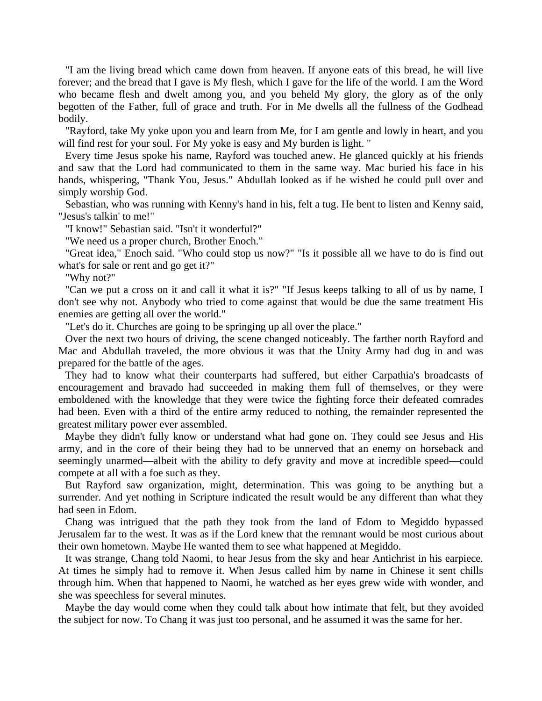"I am the living bread which came down from heaven. If anyone eats of this bread, he will live forever; and the bread that I gave is My flesh, which I gave for the life of the world. I am the Word who became flesh and dwelt among you, and you beheld My glory, the glory as of the only begotten of the Father, full of grace and truth. For in Me dwells all the fullness of the Godhead bodily.

"Rayford, take My yoke upon you and learn from Me, for I am gentle and lowly in heart, and you will find rest for your soul. For My yoke is easy and My burden is light. "

Every time Jesus spoke his name, Rayford was touched anew. He glanced quickly at his friends and saw that the Lord had communicated to them in the same way. Mac buried his face in his hands, whispering, "Thank You, Jesus." Abdullah looked as if he wished he could pull over and simply worship God.

Sebastian, who was running with Kenny's hand in his, felt a tug. He bent to listen and Kenny said, "Jesus's talkin' to me!"

"I know!" Sebastian said. "Isn't it wonderful?"

"We need us a proper church, Brother Enoch."

"Great idea," Enoch said. "Who could stop us now?" "Is it possible all we have to do is find out what's for sale or rent and go get it?"

"Why not?"

"Can we put a cross on it and call it what it is?" "If Jesus keeps talking to all of us by name, I don't see why not. Anybody who tried to come against that would be due the same treatment His enemies are getting all over the world."

"Let's do it. Churches are going to be springing up all over the place."

Over the next two hours of driving, the scene changed noticeably. The farther north Rayford and Mac and Abdullah traveled, the more obvious it was that the Unity Army had dug in and was prepared for the battle of the ages.

They had to know what their counterparts had suffered, but either Carpathia's broadcasts of encouragement and bravado had succeeded in making them full of themselves, or they were emboldened with the knowledge that they were twice the fighting force their defeated comrades had been. Even with a third of the entire army reduced to nothing, the remainder represented the greatest military power ever assembled.

Maybe they didn't fully know or understand what had gone on. They could see Jesus and His army, and in the core of their being they had to be unnerved that an enemy on horseback and seemingly unarmed—albeit with the ability to defy gravity and move at incredible speed—could compete at all with a foe such as they.

But Rayford saw organization, might, determination. This was going to be anything but a surrender. And yet nothing in Scripture indicated the result would be any different than what they had seen in Edom.

Chang was intrigued that the path they took from the land of Edom to Megiddo bypassed Jerusalem far to the west. It was as if the Lord knew that the remnant would be most curious about their own hometown. Maybe He wanted them to see what happened at Megiddo.

It was strange, Chang told Naomi, to hear Jesus from the sky and hear Antichrist in his earpiece. At times he simply had to remove it. When Jesus called him by name in Chinese it sent chills through him. When that happened to Naomi, he watched as her eyes grew wide with wonder, and she was speechless for several minutes.

Maybe the day would come when they could talk about how intimate that felt, but they avoided the subject for now. To Chang it was just too personal, and he assumed it was the same for her.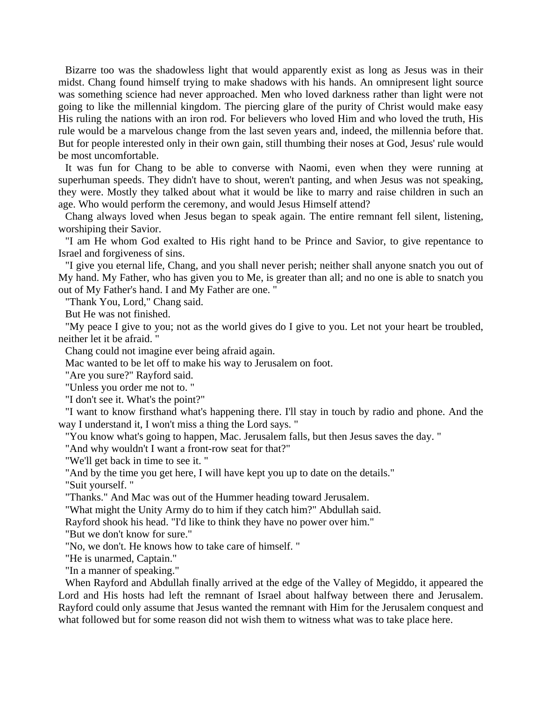Bizarre too was the shadowless light that would apparently exist as long as Jesus was in their midst. Chang found himself trying to make shadows with his hands. An omnipresent light source was something science had never approached. Men who loved darkness rather than light were not going to like the millennial kingdom. The piercing glare of the purity of Christ would make easy His ruling the nations with an iron rod. For believers who loved Him and who loved the truth, His rule would be a marvelous change from the last seven years and, indeed, the millennia before that. But for people interested only in their own gain, still thumbing their noses at God, Jesus' rule would be most uncomfortable.

It was fun for Chang to be able to converse with Naomi, even when they were running at superhuman speeds. They didn't have to shout, weren't panting, and when Jesus was not speaking, they were. Mostly they talked about what it would be like to marry and raise children in such an age. Who would perform the ceremony, and would Jesus Himself attend?

Chang always loved when Jesus began to speak again. The entire remnant fell silent, listening, worshiping their Savior.

"I am He whom God exalted to His right hand to be Prince and Savior, to give repentance to Israel and forgiveness of sins.

"I give you eternal life, Chang, and you shall never perish; neither shall anyone snatch you out of My hand. My Father, who has given you to Me, is greater than all; and no one is able to snatch you out of My Father's hand. I and My Father are one. "

"Thank You, Lord," Chang said.

But He was not finished.

"My peace I give to you; not as the world gives do I give to you. Let not your heart be troubled, neither let it be afraid. "

Chang could not imagine ever being afraid again.

Mac wanted to be let off to make his way to Jerusalem on foot.

"Are you sure?" Rayford said.

"Unless you order me not to. "

"I don't see it. What's the point?"

"I want to know firsthand what's happening there. I'll stay in touch by radio and phone. And the way I understand it, I won't miss a thing the Lord says. "

"You know what's going to happen, Mac. Jerusalem falls, but then Jesus saves the day. "

"And why wouldn't I want a front-row seat for that?"

"We'll get back in time to see it. "

"And by the time you get here, I will have kept you up to date on the details."

"Suit yourself. "

"Thanks." And Mac was out of the Hummer heading toward Jerusalem.

"What might the Unity Army do to him if they catch him?" Abdullah said.

Rayford shook his head. "I'd like to think they have no power over him."

"But we don't know for sure."

"No, we don't. He knows how to take care of himself. "

"He is unarmed, Captain."

"In a manner of speaking."

When Rayford and Abdullah finally arrived at the edge of the Valley of Megiddo, it appeared the Lord and His hosts had left the remnant of Israel about halfway between there and Jerusalem. Rayford could only assume that Jesus wanted the remnant with Him for the Jerusalem conquest and what followed but for some reason did not wish them to witness what was to take place here.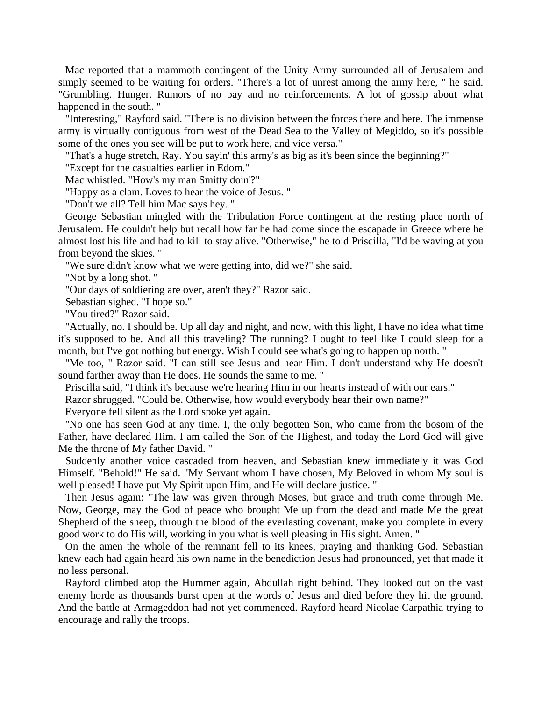Mac reported that a mammoth contingent of the Unity Army surrounded all of Jerusalem and simply seemed to be waiting for orders. "There's a lot of unrest among the army here, " he said. "Grumbling. Hunger. Rumors of no pay and no reinforcements. A lot of gossip about what happened in the south. "

"Interesting," Rayford said. "There is no division between the forces there and here. The immense army is virtually contiguous from west of the Dead Sea to the Valley of Megiddo, so it's possible some of the ones you see will be put to work here, and vice versa."

"That's a huge stretch, Ray. You sayin' this army's as big as it's been since the beginning?"

"Except for the casualties earlier in Edom."

Mac whistled. "How's my man Smitty doin'?"

"Happy as a clam. Loves to hear the voice of Jesus. "

"Don't we all? Tell him Mac says hey. "

George Sebastian mingled with the Tribulation Force contingent at the resting place north of Jerusalem. He couldn't help but recall how far he had come since the escapade in Greece where he almost lost his life and had to kill to stay alive. "Otherwise," he told Priscilla, "I'd be waving at you from beyond the skies. "

"We sure didn't know what we were getting into, did we?" she said.

"Not by a long shot. "

"Our days of soldiering are over, aren't they?" Razor said.

Sebastian sighed. "I hope so."

"You tired?" Razor said.

"Actually, no. I should be. Up all day and night, and now, with this light, I have no idea what time it's supposed to be. And all this traveling? The running? I ought to feel like I could sleep for a month, but I've got nothing but energy. Wish I could see what's going to happen up north. "

"Me too, " Razor said. "I can still see Jesus and hear Him. I don't understand why He doesn't sound farther away than He does. He sounds the same to me. "

Priscilla said, "I think it's because we're hearing Him in our hearts instead of with our ears."

Razor shrugged. "Could be. Otherwise, how would everybody hear their own name?"

Everyone fell silent as the Lord spoke yet again.

"No one has seen God at any time. I, the only begotten Son, who came from the bosom of the Father, have declared Him. I am called the Son of the Highest, and today the Lord God will give Me the throne of My father David. "

Suddenly another voice cascaded from heaven, and Sebastian knew immediately it was God Himself. "Behold!" He said. "My Servant whom I have chosen, My Beloved in whom My soul is well pleased! I have put My Spirit upon Him, and He will declare justice. "

Then Jesus again: "The law was given through Moses, but grace and truth come through Me. Now, George, may the God of peace who brought Me up from the dead and made Me the great Shepherd of the sheep, through the blood of the everlasting covenant, make you complete in every good work to do His will, working in you what is well pleasing in His sight. Amen. "

On the amen the whole of the remnant fell to its knees, praying and thanking God. Sebastian knew each had again heard his own name in the benediction Jesus had pronounced, yet that made it no less personal.

Rayford climbed atop the Hummer again, Abdullah right behind. They looked out on the vast enemy horde as thousands burst open at the words of Jesus and died before they hit the ground. And the battle at Armageddon had not yet commenced. Rayford heard Nicolae Carpathia trying to encourage and rally the troops.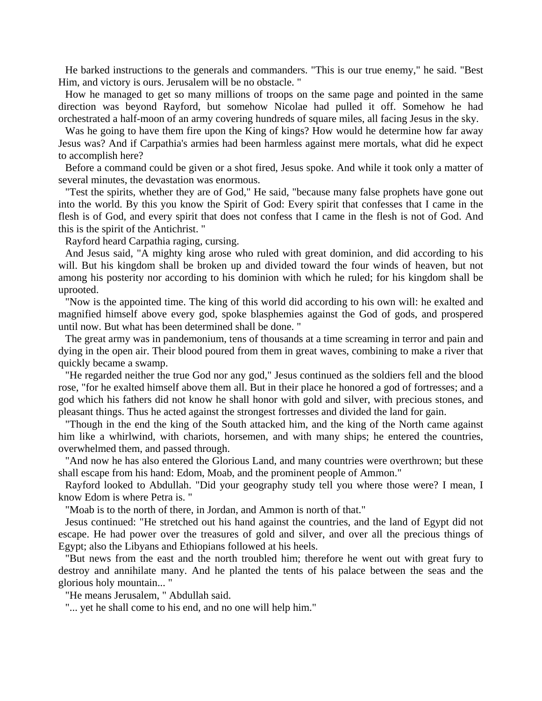He barked instructions to the generals and commanders. "This is our true enemy," he said. "Best Him, and victory is ours. Jerusalem will be no obstacle. "

How he managed to get so many millions of troops on the same page and pointed in the same direction was beyond Rayford, but somehow Nicolae had pulled it off. Somehow he had orchestrated a half-moon of an army covering hundreds of square miles, all facing Jesus in the sky.

Was he going to have them fire upon the King of kings? How would he determine how far away Jesus was? And if Carpathia's armies had been harmless against mere mortals, what did he expect to accomplish here?

Before a command could be given or a shot fired, Jesus spoke. And while it took only a matter of several minutes, the devastation was enormous.

"Test the spirits, whether they are of God," He said, "because many false prophets have gone out into the world. By this you know the Spirit of God: Every spirit that confesses that I came in the flesh is of God, and every spirit that does not confess that I came in the flesh is not of God. And this is the spirit of the Antichrist. "

Rayford heard Carpathia raging, cursing.

And Jesus said, "A mighty king arose who ruled with great dominion, and did according to his will. But his kingdom shall be broken up and divided toward the four winds of heaven, but not among his posterity nor according to his dominion with which he ruled; for his kingdom shall be uprooted.

"Now is the appointed time. The king of this world did according to his own will: he exalted and magnified himself above every god, spoke blasphemies against the God of gods, and prospered until now. But what has been determined shall be done. "

The great army was in pandemonium, tens of thousands at a time screaming in terror and pain and dying in the open air. Their blood poured from them in great waves, combining to make a river that quickly became a swamp.

"He regarded neither the true God nor any god," Jesus continued as the soldiers fell and the blood rose, "for he exalted himself above them all. But in their place he honored a god of fortresses; and a god which his fathers did not know he shall honor with gold and silver, with precious stones, and pleasant things. Thus he acted against the strongest fortresses and divided the land for gain.

"Though in the end the king of the South attacked him, and the king of the North came against him like a whirlwind, with chariots, horsemen, and with many ships; he entered the countries, overwhelmed them, and passed through.

"And now he has also entered the Glorious Land, and many countries were overthrown; but these shall escape from his hand: Edom, Moab, and the prominent people of Ammon."

Rayford looked to Abdullah. "Did your geography study tell you where those were? I mean, I know Edom is where Petra is. "

"Moab is to the north of there, in Jordan, and Ammon is north of that."

Jesus continued: "He stretched out his hand against the countries, and the land of Egypt did not escape. He had power over the treasures of gold and silver, and over all the precious things of Egypt; also the Libyans and Ethiopians followed at his heels.

"But news from the east and the north troubled him; therefore he went out with great fury to destroy and annihilate many. And he planted the tents of his palace between the seas and the glorious holy mountain... "

"He means Jerusalem, " Abdullah said.

"... yet he shall come to his end, and no one will help him."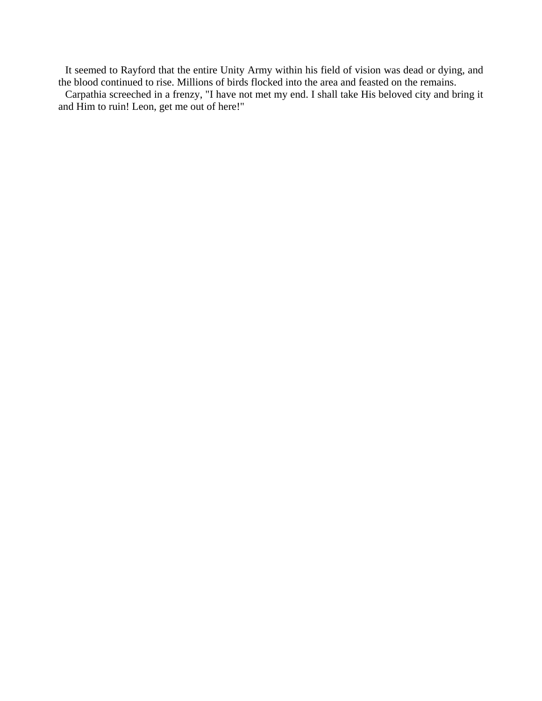It seemed to Rayford that the entire Unity Army within his field of vision was dead or dying, and the blood continued to rise. Millions of birds flocked into the area and feasted on the remains.

Carpathia screeched in a frenzy, "I have not met my end. I shall take His beloved city and bring it and Him to ruin! Leon, get me out of here!"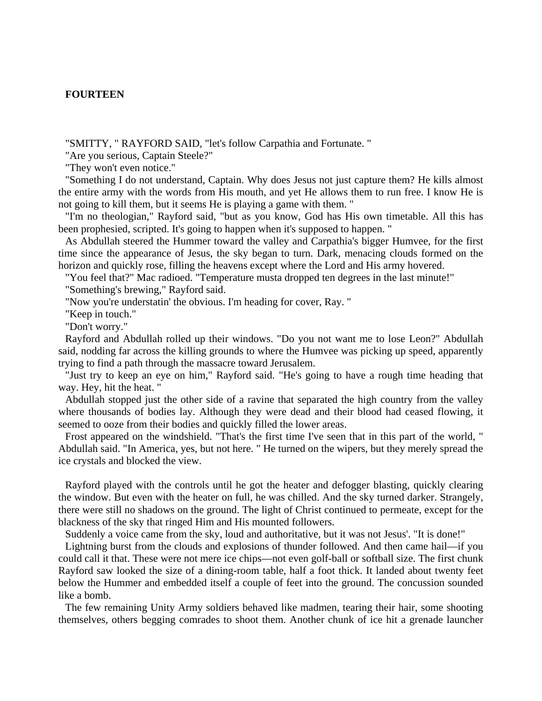# **FOURTEEN**

"SMITTY, " RAYFORD SAID, "let's follow Carpathia and Fortunate. "

"Are you serious, Captain Steele?"

"They won't even notice."

"Something I do not understand, Captain. Why does Jesus not just capture them? He kills almost the entire army with the words from His mouth, and yet He allows them to run free. I know He is not going to kill them, but it seems He is playing a game with them. "

"I'm no theologian," Rayford said, "but as you know, God has His own timetable. All this has been prophesied, scripted. It's going to happen when it's supposed to happen. "

As Abdullah steered the Hummer toward the valley and Carpathia's bigger Humvee, for the first time since the appearance of Jesus, the sky began to turn. Dark, menacing clouds formed on the horizon and quickly rose, filling the heavens except where the Lord and His army hovered.

"You feel that?" Mac radioed. "Temperature musta dropped ten degrees in the last minute!"

"Something's brewing," Rayford said.

"Now you're understatin' the obvious. I'm heading for cover, Ray. "

"Keep in touch."

"Don't worry."

Rayford and Abdullah rolled up their windows. "Do you not want me to lose Leon?" Abdullah said, nodding far across the killing grounds to where the Humvee was picking up speed, apparently trying to find a path through the massacre toward Jerusalem.

"Just try to keep an eye on him," Rayford said. "He's going to have a rough time heading that way. Hey, hit the heat. "

Abdullah stopped just the other side of a ravine that separated the high country from the valley where thousands of bodies lay. Although they were dead and their blood had ceased flowing, it seemed to ooze from their bodies and quickly filled the lower areas.

Frost appeared on the windshield. "That's the first time I've seen that in this part of the world, " Abdullah said. "In America, yes, but not here. " He turned on the wipers, but they merely spread the ice crystals and blocked the view.

Rayford played with the controls until he got the heater and defogger blasting, quickly clearing the window. But even with the heater on full, he was chilled. And the sky turned darker. Strangely, there were still no shadows on the ground. The light of Christ continued to permeate, except for the blackness of the sky that ringed Him and His mounted followers.

Suddenly a voice came from the sky, loud and authoritative, but it was not Jesus'. "It is done!"

Lightning burst from the clouds and explosions of thunder followed. And then came hail—if you could call it that. These were not mere ice chips—not even golf-ball or softball size. The first chunk Rayford saw looked the size of a dining-room table, half a foot thick. It landed about twenty feet below the Hummer and embedded itself a couple of feet into the ground. The concussion sounded like a bomb.

The few remaining Unity Army soldiers behaved like madmen, tearing their hair, some shooting themselves, others begging comrades to shoot them. Another chunk of ice hit a grenade launcher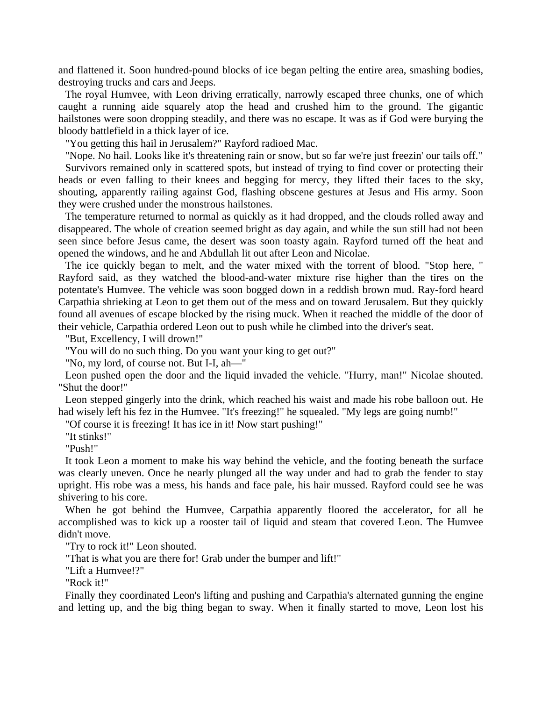and flattened it. Soon hundred-pound blocks of ice began pelting the entire area, smashing bodies, destroying trucks and cars and Jeeps.

The royal Humvee, with Leon driving erratically, narrowly escaped three chunks, one of which caught a running aide squarely atop the head and crushed him to the ground. The gigantic hailstones were soon dropping steadily, and there was no escape. It was as if God were burying the bloody battlefield in a thick layer of ice.

"You getting this hail in Jerusalem?" Rayford radioed Mac.

"Nope. No hail. Looks like it's threatening rain or snow, but so far we're just freezin' our tails off." Survivors remained only in scattered spots, but instead of trying to find cover or protecting their heads or even falling to their knees and begging for mercy, they lifted their faces to the sky, shouting, apparently railing against God, flashing obscene gestures at Jesus and His army. Soon they were crushed under the monstrous hailstones.

The temperature returned to normal as quickly as it had dropped, and the clouds rolled away and disappeared. The whole of creation seemed bright as day again, and while the sun still had not been seen since before Jesus came, the desert was soon toasty again. Rayford turned off the heat and opened the windows, and he and Abdullah lit out after Leon and Nicolae.

The ice quickly began to melt, and the water mixed with the torrent of blood. "Stop here, " Rayford said, as they watched the blood-and-water mixture rise higher than the tires on the potentate's Humvee. The vehicle was soon bogged down in a reddish brown mud. Ray-ford heard Carpathia shrieking at Leon to get them out of the mess and on toward Jerusalem. But they quickly found all avenues of escape blocked by the rising muck. When it reached the middle of the door of their vehicle, Carpathia ordered Leon out to push while he climbed into the driver's seat.

"But, Excellency, I will drown!"

"You will do no such thing. Do you want your king to get out?"

"No, my lord, of course not. But I-I, ah—"

Leon pushed open the door and the liquid invaded the vehicle. "Hurry, man!" Nicolae shouted. "Shut the door!"

Leon stepped gingerly into the drink, which reached his waist and made his robe balloon out. He had wisely left his fez in the Humvee. "It's freezing!" he squealed. "My legs are going numb!"

"Of course it is freezing! It has ice in it! Now start pushing!"

"It stinks!"

"Push!"

It took Leon a moment to make his way behind the vehicle, and the footing beneath the surface was clearly uneven. Once he nearly plunged all the way under and had to grab the fender to stay upright. His robe was a mess, his hands and face pale, his hair mussed. Rayford could see he was shivering to his core.

When he got behind the Humvee, Carpathia apparently floored the accelerator, for all he accomplished was to kick up a rooster tail of liquid and steam that covered Leon. The Humvee didn't move.

"Try to rock it!" Leon shouted.

"That is what you are there for! Grab under the bumper and lift!"

"Lift a Humvee!?"

"Rock it!"

Finally they coordinated Leon's lifting and pushing and Carpathia's alternated gunning the engine and letting up, and the big thing began to sway. When it finally started to move, Leon lost his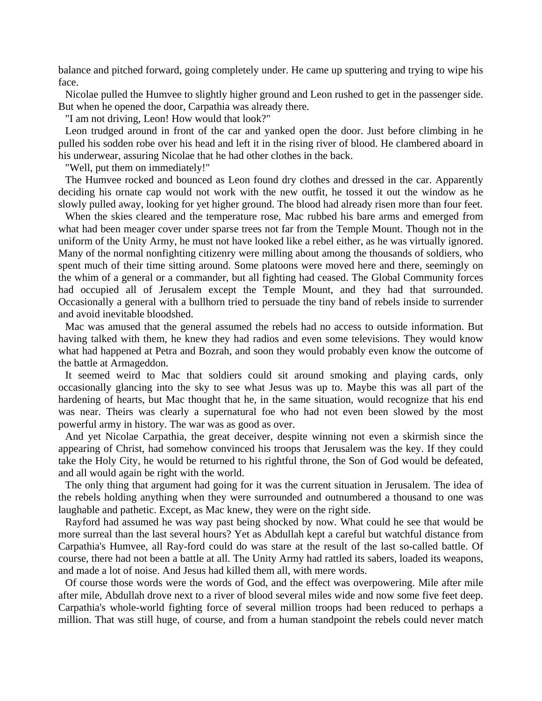balance and pitched forward, going completely under. He came up sputtering and trying to wipe his face.

Nicolae pulled the Humvee to slightly higher ground and Leon rushed to get in the passenger side. But when he opened the door, Carpathia was already there.

"I am not driving, Leon! How would that look?"

Leon trudged around in front of the car and yanked open the door. Just before climbing in he pulled his sodden robe over his head and left it in the rising river of blood. He clambered aboard in his underwear, assuring Nicolae that he had other clothes in the back.

"Well, put them on immediately!"

The Humvee rocked and bounced as Leon found dry clothes and dressed in the car. Apparently deciding his ornate cap would not work with the new outfit, he tossed it out the window as he slowly pulled away, looking for yet higher ground. The blood had already risen more than four feet.

When the skies cleared and the temperature rose, Mac rubbed his bare arms and emerged from what had been meager cover under sparse trees not far from the Temple Mount. Though not in the uniform of the Unity Army, he must not have looked like a rebel either, as he was virtually ignored. Many of the normal nonfighting citizenry were milling about among the thousands of soldiers, who spent much of their time sitting around. Some platoons were moved here and there, seemingly on the whim of a general or a commander, but all fighting had ceased. The Global Community forces had occupied all of Jerusalem except the Temple Mount, and they had that surrounded. Occasionally a general with a bullhorn tried to persuade the tiny band of rebels inside to surrender and avoid inevitable bloodshed.

Mac was amused that the general assumed the rebels had no access to outside information. But having talked with them, he knew they had radios and even some televisions. They would know what had happened at Petra and Bozrah, and soon they would probably even know the outcome of the battle at Armageddon.

It seemed weird to Mac that soldiers could sit around smoking and playing cards, only occasionally glancing into the sky to see what Jesus was up to. Maybe this was all part of the hardening of hearts, but Mac thought that he, in the same situation, would recognize that his end was near. Theirs was clearly a supernatural foe who had not even been slowed by the most powerful army in history. The war was as good as over.

And yet Nicolae Carpathia, the great deceiver, despite winning not even a skirmish since the appearing of Christ, had somehow convinced his troops that Jerusalem was the key. If they could take the Holy City, he would be returned to his rightful throne, the Son of God would be defeated, and all would again be right with the world.

The only thing that argument had going for it was the current situation in Jerusalem. The idea of the rebels holding anything when they were surrounded and outnumbered a thousand to one was laughable and pathetic. Except, as Mac knew, they were on the right side.

Rayford had assumed he was way past being shocked by now. What could he see that would be more surreal than the last several hours? Yet as Abdullah kept a careful but watchful distance from Carpathia's Humvee, all Ray-ford could do was stare at the result of the last so-called battle. Of course, there had not been a battle at all. The Unity Army had rattled its sabers, loaded its weapons, and made a lot of noise. And Jesus had killed them all, with mere words.

Of course those words were the words of God, and the effect was overpowering. Mile after mile after mile, Abdullah drove next to a river of blood several miles wide and now some five feet deep. Carpathia's whole-world fighting force of several million troops had been reduced to perhaps a million. That was still huge, of course, and from a human standpoint the rebels could never match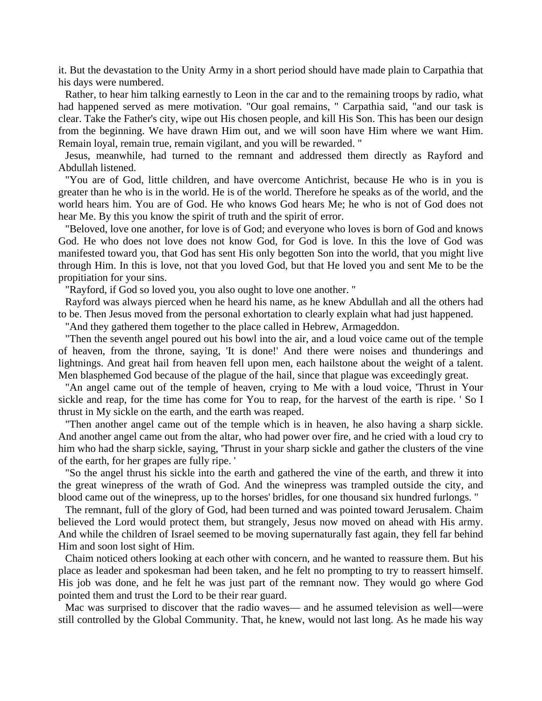it. But the devastation to the Unity Army in a short period should have made plain to Carpathia that his days were numbered.

Rather, to hear him talking earnestly to Leon in the car and to the remaining troops by radio, what had happened served as mere motivation. "Our goal remains, " Carpathia said, "and our task is clear. Take the Father's city, wipe out His chosen people, and kill His Son. This has been our design from the beginning. We have drawn Him out, and we will soon have Him where we want Him. Remain loyal, remain true, remain vigilant, and you will be rewarded. "

Jesus, meanwhile, had turned to the remnant and addressed them directly as Rayford and Abdullah listened.

"You are of God, little children, and have overcome Antichrist, because He who is in you is greater than he who is in the world. He is of the world. Therefore he speaks as of the world, and the world hears him. You are of God. He who knows God hears Me; he who is not of God does not hear Me. By this you know the spirit of truth and the spirit of error.

"Beloved, love one another, for love is of God; and everyone who loves is born of God and knows God. He who does not love does not know God, for God is love. In this the love of God was manifested toward you, that God has sent His only begotten Son into the world, that you might live through Him. In this is love, not that you loved God, but that He loved you and sent Me to be the propitiation for your sins.

"Rayford, if God so loved you, you also ought to love one another. "

Rayford was always pierced when he heard his name, as he knew Abdullah and all the others had to be. Then Jesus moved from the personal exhortation to clearly explain what had just happened.

"And they gathered them together to the place called in Hebrew, Armageddon.

"Then the seventh angel poured out his bowl into the air, and a loud voice came out of the temple of heaven, from the throne, saying, 'It is done!' And there were noises and thunderings and lightnings. And great hail from heaven fell upon men, each hailstone about the weight of a talent. Men blasphemed God because of the plague of the hail, since that plague was exceedingly great.

"An angel came out of the temple of heaven, crying to Me with a loud voice, 'Thrust in Your sickle and reap, for the time has come for You to reap, for the harvest of the earth is ripe. ' So I thrust in My sickle on the earth, and the earth was reaped.

"Then another angel came out of the temple which is in heaven, he also having a sharp sickle. And another angel came out from the altar, who had power over fire, and he cried with a loud cry to him who had the sharp sickle, saying, 'Thrust in your sharp sickle and gather the clusters of the vine of the earth, for her grapes are fully ripe. '

"So the angel thrust his sickle into the earth and gathered the vine of the earth, and threw it into the great winepress of the wrath of God. And the winepress was trampled outside the city, and blood came out of the winepress, up to the horses' bridles, for one thousand six hundred furlongs. "

The remnant, full of the glory of God, had been turned and was pointed toward Jerusalem. Chaim believed the Lord would protect them, but strangely, Jesus now moved on ahead with His army. And while the children of Israel seemed to be moving supernaturally fast again, they fell far behind Him and soon lost sight of Him.

Chaim noticed others looking at each other with concern, and he wanted to reassure them. But his place as leader and spokesman had been taken, and he felt no prompting to try to reassert himself. His job was done, and he felt he was just part of the remnant now. They would go where God pointed them and trust the Lord to be their rear guard.

Mac was surprised to discover that the radio waves— and he assumed television as well—were still controlled by the Global Community. That, he knew, would not last long. As he made his way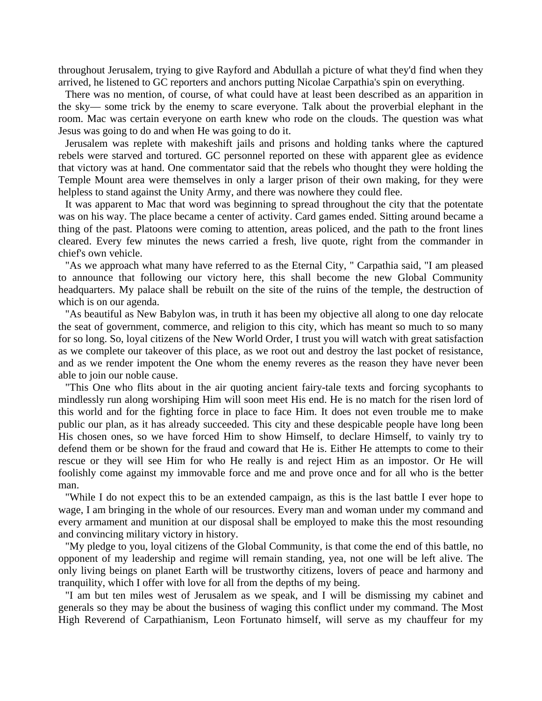throughout Jerusalem, trying to give Rayford and Abdullah a picture of what they'd find when they arrived, he listened to GC reporters and anchors putting Nicolae Carpathia's spin on everything.

There was no mention, of course, of what could have at least been described as an apparition in the sky— some trick by the enemy to scare everyone. Talk about the proverbial elephant in the room. Mac was certain everyone on earth knew who rode on the clouds. The question was what Jesus was going to do and when He was going to do it.

Jerusalem was replete with makeshift jails and prisons and holding tanks where the captured rebels were starved and tortured. GC personnel reported on these with apparent glee as evidence that victory was at hand. One commentator said that the rebels who thought they were holding the Temple Mount area were themselves in only a larger prison of their own making, for they were helpless to stand against the Unity Army, and there was nowhere they could flee.

It was apparent to Mac that word was beginning to spread throughout the city that the potentate was on his way. The place became a center of activity. Card games ended. Sitting around became a thing of the past. Platoons were coming to attention, areas policed, and the path to the front lines cleared. Every few minutes the news carried a fresh, live quote, right from the commander in chief's own vehicle.

"As we approach what many have referred to as the Eternal City, " Carpathia said, "I am pleased to announce that following our victory here, this shall become the new Global Community headquarters. My palace shall be rebuilt on the site of the ruins of the temple, the destruction of which is on our agenda.

"As beautiful as New Babylon was, in truth it has been my objective all along to one day relocate the seat of government, commerce, and religion to this city, which has meant so much to so many for so long. So, loyal citizens of the New World Order, I trust you will watch with great satisfaction as we complete our takeover of this place, as we root out and destroy the last pocket of resistance, and as we render impotent the One whom the enemy reveres as the reason they have never been able to join our noble cause.

"This One who flits about in the air quoting ancient fairy-tale texts and forcing sycophants to mindlessly run along worshiping Him will soon meet His end. He is no match for the risen lord of this world and for the fighting force in place to face Him. It does not even trouble me to make public our plan, as it has already succeeded. This city and these despicable people have long been His chosen ones, so we have forced Him to show Himself, to declare Himself, to vainly try to defend them or be shown for the fraud and coward that He is. Either He attempts to come to their rescue or they will see Him for who He really is and reject Him as an impostor. Or He will foolishly come against my immovable force and me and prove once and for all who is the better man.

"While I do not expect this to be an extended campaign, as this is the last battle I ever hope to wage, I am bringing in the whole of our resources. Every man and woman under my command and every armament and munition at our disposal shall be employed to make this the most resounding and convincing military victory in history.

"My pledge to you, loyal citizens of the Global Community, is that come the end of this battle, no opponent of my leadership and regime will remain standing, yea, not one will be left alive. The only living beings on planet Earth will be trustworthy citizens, lovers of peace and harmony and tranquility, which I offer with love for all from the depths of my being.

"I am but ten miles west of Jerusalem as we speak, and I will be dismissing my cabinet and generals so they may be about the business of waging this conflict under my command. The Most High Reverend of Carpathianism, Leon Fortunato himself, will serve as my chauffeur for my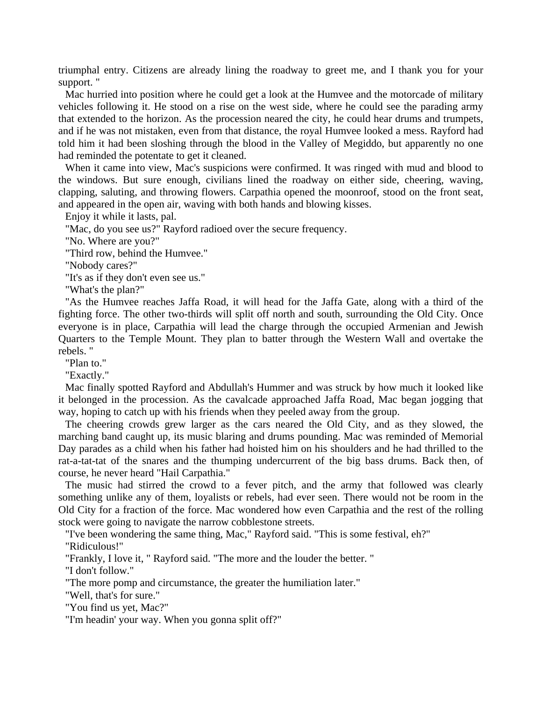triumphal entry. Citizens are already lining the roadway to greet me, and I thank you for your support. "

Mac hurried into position where he could get a look at the Humvee and the motorcade of military vehicles following it. He stood on a rise on the west side, where he could see the parading army that extended to the horizon. As the procession neared the city, he could hear drums and trumpets, and if he was not mistaken, even from that distance, the royal Humvee looked a mess. Rayford had told him it had been sloshing through the blood in the Valley of Megiddo, but apparently no one had reminded the potentate to get it cleaned.

When it came into view, Mac's suspicions were confirmed. It was ringed with mud and blood to the windows. But sure enough, civilians lined the roadway on either side, cheering, waving, clapping, saluting, and throwing flowers. Carpathia opened the moonroof, stood on the front seat, and appeared in the open air, waving with both hands and blowing kisses.

Enjoy it while it lasts, pal.

"Mac, do you see us?" Rayford radioed over the secure frequency.

"No. Where are you?"

"Third row, behind the Humvee."

"Nobody cares?"

"It's as if they don't even see us."

"What's the plan?"

"As the Humvee reaches Jaffa Road, it will head for the Jaffa Gate, along with a third of the fighting force. The other two-thirds will split off north and south, surrounding the Old City. Once everyone is in place, Carpathia will lead the charge through the occupied Armenian and Jewish Quarters to the Temple Mount. They plan to batter through the Western Wall and overtake the rebels. "

"Plan to."

"Exactly."

Mac finally spotted Rayford and Abdullah's Hummer and was struck by how much it looked like it belonged in the procession. As the cavalcade approached Jaffa Road, Mac began jogging that way, hoping to catch up with his friends when they peeled away from the group.

The cheering crowds grew larger as the cars neared the Old City, and as they slowed, the marching band caught up, its music blaring and drums pounding. Mac was reminded of Memorial Day parades as a child when his father had hoisted him on his shoulders and he had thrilled to the rat-a-tat-tat of the snares and the thumping undercurrent of the big bass drums. Back then, of course, he never heard "Hail Carpathia."

The music had stirred the crowd to a fever pitch, and the army that followed was clearly something unlike any of them, loyalists or rebels, had ever seen. There would not be room in the Old City for a fraction of the force. Mac wondered how even Carpathia and the rest of the rolling stock were going to navigate the narrow cobblestone streets.

"I've been wondering the same thing, Mac," Rayford said. "This is some festival, eh?"

"Ridiculous!"

"Frankly, I love it, " Rayford said. "The more and the louder the better. "

"I don't follow."

"The more pomp and circumstance, the greater the humiliation later."

"Well, that's for sure."

"You find us yet, Mac?"

"I'm headin' your way. When you gonna split off?"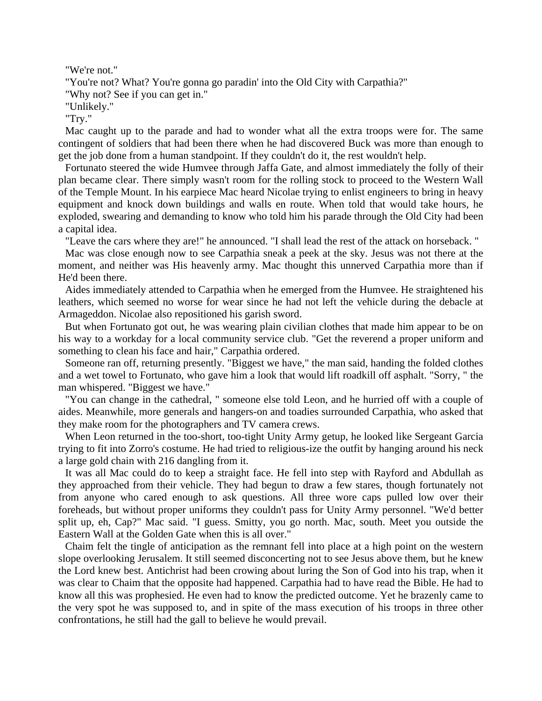"We're not."

"You're not? What? You're gonna go paradin' into the Old City with Carpathia?"

"Why not? See if you can get in."

"Unlikely."

"Try."

Mac caught up to the parade and had to wonder what all the extra troops were for. The same contingent of soldiers that had been there when he had discovered Buck was more than enough to get the job done from a human standpoint. If they couldn't do it, the rest wouldn't help.

Fortunato steered the wide Humvee through Jaffa Gate, and almost immediately the folly of their plan became clear. There simply wasn't room for the rolling stock to proceed to the Western Wall of the Temple Mount. In his earpiece Mac heard Nicolae trying to enlist engineers to bring in heavy equipment and knock down buildings and walls en route. When told that would take hours, he exploded, swearing and demanding to know who told him his parade through the Old City had been a capital idea.

"Leave the cars where they are!" he announced. "I shall lead the rest of the attack on horseback. "

Mac was close enough now to see Carpathia sneak a peek at the sky. Jesus was not there at the moment, and neither was His heavenly army. Mac thought this unnerved Carpathia more than if He'd been there.

Aides immediately attended to Carpathia when he emerged from the Humvee. He straightened his leathers, which seemed no worse for wear since he had not left the vehicle during the debacle at Armageddon. Nicolae also repositioned his garish sword.

But when Fortunato got out, he was wearing plain civilian clothes that made him appear to be on his way to a workday for a local community service club. "Get the reverend a proper uniform and something to clean his face and hair," Carpathia ordered.

Someone ran off, returning presently. "Biggest we have," the man said, handing the folded clothes and a wet towel to Fortunato, who gave him a look that would lift roadkill off asphalt. "Sorry, " the man whispered. "Biggest we have."

"You can change in the cathedral, " someone else told Leon, and he hurried off with a couple of aides. Meanwhile, more generals and hangers-on and toadies surrounded Carpathia, who asked that they make room for the photographers and TV camera crews.

When Leon returned in the too-short, too-tight Unity Army getup, he looked like Sergeant Garcia trying to fit into Zorro's costume. He had tried to religious-ize the outfit by hanging around his neck a large gold chain with 216 dangling from it.

It was all Mac could do to keep a straight face. He fell into step with Rayford and Abdullah as they approached from their vehicle. They had begun to draw a few stares, though fortunately not from anyone who cared enough to ask questions. All three wore caps pulled low over their foreheads, but without proper uniforms they couldn't pass for Unity Army personnel. "We'd better split up, eh, Cap?" Mac said. "I guess. Smitty, you go north. Mac, south. Meet you outside the Eastern Wall at the Golden Gate when this is all over."

Chaim felt the tingle of anticipation as the remnant fell into place at a high point on the western slope overlooking Jerusalem. It still seemed disconcerting not to see Jesus above them, but he knew the Lord knew best. Antichrist had been crowing about luring the Son of God into his trap, when it was clear to Chaim that the opposite had happened. Carpathia had to have read the Bible. He had to know all this was prophesied. He even had to know the predicted outcome. Yet he brazenly came to the very spot he was supposed to, and in spite of the mass execution of his troops in three other confrontations, he still had the gall to believe he would prevail.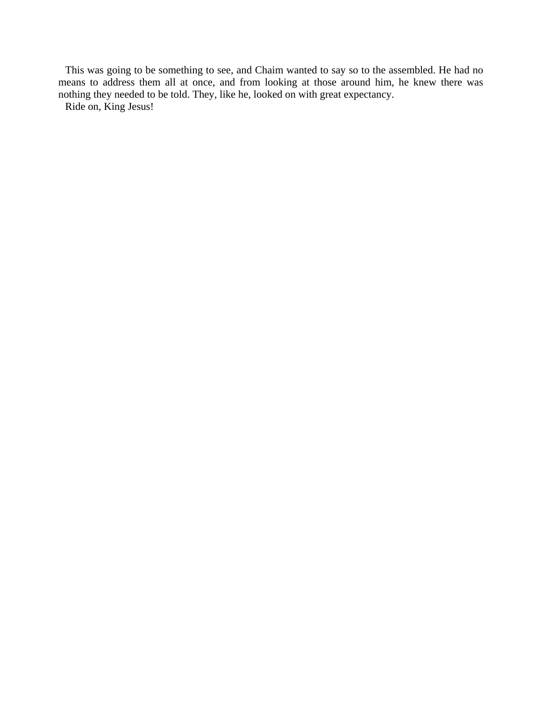This was going to be something to see, and Chaim wanted to say so to the assembled. He had no means to address them all at once, and from looking at those around him, he knew there was nothing they needed to be told. They, like he, looked on with great expectancy.

Ride on, King Jesus!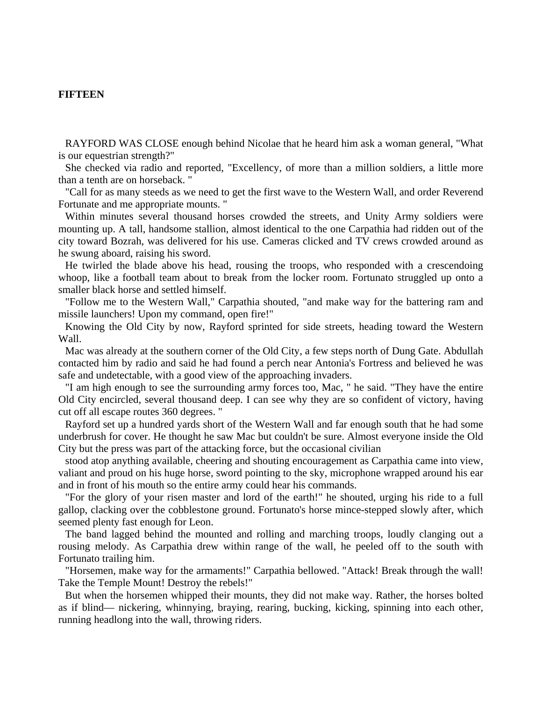# **FIFTEEN**

RAYFORD WAS CLOSE enough behind Nicolae that he heard him ask a woman general, "What is our equestrian strength?"

She checked via radio and reported, "Excellency, of more than a million soldiers, a little more than a tenth are on horseback. "

"Call for as many steeds as we need to get the first wave to the Western Wall, and order Reverend Fortunate and me appropriate mounts. "

Within minutes several thousand horses crowded the streets, and Unity Army soldiers were mounting up. A tall, handsome stallion, almost identical to the one Carpathia had ridden out of the city toward Bozrah, was delivered for his use. Cameras clicked and TV crews crowded around as he swung aboard, raising his sword.

He twirled the blade above his head, rousing the troops, who responded with a crescendoing whoop, like a football team about to break from the locker room. Fortunato struggled up onto a smaller black horse and settled himself.

"Follow me to the Western Wall," Carpathia shouted, "and make way for the battering ram and missile launchers! Upon my command, open fire!"

Knowing the Old City by now, Rayford sprinted for side streets, heading toward the Western Wall.

Mac was already at the southern corner of the Old City, a few steps north of Dung Gate. Abdullah contacted him by radio and said he had found a perch near Antonia's Fortress and believed he was safe and undetectable, with a good view of the approaching invaders.

"I am high enough to see the surrounding army forces too, Mac, " he said. "They have the entire Old City encircled, several thousand deep. I can see why they are so confident of victory, having cut off all escape routes 360 degrees. "

Rayford set up a hundred yards short of the Western Wall and far enough south that he had some underbrush for cover. He thought he saw Mac but couldn't be sure. Almost everyone inside the Old City but the press was part of the attacking force, but the occasional civilian

stood atop anything available, cheering and shouting encouragement as Carpathia came into view, valiant and proud on his huge horse, sword pointing to the sky, microphone wrapped around his ear and in front of his mouth so the entire army could hear his commands.

"For the glory of your risen master and lord of the earth!" he shouted, urging his ride to a full gallop, clacking over the cobblestone ground. Fortunato's horse mince-stepped slowly after, which seemed plenty fast enough for Leon.

The band lagged behind the mounted and rolling and marching troops, loudly clanging out a rousing melody. As Carpathia drew within range of the wall, he peeled off to the south with Fortunato trailing him.

"Horsemen, make way for the armaments!" Carpathia bellowed. "Attack! Break through the wall! Take the Temple Mount! Destroy the rebels!"

But when the horsemen whipped their mounts, they did not make way. Rather, the horses bolted as if blind— nickering, whinnying, braying, rearing, bucking, kicking, spinning into each other, running headlong into the wall, throwing riders.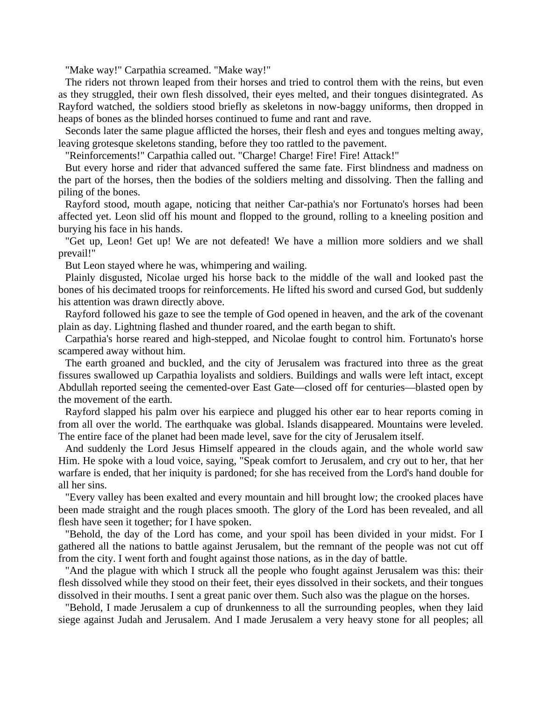"Make way!" Carpathia screamed. "Make way!"

The riders not thrown leaped from their horses and tried to control them with the reins, but even as they struggled, their own flesh dissolved, their eyes melted, and their tongues disintegrated. As Rayford watched, the soldiers stood briefly as skeletons in now-baggy uniforms, then dropped in heaps of bones as the blinded horses continued to fume and rant and rave.

Seconds later the same plague afflicted the horses, their flesh and eyes and tongues melting away, leaving grotesque skeletons standing, before they too rattled to the pavement.

"Reinforcements!" Carpathia called out. "Charge! Charge! Fire! Fire! Attack!"

But every horse and rider that advanced suffered the same fate. First blindness and madness on the part of the horses, then the bodies of the soldiers melting and dissolving. Then the falling and piling of the bones.

Rayford stood, mouth agape, noticing that neither Car-pathia's nor Fortunato's horses had been affected yet. Leon slid off his mount and flopped to the ground, rolling to a kneeling position and burying his face in his hands.

"Get up, Leon! Get up! We are not defeated! We have a million more soldiers and we shall prevail!"

But Leon stayed where he was, whimpering and wailing.

Plainly disgusted, Nicolae urged his horse back to the middle of the wall and looked past the bones of his decimated troops for reinforcements. He lifted his sword and cursed God, but suddenly his attention was drawn directly above.

Rayford followed his gaze to see the temple of God opened in heaven, and the ark of the covenant plain as day. Lightning flashed and thunder roared, and the earth began to shift.

Carpathia's horse reared and high-stepped, and Nicolae fought to control him. Fortunato's horse scampered away without him.

The earth groaned and buckled, and the city of Jerusalem was fractured into three as the great fissures swallowed up Carpathia loyalists and soldiers. Buildings and walls were left intact, except Abdullah reported seeing the cemented-over East Gate—closed off for centuries—blasted open by the movement of the earth.

Rayford slapped his palm over his earpiece and plugged his other ear to hear reports coming in from all over the world. The earthquake was global. Islands disappeared. Mountains were leveled. The entire face of the planet had been made level, save for the city of Jerusalem itself.

And suddenly the Lord Jesus Himself appeared in the clouds again, and the whole world saw Him. He spoke with a loud voice, saying, "Speak comfort to Jerusalem, and cry out to her, that her warfare is ended, that her iniquity is pardoned; for she has received from the Lord's hand double for all her sins.

"Every valley has been exalted and every mountain and hill brought low; the crooked places have been made straight and the rough places smooth. The glory of the Lord has been revealed, and all flesh have seen it together; for I have spoken.

"Behold, the day of the Lord has come, and your spoil has been divided in your midst. For I gathered all the nations to battle against Jerusalem, but the remnant of the people was not cut off from the city. I went forth and fought against those nations, as in the day of battle.

"And the plague with which I struck all the people who fought against Jerusalem was this: their flesh dissolved while they stood on their feet, their eyes dissolved in their sockets, and their tongues dissolved in their mouths. I sent a great panic over them. Such also was the plague on the horses.

"Behold, I made Jerusalem a cup of drunkenness to all the surrounding peoples, when they laid siege against Judah and Jerusalem. And I made Jerusalem a very heavy stone for all peoples; all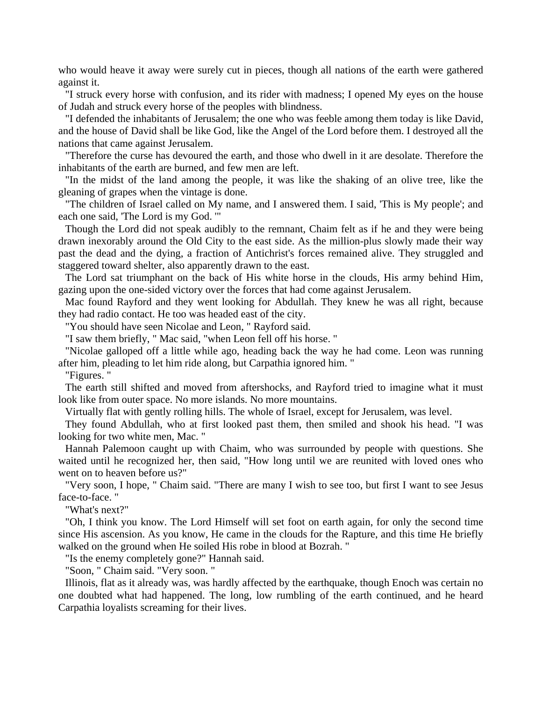who would heave it away were surely cut in pieces, though all nations of the earth were gathered against it.

"I struck every horse with confusion, and its rider with madness; I opened My eyes on the house of Judah and struck every horse of the peoples with blindness.

"I defended the inhabitants of Jerusalem; the one who was feeble among them today is like David, and the house of David shall be like God, like the Angel of the Lord before them. I destroyed all the nations that came against Jerusalem.

"Therefore the curse has devoured the earth, and those who dwell in it are desolate. Therefore the inhabitants of the earth are burned, and few men are left.

"In the midst of the land among the people, it was like the shaking of an olive tree, like the gleaning of grapes when the vintage is done.

"The children of Israel called on My name, and I answered them. I said, 'This is My people'; and each one said, 'The Lord is my God. '"

Though the Lord did not speak audibly to the remnant, Chaim felt as if he and they were being drawn inexorably around the Old City to the east side. As the million-plus slowly made their way past the dead and the dying, a fraction of Antichrist's forces remained alive. They struggled and staggered toward shelter, also apparently drawn to the east.

The Lord sat triumphant on the back of His white horse in the clouds, His army behind Him, gazing upon the one-sided victory over the forces that had come against Jerusalem.

Mac found Rayford and they went looking for Abdullah. They knew he was all right, because they had radio contact. He too was headed east of the city.

"You should have seen Nicolae and Leon, " Rayford said.

"I saw them briefly, " Mac said, "when Leon fell off his horse. "

"Nicolae galloped off a little while ago, heading back the way he had come. Leon was running after him, pleading to let him ride along, but Carpathia ignored him. "

"Figures. "

The earth still shifted and moved from aftershocks, and Rayford tried to imagine what it must look like from outer space. No more islands. No more mountains.

Virtually flat with gently rolling hills. The whole of Israel, except for Jerusalem, was level.

They found Abdullah, who at first looked past them, then smiled and shook his head. "I was looking for two white men, Mac. "

Hannah Palemoon caught up with Chaim, who was surrounded by people with questions. She waited until he recognized her, then said, "How long until we are reunited with loved ones who went on to heaven before us?"

"Very soon, I hope, " Chaim said. "There are many I wish to see too, but first I want to see Jesus face-to-face. "

"What's next?"

"Oh, I think you know. The Lord Himself will set foot on earth again, for only the second time since His ascension. As you know, He came in the clouds for the Rapture, and this time He briefly walked on the ground when He soiled His robe in blood at Bozrah. "

"Is the enemy completely gone?" Hannah said.

"Soon, " Chaim said. "Very soon. "

Illinois, flat as it already was, was hardly affected by the earthquake, though Enoch was certain no one doubted what had happened. The long, low rumbling of the earth continued, and he heard Carpathia loyalists screaming for their lives.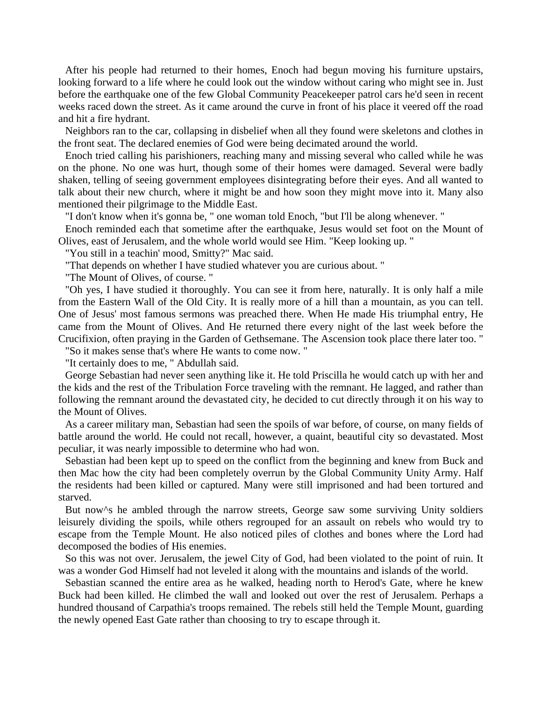After his people had returned to their homes, Enoch had begun moving his furniture upstairs, looking forward to a life where he could look out the window without caring who might see in. Just before the earthquake one of the few Global Community Peacekeeper patrol cars he'd seen in recent weeks raced down the street. As it came around the curve in front of his place it veered off the road and hit a fire hydrant.

Neighbors ran to the car, collapsing in disbelief when all they found were skeletons and clothes in the front seat. The declared enemies of God were being decimated around the world.

Enoch tried calling his parishioners, reaching many and missing several who called while he was on the phone. No one was hurt, though some of their homes were damaged. Several were badly shaken, telling of seeing government employees disintegrating before their eyes. And all wanted to talk about their new church, where it might be and how soon they might move into it. Many also mentioned their pilgrimage to the Middle East.

"I don't know when it's gonna be, " one woman told Enoch, "but I'll be along whenever. "

Enoch reminded each that sometime after the earthquake, Jesus would set foot on the Mount of Olives, east of Jerusalem, and the whole world would see Him. "Keep looking up. "

"You still in a teachin' mood, Smitty?" Mac said.

"That depends on whether I have studied whatever you are curious about. "

"The Mount of Olives, of course. "

"Oh yes, I have studied it thoroughly. You can see it from here, naturally. It is only half a mile from the Eastern Wall of the Old City. It is really more of a hill than a mountain, as you can tell. One of Jesus' most famous sermons was preached there. When He made His triumphal entry, He came from the Mount of Olives. And He returned there every night of the last week before the Crucifixion, often praying in the Garden of Gethsemane. The Ascension took place there later too. "

"So it makes sense that's where He wants to come now. "

"It certainly does to me, " Abdullah said.

George Sebastian had never seen anything like it. He told Priscilla he would catch up with her and the kids and the rest of the Tribulation Force traveling with the remnant. He lagged, and rather than following the remnant around the devastated city, he decided to cut directly through it on his way to the Mount of Olives.

As a career military man, Sebastian had seen the spoils of war before, of course, on many fields of battle around the world. He could not recall, however, a quaint, beautiful city so devastated. Most peculiar, it was nearly impossible to determine who had won.

Sebastian had been kept up to speed on the conflict from the beginning and knew from Buck and then Mac how the city had been completely overrun by the Global Community Unity Army. Half the residents had been killed or captured. Many were still imprisoned and had been tortured and starved.

But now<sup>n</sup>s he ambled through the narrow streets, George saw some surviving Unity soldiers leisurely dividing the spoils, while others regrouped for an assault on rebels who would try to escape from the Temple Mount. He also noticed piles of clothes and bones where the Lord had decomposed the bodies of His enemies.

So this was not over. Jerusalem, the jewel City of God, had been violated to the point of ruin. It was a wonder God Himself had not leveled it along with the mountains and islands of the world.

Sebastian scanned the entire area as he walked, heading north to Herod's Gate, where he knew Buck had been killed. He climbed the wall and looked out over the rest of Jerusalem. Perhaps a hundred thousand of Carpathia's troops remained. The rebels still held the Temple Mount, guarding the newly opened East Gate rather than choosing to try to escape through it.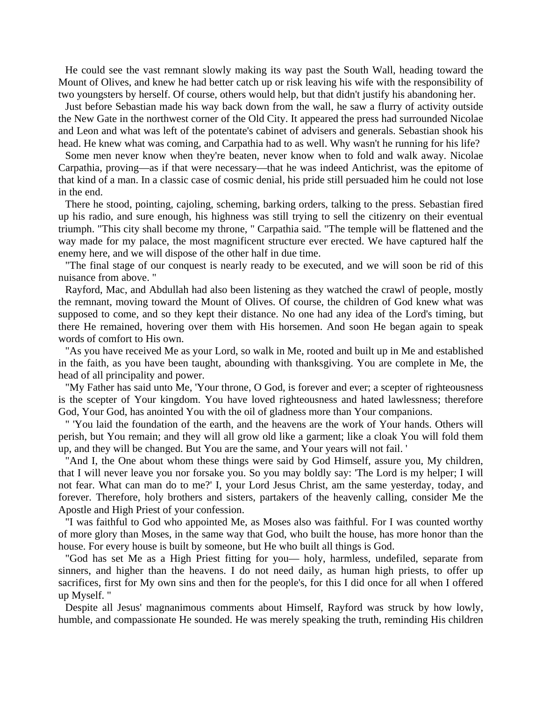He could see the vast remnant slowly making its way past the South Wall, heading toward the Mount of Olives, and knew he had better catch up or risk leaving his wife with the responsibility of two youngsters by herself. Of course, others would help, but that didn't justify his abandoning her.

Just before Sebastian made his way back down from the wall, he saw a flurry of activity outside the New Gate in the northwest corner of the Old City. It appeared the press had surrounded Nicolae and Leon and what was left of the potentate's cabinet of advisers and generals. Sebastian shook his head. He knew what was coming, and Carpathia had to as well. Why wasn't he running for his life?

Some men never know when they're beaten, never know when to fold and walk away. Nicolae Carpathia, proving—as if that were necessary—that he was indeed Antichrist, was the epitome of that kind of a man. In a classic case of cosmic denial, his pride still persuaded him he could not lose in the end.

There he stood, pointing, cajoling, scheming, barking orders, talking to the press. Sebastian fired up his radio, and sure enough, his highness was still trying to sell the citizenry on their eventual triumph. "This city shall become my throne, " Carpathia said. "The temple will be flattened and the way made for my palace, the most magnificent structure ever erected. We have captured half the enemy here, and we will dispose of the other half in due time.

"The final stage of our conquest is nearly ready to be executed, and we will soon be rid of this nuisance from above. "

Rayford, Mac, and Abdullah had also been listening as they watched the crawl of people, mostly the remnant, moving toward the Mount of Olives. Of course, the children of God knew what was supposed to come, and so they kept their distance. No one had any idea of the Lord's timing, but there He remained, hovering over them with His horsemen. And soon He began again to speak words of comfort to His own.

"As you have received Me as your Lord, so walk in Me, rooted and built up in Me and established in the faith, as you have been taught, abounding with thanksgiving. You are complete in Me, the head of all principality and power.

"My Father has said unto Me, 'Your throne, O God, is forever and ever; a scepter of righteousness is the scepter of Your kingdom. You have loved righteousness and hated lawlessness; therefore God, Your God, has anointed You with the oil of gladness more than Your companions.

" 'You laid the foundation of the earth, and the heavens are the work of Your hands. Others will perish, but You remain; and they will all grow old like a garment; like a cloak You will fold them up, and they will be changed. But You are the same, and Your years will not fail. '

"And I, the One about whom these things were said by God Himself, assure you, My children, that I will never leave you nor forsake you. So you may boldly say: 'The Lord is my helper; I will not fear. What can man do to me?' I, your Lord Jesus Christ, am the same yesterday, today, and forever. Therefore, holy brothers and sisters, partakers of the heavenly calling, consider Me the Apostle and High Priest of your confession.

"I was faithful to God who appointed Me, as Moses also was faithful. For I was counted worthy of more glory than Moses, in the same way that God, who built the house, has more honor than the house. For every house is built by someone, but He who built all things is God.

"God has set Me as a High Priest fitting for you— holy, harmless, undefiled, separate from sinners, and higher than the heavens. I do not need daily, as human high priests, to offer up sacrifices, first for My own sins and then for the people's, for this I did once for all when I offered up Myself. "

Despite all Jesus' magnanimous comments about Himself, Rayford was struck by how lowly, humble, and compassionate He sounded. He was merely speaking the truth, reminding His children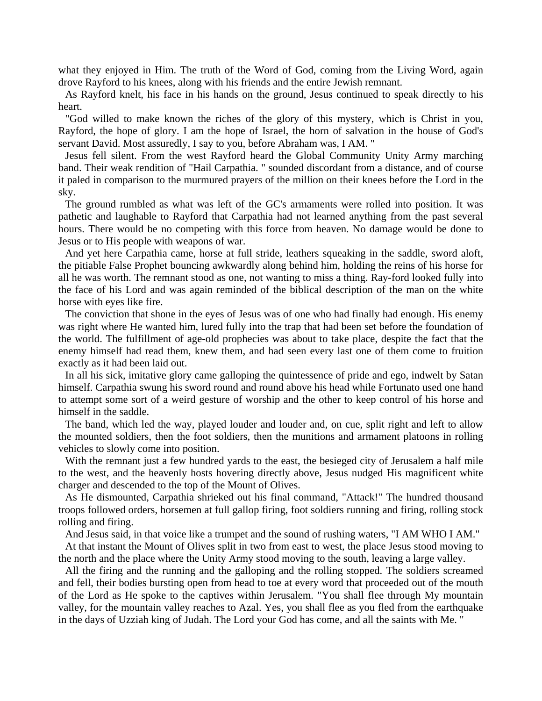what they enjoyed in Him. The truth of the Word of God, coming from the Living Word, again drove Rayford to his knees, along with his friends and the entire Jewish remnant.

As Rayford knelt, his face in his hands on the ground, Jesus continued to speak directly to his heart.

"God willed to make known the riches of the glory of this mystery, which is Christ in you, Rayford, the hope of glory. I am the hope of Israel, the horn of salvation in the house of God's servant David. Most assuredly, I say to you, before Abraham was, I AM. "

Jesus fell silent. From the west Rayford heard the Global Community Unity Army marching band. Their weak rendition of "Hail Carpathia. " sounded discordant from a distance, and of course it paled in comparison to the murmured prayers of the million on their knees before the Lord in the sky.

The ground rumbled as what was left of the GC's armaments were rolled into position. It was pathetic and laughable to Rayford that Carpathia had not learned anything from the past several hours. There would be no competing with this force from heaven. No damage would be done to Jesus or to His people with weapons of war.

And yet here Carpathia came, horse at full stride, leathers squeaking in the saddle, sword aloft, the pitiable False Prophet bouncing awkwardly along behind him, holding the reins of his horse for all he was worth. The remnant stood as one, not wanting to miss a thing. Ray-ford looked fully into the face of his Lord and was again reminded of the biblical description of the man on the white horse with eyes like fire.

The conviction that shone in the eyes of Jesus was of one who had finally had enough. His enemy was right where He wanted him, lured fully into the trap that had been set before the foundation of the world. The fulfillment of age-old prophecies was about to take place, despite the fact that the enemy himself had read them, knew them, and had seen every last one of them come to fruition exactly as it had been laid out.

In all his sick, imitative glory came galloping the quintessence of pride and ego, indwelt by Satan himself. Carpathia swung his sword round and round above his head while Fortunato used one hand to attempt some sort of a weird gesture of worship and the other to keep control of his horse and himself in the saddle.

The band, which led the way, played louder and louder and, on cue, split right and left to allow the mounted soldiers, then the foot soldiers, then the munitions and armament platoons in rolling vehicles to slowly come into position.

With the remnant just a few hundred yards to the east, the besieged city of Jerusalem a half mile to the west, and the heavenly hosts hovering directly above, Jesus nudged His magnificent white charger and descended to the top of the Mount of Olives.

As He dismounted, Carpathia shrieked out his final command, "Attack!" The hundred thousand troops followed orders, horsemen at full gallop firing, foot soldiers running and firing, rolling stock rolling and firing.

And Jesus said, in that voice like a trumpet and the sound of rushing waters, "I AM WHO I AM."

At that instant the Mount of Olives split in two from east to west, the place Jesus stood moving to the north and the place where the Unity Army stood moving to the south, leaving a large valley.

All the firing and the running and the galloping and the rolling stopped. The soldiers screamed and fell, their bodies bursting open from head to toe at every word that proceeded out of the mouth of the Lord as He spoke to the captives within Jerusalem. "You shall flee through My mountain valley, for the mountain valley reaches to Azal. Yes, you shall flee as you fled from the earthquake in the days of Uzziah king of Judah. The Lord your God has come, and all the saints with Me. "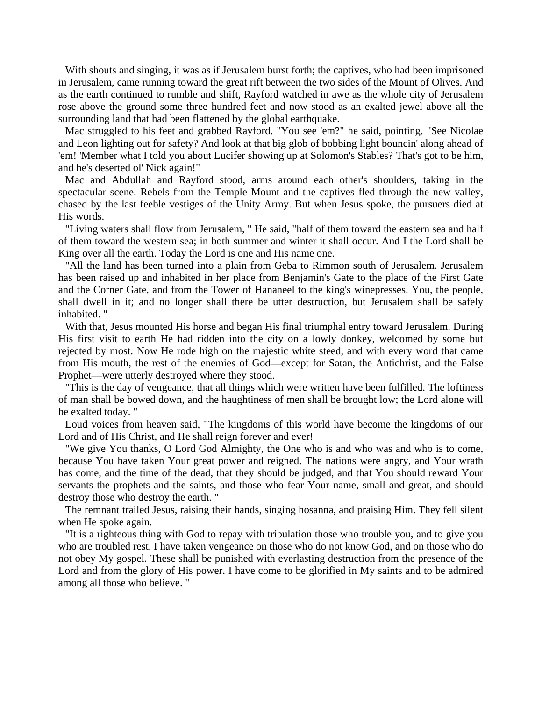With shouts and singing, it was as if Jerusalem burst forth; the captives, who had been imprisoned in Jerusalem, came running toward the great rift between the two sides of the Mount of Olives. And as the earth continued to rumble and shift, Rayford watched in awe as the whole city of Jerusalem rose above the ground some three hundred feet and now stood as an exalted jewel above all the surrounding land that had been flattened by the global earthquake.

Mac struggled to his feet and grabbed Rayford. "You see 'em?" he said, pointing. "See Nicolae and Leon lighting out for safety? And look at that big glob of bobbing light bouncin' along ahead of 'em! 'Member what I told you about Lucifer showing up at Solomon's Stables? That's got to be him, and he's deserted ol' Nick again!"

Mac and Abdullah and Rayford stood, arms around each other's shoulders, taking in the spectacular scene. Rebels from the Temple Mount and the captives fled through the new valley, chased by the last feeble vestiges of the Unity Army. But when Jesus spoke, the pursuers died at His words.

"Living waters shall flow from Jerusalem, " He said, "half of them toward the eastern sea and half of them toward the western sea; in both summer and winter it shall occur. And I the Lord shall be King over all the earth. Today the Lord is one and His name one.

"All the land has been turned into a plain from Geba to Rimmon south of Jerusalem. Jerusalem has been raised up and inhabited in her place from Benjamin's Gate to the place of the First Gate and the Corner Gate, and from the Tower of Hananeel to the king's winepresses. You, the people, shall dwell in it; and no longer shall there be utter destruction, but Jerusalem shall be safely inhabited. "

With that, Jesus mounted His horse and began His final triumphal entry toward Jerusalem. During His first visit to earth He had ridden into the city on a lowly donkey, welcomed by some but rejected by most. Now He rode high on the majestic white steed, and with every word that came from His mouth, the rest of the enemies of God—except for Satan, the Antichrist, and the False Prophet—were utterly destroyed where they stood.

"This is the day of vengeance, that all things which were written have been fulfilled. The loftiness of man shall be bowed down, and the haughtiness of men shall be brought low; the Lord alone will be exalted today. "

Loud voices from heaven said, "The kingdoms of this world have become the kingdoms of our Lord and of His Christ, and He shall reign forever and ever!

"We give You thanks, O Lord God Almighty, the One who is and who was and who is to come, because You have taken Your great power and reigned. The nations were angry, and Your wrath has come, and the time of the dead, that they should be judged, and that You should reward Your servants the prophets and the saints, and those who fear Your name, small and great, and should destroy those who destroy the earth. "

The remnant trailed Jesus, raising their hands, singing hosanna, and praising Him. They fell silent when He spoke again.

"It is a righteous thing with God to repay with tribulation those who trouble you, and to give you who are troubled rest. I have taken vengeance on those who do not know God, and on those who do not obey My gospel. These shall be punished with everlasting destruction from the presence of the Lord and from the glory of His power. I have come to be glorified in My saints and to be admired among all those who believe. "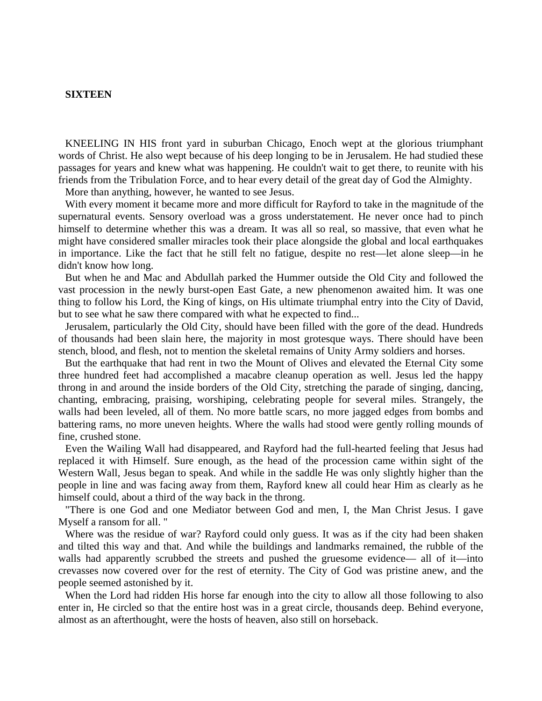## **SIXTEEN**

KNEELING IN HIS front yard in suburban Chicago, Enoch wept at the glorious triumphant words of Christ. He also wept because of his deep longing to be in Jerusalem. He had studied these passages for years and knew what was happening. He couldn't wait to get there, to reunite with his friends from the Tribulation Force, and to hear every detail of the great day of God the Almighty.

More than anything, however, he wanted to see Jesus.

With every moment it became more and more difficult for Rayford to take in the magnitude of the supernatural events. Sensory overload was a gross understatement. He never once had to pinch himself to determine whether this was a dream. It was all so real, so massive, that even what he might have considered smaller miracles took their place alongside the global and local earthquakes in importance. Like the fact that he still felt no fatigue, despite no rest—let alone sleep—in he didn't know how long.

But when he and Mac and Abdullah parked the Hummer outside the Old City and followed the vast procession in the newly burst-open East Gate, a new phenomenon awaited him. It was one thing to follow his Lord, the King of kings, on His ultimate triumphal entry into the City of David, but to see what he saw there compared with what he expected to find...

Jerusalem, particularly the Old City, should have been filled with the gore of the dead. Hundreds of thousands had been slain here, the majority in most grotesque ways. There should have been stench, blood, and flesh, not to mention the skeletal remains of Unity Army soldiers and horses.

But the earthquake that had rent in two the Mount of Olives and elevated the Eternal City some three hundred feet had accomplished a macabre cleanup operation as well. Jesus led the happy throng in and around the inside borders of the Old City, stretching the parade of singing, dancing, chanting, embracing, praising, worshiping, celebrating people for several miles. Strangely, the walls had been leveled, all of them. No more battle scars, no more jagged edges from bombs and battering rams, no more uneven heights. Where the walls had stood were gently rolling mounds of fine, crushed stone.

Even the Wailing Wall had disappeared, and Rayford had the full-hearted feeling that Jesus had replaced it with Himself. Sure enough, as the head of the procession came within sight of the Western Wall, Jesus began to speak. And while in the saddle He was only slightly higher than the people in line and was facing away from them, Rayford knew all could hear Him as clearly as he himself could, about a third of the way back in the throng.

"There is one God and one Mediator between God and men, I, the Man Christ Jesus. I gave Myself a ransom for all. "

Where was the residue of war? Rayford could only guess. It was as if the city had been shaken and tilted this way and that. And while the buildings and landmarks remained, the rubble of the walls had apparently scrubbed the streets and pushed the gruesome evidence— all of it—into crevasses now covered over for the rest of eternity. The City of God was pristine anew, and the people seemed astonished by it.

When the Lord had ridden His horse far enough into the city to allow all those following to also enter in, He circled so that the entire host was in a great circle, thousands deep. Behind everyone, almost as an afterthought, were the hosts of heaven, also still on horseback.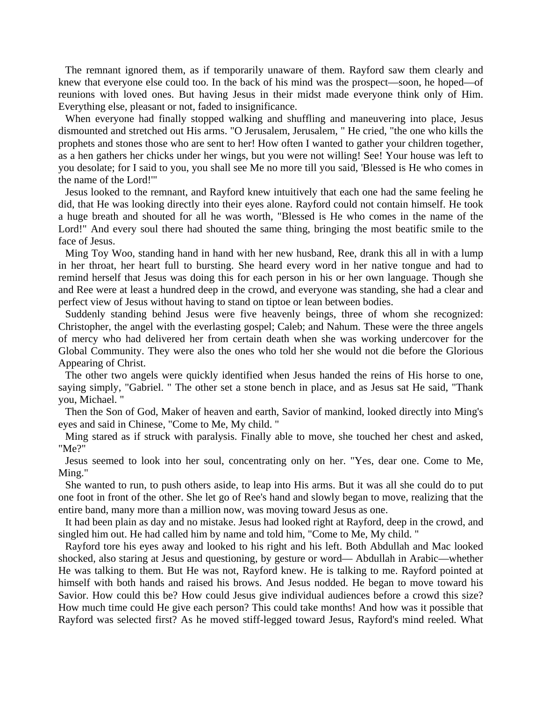The remnant ignored them, as if temporarily unaware of them. Rayford saw them clearly and knew that everyone else could too. In the back of his mind was the prospect—soon, he hoped—of reunions with loved ones. But having Jesus in their midst made everyone think only of Him. Everything else, pleasant or not, faded to insignificance.

When everyone had finally stopped walking and shuffling and maneuvering into place, Jesus dismounted and stretched out His arms. "O Jerusalem, Jerusalem, " He cried, "the one who kills the prophets and stones those who are sent to her! How often I wanted to gather your children together, as a hen gathers her chicks under her wings, but you were not willing! See! Your house was left to you desolate; for I said to you, you shall see Me no more till you said, 'Blessed is He who comes in the name of the Lord!'"

Jesus looked to the remnant, and Rayford knew intuitively that each one had the same feeling he did, that He was looking directly into their eyes alone. Rayford could not contain himself. He took a huge breath and shouted for all he was worth, "Blessed is He who comes in the name of the Lord!" And every soul there had shouted the same thing, bringing the most beatific smile to the face of Jesus.

Ming Toy Woo, standing hand in hand with her new husband, Ree, drank this all in with a lump in her throat, her heart full to bursting. She heard every word in her native tongue and had to remind herself that Jesus was doing this for each person in his or her own language. Though she and Ree were at least a hundred deep in the crowd, and everyone was standing, she had a clear and perfect view of Jesus without having to stand on tiptoe or lean between bodies.

Suddenly standing behind Jesus were five heavenly beings, three of whom she recognized: Christopher, the angel with the everlasting gospel; Caleb; and Nahum. These were the three angels of mercy who had delivered her from certain death when she was working undercover for the Global Community. They were also the ones who told her she would not die before the Glorious Appearing of Christ.

The other two angels were quickly identified when Jesus handed the reins of His horse to one, saying simply, "Gabriel. " The other set a stone bench in place, and as Jesus sat He said, "Thank you, Michael. "

Then the Son of God, Maker of heaven and earth, Savior of mankind, looked directly into Ming's eyes and said in Chinese, "Come to Me, My child. "

Ming stared as if struck with paralysis. Finally able to move, she touched her chest and asked, "Me?"

Jesus seemed to look into her soul, concentrating only on her. "Yes, dear one. Come to Me, Ming."

She wanted to run, to push others aside, to leap into His arms. But it was all she could do to put one foot in front of the other. She let go of Ree's hand and slowly began to move, realizing that the entire band, many more than a million now, was moving toward Jesus as one.

It had been plain as day and no mistake. Jesus had looked right at Rayford, deep in the crowd, and singled him out. He had called him by name and told him, "Come to Me, My child. "

Rayford tore his eyes away and looked to his right and his left. Both Abdullah and Mac looked shocked, also staring at Jesus and questioning, by gesture or word— Abdullah in Arabic—whether He was talking to them. But He was not, Rayford knew. He is talking to me. Rayford pointed at himself with both hands and raised his brows. And Jesus nodded. He began to move toward his Savior. How could this be? How could Jesus give individual audiences before a crowd this size? How much time could He give each person? This could take months! And how was it possible that Rayford was selected first? As he moved stiff-legged toward Jesus, Rayford's mind reeled. What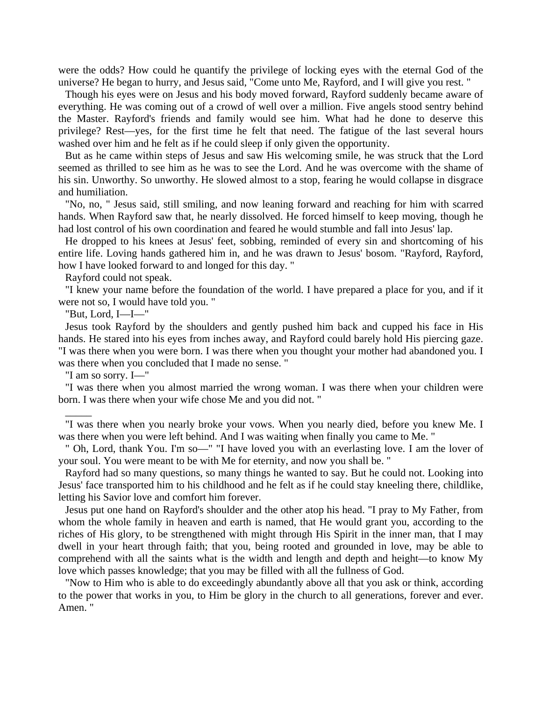were the odds? How could he quantify the privilege of locking eyes with the eternal God of the universe? He began to hurry, and Jesus said, "Come unto Me, Rayford, and I will give you rest. "

Though his eyes were on Jesus and his body moved forward, Rayford suddenly became aware of everything. He was coming out of a crowd of well over a million. Five angels stood sentry behind the Master. Rayford's friends and family would see him. What had he done to deserve this privilege? Rest—yes, for the first time he felt that need. The fatigue of the last several hours washed over him and he felt as if he could sleep if only given the opportunity.

But as he came within steps of Jesus and saw His welcoming smile, he was struck that the Lord seemed as thrilled to see him as he was to see the Lord. And he was overcome with the shame of his sin. Unworthy. So unworthy. He slowed almost to a stop, fearing he would collapse in disgrace and humiliation.

"No, no, " Jesus said, still smiling, and now leaning forward and reaching for him with scarred hands. When Rayford saw that, he nearly dissolved. He forced himself to keep moving, though he had lost control of his own coordination and feared he would stumble and fall into Jesus' lap.

He dropped to his knees at Jesus' feet, sobbing, reminded of every sin and shortcoming of his entire life. Loving hands gathered him in, and he was drawn to Jesus' bosom. "Rayford, Rayford, how I have looked forward to and longed for this day. "

Rayford could not speak.

"I knew your name before the foundation of the world. I have prepared a place for you, and if it were not so, I would have told you. "

"But, Lord, I—I—"

Jesus took Rayford by the shoulders and gently pushed him back and cupped his face in His hands. He stared into his eyes from inches away, and Rayford could barely hold His piercing gaze. "I was there when you were born. I was there when you thought your mother had abandoned you. I was there when you concluded that I made no sense. "

"I am so sorry. I—"

 $\overline{\phantom{a}}$ 

"I was there when you almost married the wrong woman. I was there when your children were born. I was there when your wife chose Me and you did not. "

"I was there when you nearly broke your vows. When you nearly died, before you knew Me. I was there when you were left behind. And I was waiting when finally you came to Me. "

" Oh, Lord, thank You. I'm so—" "I have loved you with an everlasting love. I am the lover of your soul. You were meant to be with Me for eternity, and now you shall be. "

Rayford had so many questions, so many things he wanted to say. But he could not. Looking into Jesus' face transported him to his childhood and he felt as if he could stay kneeling there, childlike, letting his Savior love and comfort him forever.

Jesus put one hand on Rayford's shoulder and the other atop his head. "I pray to My Father, from whom the whole family in heaven and earth is named, that He would grant you, according to the riches of His glory, to be strengthened with might through His Spirit in the inner man, that I may dwell in your heart through faith; that you, being rooted and grounded in love, may be able to comprehend with all the saints what is the width and length and depth and height—to know My love which passes knowledge; that you may be filled with all the fullness of God.

"Now to Him who is able to do exceedingly abundantly above all that you ask or think, according to the power that works in you, to Him be glory in the church to all generations, forever and ever. Amen. "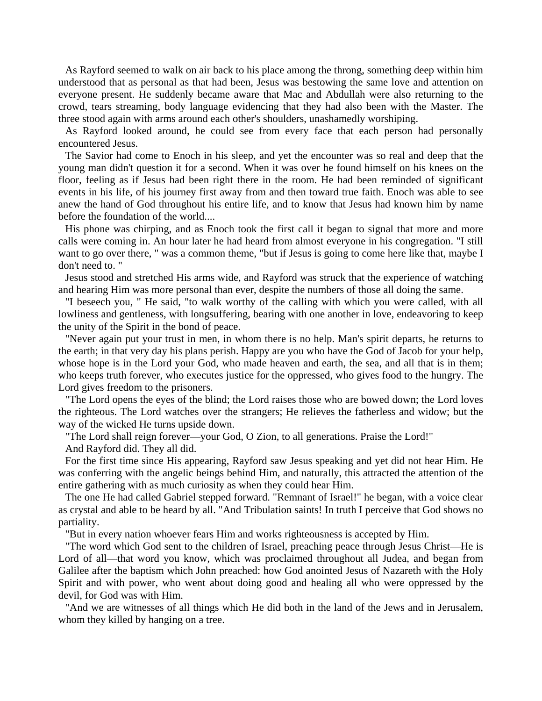As Rayford seemed to walk on air back to his place among the throng, something deep within him understood that as personal as that had been, Jesus was bestowing the same love and attention on everyone present. He suddenly became aware that Mac and Abdullah were also returning to the crowd, tears streaming, body language evidencing that they had also been with the Master. The three stood again with arms around each other's shoulders, unashamedly worshiping.

As Rayford looked around, he could see from every face that each person had personally encountered Jesus.

The Savior had come to Enoch in his sleep, and yet the encounter was so real and deep that the young man didn't question it for a second. When it was over he found himself on his knees on the floor, feeling as if Jesus had been right there in the room. He had been reminded of significant events in his life, of his journey first away from and then toward true faith. Enoch was able to see anew the hand of God throughout his entire life, and to know that Jesus had known him by name before the foundation of the world....

His phone was chirping, and as Enoch took the first call it began to signal that more and more calls were coming in. An hour later he had heard from almost everyone in his congregation. "I still want to go over there, " was a common theme, "but if Jesus is going to come here like that, maybe I don't need to. "

Jesus stood and stretched His arms wide, and Rayford was struck that the experience of watching and hearing Him was more personal than ever, despite the numbers of those all doing the same.

"I beseech you, " He said, "to walk worthy of the calling with which you were called, with all lowliness and gentleness, with longsuffering, bearing with one another in love, endeavoring to keep the unity of the Spirit in the bond of peace.

"Never again put your trust in men, in whom there is no help. Man's spirit departs, he returns to the earth; in that very day his plans perish. Happy are you who have the God of Jacob for your help, whose hope is in the Lord your God, who made heaven and earth, the sea, and all that is in them; who keeps truth forever, who executes justice for the oppressed, who gives food to the hungry. The Lord gives freedom to the prisoners.

"The Lord opens the eyes of the blind; the Lord raises those who are bowed down; the Lord loves the righteous. The Lord watches over the strangers; He relieves the fatherless and widow; but the way of the wicked He turns upside down.

"The Lord shall reign forever—your God, O Zion, to all generations. Praise the Lord!"

And Rayford did. They all did.

For the first time since His appearing, Rayford saw Jesus speaking and yet did not hear Him. He was conferring with the angelic beings behind Him, and naturally, this attracted the attention of the entire gathering with as much curiosity as when they could hear Him.

The one He had called Gabriel stepped forward. "Remnant of Israel!" he began, with a voice clear as crystal and able to be heard by all. "And Tribulation saints! In truth I perceive that God shows no partiality.

"But in every nation whoever fears Him and works righteousness is accepted by Him.

"The word which God sent to the children of Israel, preaching peace through Jesus Christ—He is Lord of all—that word you know, which was proclaimed throughout all Judea, and began from Galilee after the baptism which John preached: how God anointed Jesus of Nazareth with the Holy Spirit and with power, who went about doing good and healing all who were oppressed by the devil, for God was with Him.

"And we are witnesses of all things which He did both in the land of the Jews and in Jerusalem, whom they killed by hanging on a tree.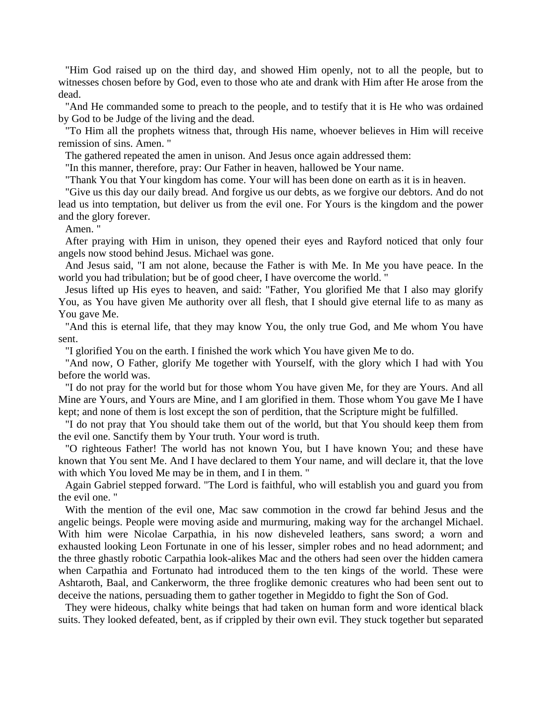"Him God raised up on the third day, and showed Him openly, not to all the people, but to witnesses chosen before by God, even to those who ate and drank with Him after He arose from the dead.

"And He commanded some to preach to the people, and to testify that it is He who was ordained by God to be Judge of the living and the dead.

"To Him all the prophets witness that, through His name, whoever believes in Him will receive remission of sins. Amen. "

The gathered repeated the amen in unison. And Jesus once again addressed them:

"In this manner, therefore, pray: Our Father in heaven, hallowed be Your name.

"Thank You that Your kingdom has come. Your will has been done on earth as it is in heaven.

"Give us this day our daily bread. And forgive us our debts, as we forgive our debtors. And do not lead us into temptation, but deliver us from the evil one. For Yours is the kingdom and the power and the glory forever.

Amen. "

After praying with Him in unison, they opened their eyes and Rayford noticed that only four angels now stood behind Jesus. Michael was gone.

And Jesus said, "I am not alone, because the Father is with Me. In Me you have peace. In the world you had tribulation; but be of good cheer, I have overcome the world. "

Jesus lifted up His eyes to heaven, and said: "Father, You glorified Me that I also may glorify You, as You have given Me authority over all flesh, that I should give eternal life to as many as You gave Me.

"And this is eternal life, that they may know You, the only true God, and Me whom You have sent.

"I glorified You on the earth. I finished the work which You have given Me to do.

"And now, O Father, glorify Me together with Yourself, with the glory which I had with You before the world was.

"I do not pray for the world but for those whom You have given Me, for they are Yours. And all Mine are Yours, and Yours are Mine, and I am glorified in them. Those whom You gave Me I have kept; and none of them is lost except the son of perdition, that the Scripture might be fulfilled.

"I do not pray that You should take them out of the world, but that You should keep them from the evil one. Sanctify them by Your truth. Your word is truth.

"O righteous Father! The world has not known You, but I have known You; and these have known that You sent Me. And I have declared to them Your name, and will declare it, that the love with which You loved Me may be in them, and I in them. "

Again Gabriel stepped forward. "The Lord is faithful, who will establish you and guard you from the evil one. "

With the mention of the evil one, Mac saw commotion in the crowd far behind Jesus and the angelic beings. People were moving aside and murmuring, making way for the archangel Michael. With him were Nicolae Carpathia, in his now disheveled leathers, sans sword; a worn and exhausted looking Leon Fortunate in one of his lesser, simpler robes and no head adornment; and the three ghastly robotic Carpathia look-alikes Mac and the others had seen over the hidden camera when Carpathia and Fortunato had introduced them to the ten kings of the world. These were Ashtaroth, Baal, and Cankerworm, the three froglike demonic creatures who had been sent out to deceive the nations, persuading them to gather together in Megiddo to fight the Son of God.

They were hideous, chalky white beings that had taken on human form and wore identical black suits. They looked defeated, bent, as if crippled by their own evil. They stuck together but separated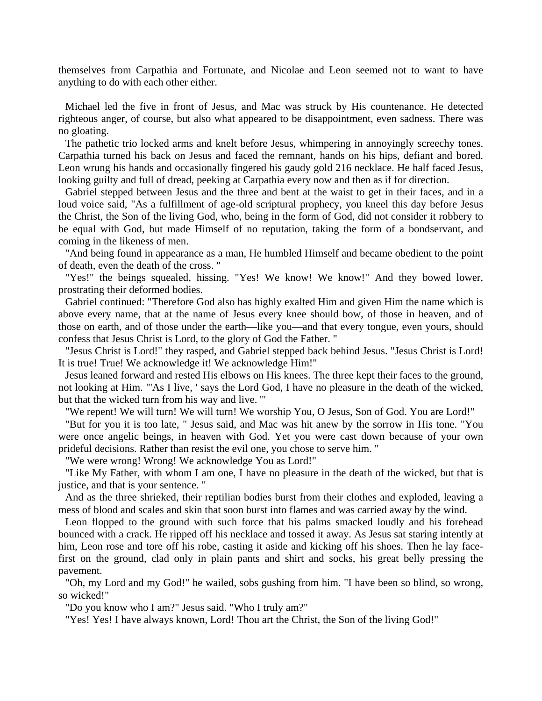themselves from Carpathia and Fortunate, and Nicolae and Leon seemed not to want to have anything to do with each other either.

Michael led the five in front of Jesus, and Mac was struck by His countenance. He detected righteous anger, of course, but also what appeared to be disappointment, even sadness. There was no gloating.

The pathetic trio locked arms and knelt before Jesus, whimpering in annoyingly screechy tones. Carpathia turned his back on Jesus and faced the remnant, hands on his hips, defiant and bored. Leon wrung his hands and occasionally fingered his gaudy gold 216 necklace. He half faced Jesus, looking guilty and full of dread, peeking at Carpathia every now and then as if for direction.

Gabriel stepped between Jesus and the three and bent at the waist to get in their faces, and in a loud voice said, "As a fulfillment of age-old scriptural prophecy, you kneel this day before Jesus the Christ, the Son of the living God, who, being in the form of God, did not consider it robbery to be equal with God, but made Himself of no reputation, taking the form of a bondservant, and coming in the likeness of men.

"And being found in appearance as a man, He humbled Himself and became obedient to the point of death, even the death of the cross. "

"Yes!" the beings squealed, hissing. "Yes! We know! We know!" And they bowed lower, prostrating their deformed bodies.

Gabriel continued: "Therefore God also has highly exalted Him and given Him the name which is above every name, that at the name of Jesus every knee should bow, of those in heaven, and of those on earth, and of those under the earth—like you—and that every tongue, even yours, should confess that Jesus Christ is Lord, to the glory of God the Father. "

"Jesus Christ is Lord!" they rasped, and Gabriel stepped back behind Jesus. "Jesus Christ is Lord! It is true! True! We acknowledge it! We acknowledge Him!"

Jesus leaned forward and rested His elbows on His knees. The three kept their faces to the ground, not looking at Him. "'As I live, ' says the Lord God, I have no pleasure in the death of the wicked, but that the wicked turn from his way and live. '"

"We repent! We will turn! We will turn! We worship You, O Jesus, Son of God. You are Lord!"

"But for you it is too late, " Jesus said, and Mac was hit anew by the sorrow in His tone. "You were once angelic beings, in heaven with God. Yet you were cast down because of your own prideful decisions. Rather than resist the evil one, you chose to serve him. "

"We were wrong! Wrong! We acknowledge You as Lord!"

"Like My Father, with whom I am one, I have no pleasure in the death of the wicked, but that is justice, and that is your sentence. "

And as the three shrieked, their reptilian bodies burst from their clothes and exploded, leaving a mess of blood and scales and skin that soon burst into flames and was carried away by the wind.

Leon flopped to the ground with such force that his palms smacked loudly and his forehead bounced with a crack. He ripped off his necklace and tossed it away. As Jesus sat staring intently at him, Leon rose and tore off his robe, casting it aside and kicking off his shoes. Then he lay facefirst on the ground, clad only in plain pants and shirt and socks, his great belly pressing the pavement.

"Oh, my Lord and my God!" he wailed, sobs gushing from him. "I have been so blind, so wrong, so wicked!"

"Do you know who I am?" Jesus said. "Who I truly am?"

"Yes! Yes! I have always known, Lord! Thou art the Christ, the Son of the living God!"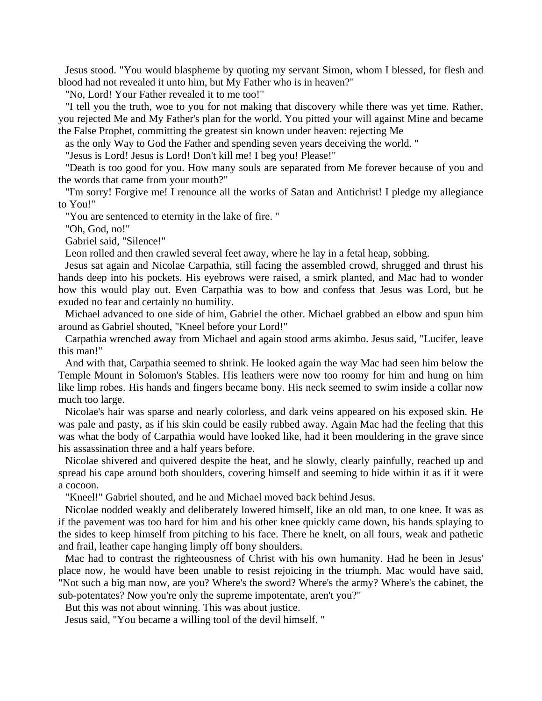Jesus stood. "You would blaspheme by quoting my servant Simon, whom I blessed, for flesh and blood had not revealed it unto him, but My Father who is in heaven?"

"No, Lord! Your Father revealed it to me too!"

"I tell you the truth, woe to you for not making that discovery while there was yet time. Rather, you rejected Me and My Father's plan for the world. You pitted your will against Mine and became the False Prophet, committing the greatest sin known under heaven: rejecting Me

as the only Way to God the Father and spending seven years deceiving the world. "

"Jesus is Lord! Jesus is Lord! Don't kill me! I beg you! Please!"

"Death is too good for you. How many souls are separated from Me forever because of you and the words that came from your mouth?"

"I'm sorry! Forgive me! I renounce all the works of Satan and Antichrist! I pledge my allegiance to You!"

"You are sentenced to eternity in the lake of fire. "

"Oh, God, no!"

Gabriel said, "Silence!"

Leon rolled and then crawled several feet away, where he lay in a fetal heap, sobbing.

Jesus sat again and Nicolae Carpathia, still facing the assembled crowd, shrugged and thrust his hands deep into his pockets. His eyebrows were raised, a smirk planted, and Mac had to wonder how this would play out. Even Carpathia was to bow and confess that Jesus was Lord, but he exuded no fear and certainly no humility.

Michael advanced to one side of him, Gabriel the other. Michael grabbed an elbow and spun him around as Gabriel shouted, "Kneel before your Lord!"

Carpathia wrenched away from Michael and again stood arms akimbo. Jesus said, "Lucifer, leave this man!"

And with that, Carpathia seemed to shrink. He looked again the way Mac had seen him below the Temple Mount in Solomon's Stables. His leathers were now too roomy for him and hung on him like limp robes. His hands and fingers became bony. His neck seemed to swim inside a collar now much too large.

Nicolae's hair was sparse and nearly colorless, and dark veins appeared on his exposed skin. He was pale and pasty, as if his skin could be easily rubbed away. Again Mac had the feeling that this was what the body of Carpathia would have looked like, had it been mouldering in the grave since his assassination three and a half years before.

Nicolae shivered and quivered despite the heat, and he slowly, clearly painfully, reached up and spread his cape around both shoulders, covering himself and seeming to hide within it as if it were a cocoon.

"Kneel!" Gabriel shouted, and he and Michael moved back behind Jesus.

Nicolae nodded weakly and deliberately lowered himself, like an old man, to one knee. It was as if the pavement was too hard for him and his other knee quickly came down, his hands splaying to the sides to keep himself from pitching to his face. There he knelt, on all fours, weak and pathetic and frail, leather cape hanging limply off bony shoulders.

Mac had to contrast the righteousness of Christ with his own humanity. Had he been in Jesus' place now, he would have been unable to resist rejoicing in the triumph. Mac would have said, "Not such a big man now, are you? Where's the sword? Where's the army? Where's the cabinet, the sub-potentates? Now you're only the supreme impotentate, aren't you?"

But this was not about winning. This was about justice.

Jesus said, "You became a willing tool of the devil himself. "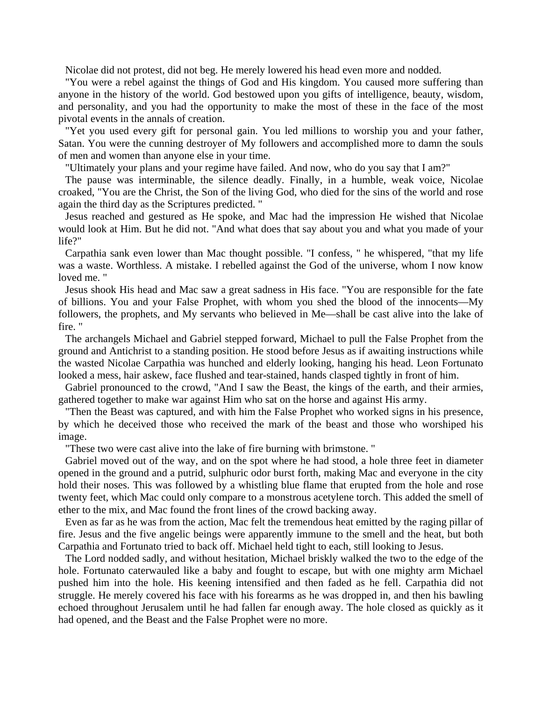Nicolae did not protest, did not beg. He merely lowered his head even more and nodded.

"You were a rebel against the things of God and His kingdom. You caused more suffering than anyone in the history of the world. God bestowed upon you gifts of intelligence, beauty, wisdom, and personality, and you had the opportunity to make the most of these in the face of the most pivotal events in the annals of creation.

"Yet you used every gift for personal gain. You led millions to worship you and your father, Satan. You were the cunning destroyer of My followers and accomplished more to damn the souls of men and women than anyone else in your time.

"Ultimately your plans and your regime have failed. And now, who do you say that I am?"

The pause was interminable, the silence deadly. Finally, in a humble, weak voice, Nicolae croaked, "You are the Christ, the Son of the living God, who died for the sins of the world and rose again the third day as the Scriptures predicted. "

Jesus reached and gestured as He spoke, and Mac had the impression He wished that Nicolae would look at Him. But he did not. "And what does that say about you and what you made of your life?"

Carpathia sank even lower than Mac thought possible. "I confess, " he whispered, "that my life was a waste. Worthless. A mistake. I rebelled against the God of the universe, whom I now know loved me. "

Jesus shook His head and Mac saw a great sadness in His face. "You are responsible for the fate of billions. You and your False Prophet, with whom you shed the blood of the innocents—My followers, the prophets, and My servants who believed in Me—shall be cast alive into the lake of fire. "

The archangels Michael and Gabriel stepped forward, Michael to pull the False Prophet from the ground and Antichrist to a standing position. He stood before Jesus as if awaiting instructions while the wasted Nicolae Carpathia was hunched and elderly looking, hanging his head. Leon Fortunato looked a mess, hair askew, face flushed and tear-stained, hands clasped tightly in front of him.

Gabriel pronounced to the crowd, "And I saw the Beast, the kings of the earth, and their armies, gathered together to make war against Him who sat on the horse and against His army.

"Then the Beast was captured, and with him the False Prophet who worked signs in his presence, by which he deceived those who received the mark of the beast and those who worshiped his image.

"These two were cast alive into the lake of fire burning with brimstone. "

Gabriel moved out of the way, and on the spot where he had stood, a hole three feet in diameter opened in the ground and a putrid, sulphuric odor burst forth, making Mac and everyone in the city hold their noses. This was followed by a whistling blue flame that erupted from the hole and rose twenty feet, which Mac could only compare to a monstrous acetylene torch. This added the smell of ether to the mix, and Mac found the front lines of the crowd backing away.

Even as far as he was from the action, Mac felt the tremendous heat emitted by the raging pillar of fire. Jesus and the five angelic beings were apparently immune to the smell and the heat, but both Carpathia and Fortunato tried to back off. Michael held tight to each, still looking to Jesus.

The Lord nodded sadly, and without hesitation, Michael briskly walked the two to the edge of the hole. Fortunato caterwauled like a baby and fought to escape, but with one mighty arm Michael pushed him into the hole. His keening intensified and then faded as he fell. Carpathia did not struggle. He merely covered his face with his forearms as he was dropped in, and then his bawling echoed throughout Jerusalem until he had fallen far enough away. The hole closed as quickly as it had opened, and the Beast and the False Prophet were no more.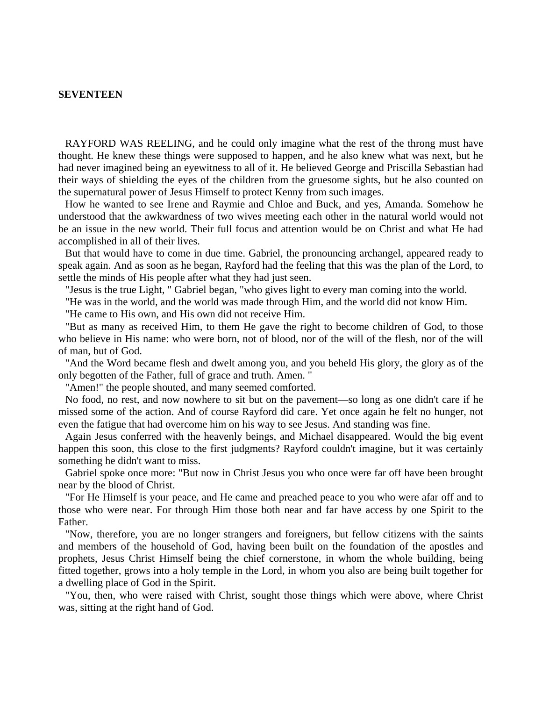### **SEVENTEEN**

RAYFORD WAS REELING, and he could only imagine what the rest of the throng must have thought. He knew these things were supposed to happen, and he also knew what was next, but he had never imagined being an eyewitness to all of it. He believed George and Priscilla Sebastian had their ways of shielding the eyes of the children from the gruesome sights, but he also counted on the supernatural power of Jesus Himself to protect Kenny from such images.

How he wanted to see Irene and Raymie and Chloe and Buck, and yes, Amanda. Somehow he understood that the awkwardness of two wives meeting each other in the natural world would not be an issue in the new world. Their full focus and attention would be on Christ and what He had accomplished in all of their lives.

But that would have to come in due time. Gabriel, the pronouncing archangel, appeared ready to speak again. And as soon as he began, Rayford had the feeling that this was the plan of the Lord, to settle the minds of His people after what they had just seen.

"Jesus is the true Light, " Gabriel began, "who gives light to every man coming into the world.

"He was in the world, and the world was made through Him, and the world did not know Him.

"He came to His own, and His own did not receive Him.

"But as many as received Him, to them He gave the right to become children of God, to those who believe in His name: who were born, not of blood, nor of the will of the flesh, nor of the will of man, but of God.

"And the Word became flesh and dwelt among you, and you beheld His glory, the glory as of the only begotten of the Father, full of grace and truth. Amen. "

"Amen!" the people shouted, and many seemed comforted.

No food, no rest, and now nowhere to sit but on the pavement—so long as one didn't care if he missed some of the action. And of course Rayford did care. Yet once again he felt no hunger, not even the fatigue that had overcome him on his way to see Jesus. And standing was fine.

Again Jesus conferred with the heavenly beings, and Michael disappeared. Would the big event happen this soon, this close to the first judgments? Rayford couldn't imagine, but it was certainly something he didn't want to miss.

Gabriel spoke once more: "But now in Christ Jesus you who once were far off have been brought near by the blood of Christ.

"For He Himself is your peace, and He came and preached peace to you who were afar off and to those who were near. For through Him those both near and far have access by one Spirit to the Father.

"Now, therefore, you are no longer strangers and foreigners, but fellow citizens with the saints and members of the household of God, having been built on the foundation of the apostles and prophets, Jesus Christ Himself being the chief cornerstone, in whom the whole building, being fitted together, grows into a holy temple in the Lord, in whom you also are being built together for a dwelling place of God in the Spirit.

"You, then, who were raised with Christ, sought those things which were above, where Christ was, sitting at the right hand of God.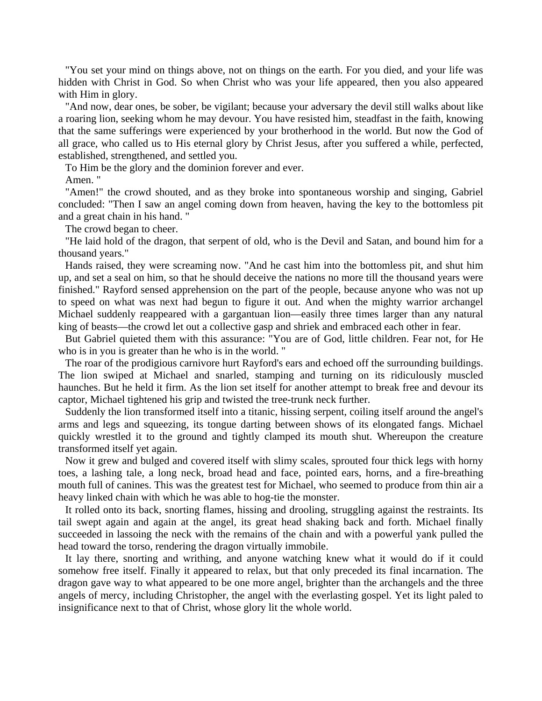"You set your mind on things above, not on things on the earth. For you died, and your life was hidden with Christ in God. So when Christ who was your life appeared, then you also appeared with Him in glory.

"And now, dear ones, be sober, be vigilant; because your adversary the devil still walks about like a roaring lion, seeking whom he may devour. You have resisted him, steadfast in the faith, knowing that the same sufferings were experienced by your brotherhood in the world. But now the God of all grace, who called us to His eternal glory by Christ Jesus, after you suffered a while, perfected, established, strengthened, and settled you.

To Him be the glory and the dominion forever and ever.

Amen. "

"Amen!" the crowd shouted, and as they broke into spontaneous worship and singing, Gabriel concluded: "Then I saw an angel coming down from heaven, having the key to the bottomless pit and a great chain in his hand. "

The crowd began to cheer.

"He laid hold of the dragon, that serpent of old, who is the Devil and Satan, and bound him for a thousand years."

Hands raised, they were screaming now. "And he cast him into the bottomless pit, and shut him up, and set a seal on him, so that he should deceive the nations no more till the thousand years were finished." Rayford sensed apprehension on the part of the people, because anyone who was not up to speed on what was next had begun to figure it out. And when the mighty warrior archangel Michael suddenly reappeared with a gargantuan lion—easily three times larger than any natural king of beasts—the crowd let out a collective gasp and shriek and embraced each other in fear.

But Gabriel quieted them with this assurance: "You are of God, little children. Fear not, for He who is in you is greater than he who is in the world. "

The roar of the prodigious carnivore hurt Rayford's ears and echoed off the surrounding buildings. The lion swiped at Michael and snarled, stamping and turning on its ridiculously muscled haunches. But he held it firm. As the lion set itself for another attempt to break free and devour its captor, Michael tightened his grip and twisted the tree-trunk neck further.

Suddenly the lion transformed itself into a titanic, hissing serpent, coiling itself around the angel's arms and legs and squeezing, its tongue darting between shows of its elongated fangs. Michael quickly wrestled it to the ground and tightly clamped its mouth shut. Whereupon the creature transformed itself yet again.

Now it grew and bulged and covered itself with slimy scales, sprouted four thick legs with horny toes, a lashing tale, a long neck, broad head and face, pointed ears, horns, and a fire-breathing mouth full of canines. This was the greatest test for Michael, who seemed to produce from thin air a heavy linked chain with which he was able to hog-tie the monster.

It rolled onto its back, snorting flames, hissing and drooling, struggling against the restraints. Its tail swept again and again at the angel, its great head shaking back and forth. Michael finally succeeded in lassoing the neck with the remains of the chain and with a powerful yank pulled the head toward the torso, rendering the dragon virtually immobile.

It lay there, snorting and writhing, and anyone watching knew what it would do if it could somehow free itself. Finally it appeared to relax, but that only preceded its final incarnation. The dragon gave way to what appeared to be one more angel, brighter than the archangels and the three angels of mercy, including Christopher, the angel with the everlasting gospel. Yet its light paled to insignificance next to that of Christ, whose glory lit the whole world.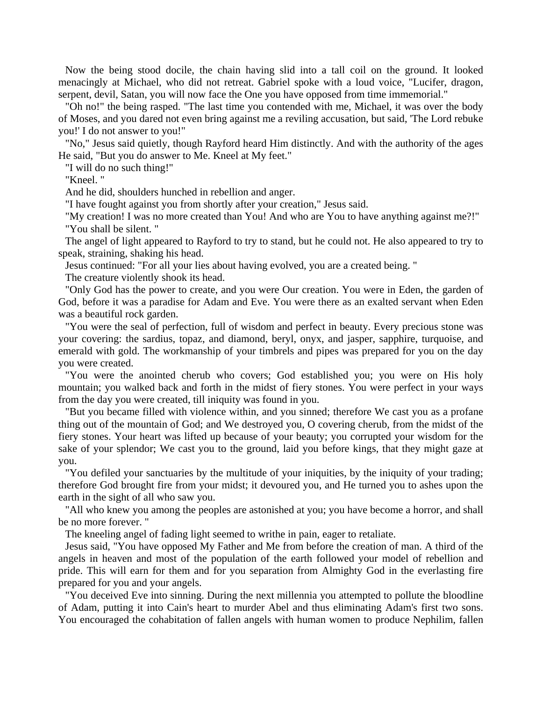Now the being stood docile, the chain having slid into a tall coil on the ground. It looked menacingly at Michael, who did not retreat. Gabriel spoke with a loud voice, "Lucifer, dragon, serpent, devil, Satan, you will now face the One you have opposed from time immemorial."

"Oh no!" the being rasped. "The last time you contended with me, Michael, it was over the body of Moses, and you dared not even bring against me a reviling accusation, but said, 'The Lord rebuke you!' I do not answer to you!"

"No," Jesus said quietly, though Rayford heard Him distinctly. And with the authority of the ages He said, "But you do answer to Me. Kneel at My feet."

"I will do no such thing!"

"Kneel. "

And he did, shoulders hunched in rebellion and anger.

"I have fought against you from shortly after your creation," Jesus said.

"My creation! I was no more created than You! And who are You to have anything against me?!" "You shall be silent. "

The angel of light appeared to Rayford to try to stand, but he could not. He also appeared to try to speak, straining, shaking his head.

Jesus continued: "For all your lies about having evolved, you are a created being. "

The creature violently shook its head.

"Only God has the power to create, and you were Our creation. You were in Eden, the garden of God, before it was a paradise for Adam and Eve. You were there as an exalted servant when Eden was a beautiful rock garden.

"You were the seal of perfection, full of wisdom and perfect in beauty. Every precious stone was your covering: the sardius, topaz, and diamond, beryl, onyx, and jasper, sapphire, turquoise, and emerald with gold. The workmanship of your timbrels and pipes was prepared for you on the day you were created.

"You were the anointed cherub who covers; God established you; you were on His holy mountain; you walked back and forth in the midst of fiery stones. You were perfect in your ways from the day you were created, till iniquity was found in you.

"But you became filled with violence within, and you sinned; therefore We cast you as a profane thing out of the mountain of God; and We destroyed you, O covering cherub, from the midst of the fiery stones. Your heart was lifted up because of your beauty; you corrupted your wisdom for the sake of your splendor; We cast you to the ground, laid you before kings, that they might gaze at you.

"You defiled your sanctuaries by the multitude of your iniquities, by the iniquity of your trading; therefore God brought fire from your midst; it devoured you, and He turned you to ashes upon the earth in the sight of all who saw you.

"All who knew you among the peoples are astonished at you; you have become a horror, and shall be no more forever. "

The kneeling angel of fading light seemed to writhe in pain, eager to retaliate.

Jesus said, "You have opposed My Father and Me from before the creation of man. A third of the angels in heaven and most of the population of the earth followed your model of rebellion and pride. This will earn for them and for you separation from Almighty God in the everlasting fire prepared for you and your angels.

"You deceived Eve into sinning. During the next millennia you attempted to pollute the bloodline of Adam, putting it into Cain's heart to murder Abel and thus eliminating Adam's first two sons. You encouraged the cohabitation of fallen angels with human women to produce Nephilim, fallen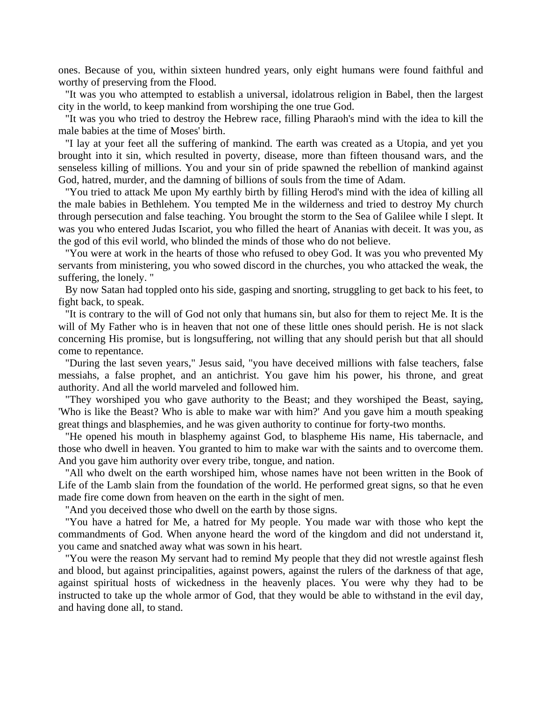ones. Because of you, within sixteen hundred years, only eight humans were found faithful and worthy of preserving from the Flood.

"It was you who attempted to establish a universal, idolatrous religion in Babel, then the largest city in the world, to keep mankind from worshiping the one true God.

"It was you who tried to destroy the Hebrew race, filling Pharaoh's mind with the idea to kill the male babies at the time of Moses' birth.

"I lay at your feet all the suffering of mankind. The earth was created as a Utopia, and yet you brought into it sin, which resulted in poverty, disease, more than fifteen thousand wars, and the senseless killing of millions. You and your sin of pride spawned the rebellion of mankind against God, hatred, murder, and the damning of billions of souls from the time of Adam.

"You tried to attack Me upon My earthly birth by filling Herod's mind with the idea of killing all the male babies in Bethlehem. You tempted Me in the wilderness and tried to destroy My church through persecution and false teaching. You brought the storm to the Sea of Galilee while I slept. It was you who entered Judas Iscariot, you who filled the heart of Ananias with deceit. It was you, as the god of this evil world, who blinded the minds of those who do not believe.

"You were at work in the hearts of those who refused to obey God. It was you who prevented My servants from ministering, you who sowed discord in the churches, you who attacked the weak, the suffering, the lonely. "

By now Satan had toppled onto his side, gasping and snorting, struggling to get back to his feet, to fight back, to speak.

"It is contrary to the will of God not only that humans sin, but also for them to reject Me. It is the will of My Father who is in heaven that not one of these little ones should perish. He is not slack concerning His promise, but is longsuffering, not willing that any should perish but that all should come to repentance.

"During the last seven years," Jesus said, "you have deceived millions with false teachers, false messiahs, a false prophet, and an antichrist. You gave him his power, his throne, and great authority. And all the world marveled and followed him.

"They worshiped you who gave authority to the Beast; and they worshiped the Beast, saying, 'Who is like the Beast? Who is able to make war with him?' And you gave him a mouth speaking great things and blasphemies, and he was given authority to continue for forty-two months.

"He opened his mouth in blasphemy against God, to blaspheme His name, His tabernacle, and those who dwell in heaven. You granted to him to make war with the saints and to overcome them. And you gave him authority over every tribe, tongue, and nation.

"All who dwelt on the earth worshiped him, whose names have not been written in the Book of Life of the Lamb slain from the foundation of the world. He performed great signs, so that he even made fire come down from heaven on the earth in the sight of men.

"And you deceived those who dwell on the earth by those signs.

"You have a hatred for Me, a hatred for My people. You made war with those who kept the commandments of God. When anyone heard the word of the kingdom and did not understand it, you came and snatched away what was sown in his heart.

"You were the reason My servant had to remind My people that they did not wrestle against flesh and blood, but against principalities, against powers, against the rulers of the darkness of that age, against spiritual hosts of wickedness in the heavenly places. You were why they had to be instructed to take up the whole armor of God, that they would be able to withstand in the evil day, and having done all, to stand.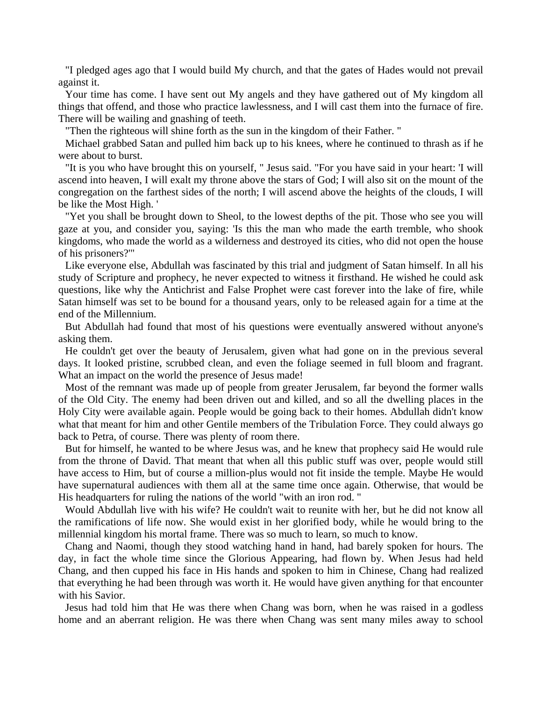"I pledged ages ago that I would build My church, and that the gates of Hades would not prevail against it.

Your time has come. I have sent out My angels and they have gathered out of My kingdom all things that offend, and those who practice lawlessness, and I will cast them into the furnace of fire. There will be wailing and gnashing of teeth.

"Then the righteous will shine forth as the sun in the kingdom of their Father. "

Michael grabbed Satan and pulled him back up to his knees, where he continued to thrash as if he were about to burst.

"It is you who have brought this on yourself, " Jesus said. "For you have said in your heart: 'I will ascend into heaven, I will exalt my throne above the stars of God; I will also sit on the mount of the congregation on the farthest sides of the north; I will ascend above the heights of the clouds, I will be like the Most High. '

"Yet you shall be brought down to Sheol, to the lowest depths of the pit. Those who see you will gaze at you, and consider you, saying: 'Is this the man who made the earth tremble, who shook kingdoms, who made the world as a wilderness and destroyed its cities, who did not open the house of his prisoners?'"

Like everyone else, Abdullah was fascinated by this trial and judgment of Satan himself. In all his study of Scripture and prophecy, he never expected to witness it firsthand. He wished he could ask questions, like why the Antichrist and False Prophet were cast forever into the lake of fire, while Satan himself was set to be bound for a thousand years, only to be released again for a time at the end of the Millennium.

But Abdullah had found that most of his questions were eventually answered without anyone's asking them.

He couldn't get over the beauty of Jerusalem, given what had gone on in the previous several days. It looked pristine, scrubbed clean, and even the foliage seemed in full bloom and fragrant. What an impact on the world the presence of Jesus made!

Most of the remnant was made up of people from greater Jerusalem, far beyond the former walls of the Old City. The enemy had been driven out and killed, and so all the dwelling places in the Holy City were available again. People would be going back to their homes. Abdullah didn't know what that meant for him and other Gentile members of the Tribulation Force. They could always go back to Petra, of course. There was plenty of room there.

But for himself, he wanted to be where Jesus was, and he knew that prophecy said He would rule from the throne of David. That meant that when all this public stuff was over, people would still have access to Him, but of course a million-plus would not fit inside the temple. Maybe He would have supernatural audiences with them all at the same time once again. Otherwise, that would be His headquarters for ruling the nations of the world "with an iron rod. "

Would Abdullah live with his wife? He couldn't wait to reunite with her, but he did not know all the ramifications of life now. She would exist in her glorified body, while he would bring to the millennial kingdom his mortal frame. There was so much to learn, so much to know.

Chang and Naomi, though they stood watching hand in hand, had barely spoken for hours. The day, in fact the whole time since the Glorious Appearing, had flown by. When Jesus had held Chang, and then cupped his face in His hands and spoken to him in Chinese, Chang had realized that everything he had been through was worth it. He would have given anything for that encounter with his Savior.

Jesus had told him that He was there when Chang was born, when he was raised in a godless home and an aberrant religion. He was there when Chang was sent many miles away to school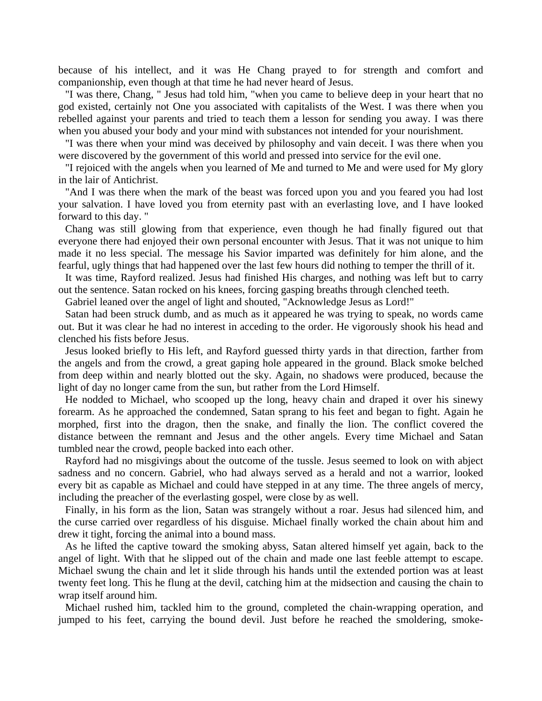because of his intellect, and it was He Chang prayed to for strength and comfort and companionship, even though at that time he had never heard of Jesus.

"I was there, Chang, " Jesus had told him, "when you came to believe deep in your heart that no god existed, certainly not One you associated with capitalists of the West. I was there when you rebelled against your parents and tried to teach them a lesson for sending you away. I was there when you abused your body and your mind with substances not intended for your nourishment.

"I was there when your mind was deceived by philosophy and vain deceit. I was there when you were discovered by the government of this world and pressed into service for the evil one.

"I rejoiced with the angels when you learned of Me and turned to Me and were used for My glory in the lair of Antichrist.

"And I was there when the mark of the beast was forced upon you and you feared you had lost your salvation. I have loved you from eternity past with an everlasting love, and I have looked forward to this day. "

Chang was still glowing from that experience, even though he had finally figured out that everyone there had enjoyed their own personal encounter with Jesus. That it was not unique to him made it no less special. The message his Savior imparted was definitely for him alone, and the fearful, ugly things that had happened over the last few hours did nothing to temper the thrill of it.

It was time, Rayford realized. Jesus had finished His charges, and nothing was left but to carry out the sentence. Satan rocked on his knees, forcing gasping breaths through clenched teeth.

Gabriel leaned over the angel of light and shouted, "Acknowledge Jesus as Lord!"

Satan had been struck dumb, and as much as it appeared he was trying to speak, no words came out. But it was clear he had no interest in acceding to the order. He vigorously shook his head and clenched his fists before Jesus.

Jesus looked briefly to His left, and Rayford guessed thirty yards in that direction, farther from the angels and from the crowd, a great gaping hole appeared in the ground. Black smoke belched from deep within and nearly blotted out the sky. Again, no shadows were produced, because the light of day no longer came from the sun, but rather from the Lord Himself.

He nodded to Michael, who scooped up the long, heavy chain and draped it over his sinewy forearm. As he approached the condemned, Satan sprang to his feet and began to fight. Again he morphed, first into the dragon, then the snake, and finally the lion. The conflict covered the distance between the remnant and Jesus and the other angels. Every time Michael and Satan tumbled near the crowd, people backed into each other.

Rayford had no misgivings about the outcome of the tussle. Jesus seemed to look on with abject sadness and no concern. Gabriel, who had always served as a herald and not a warrior, looked every bit as capable as Michael and could have stepped in at any time. The three angels of mercy, including the preacher of the everlasting gospel, were close by as well.

Finally, in his form as the lion, Satan was strangely without a roar. Jesus had silenced him, and the curse carried over regardless of his disguise. Michael finally worked the chain about him and drew it tight, forcing the animal into a bound mass.

As he lifted the captive toward the smoking abyss, Satan altered himself yet again, back to the angel of light. With that he slipped out of the chain and made one last feeble attempt to escape. Michael swung the chain and let it slide through his hands until the extended portion was at least twenty feet long. This he flung at the devil, catching him at the midsection and causing the chain to wrap itself around him.

Michael rushed him, tackled him to the ground, completed the chain-wrapping operation, and jumped to his feet, carrying the bound devil. Just before he reached the smoldering, smoke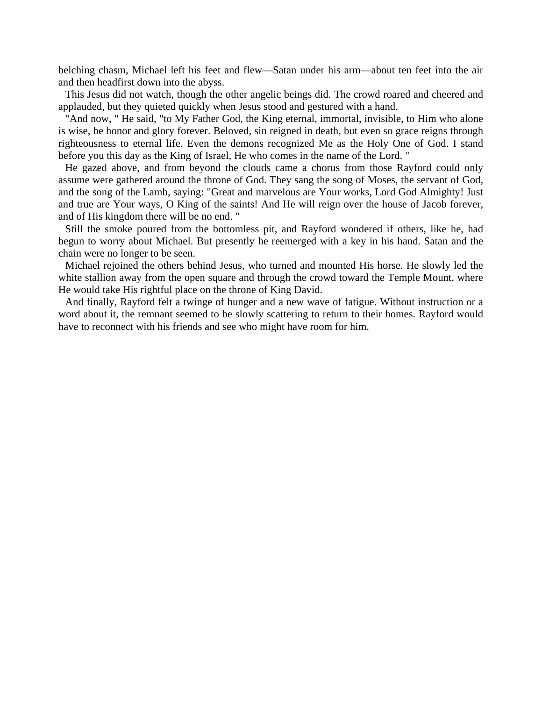belching chasm, Michael left his feet and flew—Satan under his arm—about ten feet into the air and then headfirst down into the abyss.

This Jesus did not watch, though the other angelic beings did. The crowd roared and cheered and applauded, but they quieted quickly when Jesus stood and gestured with a hand.

"And now, " He said, "to My Father God, the King eternal, immortal, invisible, to Him who alone is wise, be honor and glory forever. Beloved, sin reigned in death, but even so grace reigns through righteousness to eternal life. Even the demons recognized Me as the Holy One of God. I stand before you this day as the King of Israel, He who comes in the name of the Lord. "

He gazed above, and from beyond the clouds came a chorus from those Rayford could only assume were gathered around the throne of God. They sang the song of Moses, the servant of God, and the song of the Lamb, saying: "Great and marvelous are Your works, Lord God Almighty! Just and true are Your ways, O King of the saints! And He will reign over the house of Jacob forever, and of His kingdom there will be no end. "

Still the smoke poured from the bottomless pit, and Rayford wondered if others, like he, had begun to worry about Michael. But presently he reemerged with a key in his hand. Satan and the chain were no longer to be seen.

Michael rejoined the others behind Jesus, who turned and mounted His horse. He slowly led the white stallion away from the open square and through the crowd toward the Temple Mount, where He would take His rightful place on the throne of King David.

And finally, Rayford felt a twinge of hunger and a new wave of fatigue. Without instruction or a word about it, the remnant seemed to be slowly scattering to return to their homes. Rayford would have to reconnect with his friends and see who might have room for him.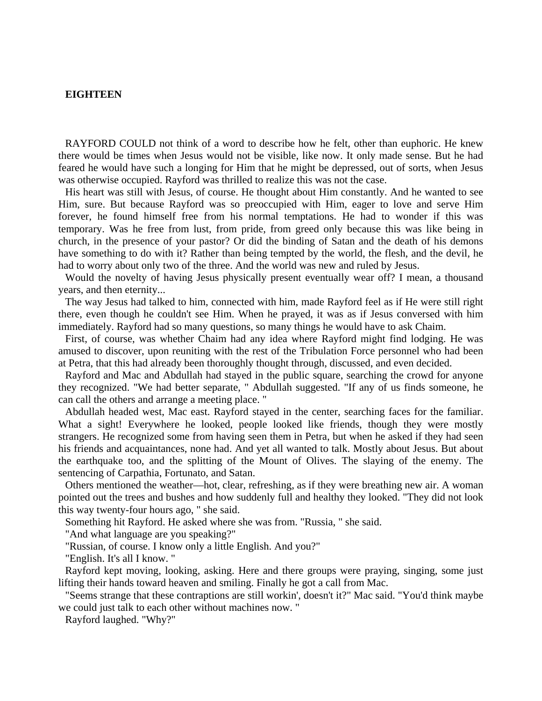# **EIGHTEEN**

RAYFORD COULD not think of a word to describe how he felt, other than euphoric. He knew there would be times when Jesus would not be visible, like now. It only made sense. But he had feared he would have such a longing for Him that he might be depressed, out of sorts, when Jesus was otherwise occupied. Rayford was thrilled to realize this was not the case.

His heart was still with Jesus, of course. He thought about Him constantly. And he wanted to see Him, sure. But because Rayford was so preoccupied with Him, eager to love and serve Him forever, he found himself free from his normal temptations. He had to wonder if this was temporary. Was he free from lust, from pride, from greed only because this was like being in church, in the presence of your pastor? Or did the binding of Satan and the death of his demons have something to do with it? Rather than being tempted by the world, the flesh, and the devil, he had to worry about only two of the three. And the world was new and ruled by Jesus.

Would the novelty of having Jesus physically present eventually wear off? I mean, a thousand years, and then eternity...

The way Jesus had talked to him, connected with him, made Rayford feel as if He were still right there, even though he couldn't see Him. When he prayed, it was as if Jesus conversed with him immediately. Rayford had so many questions, so many things he would have to ask Chaim.

First, of course, was whether Chaim had any idea where Rayford might find lodging. He was amused to discover, upon reuniting with the rest of the Tribulation Force personnel who had been at Petra, that this had already been thoroughly thought through, discussed, and even decided.

Rayford and Mac and Abdullah had stayed in the public square, searching the crowd for anyone they recognized. "We had better separate, " Abdullah suggested. "If any of us finds someone, he can call the others and arrange a meeting place. "

Abdullah headed west, Mac east. Rayford stayed in the center, searching faces for the familiar. What a sight! Everywhere he looked, people looked like friends, though they were mostly strangers. He recognized some from having seen them in Petra, but when he asked if they had seen his friends and acquaintances, none had. And yet all wanted to talk. Mostly about Jesus. But about the earthquake too, and the splitting of the Mount of Olives. The slaying of the enemy. The sentencing of Carpathia, Fortunato, and Satan.

Others mentioned the weather—hot, clear, refreshing, as if they were breathing new air. A woman pointed out the trees and bushes and how suddenly full and healthy they looked. "They did not look this way twenty-four hours ago, " she said.

Something hit Rayford. He asked where she was from. "Russia, " she said.

"And what language are you speaking?"

"Russian, of course. I know only a little English. And you?"

"English. It's all I know. "

Rayford kept moving, looking, asking. Here and there groups were praying, singing, some just lifting their hands toward heaven and smiling. Finally he got a call from Mac.

"Seems strange that these contraptions are still workin', doesn't it?" Mac said. "You'd think maybe we could just talk to each other without machines now. "

Rayford laughed. "Why?"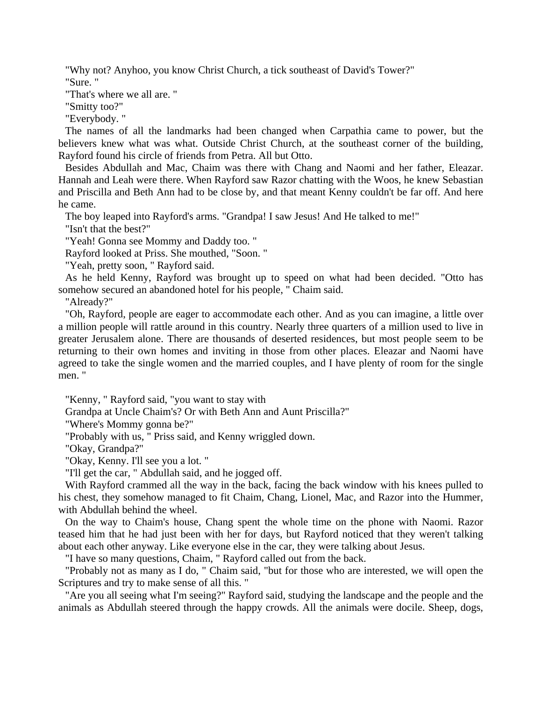"Why not? Anyhoo, you know Christ Church, a tick southeast of David's Tower?" "Sure. "

"That's where we all are. "

"Smitty too?"

"Everybody. "

The names of all the landmarks had been changed when Carpathia came to power, but the believers knew what was what. Outside Christ Church, at the southeast corner of the building, Rayford found his circle of friends from Petra. All but Otto.

Besides Abdullah and Mac, Chaim was there with Chang and Naomi and her father, Eleazar. Hannah and Leah were there. When Rayford saw Razor chatting with the Woos, he knew Sebastian and Priscilla and Beth Ann had to be close by, and that meant Kenny couldn't be far off. And here he came.

The boy leaped into Rayford's arms. "Grandpa! I saw Jesus! And He talked to me!"

"Isn't that the best?"

"Yeah! Gonna see Mommy and Daddy too. "

Rayford looked at Priss. She mouthed, "Soon. "

"Yeah, pretty soon, " Rayford said.

As he held Kenny, Rayford was brought up to speed on what had been decided. "Otto has somehow secured an abandoned hotel for his people, " Chaim said.

"Already?"

"Oh, Rayford, people are eager to accommodate each other. And as you can imagine, a little over a million people will rattle around in this country. Nearly three quarters of a million used to live in greater Jerusalem alone. There are thousands of deserted residences, but most people seem to be returning to their own homes and inviting in those from other places. Eleazar and Naomi have agreed to take the single women and the married couples, and I have plenty of room for the single men. "

"Kenny, " Rayford said, "you want to stay with

Grandpa at Uncle Chaim's? Or with Beth Ann and Aunt Priscilla?"

"Where's Mommy gonna be?"

"Probably with us, " Priss said, and Kenny wriggled down.

"Okay, Grandpa?"

"Okay, Kenny. I'll see you a lot. "

"I'll get the car, " Abdullah said, and he jogged off.

With Rayford crammed all the way in the back, facing the back window with his knees pulled to his chest, they somehow managed to fit Chaim, Chang, Lionel, Mac, and Razor into the Hummer, with Abdullah behind the wheel.

On the way to Chaim's house, Chang spent the whole time on the phone with Naomi. Razor teased him that he had just been with her for days, but Rayford noticed that they weren't talking about each other anyway. Like everyone else in the car, they were talking about Jesus.

"I have so many questions, Chaim, " Rayford called out from the back.

"Probably not as many as I do, " Chaim said, "but for those who are interested, we will open the Scriptures and try to make sense of all this. "

"Are you all seeing what I'm seeing?" Rayford said, studying the landscape and the people and the animals as Abdullah steered through the happy crowds. All the animals were docile. Sheep, dogs,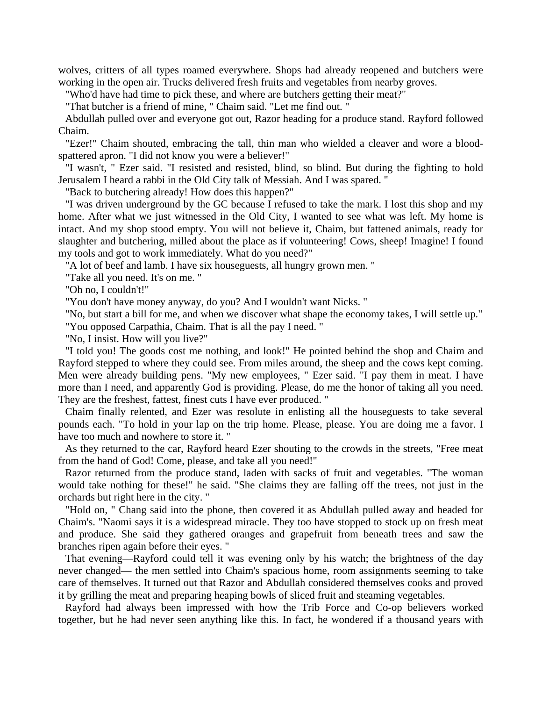wolves, critters of all types roamed everywhere. Shops had already reopened and butchers were working in the open air. Trucks delivered fresh fruits and vegetables from nearby groves.

"Who'd have had time to pick these, and where are butchers getting their meat?"

"That butcher is a friend of mine, " Chaim said. "Let me find out. "

Abdullah pulled over and everyone got out, Razor heading for a produce stand. Rayford followed Chaim.

"Ezer!" Chaim shouted, embracing the tall, thin man who wielded a cleaver and wore a bloodspattered apron. "I did not know you were a believer!"

"I wasn't, " Ezer said. "I resisted and resisted, blind, so blind. But during the fighting to hold Jerusalem I heard a rabbi in the Old City talk of Messiah. And I was spared. "

"Back to butchering already! How does this happen?"

"I was driven underground by the GC because I refused to take the mark. I lost this shop and my home. After what we just witnessed in the Old City, I wanted to see what was left. My home is intact. And my shop stood empty. You will not believe it, Chaim, but fattened animals, ready for slaughter and butchering, milled about the place as if volunteering! Cows, sheep! Imagine! I found my tools and got to work immediately. What do you need?"

"A lot of beef and lamb. I have six houseguests, all hungry grown men. "

"Take all you need. It's on me. "

"Oh no, I couldn't!"

"You don't have money anyway, do you? And I wouldn't want Nicks. "

"No, but start a bill for me, and when we discover what shape the economy takes, I will settle up."

"You opposed Carpathia, Chaim. That is all the pay I need. "

"No, I insist. How will you live?"

"I told you! The goods cost me nothing, and look!" He pointed behind the shop and Chaim and Rayford stepped to where they could see. From miles around, the sheep and the cows kept coming. Men were already building pens. "My new employees, " Ezer said. "I pay them in meat. I have more than I need, and apparently God is providing. Please, do me the honor of taking all you need. They are the freshest, fattest, finest cuts I have ever produced. "

Chaim finally relented, and Ezer was resolute in enlisting all the houseguests to take several pounds each. "To hold in your lap on the trip home. Please, please. You are doing me a favor. I have too much and nowhere to store it. "

As they returned to the car, Rayford heard Ezer shouting to the crowds in the streets, "Free meat from the hand of God! Come, please, and take all you need!"

Razor returned from the produce stand, laden with sacks of fruit and vegetables. "The woman would take nothing for these!" he said. "She claims they are falling off the trees, not just in the orchards but right here in the city. "

"Hold on, " Chang said into the phone, then covered it as Abdullah pulled away and headed for Chaim's. "Naomi says it is a widespread miracle. They too have stopped to stock up on fresh meat and produce. She said they gathered oranges and grapefruit from beneath trees and saw the branches ripen again before their eyes. "

That evening—Rayford could tell it was evening only by his watch; the brightness of the day never changed— the men settled into Chaim's spacious home, room assignments seeming to take care of themselves. It turned out that Razor and Abdullah considered themselves cooks and proved it by grilling the meat and preparing heaping bowls of sliced fruit and steaming vegetables.

Rayford had always been impressed with how the Trib Force and Co-op believers worked together, but he had never seen anything like this. In fact, he wondered if a thousand years with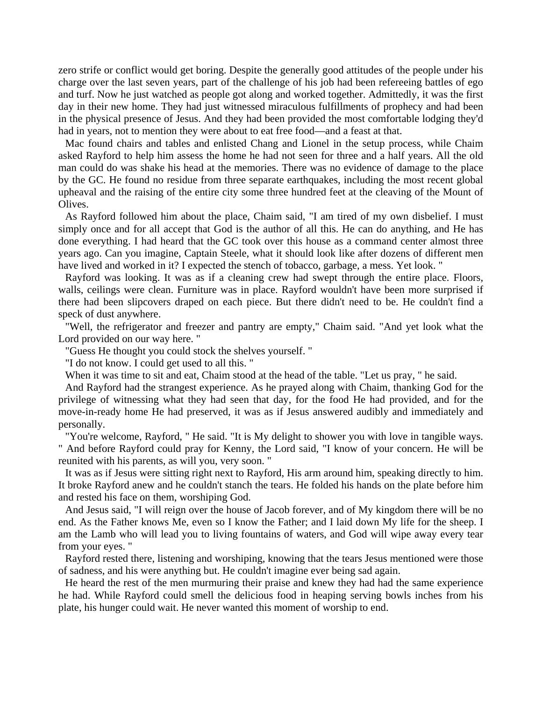zero strife or conflict would get boring. Despite the generally good attitudes of the people under his charge over the last seven years, part of the challenge of his job had been refereeing battles of ego and turf. Now he just watched as people got along and worked together. Admittedly, it was the first day in their new home. They had just witnessed miraculous fulfillments of prophecy and had been in the physical presence of Jesus. And they had been provided the most comfortable lodging they'd had in years, not to mention they were about to eat free food—and a feast at that.

Mac found chairs and tables and enlisted Chang and Lionel in the setup process, while Chaim asked Rayford to help him assess the home he had not seen for three and a half years. All the old man could do was shake his head at the memories. There was no evidence of damage to the place by the GC. He found no residue from three separate earthquakes, including the most recent global upheaval and the raising of the entire city some three hundred feet at the cleaving of the Mount of Olives.

As Rayford followed him about the place, Chaim said, "I am tired of my own disbelief. I must simply once and for all accept that God is the author of all this. He can do anything, and He has done everything. I had heard that the GC took over this house as a command center almost three years ago. Can you imagine, Captain Steele, what it should look like after dozens of different men have lived and worked in it? I expected the stench of tobacco, garbage, a mess. Yet look. "

Rayford was looking. It was as if a cleaning crew had swept through the entire place. Floors, walls, ceilings were clean. Furniture was in place. Rayford wouldn't have been more surprised if there had been slipcovers draped on each piece. But there didn't need to be. He couldn't find a speck of dust anywhere.

"Well, the refrigerator and freezer and pantry are empty," Chaim said. "And yet look what the Lord provided on our way here. "

"Guess He thought you could stock the shelves yourself. "

"I do not know. I could get used to all this. "

When it was time to sit and eat, Chaim stood at the head of the table. "Let us pray, " he said.

And Rayford had the strangest experience. As he prayed along with Chaim, thanking God for the privilege of witnessing what they had seen that day, for the food He had provided, and for the move-in-ready home He had preserved, it was as if Jesus answered audibly and immediately and personally.

"You're welcome, Rayford, " He said. "It is My delight to shower you with love in tangible ways. " And before Rayford could pray for Kenny, the Lord said, "I know of your concern. He will be reunited with his parents, as will you, very soon. "

It was as if Jesus were sitting right next to Rayford, His arm around him, speaking directly to him. It broke Rayford anew and he couldn't stanch the tears. He folded his hands on the plate before him and rested his face on them, worshiping God.

And Jesus said, "I will reign over the house of Jacob forever, and of My kingdom there will be no end. As the Father knows Me, even so I know the Father; and I laid down My life for the sheep. I am the Lamb who will lead you to living fountains of waters, and God will wipe away every tear from your eyes. "

Rayford rested there, listening and worshiping, knowing that the tears Jesus mentioned were those of sadness, and his were anything but. He couldn't imagine ever being sad again.

He heard the rest of the men murmuring their praise and knew they had had the same experience he had. While Rayford could smell the delicious food in heaping serving bowls inches from his plate, his hunger could wait. He never wanted this moment of worship to end.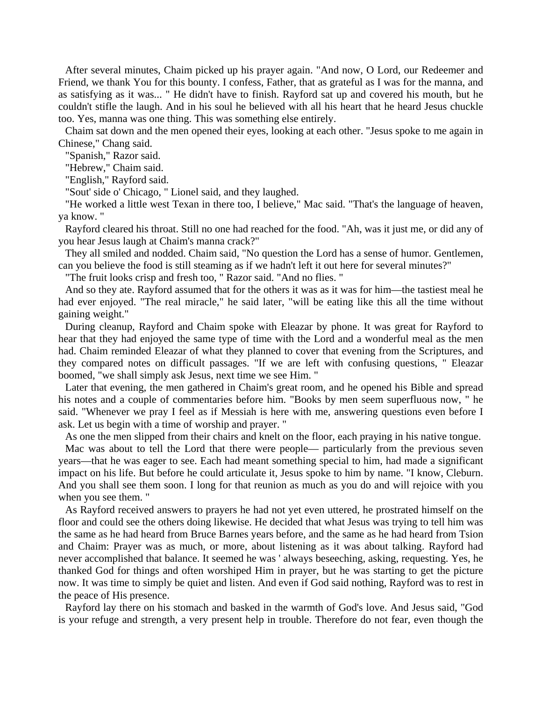After several minutes, Chaim picked up his prayer again. "And now, O Lord, our Redeemer and Friend, we thank You for this bounty. I confess, Father, that as grateful as I was for the manna, and as satisfying as it was... " He didn't have to finish. Rayford sat up and covered his mouth, but he couldn't stifle the laugh. And in his soul he believed with all his heart that he heard Jesus chuckle too. Yes, manna was one thing. This was something else entirely.

Chaim sat down and the men opened their eyes, looking at each other. "Jesus spoke to me again in Chinese," Chang said.

"Spanish," Razor said.

"Hebrew," Chaim said.

"English," Rayford said.

"Sout' side o' Chicago, " Lionel said, and they laughed.

"He worked a little west Texan in there too, I believe," Mac said. "That's the language of heaven, ya know. "

Rayford cleared his throat. Still no one had reached for the food. "Ah, was it just me, or did any of you hear Jesus laugh at Chaim's manna crack?"

They all smiled and nodded. Chaim said, "No question the Lord has a sense of humor. Gentlemen, can you believe the food is still steaming as if we hadn't left it out here for several minutes?"

"The fruit looks crisp and fresh too, " Razor said. "And no flies. "

And so they ate. Rayford assumed that for the others it was as it was for him—the tastiest meal he had ever enjoyed. "The real miracle," he said later, "will be eating like this all the time without gaining weight."

During cleanup, Rayford and Chaim spoke with Eleazar by phone. It was great for Rayford to hear that they had enjoyed the same type of time with the Lord and a wonderful meal as the men had. Chaim reminded Eleazar of what they planned to cover that evening from the Scriptures, and they compared notes on difficult passages. "If we are left with confusing questions, " Eleazar boomed, "we shall simply ask Jesus, next time we see Him. "

Later that evening, the men gathered in Chaim's great room, and he opened his Bible and spread his notes and a couple of commentaries before him. "Books by men seem superfluous now, " he said. "Whenever we pray I feel as if Messiah is here with me, answering questions even before I ask. Let us begin with a time of worship and prayer. "

As one the men slipped from their chairs and knelt on the floor, each praying in his native tongue.

Mac was about to tell the Lord that there were people— particularly from the previous seven years—that he was eager to see. Each had meant something special to him, had made a significant impact on his life. But before he could articulate it, Jesus spoke to him by name. "I know, Cleburn. And you shall see them soon. I long for that reunion as much as you do and will rejoice with you when you see them. "

As Rayford received answers to prayers he had not yet even uttered, he prostrated himself on the floor and could see the others doing likewise. He decided that what Jesus was trying to tell him was the same as he had heard from Bruce Barnes years before, and the same as he had heard from Tsion and Chaim: Prayer was as much, or more, about listening as it was about talking. Rayford had never accomplished that balance. It seemed he was ' always beseeching, asking, requesting. Yes, he thanked God for things and often worshiped Him in prayer, but he was starting to get the picture now. It was time to simply be quiet and listen. And even if God said nothing, Rayford was to rest in the peace of His presence.

Rayford lay there on his stomach and basked in the warmth of God's love. And Jesus said, "God is your refuge and strength, a very present help in trouble. Therefore do not fear, even though the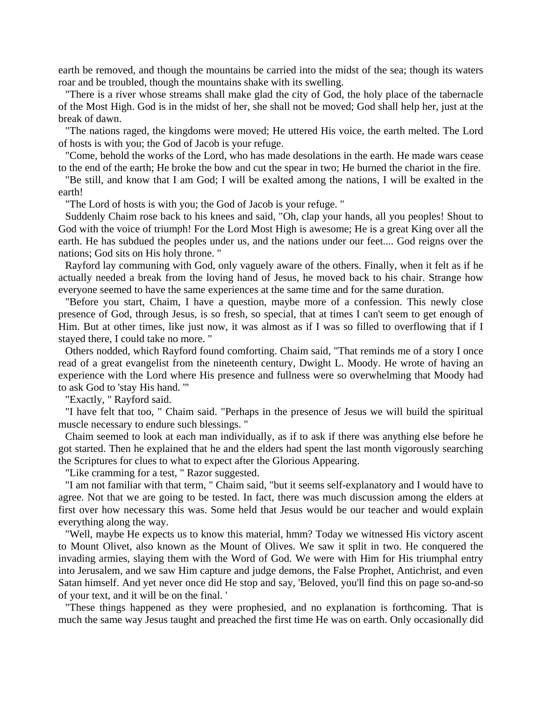earth be removed, and though the mountains be carried into the midst of the sea; though its waters roar and be troubled, though the mountains shake with its swelling.

"There is a river whose streams shall make glad the city of God, the holy place of the tabernacle of the Most High. God is in the midst of her, she shall not be moved; God shall help her, just at the break of dawn.

"The nations raged, the kingdoms were moved; He uttered His voice, the earth melted. The Lord of hosts is with you; the God of Jacob is your refuge.

"Come, behold the works of the Lord, who has made desolations in the earth. He made wars cease to the end of the earth; He broke the bow and cut the spear in two; He burned the chariot in the fire.

"Be still, and know that I am God; I will be exalted among the nations, I will be exalted in the earth!

"The Lord of hosts is with you; the God of Jacob is your refuge. "

Suddenly Chaim rose back to his knees and said, "Oh, clap your hands, all you peoples! Shout to God with the voice of triumph! For the Lord Most High is awesome; He is a great King over all the earth. He has subdued the peoples under us, and the nations under our feet.... God reigns over the nations; God sits on His holy throne. "

Rayford lay communing with God, only vaguely aware of the others. Finally, when it felt as if he actually needed a break from the loving hand of Jesus, he moved back to his chair. Strange how everyone seemed to have the same experiences at the same time and for the same duration.

"Before you start, Chaim, I have a question, maybe more of a confession. This newly close presence of God, through Jesus, is so fresh, so special, that at times I can't seem to get enough of Him. But at other times, like just now, it was almost as if I was so filled to overflowing that if I stayed there, I could take no more. "

Others nodded, which Rayford found comforting. Chaim said, "That reminds me of a story I once read of a great evangelist from the nineteenth century, Dwight L. Moody. He wrote of having an experience with the Lord where His presence and fullness were so overwhelming that Moody had to ask God to 'stay His hand. '"

"Exactly, " Rayford said.

"I have felt that too, " Chaim said. "Perhaps in the presence of Jesus we will build the spiritual muscle necessary to endure such blessings. "

Chaim seemed to look at each man individually, as if to ask if there was anything else before he got started. Then he explained that he and the elders had spent the last month vigorously searching the Scriptures for clues to what to expect after the Glorious Appearing.

"Like cramming for a test, " Razor suggested.

"I am not familiar with that term, " Chaim said, "but it seems self-explanatory and I would have to agree. Not that we are going to be tested. In fact, there was much discussion among the elders at first over how necessary this was. Some held that Jesus would be our teacher and would explain everything along the way.

"Well, maybe He expects us to know this material, hmm? Today we witnessed His victory ascent to Mount Olivet, also known as the Mount of Olives. We saw it split in two. He conquered the invading armies, slaying them with the Word of God. We were with Him for His triumphal entry into Jerusalem, and we saw Him capture and judge demons, the False Prophet, Antichrist, and even Satan himself. And yet never once did He stop and say, 'Beloved, you'll find this on page so-and-so of your text, and it will be on the final. '

"These things happened as they were prophesied, and no explanation is forthcoming. That is much the same way Jesus taught and preached the first time He was on earth. Only occasionally did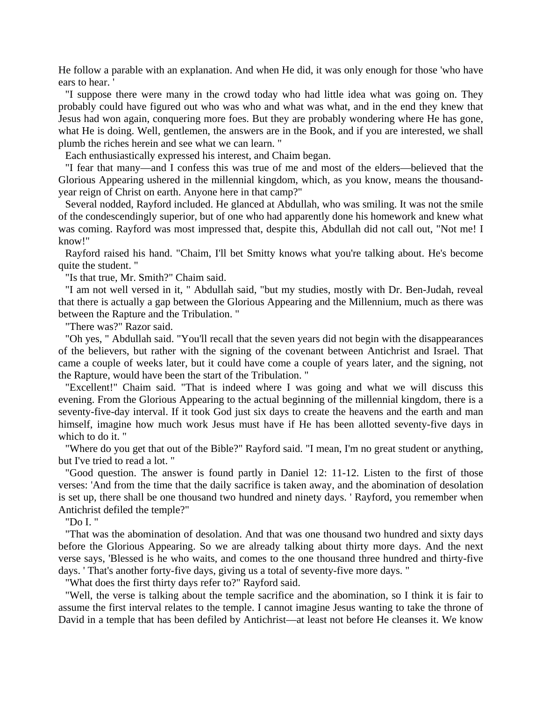He follow a parable with an explanation. And when He did, it was only enough for those 'who have ears to hear. '

"I suppose there were many in the crowd today who had little idea what was going on. They probably could have figured out who was who and what was what, and in the end they knew that Jesus had won again, conquering more foes. But they are probably wondering where He has gone, what He is doing. Well, gentlemen, the answers are in the Book, and if you are interested, we shall plumb the riches herein and see what we can learn. "

Each enthusiastically expressed his interest, and Chaim began.

"I fear that many—and I confess this was true of me and most of the elders—believed that the Glorious Appearing ushered in the millennial kingdom, which, as you know, means the thousandyear reign of Christ on earth. Anyone here in that camp?"

Several nodded, Rayford included. He glanced at Abdullah, who was smiling. It was not the smile of the condescendingly superior, but of one who had apparently done his homework and knew what was coming. Rayford was most impressed that, despite this, Abdullah did not call out, "Not me! I know!"

Rayford raised his hand. "Chaim, I'll bet Smitty knows what you're talking about. He's become quite the student. "

"Is that true, Mr. Smith?" Chaim said.

"I am not well versed in it, " Abdullah said, "but my studies, mostly with Dr. Ben-Judah, reveal that there is actually a gap between the Glorious Appearing and the Millennium, much as there was between the Rapture and the Tribulation. "

"There was?" Razor said.

"Oh yes, " Abdullah said. "You'll recall that the seven years did not begin with the disappearances of the believers, but rather with the signing of the covenant between Antichrist and Israel. That came a couple of weeks later, but it could have come a couple of years later, and the signing, not the Rapture, would have been the start of the Tribulation. "

"Excellent!" Chaim said. "That is indeed where I was going and what we will discuss this evening. From the Glorious Appearing to the actual beginning of the millennial kingdom, there is a seventy-five-day interval. If it took God just six days to create the heavens and the earth and man himself, imagine how much work Jesus must have if He has been allotted seventy-five days in which to do it. "

"Where do you get that out of the Bible?" Rayford said. "I mean, I'm no great student or anything, but I've tried to read a lot. "

"Good question. The answer is found partly in Daniel 12: 11-12. Listen to the first of those verses: 'And from the time that the daily sacrifice is taken away, and the abomination of desolation is set up, there shall be one thousand two hundred and ninety days. ' Rayford, you remember when Antichrist defiled the temple?"

"Do I. "

"That was the abomination of desolation. And that was one thousand two hundred and sixty days before the Glorious Appearing. So we are already talking about thirty more days. And the next verse says, 'Blessed is he who waits, and comes to the one thousand three hundred and thirty-five days. ' That's another forty-five days, giving us a total of seventy-five more days. "

"What does the first thirty days refer to?" Rayford said.

"Well, the verse is talking about the temple sacrifice and the abomination, so I think it is fair to assume the first interval relates to the temple. I cannot imagine Jesus wanting to take the throne of David in a temple that has been defiled by Antichrist—at least not before He cleanses it. We know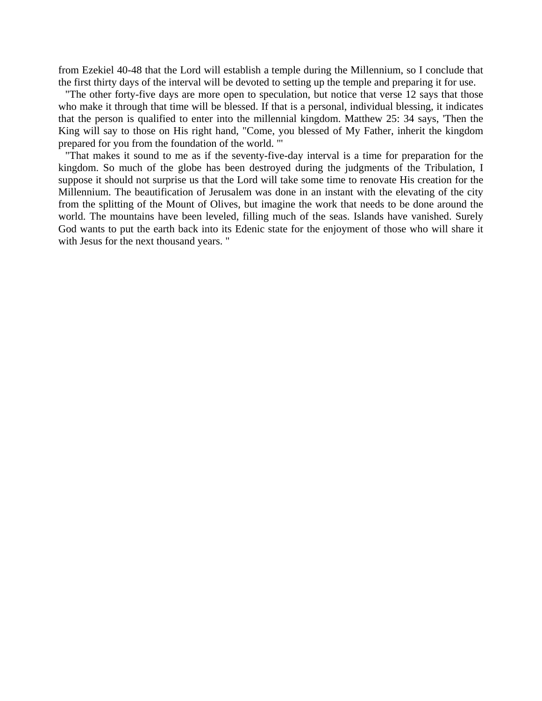from Ezekiel 40-48 that the Lord will establish a temple during the Millennium, so I conclude that the first thirty days of the interval will be devoted to setting up the temple and preparing it for use.

"The other forty-five days are more open to speculation, but notice that verse 12 says that those who make it through that time will be blessed. If that is a personal, individual blessing, it indicates that the person is qualified to enter into the millennial kingdom. Matthew 25: 34 says, 'Then the King will say to those on His right hand, "Come, you blessed of My Father, inherit the kingdom prepared for you from the foundation of the world. "'

"That makes it sound to me as if the seventy-five-day interval is a time for preparation for the kingdom. So much of the globe has been destroyed during the judgments of the Tribulation, I suppose it should not surprise us that the Lord will take some time to renovate His creation for the Millennium. The beautification of Jerusalem was done in an instant with the elevating of the city from the splitting of the Mount of Olives, but imagine the work that needs to be done around the world. The mountains have been leveled, filling much of the seas. Islands have vanished. Surely God wants to put the earth back into its Edenic state for the enjoyment of those who will share it with Jesus for the next thousand years. "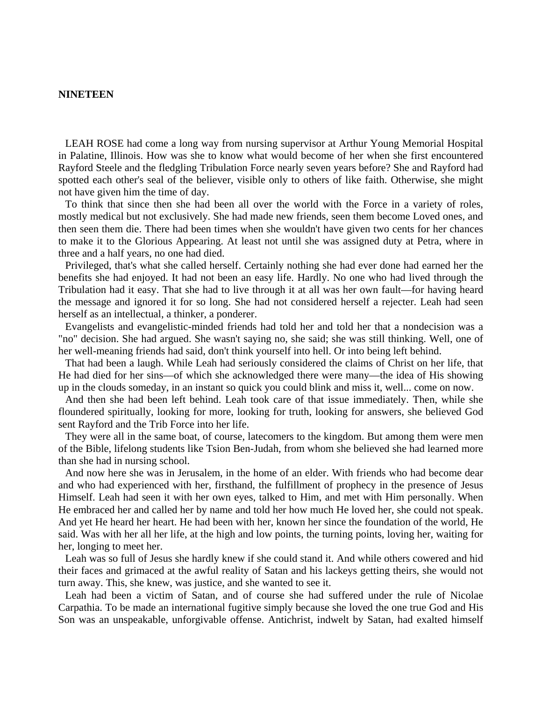## **NINETEEN**

LEAH ROSE had come a long way from nursing supervisor at Arthur Young Memorial Hospital in Palatine, Illinois. How was she to know what would become of her when she first encountered Rayford Steele and the fledgling Tribulation Force nearly seven years before? She and Rayford had spotted each other's seal of the believer, visible only to others of like faith. Otherwise, she might not have given him the time of day.

To think that since then she had been all over the world with the Force in a variety of roles, mostly medical but not exclusively. She had made new friends, seen them become Loved ones, and then seen them die. There had been times when she wouldn't have given two cents for her chances to make it to the Glorious Appearing. At least not until she was assigned duty at Petra, where in three and a half years, no one had died.

Privileged, that's what she called herself. Certainly nothing she had ever done had earned her the benefits she had enjoyed. It had not been an easy life. Hardly. No one who had lived through the Tribulation had it easy. That she had to live through it at all was her own fault—for having heard the message and ignored it for so long. She had not considered herself a rejecter. Leah had seen herself as an intellectual, a thinker, a ponderer.

Evangelists and evangelistic-minded friends had told her and told her that a nondecision was a "no" decision. She had argued. She wasn't saying no, she said; she was still thinking. Well, one of her well-meaning friends had said, don't think yourself into hell. Or into being left behind.

That had been a laugh. While Leah had seriously considered the claims of Christ on her life, that He had died for her sins—of which she acknowledged there were many—the idea of His showing up in the clouds someday, in an instant so quick you could blink and miss it, well... come on now.

And then she had been left behind. Leah took care of that issue immediately. Then, while she floundered spiritually, looking for more, looking for truth, looking for answers, she believed God sent Rayford and the Trib Force into her life.

They were all in the same boat, of course, latecomers to the kingdom. But among them were men of the Bible, lifelong students like Tsion Ben-Judah, from whom she believed she had learned more than she had in nursing school.

And now here she was in Jerusalem, in the home of an elder. With friends who had become dear and who had experienced with her, firsthand, the fulfillment of prophecy in the presence of Jesus Himself. Leah had seen it with her own eyes, talked to Him, and met with Him personally. When He embraced her and called her by name and told her how much He loved her, she could not speak. And yet He heard her heart. He had been with her, known her since the foundation of the world, He said. Was with her all her life, at the high and low points, the turning points, loving her, waiting for her, longing to meet her.

Leah was so full of Jesus she hardly knew if she could stand it. And while others cowered and hid their faces and grimaced at the awful reality of Satan and his lackeys getting theirs, she would not turn away. This, she knew, was justice, and she wanted to see it.

Leah had been a victim of Satan, and of course she had suffered under the rule of Nicolae Carpathia. To be made an international fugitive simply because she loved the one true God and His Son was an unspeakable, unforgivable offense. Antichrist, indwelt by Satan, had exalted himself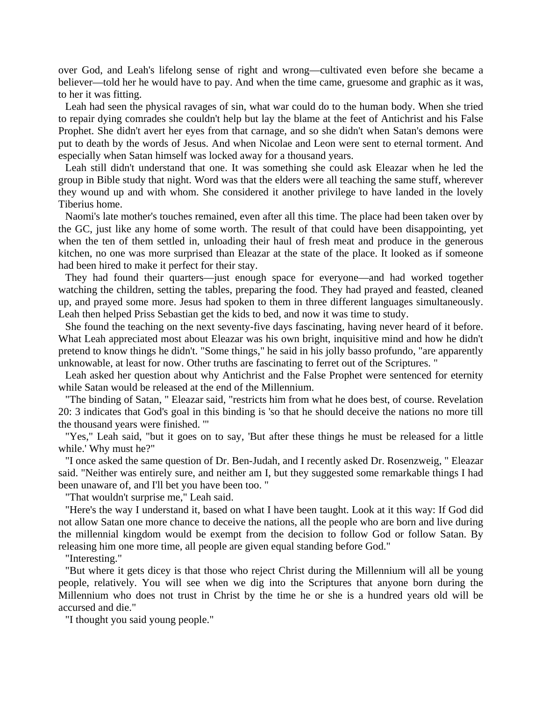over God, and Leah's lifelong sense of right and wrong—cultivated even before she became a believer—told her he would have to pay. And when the time came, gruesome and graphic as it was, to her it was fitting.

Leah had seen the physical ravages of sin, what war could do to the human body. When she tried to repair dying comrades she couldn't help but lay the blame at the feet of Antichrist and his False Prophet. She didn't avert her eyes from that carnage, and so she didn't when Satan's demons were put to death by the words of Jesus. And when Nicolae and Leon were sent to eternal torment. And especially when Satan himself was locked away for a thousand years.

Leah still didn't understand that one. It was something she could ask Eleazar when he led the group in Bible study that night. Word was that the elders were all teaching the same stuff, wherever they wound up and with whom. She considered it another privilege to have landed in the lovely Tiberius home.

Naomi's late mother's touches remained, even after all this time. The place had been taken over by the GC, just like any home of some worth. The result of that could have been disappointing, yet when the ten of them settled in, unloading their haul of fresh meat and produce in the generous kitchen, no one was more surprised than Eleazar at the state of the place. It looked as if someone had been hired to make it perfect for their stay.

They had found their quarters—just enough space for everyone—and had worked together watching the children, setting the tables, preparing the food. They had prayed and feasted, cleaned up, and prayed some more. Jesus had spoken to them in three different languages simultaneously. Leah then helped Priss Sebastian get the kids to bed, and now it was time to study.

She found the teaching on the next seventy-five days fascinating, having never heard of it before. What Leah appreciated most about Eleazar was his own bright, inquisitive mind and how he didn't pretend to know things he didn't. "Some things," he said in his jolly basso profundo, "are apparently unknowable, at least for now. Other truths are fascinating to ferret out of the Scriptures. "

Leah asked her question about why Antichrist and the False Prophet were sentenced for eternity while Satan would be released at the end of the Millennium.

"The binding of Satan, " Eleazar said, "restricts him from what he does best, of course. Revelation 20: 3 indicates that God's goal in this binding is 'so that he should deceive the nations no more till the thousand years were finished. '"

"Yes," Leah said, "but it goes on to say, 'But after these things he must be released for a little while.' Why must he?"

"I once asked the same question of Dr. Ben-Judah, and I recently asked Dr. Rosenzweig, " Eleazar said. "Neither was entirely sure, and neither am I, but they suggested some remarkable things I had been unaware of, and I'll bet you have been too. "

"That wouldn't surprise me," Leah said.

"Here's the way I understand it, based on what I have been taught. Look at it this way: If God did not allow Satan one more chance to deceive the nations, all the people who are born and live during the millennial kingdom would be exempt from the decision to follow God or follow Satan. By releasing him one more time, all people are given equal standing before God."

"Interesting."

"But where it gets dicey is that those who reject Christ during the Millennium will all be young people, relatively. You will see when we dig into the Scriptures that anyone born during the Millennium who does not trust in Christ by the time he or she is a hundred years old will be accursed and die."

"I thought you said young people."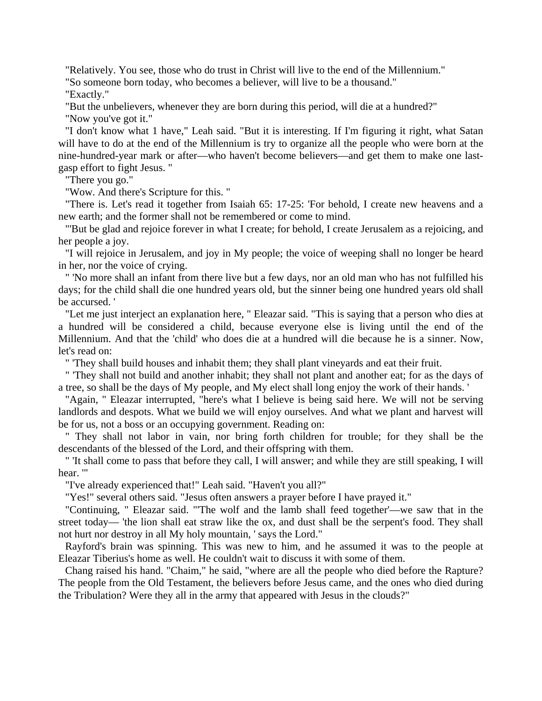"Relatively. You see, those who do trust in Christ will live to the end of the Millennium."

"So someone born today, who becomes a believer, will live to be a thousand."

"Exactly."

"But the unbelievers, whenever they are born during this period, will die at a hundred?"

"Now you've got it."

"I don't know what 1 have," Leah said. "But it is interesting. If I'm figuring it right, what Satan will have to do at the end of the Millennium is try to organize all the people who were born at the nine-hundred-year mark or after—who haven't become believers—and get them to make one lastgasp effort to fight Jesus. "

"There you go."

"Wow. And there's Scripture for this. "

"There is. Let's read it together from Isaiah 65: 17-25: 'For behold, I create new heavens and a new earth; and the former shall not be remembered or come to mind.

"'But be glad and rejoice forever in what I create; for behold, I create Jerusalem as a rejoicing, and her people a joy.

"I will rejoice in Jerusalem, and joy in My people; the voice of weeping shall no longer be heard in her, nor the voice of crying.

" 'No more shall an infant from there live but a few days, nor an old man who has not fulfilled his days; for the child shall die one hundred years old, but the sinner being one hundred years old shall be accursed. '

"Let me just interject an explanation here, " Eleazar said. "This is saying that a person who dies at a hundred will be considered a child, because everyone else is living until the end of the Millennium. And that the 'child' who does die at a hundred will die because he is a sinner. Now, let's read on:

" 'They shall build houses and inhabit them; they shall plant vineyards and eat their fruit.

" 'They shall not build and another inhabit; they shall not plant and another eat; for as the days of a tree, so shall be the days of My people, and My elect shall long enjoy the work of their hands. '

"Again, " Eleazar interrupted, "here's what I believe is being said here. We will not be serving landlords and despots. What we build we will enjoy ourselves. And what we plant and harvest will be for us, not a boss or an occupying government. Reading on:

" They shall not labor in vain, nor bring forth children for trouble; for they shall be the descendants of the blessed of the Lord, and their offspring with them.

" 'It shall come to pass that before they call, I will answer; and while they are still speaking, I will hear. '"

"I've already experienced that!" Leah said. "Haven't you all?"

"Yes!" several others said. "Jesus often answers a prayer before I have prayed it."

"Continuing, " Eleazar said. "'The wolf and the lamb shall feed together'—we saw that in the street today— 'the lion shall eat straw like the ox, and dust shall be the serpent's food. They shall not hurt nor destroy in all My holy mountain, ' says the Lord."

Rayford's brain was spinning. This was new to him, and he assumed it was to the people at Eleazar Tiberius's home as well. He couldn't wait to discuss it with some of them.

Chang raised his hand. "Chaim," he said, "where are all the people who died before the Rapture? The people from the Old Testament, the believers before Jesus came, and the ones who died during the Tribulation? Were they all in the army that appeared with Jesus in the clouds?"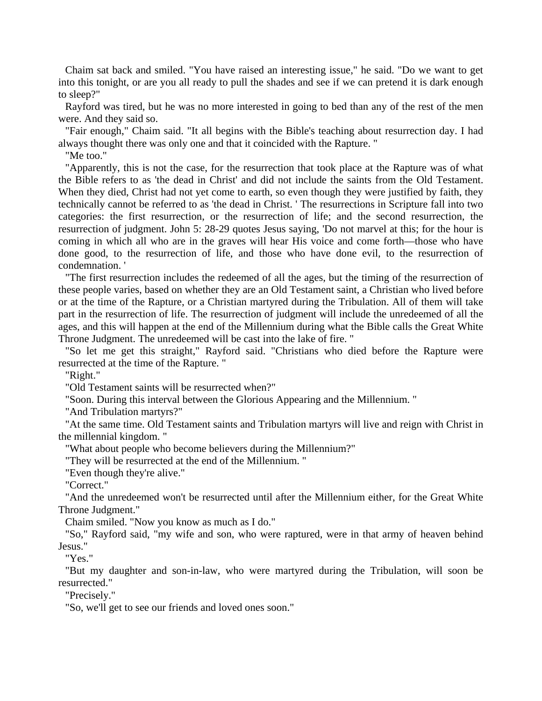Chaim sat back and smiled. "You have raised an interesting issue," he said. "Do we want to get into this tonight, or are you all ready to pull the shades and see if we can pretend it is dark enough to sleep?"

Rayford was tired, but he was no more interested in going to bed than any of the rest of the men were. And they said so.

"Fair enough," Chaim said. "It all begins with the Bible's teaching about resurrection day. I had always thought there was only one and that it coincided with the Rapture. "

"Me too."

"Apparently, this is not the case, for the resurrection that took place at the Rapture was of what the Bible refers to as 'the dead in Christ' and did not include the saints from the Old Testament. When they died, Christ had not yet come to earth, so even though they were justified by faith, they technically cannot be referred to as 'the dead in Christ. ' The resurrections in Scripture fall into two categories: the first resurrection, or the resurrection of life; and the second resurrection, the resurrection of judgment. John 5: 28-29 quotes Jesus saying, 'Do not marvel at this; for the hour is coming in which all who are in the graves will hear His voice and come forth—those who have done good, to the resurrection of life, and those who have done evil, to the resurrection of condemnation. '

"The first resurrection includes the redeemed of all the ages, but the timing of the resurrection of these people varies, based on whether they are an Old Testament saint, a Christian who lived before or at the time of the Rapture, or a Christian martyred during the Tribulation. All of them will take part in the resurrection of life. The resurrection of judgment will include the unredeemed of all the ages, and this will happen at the end of the Millennium during what the Bible calls the Great White Throne Judgment. The unredeemed will be cast into the lake of fire. "

"So let me get this straight," Rayford said. "Christians who died before the Rapture were resurrected at the time of the Rapture. "

"Right."

"Old Testament saints will be resurrected when?"

"Soon. During this interval between the Glorious Appearing and the Millennium. "

"And Tribulation martyrs?"

"At the same time. Old Testament saints and Tribulation martyrs will live and reign with Christ in the millennial kingdom. "

"What about people who become believers during the Millennium?"

"They will be resurrected at the end of the Millennium. "

"Even though they're alive."

"Correct."

"And the unredeemed won't be resurrected until after the Millennium either, for the Great White Throne Judgment."

Chaim smiled. "Now you know as much as I do."

"So," Rayford said, "my wife and son, who were raptured, were in that army of heaven behind Jesus."

"Yes."

"But my daughter and son-in-law, who were martyred during the Tribulation, will soon be resurrected."

"Precisely."

"So, we'll get to see our friends and loved ones soon."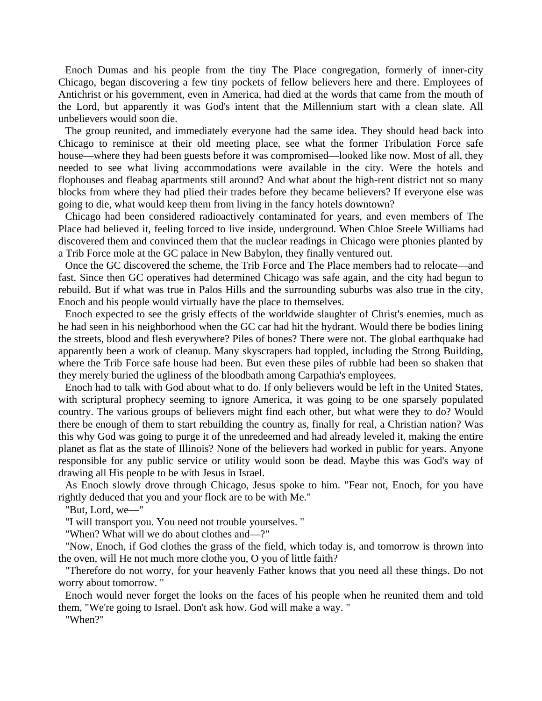Enoch Dumas and his people from the tiny The Place congregation, formerly of inner-city Chicago, began discovering a few tiny pockets of fellow believers here and there. Employees of Antichrist or his government, even in America, had died at the words that came from the mouth of the Lord, but apparently it was God's intent that the Millennium start with a clean slate. All unbelievers would soon die.

The group reunited, and immediately everyone had the same idea. They should head back into Chicago to reminisce at their old meeting place, see what the former Tribulation Force safe house—where they had been guests before it was compromised—looked like now. Most of all, they needed to see what living accommodations were available in the city. Were the hotels and flophouses and fleabag apartments still around? And what about the high-rent district not so many blocks from where they had plied their trades before they became believers? If everyone else was going to die, what would keep them from living in the fancy hotels downtown?

Chicago had been considered radioactively contaminated for years, and even members of The Place had believed it, feeling forced to live inside, underground. When Chloe Steele Williams had discovered them and convinced them that the nuclear readings in Chicago were phonies planted by a Trib Force mole at the GC palace in New Babylon, they finally ventured out.

Once the GC discovered the scheme, the Trib Force and The Place members had to relocate—and fast. Since then GC operatives had determined Chicago was safe again, and the city had begun to rebuild. But if what was true in Palos Hills and the surrounding suburbs was also true in the city, Enoch and his people would virtually have the place to themselves.

Enoch expected to see the grisly effects of the worldwide slaughter of Christ's enemies, much as he had seen in his neighborhood when the GC car had hit the hydrant. Would there be bodies lining the streets, blood and flesh everywhere? Piles of bones? There were not. The global earthquake had apparently been a work of cleanup. Many skyscrapers had toppled, including the Strong Building, where the Trib Force safe house had been. But even these piles of rubble had been so shaken that they merely buried the ugliness of the bloodbath among Carpathia's employees.

Enoch had to talk with God about what to do. If only believers would be left in the United States, with scriptural prophecy seeming to ignore America, it was going to be one sparsely populated country. The various groups of believers might find each other, but what were they to do? Would there be enough of them to start rebuilding the country as, finally for real, a Christian nation? Was this why God was going to purge it of the unredeemed and had already leveled it, making the entire planet as flat as the state of Illinois? None of the believers had worked in public for years. Anyone responsible for any public service or utility would soon be dead. Maybe this was God's way of drawing all His people to be with Jesus in Israel.

As Enoch slowly drove through Chicago, Jesus spoke to him. "Fear not, Enoch, for you have rightly deduced that you and your flock are to be with Me."

"But, Lord, we—"

"I will transport you. You need not trouble yourselves. "

"When? What will we do about clothes and—?"

"Now, Enoch, if God clothes the grass of the field, which today is, and tomorrow is thrown into the oven, will He not much more clothe you, O you of little faith?

"Therefore do not worry, for your heavenly Father knows that you need all these things. Do not worry about tomorrow. "

Enoch would never forget the looks on the faces of his people when he reunited them and told them, "We're going to Israel. Don't ask how. God will make a way. "

"When?"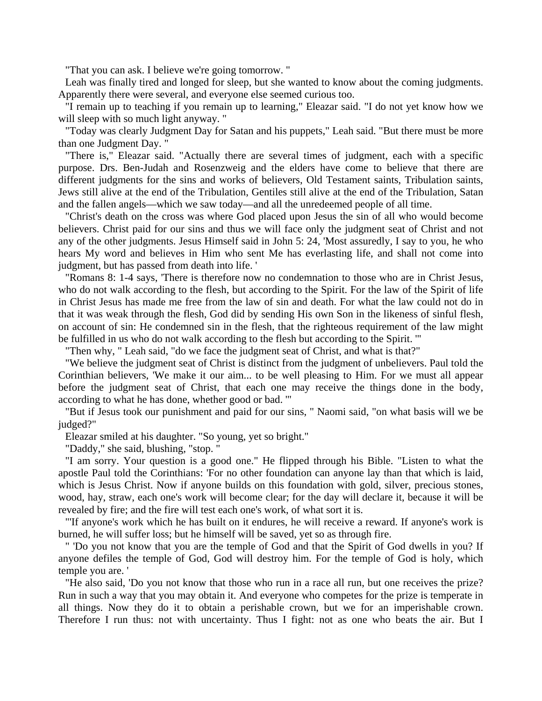"That you can ask. I believe we're going tomorrow. "

Leah was finally tired and longed for sleep, but she wanted to know about the coming judgments. Apparently there were several, and everyone else seemed curious too.

"I remain up to teaching if you remain up to learning," Eleazar said. "I do not yet know how we will sleep with so much light anyway. "

"Today was clearly Judgment Day for Satan and his puppets," Leah said. "But there must be more than one Judgment Day. "

"There is," Eleazar said. "Actually there are several times of judgment, each with a specific purpose. Drs. Ben-Judah and Rosenzweig and the elders have come to believe that there are different judgments for the sins and works of believers, Old Testament saints, Tribulation saints, Jews still alive at the end of the Tribulation, Gentiles still alive at the end of the Tribulation, Satan and the fallen angels—which we saw today—and all the unredeemed people of all time.

"Christ's death on the cross was where God placed upon Jesus the sin of all who would become believers. Christ paid for our sins and thus we will face only the judgment seat of Christ and not any of the other judgments. Jesus Himself said in John 5: 24, 'Most assuredly, I say to you, he who hears My word and believes in Him who sent Me has everlasting life, and shall not come into judgment, but has passed from death into life. '

"Romans 8: 1-4 says, 'There is therefore now no condemnation to those who are in Christ Jesus, who do not walk according to the flesh, but according to the Spirit. For the law of the Spirit of life in Christ Jesus has made me free from the law of sin and death. For what the law could not do in that it was weak through the flesh, God did by sending His own Son in the likeness of sinful flesh, on account of sin: He condemned sin in the flesh, that the righteous requirement of the law might be fulfilled in us who do not walk according to the flesh but according to the Spirit. '"

"Then why, " Leah said, "do we face the judgment seat of Christ, and what is that?"

"We believe the judgment seat of Christ is distinct from the judgment of unbelievers. Paul told the Corinthian believers, 'We make it our aim... to be well pleasing to Him. For we must all appear before the judgment seat of Christ, that each one may receive the things done in the body, according to what he has done, whether good or bad. '"

"But if Jesus took our punishment and paid for our sins, " Naomi said, "on what basis will we be judged?"

Eleazar smiled at his daughter. "So young, yet so bright."

"Daddy," she said, blushing, "stop. "

"I am sorry. Your question is a good one." He flipped through his Bible. "Listen to what the apostle Paul told the Corinthians: 'For no other foundation can anyone lay than that which is laid, which is Jesus Christ. Now if anyone builds on this foundation with gold, silver, precious stones, wood, hay, straw, each one's work will become clear; for the day will declare it, because it will be revealed by fire; and the fire will test each one's work, of what sort it is.

"'If anyone's work which he has built on it endures, he will receive a reward. If anyone's work is burned, he will suffer loss; but he himself will be saved, yet so as through fire.

" 'Do you not know that you are the temple of God and that the Spirit of God dwells in you? If anyone defiles the temple of God, God will destroy him. For the temple of God is holy, which temple you are. '

"He also said, 'Do you not know that those who run in a race all run, but one receives the prize? Run in such a way that you may obtain it. And everyone who competes for the prize is temperate in all things. Now they do it to obtain a perishable crown, but we for an imperishable crown. Therefore I run thus: not with uncertainty. Thus I fight: not as one who beats the air. But I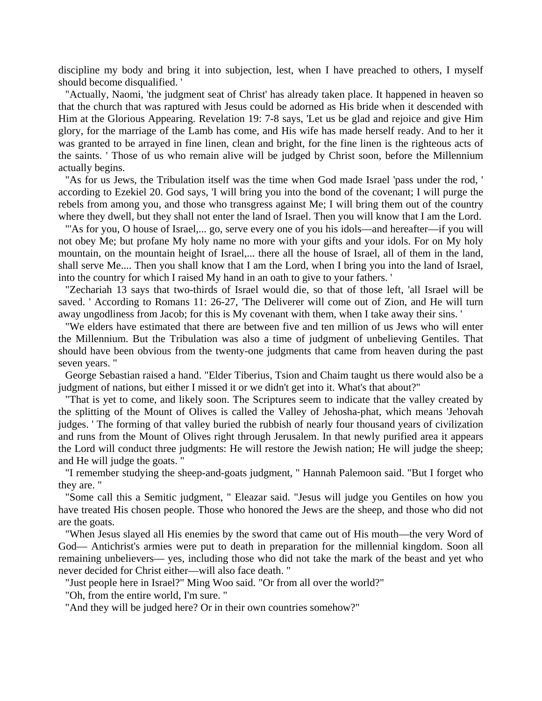discipline my body and bring it into subjection, lest, when I have preached to others, I myself should become disqualified. '

"Actually, Naomi, 'the judgment seat of Christ' has already taken place. It happened in heaven so that the church that was raptured with Jesus could be adorned as His bride when it descended with Him at the Glorious Appearing. Revelation 19: 7-8 says, 'Let us be glad and rejoice and give Him glory, for the marriage of the Lamb has come, and His wife has made herself ready. And to her it was granted to be arrayed in fine linen, clean and bright, for the fine linen is the righteous acts of the saints. ' Those of us who remain alive will be judged by Christ soon, before the Millennium actually begins.

"As for us Jews, the Tribulation itself was the time when God made Israel 'pass under the rod, ' according to Ezekiel 20. God says, 'I will bring you into the bond of the covenant; I will purge the rebels from among you, and those who transgress against Me; I will bring them out of the country where they dwell, but they shall not enter the land of Israel. Then you will know that I am the Lord.

"'As for you, O house of Israel,... go, serve every one of you his idols—and hereafter—if you will not obey Me; but profane My holy name no more with your gifts and your idols. For on My holy mountain, on the mountain height of Israel,... there all the house of Israel, all of them in the land, shall serve Me.... Then you shall know that I am the Lord, when I bring you into the land of Israel, into the country for which I raised My hand in an oath to give to your fathers. '

"Zechariah 13 says that two-thirds of Israel would die, so that of those left, 'all Israel will be saved. 'According to Romans 11: 26-27, 'The Deliverer will come out of Zion, and He will turn away ungodliness from Jacob; for this is My covenant with them, when I take away their sins. '

"We elders have estimated that there are between five and ten million of us Jews who will enter the Millennium. But the Tribulation was also a time of judgment of unbelieving Gentiles. That should have been obvious from the twenty-one judgments that came from heaven during the past seven years. "

George Sebastian raised a hand. "Elder Tiberius, Tsion and Chaim taught us there would also be a judgment of nations, but either I missed it or we didn't get into it. What's that about?"

"That is yet to come, and likely soon. The Scriptures seem to indicate that the valley created by the splitting of the Mount of Olives is called the Valley of Jehosha-phat, which means 'Jehovah judges. ' The forming of that valley buried the rubbish of nearly four thousand years of civilization and runs from the Mount of Olives right through Jerusalem. In that newly purified area it appears the Lord will conduct three judgments: He will restore the Jewish nation; He will judge the sheep; and He will judge the goats. "

"I remember studying the sheep-and-goats judgment, " Hannah Palemoon said. "But I forget who they are. "

"Some call this a Semitic judgment, " Eleazar said. "Jesus will judge you Gentiles on how you have treated His chosen people. Those who honored the Jews are the sheep, and those who did not are the goats.

"When Jesus slayed all His enemies by the sword that came out of His mouth—the very Word of God— Antichrist's armies were put to death in preparation for the millennial kingdom. Soon all remaining unbelievers— yes, including those who did not take the mark of the beast and yet who never decided for Christ either—will also face death. "

"Just people here in Israel?" Ming Woo said. "Or from all over the world?"

"Oh, from the entire world, I'm sure. "

"And they will be judged here? Or in their own countries somehow?"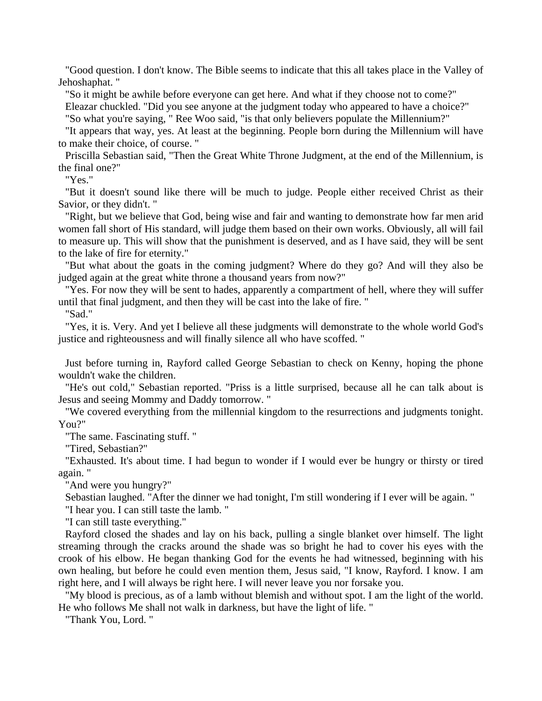"Good question. I don't know. The Bible seems to indicate that this all takes place in the Valley of Jehoshaphat. "

"So it might be awhile before everyone can get here. And what if they choose not to come?"

Eleazar chuckled. "Did you see anyone at the judgment today who appeared to have a choice?"

"So what you're saying, " Ree Woo said, "is that only believers populate the Millennium?"

"It appears that way, yes. At least at the beginning. People born during the Millennium will have to make their choice, of course. "

Priscilla Sebastian said, "Then the Great White Throne Judgment, at the end of the Millennium, is the final one?"

"Yes."

"But it doesn't sound like there will be much to judge. People either received Christ as their Savior, or they didn't. "

"Right, but we believe that God, being wise and fair and wanting to demonstrate how far men arid women fall short of His standard, will judge them based on their own works. Obviously, all will fail to measure up. This will show that the punishment is deserved, and as I have said, they will be sent to the lake of fire for eternity."

"But what about the goats in the coming judgment? Where do they go? And will they also be judged again at the great white throne a thousand years from now?"

"Yes. For now they will be sent to hades, apparently a compartment of hell, where they will suffer until that final judgment, and then they will be cast into the lake of fire. "

"Sad."

"Yes, it is. Very. And yet I believe all these judgments will demonstrate to the whole world God's justice and righteousness and will finally silence all who have scoffed. "

Just before turning in, Rayford called George Sebastian to check on Kenny, hoping the phone wouldn't wake the children.

"He's out cold," Sebastian reported. "Priss is a little surprised, because all he can talk about is Jesus and seeing Mommy and Daddy tomorrow. "

"We covered everything from the millennial kingdom to the resurrections and judgments tonight. You?"

"The same. Fascinating stuff. "

"Tired, Sebastian?"

"Exhausted. It's about time. I had begun to wonder if I would ever be hungry or thirsty or tired again. "

"And were you hungry?"

Sebastian laughed. "After the dinner we had tonight, I'm still wondering if I ever will be again. "

"I hear you. I can still taste the lamb. "

"I can still taste everything."

Rayford closed the shades and lay on his back, pulling a single blanket over himself. The light streaming through the cracks around the shade was so bright he had to cover his eyes with the crook of his elbow. He began thanking God for the events he had witnessed, beginning with his own healing, but before he could even mention them, Jesus said, "I know, Rayford. I know. I am right here, and I will always be right here. I will never leave you nor forsake you.

"My blood is precious, as of a lamb without blemish and without spot. I am the light of the world. He who follows Me shall not walk in darkness, but have the light of life. "

"Thank You, Lord. "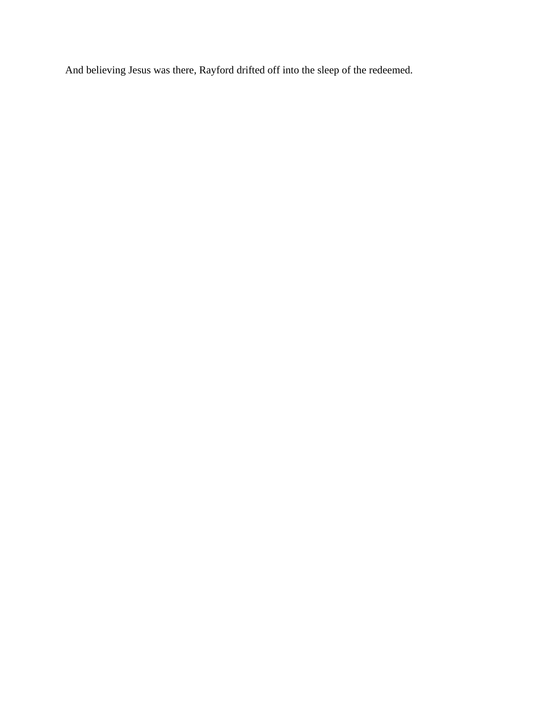And believing Jesus was there, Rayford drifted off into the sleep of the redeemed.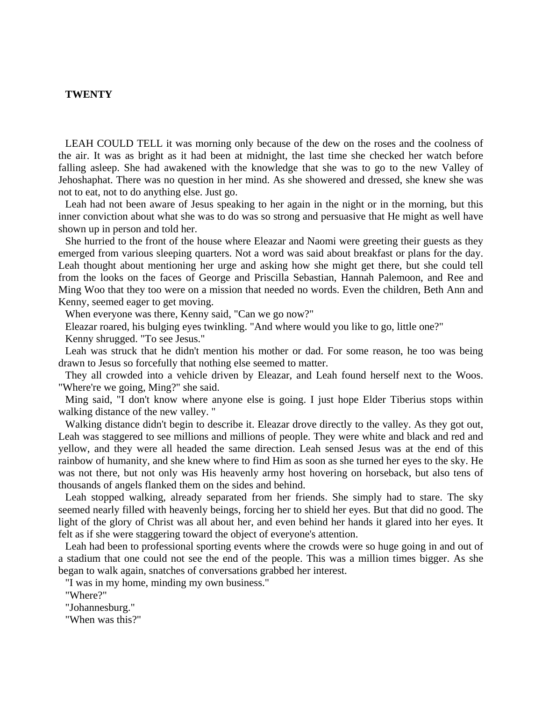## **TWENTY**

LEAH COULD TELL it was morning only because of the dew on the roses and the coolness of the air. It was as bright as it had been at midnight, the last time she checked her watch before falling asleep. She had awakened with the knowledge that she was to go to the new Valley of Jehoshaphat. There was no question in her mind. As she showered and dressed, she knew she was not to eat, not to do anything else. Just go.

Leah had not been aware of Jesus speaking to her again in the night or in the morning, but this inner conviction about what she was to do was so strong and persuasive that He might as well have shown up in person and told her.

She hurried to the front of the house where Eleazar and Naomi were greeting their guests as they emerged from various sleeping quarters. Not a word was said about breakfast or plans for the day. Leah thought about mentioning her urge and asking how she might get there, but she could tell from the looks on the faces of George and Priscilla Sebastian, Hannah Palemoon, and Ree and Ming Woo that they too were on a mission that needed no words. Even the children, Beth Ann and Kenny, seemed eager to get moving.

When everyone was there, Kenny said, "Can we go now?"

Eleazar roared, his bulging eyes twinkling. "And where would you like to go, little one?"

Kenny shrugged. "To see Jesus."

Leah was struck that he didn't mention his mother or dad. For some reason, he too was being drawn to Jesus so forcefully that nothing else seemed to matter.

They all crowded into a vehicle driven by Eleazar, and Leah found herself next to the Woos. "Where're we going, Ming?" she said.

Ming said, "I don't know where anyone else is going. I just hope Elder Tiberius stops within walking distance of the new valley. "

Walking distance didn't begin to describe it. Eleazar drove directly to the valley. As they got out, Leah was staggered to see millions and millions of people. They were white and black and red and yellow, and they were all headed the same direction. Leah sensed Jesus was at the end of this rainbow of humanity, and she knew where to find Him as soon as she turned her eyes to the sky. He was not there, but not only was His heavenly army host hovering on horseback, but also tens of thousands of angels flanked them on the sides and behind.

Leah stopped walking, already separated from her friends. She simply had to stare. The sky seemed nearly filled with heavenly beings, forcing her to shield her eyes. But that did no good. The light of the glory of Christ was all about her, and even behind her hands it glared into her eyes. It felt as if she were staggering toward the object of everyone's attention.

Leah had been to professional sporting events where the crowds were so huge going in and out of a stadium that one could not see the end of the people. This was a million times bigger. As she began to walk again, snatches of conversations grabbed her interest.

"I was in my home, minding my own business."

"Where?"

"Johannesburg."

"When was this?"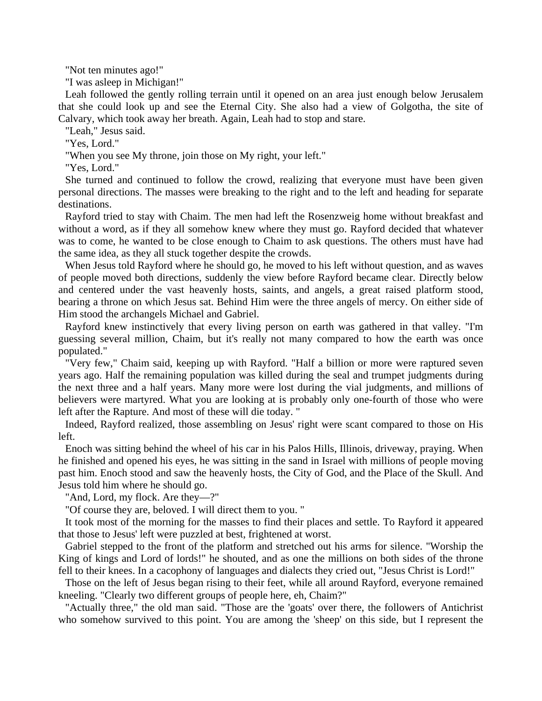"Not ten minutes ago!"

"I was asleep in Michigan!"

Leah followed the gently rolling terrain until it opened on an area just enough below Jerusalem that she could look up and see the Eternal City. She also had a view of Golgotha, the site of Calvary, which took away her breath. Again, Leah had to stop and stare.

"Leah," Jesus said.

"Yes, Lord."

"When you see My throne, join those on My right, your left."

"Yes, Lord."

She turned and continued to follow the crowd, realizing that everyone must have been given personal directions. The masses were breaking to the right and to the left and heading for separate destinations.

Rayford tried to stay with Chaim. The men had left the Rosenzweig home without breakfast and without a word, as if they all somehow knew where they must go. Rayford decided that whatever was to come, he wanted to be close enough to Chaim to ask questions. The others must have had the same idea, as they all stuck together despite the crowds.

When Jesus told Rayford where he should go, he moved to his left without question, and as waves of people moved both directions, suddenly the view before Rayford became clear. Directly below and centered under the vast heavenly hosts, saints, and angels, a great raised platform stood, bearing a throne on which Jesus sat. Behind Him were the three angels of mercy. On either side of Him stood the archangels Michael and Gabriel.

Rayford knew instinctively that every living person on earth was gathered in that valley. "I'm guessing several million, Chaim, but it's really not many compared to how the earth was once populated."

"Very few," Chaim said, keeping up with Rayford. "Half a billion or more were raptured seven years ago. Half the remaining population was killed during the seal and trumpet judgments during the next three and a half years. Many more were lost during the vial judgments, and millions of believers were martyred. What you are looking at is probably only one-fourth of those who were left after the Rapture. And most of these will die today. "

Indeed, Rayford realized, those assembling on Jesus' right were scant compared to those on His left.

Enoch was sitting behind the wheel of his car in his Palos Hills, Illinois, driveway, praying. When he finished and opened his eyes, he was sitting in the sand in Israel with millions of people moving past him. Enoch stood and saw the heavenly hosts, the City of God, and the Place of the Skull. And Jesus told him where he should go.

"And, Lord, my flock. Are they—?"

"Of course they are, beloved. I will direct them to you. "

It took most of the morning for the masses to find their places and settle. To Rayford it appeared that those to Jesus' left were puzzled at best, frightened at worst.

Gabriel stepped to the front of the platform and stretched out his arms for silence. "Worship the King of kings and Lord of lords!" he shouted, and as one the millions on both sides of the throne fell to their knees. In a cacophony of languages and dialects they cried out, "Jesus Christ is Lord!"

Those on the left of Jesus began rising to their feet, while all around Rayford, everyone remained kneeling. "Clearly two different groups of people here, eh, Chaim?"

"Actually three," the old man said. "Those are the 'goats' over there, the followers of Antichrist who somehow survived to this point. You are among the 'sheep' on this side, but I represent the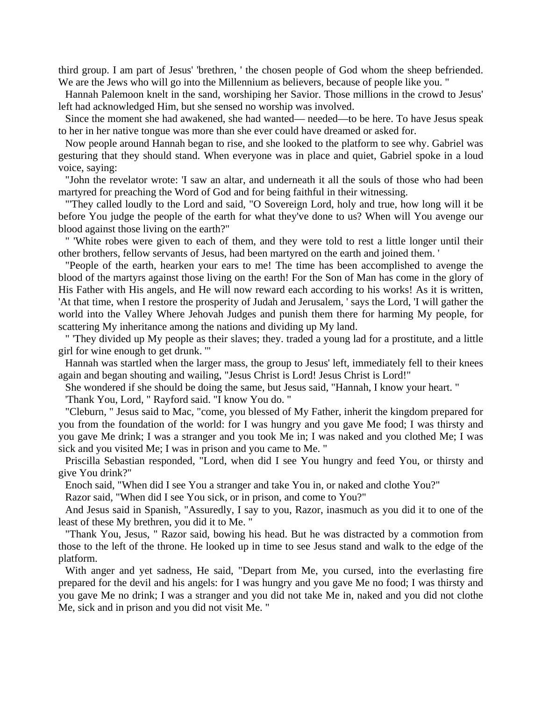third group. I am part of Jesus' 'brethren, ' the chosen people of God whom the sheep befriended. We are the Jews who will go into the Millennium as believers, because of people like you. "

Hannah Palemoon knelt in the sand, worshiping her Savior. Those millions in the crowd to Jesus' left had acknowledged Him, but she sensed no worship was involved.

Since the moment she had awakened, she had wanted— needed—to be here. To have Jesus speak to her in her native tongue was more than she ever could have dreamed or asked for.

Now people around Hannah began to rise, and she looked to the platform to see why. Gabriel was gesturing that they should stand. When everyone was in place and quiet, Gabriel spoke in a loud voice, saying:

"John the revelator wrote: 'I saw an altar, and underneath it all the souls of those who had been martyred for preaching the Word of God and for being faithful in their witnessing.

"'They called loudly to the Lord and said, "O Sovereign Lord, holy and true, how long will it be before You judge the people of the earth for what they've done to us? When will You avenge our blood against those living on the earth?"

" 'White robes were given to each of them, and they were told to rest a little longer until their other brothers, fellow servants of Jesus, had been martyred on the earth and joined them. '

"People of the earth, hearken your ears to me! The time has been accomplished to avenge the blood of the martyrs against those living on the earth! For the Son of Man has come in the glory of His Father with His angels, and He will now reward each according to his works! As it is written, 'At that time, when I restore the prosperity of Judah and Jerusalem, ' says the Lord, 'I will gather the world into the Valley Where Jehovah Judges and punish them there for harming My people, for scattering My inheritance among the nations and dividing up My land.

" 'They divided up My people as their slaves; they. traded a young lad for a prostitute, and a little girl for wine enough to get drunk. '"

Hannah was startled when the larger mass, the group to Jesus' left, immediately fell to their knees again and began shouting and wailing, "Jesus Christ is Lord! Jesus Christ is Lord!"

She wondered if she should be doing the same, but Jesus said, "Hannah, I know your heart. "

'Thank You, Lord, " Rayford said. "I know You do. "

"Cleburn, " Jesus said to Mac, "come, you blessed of My Father, inherit the kingdom prepared for you from the foundation of the world: for I was hungry and you gave Me food; I was thirsty and you gave Me drink; I was a stranger and you took Me in; I was naked and you clothed Me; I was sick and you visited Me; I was in prison and you came to Me. "

Priscilla Sebastian responded, "Lord, when did I see You hungry and feed You, or thirsty and give You drink?"

Enoch said, "When did I see You a stranger and take You in, or naked and clothe You?"

Razor said, "When did I see You sick, or in prison, and come to You?"

And Jesus said in Spanish, "Assuredly, I say to you, Razor, inasmuch as you did it to one of the least of these My brethren, you did it to Me. "

"Thank You, Jesus, " Razor said, bowing his head. But he was distracted by a commotion from those to the left of the throne. He looked up in time to see Jesus stand and walk to the edge of the platform.

With anger and yet sadness, He said, "Depart from Me, you cursed, into the everlasting fire prepared for the devil and his angels: for I was hungry and you gave Me no food; I was thirsty and you gave Me no drink; I was a stranger and you did not take Me in, naked and you did not clothe Me, sick and in prison and you did not visit Me. "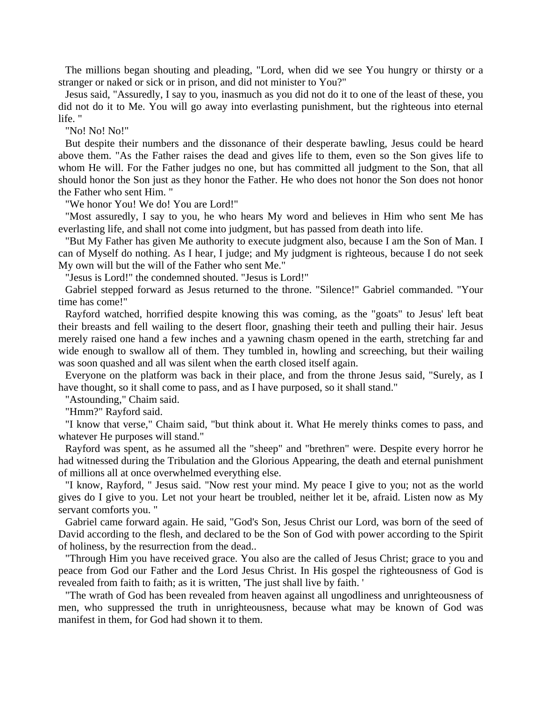The millions began shouting and pleading, "Lord, when did we see You hungry or thirsty or a stranger or naked or sick or in prison, and did not minister to You?"

Jesus said, "Assuredly, I say to you, inasmuch as you did not do it to one of the least of these, you did not do it to Me. You will go away into everlasting punishment, but the righteous into eternal life. "

"No! No! No!"

But despite their numbers and the dissonance of their desperate bawling, Jesus could be heard above them. "As the Father raises the dead and gives life to them, even so the Son gives life to whom He will. For the Father judges no one, but has committed all judgment to the Son, that all should honor the Son just as they honor the Father. He who does not honor the Son does not honor the Father who sent Him. "

"We honor You! We do! You are Lord!"

"Most assuredly, I say to you, he who hears My word and believes in Him who sent Me has everlasting life, and shall not come into judgment, but has passed from death into life.

"But My Father has given Me authority to execute judgment also, because I am the Son of Man. I can of Myself do nothing. As I hear, I judge; and My judgment is righteous, because I do not seek My own will but the will of the Father who sent Me."

"Jesus is Lord!" the condemned shouted. "Jesus is Lord!"

Gabriel stepped forward as Jesus returned to the throne. "Silence!" Gabriel commanded. "Your time has come!"

Rayford watched, horrified despite knowing this was coming, as the "goats" to Jesus' left beat their breasts and fell wailing to the desert floor, gnashing their teeth and pulling their hair. Jesus merely raised one hand a few inches and a yawning chasm opened in the earth, stretching far and wide enough to swallow all of them. They tumbled in, howling and screeching, but their wailing was soon quashed and all was silent when the earth closed itself again.

Everyone on the platform was back in their place, and from the throne Jesus said, "Surely, as I have thought, so it shall come to pass, and as I have purposed, so it shall stand."

"Astounding," Chaim said.

"Hmm?" Rayford said.

"I know that verse," Chaim said, "but think about it. What He merely thinks comes to pass, and whatever He purposes will stand."

Rayford was spent, as he assumed all the "sheep" and "brethren" were. Despite every horror he had witnessed during the Tribulation and the Glorious Appearing, the death and eternal punishment of millions all at once overwhelmed everything else.

"I know, Rayford, " Jesus said. "Now rest your mind. My peace I give to you; not as the world gives do I give to you. Let not your heart be troubled, neither let it be, afraid. Listen now as My servant comforts you. "

Gabriel came forward again. He said, "God's Son, Jesus Christ our Lord, was born of the seed of David according to the flesh, and declared to be the Son of God with power according to the Spirit of holiness, by the resurrection from the dead..

"Through Him you have received grace. You also are the called of Jesus Christ; grace to you and peace from God our Father and the Lord Jesus Christ. In His gospel the righteousness of God is revealed from faith to faith; as it is written, 'The just shall live by faith. '

"The wrath of God has been revealed from heaven against all ungodliness and unrighteousness of men, who suppressed the truth in unrighteousness, because what may be known of God was manifest in them, for God had shown it to them.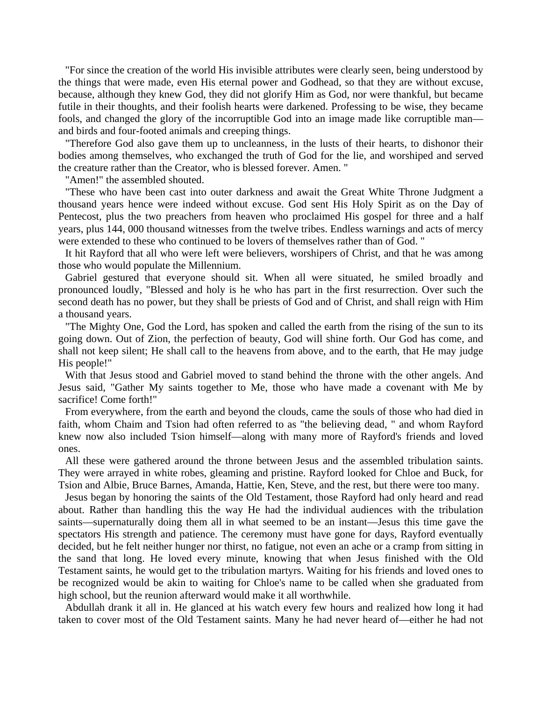"For since the creation of the world His invisible attributes were clearly seen, being understood by the things that were made, even His eternal power and Godhead, so that they are without excuse, because, although they knew God, they did not glorify Him as God, nor were thankful, but became futile in their thoughts, and their foolish hearts were darkened. Professing to be wise, they became fools, and changed the glory of the incorruptible God into an image made like corruptible man and birds and four-footed animals and creeping things.

"Therefore God also gave them up to uncleanness, in the lusts of their hearts, to dishonor their bodies among themselves, who exchanged the truth of God for the lie, and worshiped and served the creature rather than the Creator, who is blessed forever. Amen. "

"Amen!" the assembled shouted.

"These who have been cast into outer darkness and await the Great White Throne Judgment a thousand years hence were indeed without excuse. God sent His Holy Spirit as on the Day of Pentecost, plus the two preachers from heaven who proclaimed His gospel for three and a half years, plus 144, 000 thousand witnesses from the twelve tribes. Endless warnings and acts of mercy were extended to these who continued to be lovers of themselves rather than of God. "

It hit Rayford that all who were left were believers, worshipers of Christ, and that he was among those who would populate the Millennium.

Gabriel gestured that everyone should sit. When all were situated, he smiled broadly and pronounced loudly, "Blessed and holy is he who has part in the first resurrection. Over such the second death has no power, but they shall be priests of God and of Christ, and shall reign with Him a thousand years.

"The Mighty One, God the Lord, has spoken and called the earth from the rising of the sun to its going down. Out of Zion, the perfection of beauty, God will shine forth. Our God has come, and shall not keep silent; He shall call to the heavens from above, and to the earth, that He may judge His people!"

With that Jesus stood and Gabriel moved to stand behind the throne with the other angels. And Jesus said, "Gather My saints together to Me, those who have made a covenant with Me by sacrifice! Come forth!"

From everywhere, from the earth and beyond the clouds, came the souls of those who had died in faith, whom Chaim and Tsion had often referred to as "the believing dead, " and whom Rayford knew now also included Tsion himself—along with many more of Rayford's friends and loved ones.

All these were gathered around the throne between Jesus and the assembled tribulation saints. They were arrayed in white robes, gleaming and pristine. Rayford looked for Chloe and Buck, for Tsion and Albie, Bruce Barnes, Amanda, Hattie, Ken, Steve, and the rest, but there were too many.

Jesus began by honoring the saints of the Old Testament, those Rayford had only heard and read about. Rather than handling this the way He had the individual audiences with the tribulation saints—supernaturally doing them all in what seemed to be an instant—Jesus this time gave the spectators His strength and patience. The ceremony must have gone for days, Rayford eventually decided, but he felt neither hunger nor thirst, no fatigue, not even an ache or a cramp from sitting in the sand that long. He loved every minute, knowing that when Jesus finished with the Old Testament saints, he would get to the tribulation martyrs. Waiting for his friends and loved ones to be recognized would be akin to waiting for Chloe's name to be called when she graduated from high school, but the reunion afterward would make it all worthwhile.

Abdullah drank it all in. He glanced at his watch every few hours and realized how long it had taken to cover most of the Old Testament saints. Many he had never heard of—either he had not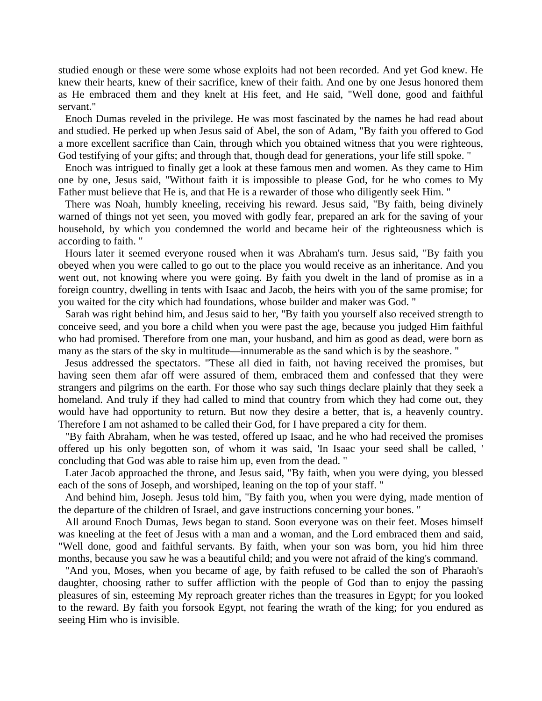studied enough or these were some whose exploits had not been recorded. And yet God knew. He knew their hearts, knew of their sacrifice, knew of their faith. And one by one Jesus honored them as He embraced them and they knelt at His feet, and He said, "Well done, good and faithful servant."

Enoch Dumas reveled in the privilege. He was most fascinated by the names he had read about and studied. He perked up when Jesus said of Abel, the son of Adam, "By faith you offered to God a more excellent sacrifice than Cain, through which you obtained witness that you were righteous, God testifying of your gifts; and through that, though dead for generations, your life still spoke. "

Enoch was intrigued to finally get a look at these famous men and women. As they came to Him one by one, Jesus said, "Without faith it is impossible to please God, for he who comes to My Father must believe that He is, and that He is a rewarder of those who diligently seek Him. "

There was Noah, humbly kneeling, receiving his reward. Jesus said, "By faith, being divinely warned of things not yet seen, you moved with godly fear, prepared an ark for the saving of your household, by which you condemned the world and became heir of the righteousness which is according to faith. "

Hours later it seemed everyone roused when it was Abraham's turn. Jesus said, "By faith you obeyed when you were called to go out to the place you would receive as an inheritance. And you went out, not knowing where you were going. By faith you dwelt in the land of promise as in a foreign country, dwelling in tents with Isaac and Jacob, the heirs with you of the same promise; for you waited for the city which had foundations, whose builder and maker was God. "

Sarah was right behind him, and Jesus said to her, "By faith you yourself also received strength to conceive seed, and you bore a child when you were past the age, because you judged Him faithful who had promised. Therefore from one man, your husband, and him as good as dead, were born as many as the stars of the sky in multitude—innumerable as the sand which is by the seashore. "

Jesus addressed the spectators. "These all died in faith, not having received the promises, but having seen them afar off were assured of them, embraced them and confessed that they were strangers and pilgrims on the earth. For those who say such things declare plainly that they seek a homeland. And truly if they had called to mind that country from which they had come out, they would have had opportunity to return. But now they desire a better, that is, a heavenly country. Therefore I am not ashamed to be called their God, for I have prepared a city for them.

"By faith Abraham, when he was tested, offered up Isaac, and he who had received the promises offered up his only begotten son, of whom it was said, 'In Isaac your seed shall be called, ' concluding that God was able to raise him up, even from the dead. "

Later Jacob approached the throne, and Jesus said, "By faith, when you were dying, you blessed each of the sons of Joseph, and worshiped, leaning on the top of your staff. "

And behind him, Joseph. Jesus told him, "By faith you, when you were dying, made mention of the departure of the children of Israel, and gave instructions concerning your bones. "

All around Enoch Dumas, Jews began to stand. Soon everyone was on their feet. Moses himself was kneeling at the feet of Jesus with a man and a woman, and the Lord embraced them and said, "Well done, good and faithful servants. By faith, when your son was born, you hid him three months, because you saw he was a beautiful child; and you were not afraid of the king's command.

"And you, Moses, when you became of age, by faith refused to be called the son of Pharaoh's daughter, choosing rather to suffer affliction with the people of God than to enjoy the passing pleasures of sin, esteeming My reproach greater riches than the treasures in Egypt; for you looked to the reward. By faith you forsook Egypt, not fearing the wrath of the king; for you endured as seeing Him who is invisible.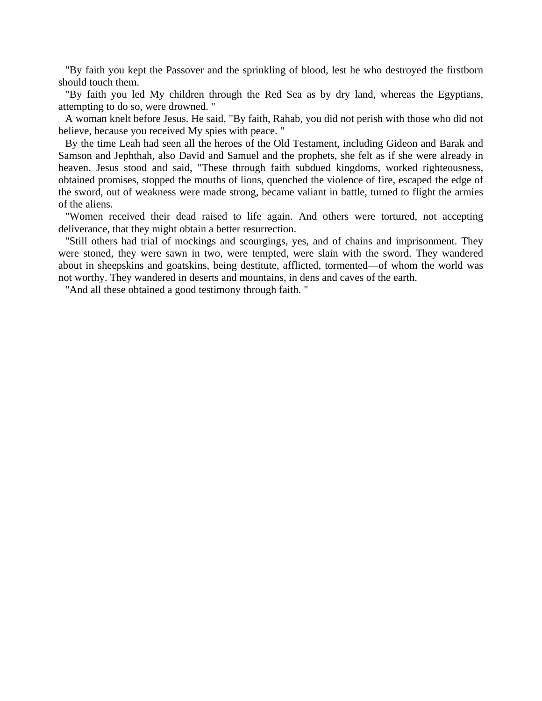"By faith you kept the Passover and the sprinkling of blood, lest he who destroyed the firstborn should touch them.

"By faith you led My children through the Red Sea as by dry land, whereas the Egyptians, attempting to do so, were drowned. "

A woman knelt before Jesus. He said, "By faith, Rahab, you did not perish with those who did not believe, because you received My spies with peace. "

By the time Leah had seen all the heroes of the Old Testament, including Gideon and Barak and Samson and Jephthah, also David and Samuel and the prophets, she felt as if she were already in heaven. Jesus stood and said, "These through faith subdued kingdoms, worked righteousness, obtained promises, stopped the mouths of lions, quenched the violence of fire, escaped the edge of the sword, out of weakness were made strong, became valiant in battle, turned to flight the armies of the aliens.

"Women received their dead raised to life again. And others were tortured, not accepting deliverance, that they might obtain a better resurrection.

"Still others had trial of mockings and scourgings, yes, and of chains and imprisonment. They were stoned, they were sawn in two, were tempted, were slain with the sword. They wandered about in sheepskins and goatskins, being destitute, afflicted, tormented—of whom the world was not worthy. They wandered in deserts and mountains, in dens and caves of the earth.

"And all these obtained a good testimony through faith. "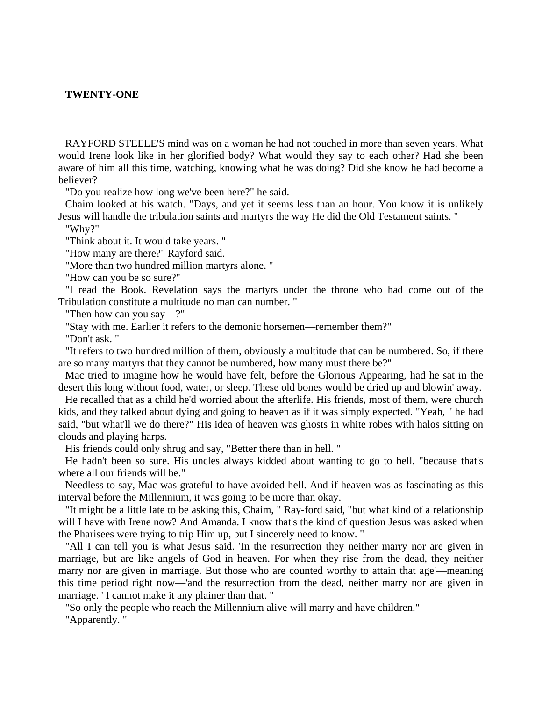## **TWENTY-ONE**

RAYFORD STEELE'S mind was on a woman he had not touched in more than seven years. What would Irene look like in her glorified body? What would they say to each other? Had she been aware of him all this time, watching, knowing what he was doing? Did she know he had become a believer?

"Do you realize how long we've been here?" he said.

Chaim looked at his watch. "Days, and yet it seems less than an hour. You know it is unlikely Jesus will handle the tribulation saints and martyrs the way He did the Old Testament saints. "

"Why?"

"Think about it. It would take years. "

"How many are there?" Rayford said.

"More than two hundred million martyrs alone. "

"How can you be so sure?"

"I read the Book. Revelation says the martyrs under the throne who had come out of the Tribulation constitute a multitude no man can number. "

"Then how can you say—?"

"Stay with me. Earlier it refers to the demonic horsemen—remember them?"

"Don't ask. "

"It refers to two hundred million of them, obviously a multitude that can be numbered. So, if there are so many martyrs that they cannot be numbered, how many must there be?"

Mac tried to imagine how he would have felt, before the Glorious Appearing, had he sat in the desert this long without food, water, or sleep. These old bones would be dried up and blowin' away.

He recalled that as a child he'd worried about the afterlife. His friends, most of them, were church kids, and they talked about dying and going to heaven as if it was simply expected. "Yeah, " he had said, "but what'll we do there?" His idea of heaven was ghosts in white robes with halos sitting on clouds and playing harps.

His friends could only shrug and say, "Better there than in hell. "

He hadn't been so sure. His uncles always kidded about wanting to go to hell, "because that's where all our friends will be."

Needless to say, Mac was grateful to have avoided hell. And if heaven was as fascinating as this interval before the Millennium, it was going to be more than okay.

"It might be a little late to be asking this, Chaim, " Ray-ford said, "but what kind of a relationship will I have with Irene now? And Amanda. I know that's the kind of question Jesus was asked when the Pharisees were trying to trip Him up, but I sincerely need to know. "

"All I can tell you is what Jesus said. 'In the resurrection they neither marry nor are given in marriage, but are like angels of God in heaven. For when they rise from the dead, they neither marry nor are given in marriage. But those who are counted worthy to attain that age'—meaning this time period right now—'and the resurrection from the dead, neither marry nor are given in marriage. 'I cannot make it any plainer than that. "

"So only the people who reach the Millennium alive will marry and have children."

"Apparently. "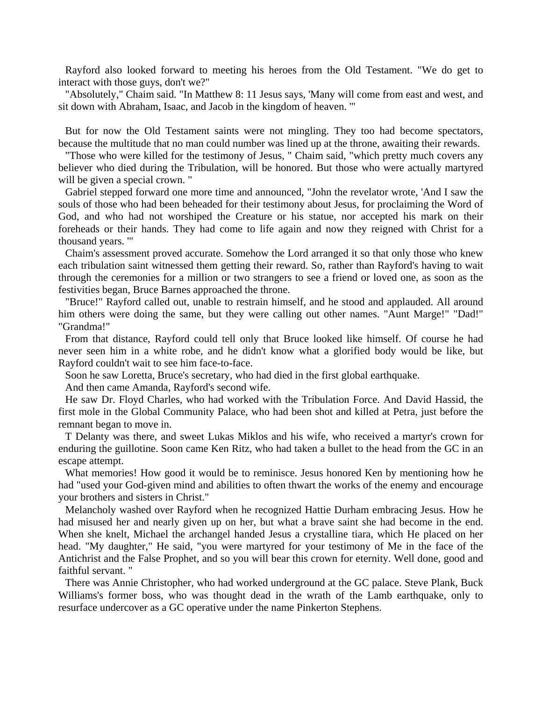Rayford also looked forward to meeting his heroes from the Old Testament. "We do get to interact with those guys, don't we?"

"Absolutely," Chaim said. "In Matthew 8: 11 Jesus says, 'Many will come from east and west, and sit down with Abraham, Isaac, and Jacob in the kingdom of heaven. '"

But for now the Old Testament saints were not mingling. They too had become spectators, because the multitude that no man could number was lined up at the throne, awaiting their rewards.

"Those who were killed for the testimony of Jesus, " Chaim said, "which pretty much covers any believer who died during the Tribulation, will be honored. But those who were actually martyred will be given a special crown. "

Gabriel stepped forward one more time and announced, "John the revelator wrote, 'And I saw the souls of those who had been beheaded for their testimony about Jesus, for proclaiming the Word of God, and who had not worshiped the Creature or his statue, nor accepted his mark on their foreheads or their hands. They had come to life again and now they reigned with Christ for a thousand years. '"

Chaim's assessment proved accurate. Somehow the Lord arranged it so that only those who knew each tribulation saint witnessed them getting their reward. So, rather than Rayford's having to wait through the ceremonies for a million or two strangers to see a friend or loved one, as soon as the festivities began, Bruce Barnes approached the throne.

"Bruce!" Rayford called out, unable to restrain himself, and he stood and applauded. All around him others were doing the same, but they were calling out other names. "Aunt Marge!" "Dad!" "Grandma!"

From that distance, Rayford could tell only that Bruce looked like himself. Of course he had never seen him in a white robe, and he didn't know what a glorified body would be like, but Rayford couldn't wait to see him face-to-face.

Soon he saw Loretta, Bruce's secretary, who had died in the first global earthquake. And then came Amanda, Rayford's second wife.

He saw Dr. Floyd Charles, who had worked with the Tribulation Force. And David Hassid, the first mole in the Global Community Palace, who had been shot and killed at Petra, just before the remnant began to move in.

T Delanty was there, and sweet Lukas Miklos and his wife, who received a martyr's crown for enduring the guillotine. Soon came Ken Ritz, who had taken a bullet to the head from the GC in an escape attempt.

What memories! How good it would be to reminisce. Jesus honored Ken by mentioning how he had "used your God-given mind and abilities to often thwart the works of the enemy and encourage your brothers and sisters in Christ."

Melancholy washed over Rayford when he recognized Hattie Durham embracing Jesus. How he had misused her and nearly given up on her, but what a brave saint she had become in the end. When she knelt, Michael the archangel handed Jesus a crystalline tiara, which He placed on her head. "My daughter," He said, "you were martyred for your testimony of Me in the face of the Antichrist and the False Prophet, and so you will bear this crown for eternity. Well done, good and faithful servant. "

There was Annie Christopher, who had worked underground at the GC palace. Steve Plank, Buck Williams's former boss, who was thought dead in the wrath of the Lamb earthquake, only to resurface undercover as a GC operative under the name Pinkerton Stephens.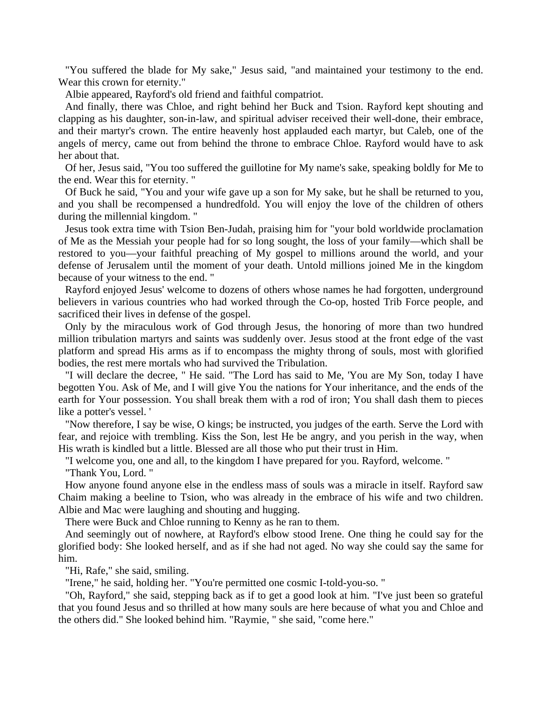"You suffered the blade for My sake," Jesus said, "and maintained your testimony to the end. Wear this crown for eternity."

Albie appeared, Rayford's old friend and faithful compatriot.

And finally, there was Chloe, and right behind her Buck and Tsion. Rayford kept shouting and clapping as his daughter, son-in-law, and spiritual adviser received their well-done, their embrace, and their martyr's crown. The entire heavenly host applauded each martyr, but Caleb, one of the angels of mercy, came out from behind the throne to embrace Chloe. Rayford would have to ask her about that.

Of her, Jesus said, "You too suffered the guillotine for My name's sake, speaking boldly for Me to the end. Wear this for eternity. "

Of Buck he said, "You and your wife gave up a son for My sake, but he shall be returned to you, and you shall be recompensed a hundredfold. You will enjoy the love of the children of others during the millennial kingdom. "

Jesus took extra time with Tsion Ben-Judah, praising him for "your bold worldwide proclamation of Me as the Messiah your people had for so long sought, the loss of your family—which shall be restored to you—your faithful preaching of My gospel to millions around the world, and your defense of Jerusalem until the moment of your death. Untold millions joined Me in the kingdom because of your witness to the end. "

Rayford enjoyed Jesus' welcome to dozens of others whose names he had forgotten, underground believers in various countries who had worked through the Co-op, hosted Trib Force people, and sacrificed their lives in defense of the gospel.

Only by the miraculous work of God through Jesus, the honoring of more than two hundred million tribulation martyrs and saints was suddenly over. Jesus stood at the front edge of the vast platform and spread His arms as if to encompass the mighty throng of souls, most with glorified bodies, the rest mere mortals who had survived the Tribulation.

"I will declare the decree, " He said. "The Lord has said to Me, 'You are My Son, today I have begotten You. Ask of Me, and I will give You the nations for Your inheritance, and the ends of the earth for Your possession. You shall break them with a rod of iron; You shall dash them to pieces like a potter's vessel. '

"Now therefore, I say be wise, O kings; be instructed, you judges of the earth. Serve the Lord with fear, and rejoice with trembling. Kiss the Son, lest He be angry, and you perish in the way, when His wrath is kindled but a little. Blessed are all those who put their trust in Him.

"I welcome you, one and all, to the kingdom I have prepared for you. Rayford, welcome. "

"Thank You, Lord. "

How anyone found anyone else in the endless mass of souls was a miracle in itself. Rayford saw Chaim making a beeline to Tsion, who was already in the embrace of his wife and two children. Albie and Mac were laughing and shouting and hugging.

There were Buck and Chloe running to Kenny as he ran to them.

And seemingly out of nowhere, at Rayford's elbow stood Irene. One thing he could say for the glorified body: She looked herself, and as if she had not aged. No way she could say the same for him.

"Hi, Rafe," she said, smiling.

"Irene," he said, holding her. "You're permitted one cosmic I-told-you-so. "

"Oh, Rayford," she said, stepping back as if to get a good look at him. "I've just been so grateful that you found Jesus and so thrilled at how many souls are here because of what you and Chloe and the others did." She looked behind him. "Raymie, " she said, "come here."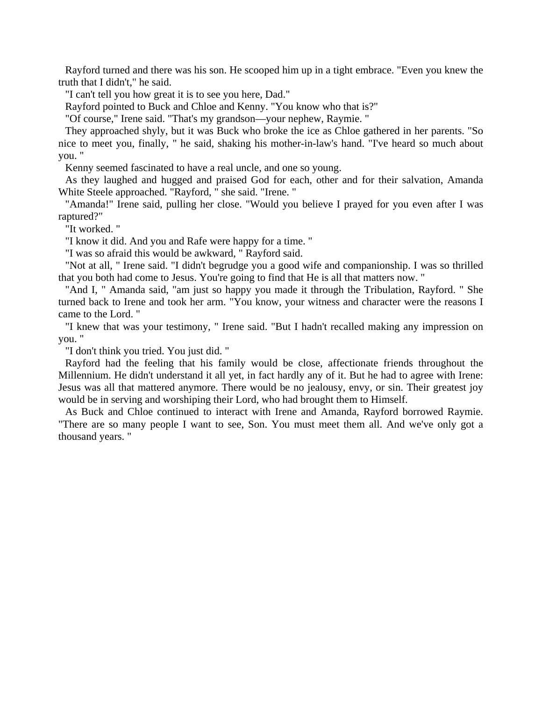Rayford turned and there was his son. He scooped him up in a tight embrace. "Even you knew the truth that I didn't," he said.

"I can't tell you how great it is to see you here, Dad."

Rayford pointed to Buck and Chloe and Kenny. "You know who that is?"

"Of course," Irene said. "That's my grandson—your nephew, Raymie. "

They approached shyly, but it was Buck who broke the ice as Chloe gathered in her parents. "So nice to meet you, finally, " he said, shaking his mother-in-law's hand. "I've heard so much about you. "

Kenny seemed fascinated to have a real uncle, and one so young.

As they laughed and hugged and praised God for each, other and for their salvation, Amanda White Steele approached. "Rayford, " she said. "Irene. "

"Amanda!" Irene said, pulling her close. "Would you believe I prayed for you even after I was raptured?"

"It worked. "

"I know it did. And you and Rafe were happy for a time. "

"I was so afraid this would be awkward, " Rayford said.

"Not at all, " Irene said. "I didn't begrudge you a good wife and companionship. I was so thrilled that you both had come to Jesus. You're going to find that He is all that matters now. "

"And I, " Amanda said, "am just so happy you made it through the Tribulation, Rayford. " She turned back to Irene and took her arm. "You know, your witness and character were the reasons I came to the Lord. "

"I knew that was your testimony, " Irene said. "But I hadn't recalled making any impression on you. "

"I don't think you tried. You just did. "

Rayford had the feeling that his family would be close, affectionate friends throughout the Millennium. He didn't understand it all yet, in fact hardly any of it. But he had to agree with Irene: Jesus was all that mattered anymore. There would be no jealousy, envy, or sin. Their greatest joy would be in serving and worshiping their Lord, who had brought them to Himself.

As Buck and Chloe continued to interact with Irene and Amanda, Rayford borrowed Raymie. "There are so many people I want to see, Son. You must meet them all. And we've only got a thousand years. "